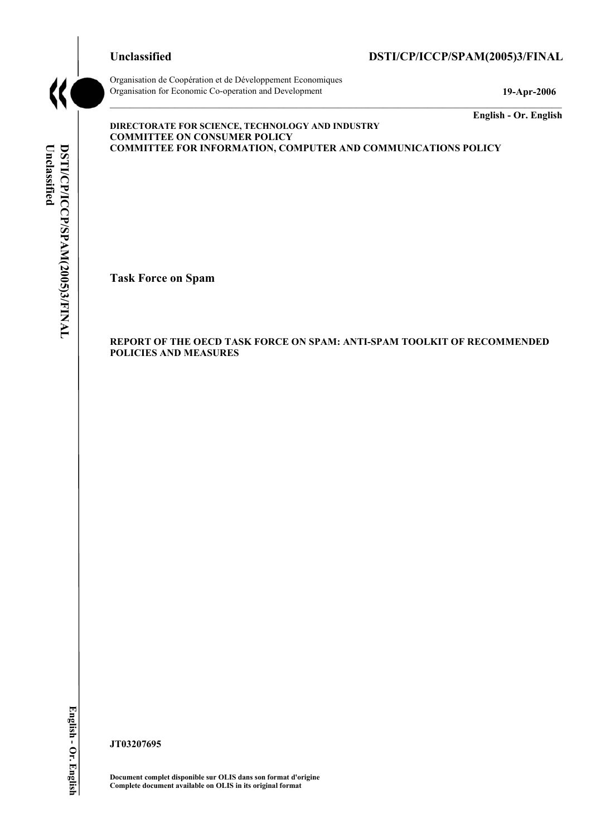

Organisation de CoopÈration et de DÈveloppement Economiques Organisation for Economic Co-operation and Development **19-Apr-2006** 

**COMMITTEE ON CONSUMER POLICY** 

**DIRECTORATE FOR SCIENCE, TECHNOLOGY AND INDUSTRY** 

**English - Or. English** 

# Unclassified DSTI/CP/ICCP/SPAM(2005)3/FINAL **Unclassified DSTI/CP/ICCP/SPAM(2005)3/FINAL English - Or. English**

**Task Force on Spam** 

**REPORT OF THE OECD TASK FORCE ON SPAM: ANTI-SPAM TOOLKIT OF RECOMMENDED POLICIES AND MEASURES** 

**COMMITTEE FOR INFORMATION, COMPUTER AND COMMUNICATIONS POLICY** 

English - Or. English

**JT03207695** 

**Document complet disponible sur OLIS dans son format d'origine Complete document available on OLIS in its original format**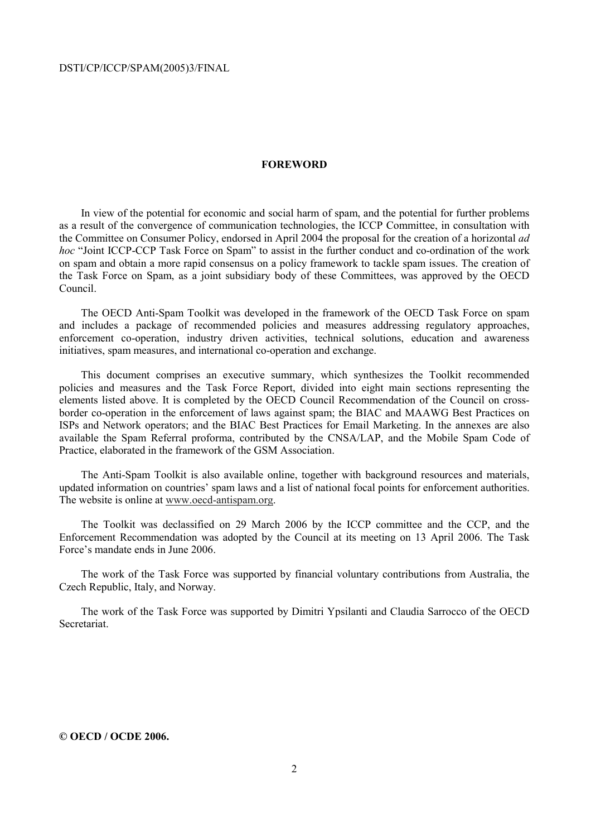#### **FOREWORD**

In view of the potential for economic and social harm of spam, and the potential for further problems as a result of the convergence of communication technologies, the ICCP Committee, in consultation with the Committee on Consumer Policy, endorsed in April 2004 the proposal for the creation of a horizontal *ad hoc* "Joint ICCP-CCP Task Force on Spam" to assist in the further conduct and co-ordination of the work on spam and obtain a more rapid consensus on a policy framework to tackle spam issues. The creation of the Task Force on Spam, as a joint subsidiary body of these Committees, was approved by the OECD Council.

The OECD Anti-Spam Toolkit was developed in the framework of the OECD Task Force on spam and includes a package of recommended policies and measures addressing regulatory approaches, enforcement co-operation, industry driven activities, technical solutions, education and awareness initiatives, spam measures, and international co-operation and exchange.

This document comprises an executive summary, which synthesizes the Toolkit recommended policies and measures and the Task Force Report, divided into eight main sections representing the elements listed above. It is completed by the OECD Council Recommendation of the Council on crossborder co-operation in the enforcement of laws against spam; the BIAC and MAAWG Best Practices on ISPs and Network operators; and the BIAC Best Practices for Email Marketing. In the annexes are also available the Spam Referral proforma, contributed by the CNSA/LAP, and the Mobile Spam Code of Practice, elaborated in the framework of the GSM Association.

The Anti-Spam Toolkit is also available online, together with background resources and materials, updated information on countries' spam laws and a list of national focal points for enforcement authorities. The website is online at www.oecd-antispam.org.

The Toolkit was declassified on 29 March 2006 by the ICCP committee and the CCP, and the Enforcement Recommendation was adopted by the Council at its meeting on 13 April 2006. The Task Force's mandate ends in June 2006.

The work of the Task Force was supported by financial voluntary contributions from Australia, the Czech Republic, Italy, and Norway.

The work of the Task Force was supported by Dimitri Ypsilanti and Claudia Sarrocco of the OECD Secretariat.

#### **© OECD / OCDE 2006.**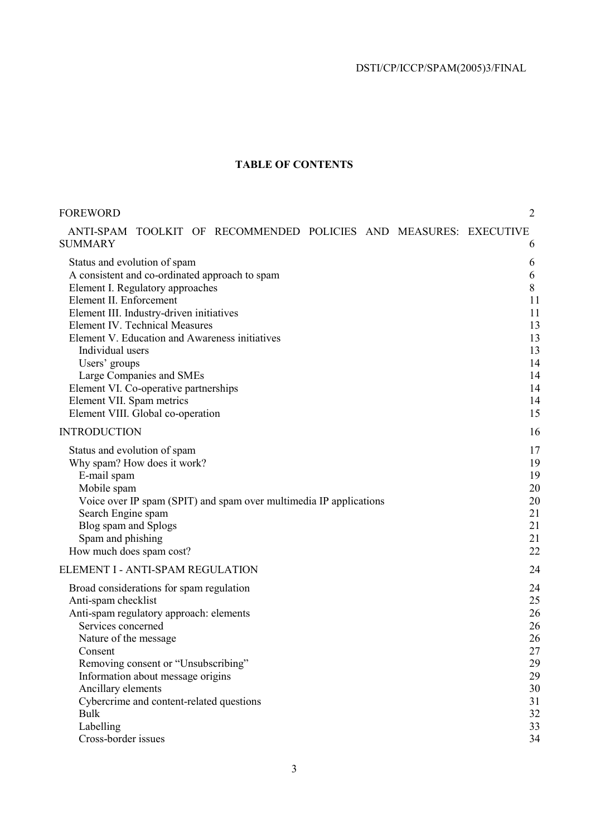# **TABLE OF CONTENTS**

| FOREWORD                                                                                                                                                                                                                                                                                                                                                                                                                                                         |  |  | $\overline{2}$                                                          |
|------------------------------------------------------------------------------------------------------------------------------------------------------------------------------------------------------------------------------------------------------------------------------------------------------------------------------------------------------------------------------------------------------------------------------------------------------------------|--|--|-------------------------------------------------------------------------|
| TOOLKIT OF RECOMMENDED POLICIES AND MEASURES: EXECUTIVE<br>ANTI-SPAM<br><b>SUMMARY</b>                                                                                                                                                                                                                                                                                                                                                                           |  |  | 6                                                                       |
| Status and evolution of spam<br>A consistent and co-ordinated approach to spam<br>Element I. Regulatory approaches<br>Element II. Enforcement<br>Element III. Industry-driven initiatives<br><b>Element IV. Technical Measures</b><br>Element V. Education and Awareness initiatives<br>Individual users<br>Users' groups<br>Large Companies and SMEs<br>Element VI. Co-operative partnerships<br>Element VII. Spam metrics<br>Element VIII. Global co-operation |  |  | 6<br>6<br>8<br>11<br>11<br>13<br>13<br>13<br>14<br>14<br>14<br>14<br>15 |
| <b>INTRODUCTION</b>                                                                                                                                                                                                                                                                                                                                                                                                                                              |  |  | 16                                                                      |
| Status and evolution of spam<br>Why spam? How does it work?<br>E-mail spam<br>Mobile spam<br>Voice over IP spam (SPIT) and spam over multimedia IP applications<br>Search Engine spam<br>Blog spam and Splogs<br>Spam and phishing<br>How much does spam cost?                                                                                                                                                                                                   |  |  | 17<br>19<br>19<br>20<br>20<br>21<br>21<br>21<br>22                      |
| ELEMENT I - ANTI-SPAM REGULATION                                                                                                                                                                                                                                                                                                                                                                                                                                 |  |  | 24                                                                      |
| Broad considerations for spam regulation<br>Anti-spam checklist<br>Anti-spam regulatory approach: elements<br>Services concerned<br>Nature of the message<br>Consent<br>Removing consent or "Unsubscribing"<br>Information about message origins<br>Ancillary elements<br>Cybercrime and content-related questions<br><b>Bulk</b><br>Labelling                                                                                                                   |  |  | 24<br>25<br>26<br>26<br>26<br>27<br>29<br>29<br>30<br>31<br>32<br>33    |
| Cross-border issues                                                                                                                                                                                                                                                                                                                                                                                                                                              |  |  | 34                                                                      |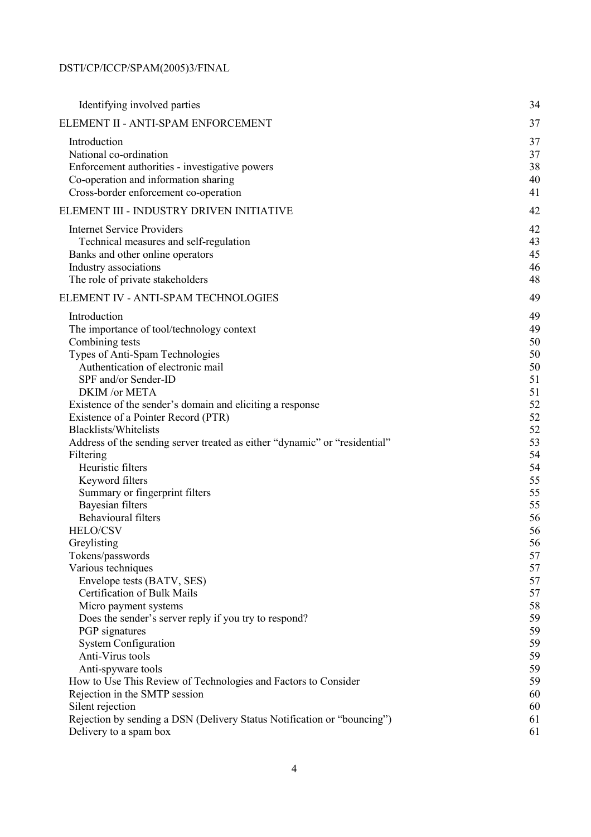| Identifying involved parties                                               | 34 |
|----------------------------------------------------------------------------|----|
| ELEMENT II - ANTI-SPAM ENFORCEMENT                                         | 37 |
| Introduction                                                               | 37 |
| National co-ordination                                                     | 37 |
| Enforcement authorities - investigative powers                             | 38 |
| Co-operation and information sharing                                       | 40 |
| Cross-border enforcement co-operation                                      | 41 |
| ELEMENT III - INDUSTRY DRIVEN INITIATIVE                                   | 42 |
| <b>Internet Service Providers</b>                                          | 42 |
| Technical measures and self-regulation                                     | 43 |
| Banks and other online operators                                           | 45 |
| Industry associations                                                      | 46 |
| The role of private stakeholders                                           | 48 |
| ELEMENT IV - ANTI-SPAM TECHNOLOGIES                                        | 49 |
| Introduction                                                               | 49 |
| The importance of tool/technology context                                  | 49 |
| Combining tests                                                            | 50 |
| Types of Anti-Spam Technologies                                            | 50 |
| Authentication of electronic mail                                          | 50 |
| SPF and/or Sender-ID                                                       | 51 |
| DKIM /or META                                                              | 51 |
| Existence of the sender's domain and eliciting a response                  | 52 |
| Existence of a Pointer Record (PTR)                                        | 52 |
| <b>Blacklists/Whitelists</b>                                               | 52 |
| Address of the sending server treated as either "dynamic" or "residential" | 53 |
| Filtering                                                                  | 54 |
| Heuristic filters                                                          | 54 |
| Keyword filters                                                            | 55 |
| Summary or fingerprint filters                                             | 55 |
| Bayesian filters                                                           | 55 |
| Behavioural filters                                                        | 56 |
| <b>HELO/CSV</b>                                                            | 56 |
| Greylisting                                                                | 56 |
| Tokens/passwords                                                           | 57 |
| Various techniques                                                         | 57 |
| Envelope tests (BATV, SES)                                                 | 57 |
| Certification of Bulk Mails                                                | 57 |
| Micro payment systems                                                      | 58 |
| Does the sender's server reply if you try to respond?                      | 59 |
| PGP signatures                                                             | 59 |
| <b>System Configuration</b>                                                | 59 |
| Anti-Virus tools                                                           | 59 |
| Anti-spyware tools                                                         | 59 |
| How to Use This Review of Technologies and Factors to Consider             | 59 |
| Rejection in the SMTP session                                              | 60 |
| Silent rejection                                                           | 60 |
| Rejection by sending a DSN (Delivery Status Notification or "bouncing")    | 61 |
| Delivery to a spam box                                                     | 61 |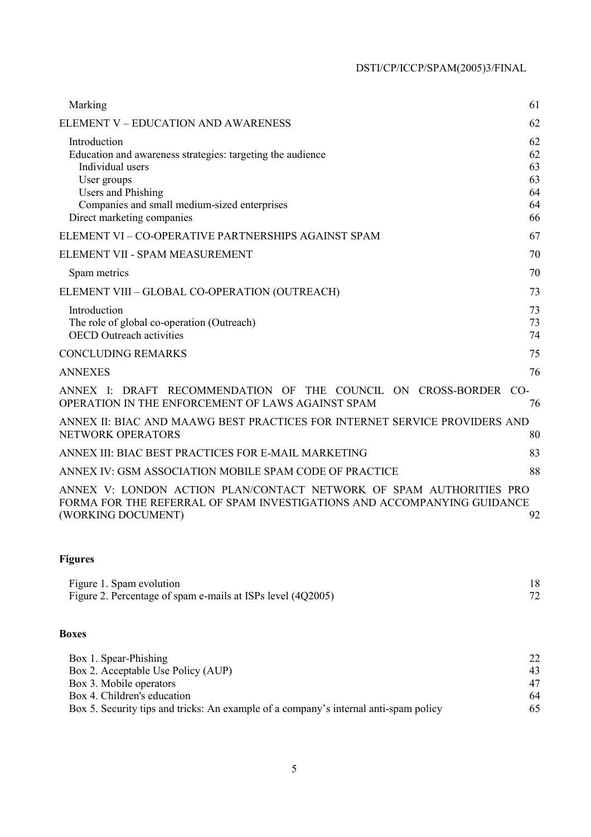| Marking<br>61                                                                                                                                                                                                                                                      |
|--------------------------------------------------------------------------------------------------------------------------------------------------------------------------------------------------------------------------------------------------------------------|
| ELEMENT V - EDUCATION AND AWARENESS<br>62                                                                                                                                                                                                                          |
| 62<br>Introduction<br>62<br>Education and awareness strategies: targeting the audience<br>Individual users<br>63<br>63<br>User groups<br>64<br><b>Users and Phishing</b><br>Companies and small medium-sized enterprises<br>64<br>Direct marketing companies<br>66 |
| ELEMENT VI - CO-OPERATIVE PARTNERSHIPS AGAINST SPAM<br>67                                                                                                                                                                                                          |
| ELEMENT VII - SPAM MEASUREMENT<br>70                                                                                                                                                                                                                               |
| 70<br>Spam metrics                                                                                                                                                                                                                                                 |
| ELEMENT VIII - GLOBAL CO-OPERATION (OUTREACH)<br>73                                                                                                                                                                                                                |
| Introduction<br>73<br>73<br>The role of global co-operation (Outreach)<br><b>OECD</b> Outreach activities<br>74                                                                                                                                                    |
| 75<br><b>CONCLUDING REMARKS</b>                                                                                                                                                                                                                                    |
| <b>ANNEXES</b><br>76                                                                                                                                                                                                                                               |
| DRAFT RECOMMENDATION OF THE COUNCIL ON CROSS-BORDER CO-<br>ANNEX I:<br>OPERATION IN THE ENFORCEMENT OF LAWS AGAINST SPAM<br>76                                                                                                                                     |
| ANNEX II: BIAC AND MAAWG BEST PRACTICES FOR INTERNET SERVICE PROVIDERS AND<br>NETWORK OPERATORS<br>80                                                                                                                                                              |
| ANNEX III: BIAC BEST PRACTICES FOR E-MAIL MARKETING<br>83                                                                                                                                                                                                          |
| 88<br>ANNEX IV: GSM ASSOCIATION MOBILE SPAM CODE OF PRACTICE                                                                                                                                                                                                       |
| ANNEX V: LONDON ACTION PLAN/CONTACT NETWORK OF SPAM AUTHORITIES PRO<br>FORMA FOR THE REFERRAL OF SPAM INVESTIGATIONS AND ACCOMPANYING GUIDANCE<br>(WORKING DOCUMENT)<br>92                                                                                         |

# **Figures**

| Figure 1. Spam evolution                                    |  |
|-------------------------------------------------------------|--|
| Figure 2. Percentage of spam e-mails at ISPs level (4Q2005) |  |

#### **Boxes**

| Box 1. Spear-Phishing                                                                | 22 |
|--------------------------------------------------------------------------------------|----|
| Box 2. Acceptable Use Policy (AUP)                                                   | 43 |
| Box 3. Mobile operators                                                              | 47 |
| Box 4. Children's education                                                          | 64 |
| Box 5. Security tips and tricks: An example of a company's internal anti-spam policy | 65 |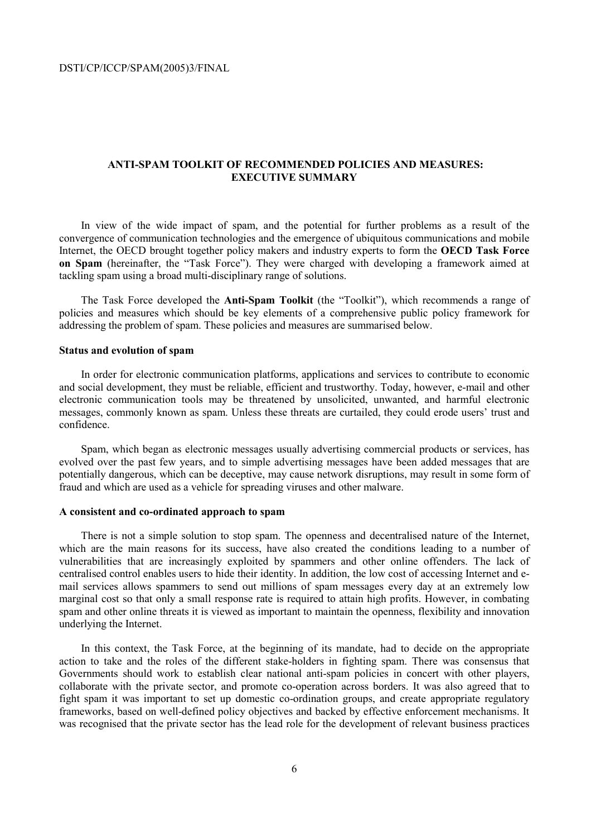#### **ANTI-SPAM TOOLKIT OF RECOMMENDED POLICIES AND MEASURES: EXECUTIVE SUMMARY**

In view of the wide impact of spam, and the potential for further problems as a result of the convergence of communication technologies and the emergence of ubiquitous communications and mobile Internet, the OECD brought together policy makers and industry experts to form the **OECD Task Force**  on Spam (hereinafter, the "Task Force"). They were charged with developing a framework aimed at tackling spam using a broad multi-disciplinary range of solutions.

The Task Force developed the **Anti-Spam Toolkit** (the "Toolkit"), which recommends a range of policies and measures which should be key elements of a comprehensive public policy framework for addressing the problem of spam. These policies and measures are summarised below.

#### **Status and evolution of spam**

In order for electronic communication platforms, applications and services to contribute to economic and social development, they must be reliable, efficient and trustworthy. Today, however, e-mail and other electronic communication tools may be threatened by unsolicited, unwanted, and harmful electronic messages, commonly known as spam. Unless these threats are curtailed, they could erode users' trust and confidence.

Spam, which began as electronic messages usually advertising commercial products or services, has evolved over the past few years, and to simple advertising messages have been added messages that are potentially dangerous, which can be deceptive, may cause network disruptions, may result in some form of fraud and which are used as a vehicle for spreading viruses and other malware.

#### **A consistent and co-ordinated approach to spam**

There is not a simple solution to stop spam. The openness and decentralised nature of the Internet, which are the main reasons for its success, have also created the conditions leading to a number of vulnerabilities that are increasingly exploited by spammers and other online offenders. The lack of centralised control enables users to hide their identity. In addition, the low cost of accessing Internet and email services allows spammers to send out millions of spam messages every day at an extremely low marginal cost so that only a small response rate is required to attain high profits. However, in combating spam and other online threats it is viewed as important to maintain the openness, flexibility and innovation underlying the Internet.

In this context, the Task Force, at the beginning of its mandate, had to decide on the appropriate action to take and the roles of the different stake-holders in fighting spam. There was consensus that Governments should work to establish clear national anti-spam policies in concert with other players, collaborate with the private sector, and promote co-operation across borders. It was also agreed that to fight spam it was important to set up domestic co-ordination groups, and create appropriate regulatory frameworks, based on well-defined policy objectives and backed by effective enforcement mechanisms. It was recognised that the private sector has the lead role for the development of relevant business practices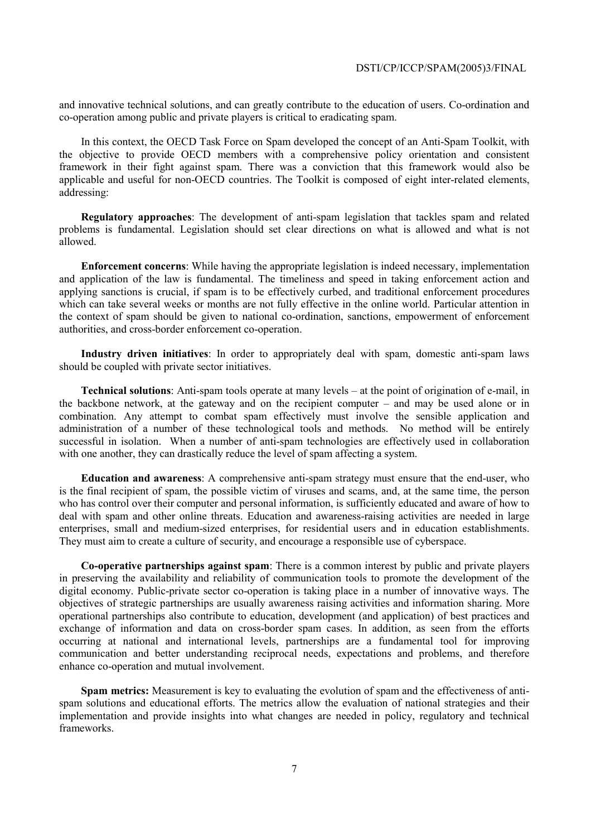and innovative technical solutions, and can greatly contribute to the education of users. Co-ordination and co-operation among public and private players is critical to eradicating spam.

In this context, the OECD Task Force on Spam developed the concept of an Anti-Spam Toolkit, with the objective to provide OECD members with a comprehensive policy orientation and consistent framework in their fight against spam. There was a conviction that this framework would also be applicable and useful for non-OECD countries. The Toolkit is composed of eight inter-related elements, addressing:

**Regulatory approaches**: The development of anti-spam legislation that tackles spam and related problems is fundamental. Legislation should set clear directions on what is allowed and what is not allowed.

**Enforcement concerns**: While having the appropriate legislation is indeed necessary, implementation and application of the law is fundamental. The timeliness and speed in taking enforcement action and applying sanctions is crucial, if spam is to be effectively curbed, and traditional enforcement procedures which can take several weeks or months are not fully effective in the online world. Particular attention in the context of spam should be given to national co-ordination, sanctions, empowerment of enforcement authorities, and cross-border enforcement co-operation.

**Industry driven initiatives**: In order to appropriately deal with spam, domestic anti-spam laws should be coupled with private sector initiatives.

**Technical solutions**: Anti-spam tools operate at many levels – at the point of origination of e-mail, in the backbone network, at the gateway and on the recipient computer  $\overline{-}$  and may be used alone or in combination. Any attempt to combat spam effectively must involve the sensible application and administration of a number of these technological tools and methods. No method will be entirely successful in isolation. When a number of anti-spam technologies are effectively used in collaboration with one another, they can drastically reduce the level of spam affecting a system.

**Education and awareness**: A comprehensive anti-spam strategy must ensure that the end-user, who is the final recipient of spam, the possible victim of viruses and scams, and, at the same time, the person who has control over their computer and personal information, is sufficiently educated and aware of how to deal with spam and other online threats. Education and awareness-raising activities are needed in large enterprises, small and medium-sized enterprises, for residential users and in education establishments. They must aim to create a culture of security, and encourage a responsible use of cyberspace.

**Co-operative partnerships against spam**: There is a common interest by public and private players in preserving the availability and reliability of communication tools to promote the development of the digital economy. Public-private sector co-operation is taking place in a number of innovative ways. The objectives of strategic partnerships are usually awareness raising activities and information sharing. More operational partnerships also contribute to education, development (and application) of best practices and exchange of information and data on cross-border spam cases. In addition, as seen from the efforts occurring at national and international levels, partnerships are a fundamental tool for improving communication and better understanding reciprocal needs, expectations and problems, and therefore enhance co-operation and mutual involvement.

**Spam metrics:** Measurement is key to evaluating the evolution of spam and the effectiveness of antispam solutions and educational efforts. The metrics allow the evaluation of national strategies and their implementation and provide insights into what changes are needed in policy, regulatory and technical frameworks.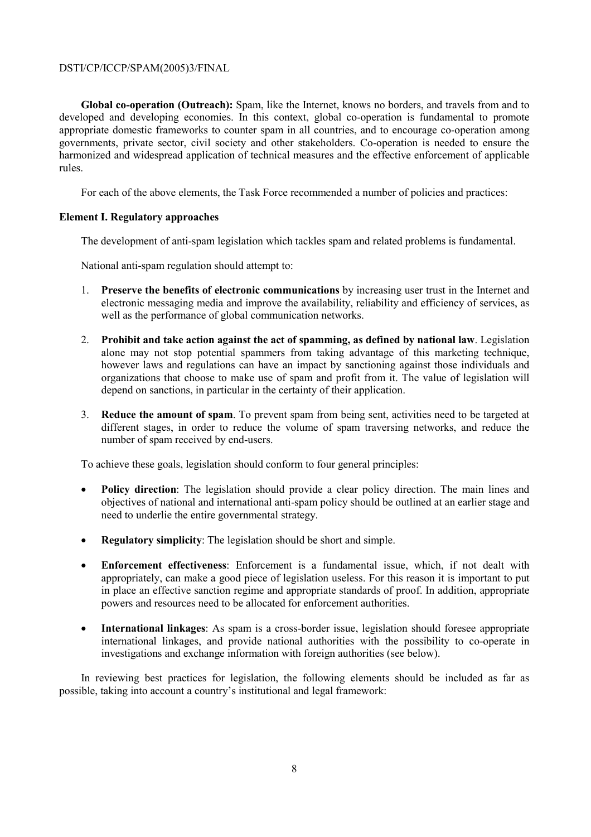**Global co-operation (Outreach):** Spam, like the Internet, knows no borders, and travels from and to developed and developing economies. In this context, global co-operation is fundamental to promote appropriate domestic frameworks to counter spam in all countries, and to encourage co-operation among governments, private sector, civil society and other stakeholders. Co-operation is needed to ensure the harmonized and widespread application of technical measures and the effective enforcement of applicable rules.

For each of the above elements, the Task Force recommended a number of policies and practices:

#### **Element I. Regulatory approaches**

The development of anti-spam legislation which tackles spam and related problems is fundamental.

National anti-spam regulation should attempt to:

- 1. **Preserve the benefits of electronic communications** by increasing user trust in the Internet and electronic messaging media and improve the availability, reliability and efficiency of services, as well as the performance of global communication networks.
- 2. **Prohibit and take action against the act of spamming, as defined by national law**. Legislation alone may not stop potential spammers from taking advantage of this marketing technique, however laws and regulations can have an impact by sanctioning against those individuals and organizations that choose to make use of spam and profit from it. The value of legislation will depend on sanctions, in particular in the certainty of their application.
- 3. **Reduce the amount of spam**. To prevent spam from being sent, activities need to be targeted at different stages, in order to reduce the volume of spam traversing networks, and reduce the number of spam received by end-users.

To achieve these goals, legislation should conform to four general principles:

- **Policy direction**: The legislation should provide a clear policy direction. The main lines and objectives of national and international anti-spam policy should be outlined at an earlier stage and need to underlie the entire governmental strategy.
- **Regulatory simplicity**: The legislation should be short and simple.
- **Enforcement effectiveness**: Enforcement is a fundamental issue, which, if not dealt with appropriately, can make a good piece of legislation useless. For this reason it is important to put in place an effective sanction regime and appropriate standards of proof. In addition, appropriate powers and resources need to be allocated for enforcement authorities.
- **International linkages**: As spam is a cross-border issue, legislation should foresee appropriate international linkages, and provide national authorities with the possibility to co-operate in investigations and exchange information with foreign authorities (see below).

In reviewing best practices for legislation, the following elements should be included as far as possible, taking into account a country's institutional and legal framework: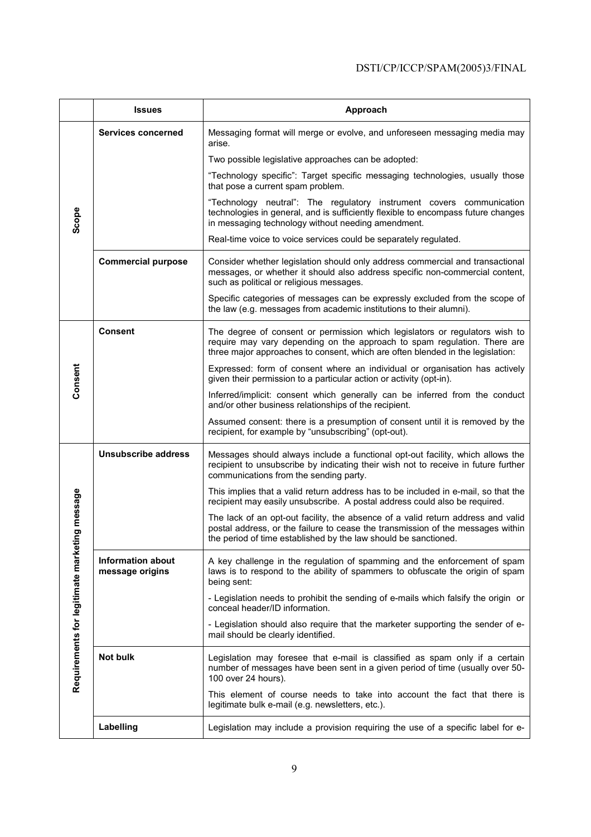|                                    | <b>Issues</b>                               | Approach                                                                                                                                                                                                                                  |
|------------------------------------|---------------------------------------------|-------------------------------------------------------------------------------------------------------------------------------------------------------------------------------------------------------------------------------------------|
|                                    | <b>Services concerned</b>                   | Messaging format will merge or evolve, and unforeseen messaging media may<br>arise.                                                                                                                                                       |
|                                    |                                             | Two possible legislative approaches can be adopted:                                                                                                                                                                                       |
|                                    |                                             | "Technology specific": Target specific messaging technologies, usually those<br>that pose a current spam problem.                                                                                                                         |
| Scope                              |                                             | "Technology neutral": The regulatory instrument covers communication<br>technologies in general, and is sufficiently flexible to encompass future changes<br>in messaging technology without needing amendment.                           |
|                                    |                                             | Real-time voice to voice services could be separately regulated.                                                                                                                                                                          |
|                                    | <b>Commercial purpose</b>                   | Consider whether legislation should only address commercial and transactional<br>messages, or whether it should also address specific non-commercial content,<br>such as political or religious messages.                                 |
|                                    |                                             | Specific categories of messages can be expressly excluded from the scope of<br>the law (e.g. messages from academic institutions to their alumni).                                                                                        |
|                                    | <b>Consent</b>                              | The degree of consent or permission which legislators or regulators wish to<br>require may vary depending on the approach to spam regulation. There are<br>three major approaches to consent, which are often blended in the legislation: |
| Consent                            |                                             | Expressed: form of consent where an individual or organisation has actively<br>given their permission to a particular action or activity (opt-in).                                                                                        |
|                                    |                                             | Inferred/implicit: consent which generally can be inferred from the conduct<br>and/or other business relationships of the recipient.                                                                                                      |
|                                    |                                             | Assumed consent: there is a presumption of consent until it is removed by the<br>recipient, for example by "unsubscribing" (opt-out).                                                                                                     |
|                                    | <b>Unsubscribe address</b>                  | Messages should always include a functional opt-out facility, which allows the<br>recipient to unsubscribe by indicating their wish not to receive in future further<br>communications from the sending party.                            |
|                                    |                                             | This implies that a valid return address has to be included in e-mail, so that the<br>recipient may easily unsubscribe. A postal address could also be required.                                                                          |
| ting message                       |                                             | The lack of an opt-out facility, the absence of a valid return address and valid<br>postal address, or the failure to cease the transmission of the messages within<br>the period of time established by the law should be sanctioned.    |
|                                    | <b>Information about</b><br>message origins | A key challenge in the regulation of spamming and the enforcement of spam<br>laws is to respond to the ability of spammers to obfuscate the origin of spam<br>being sent:                                                                 |
|                                    |                                             | - Legislation needs to prohibit the sending of e-mails which falsify the origin or<br>conceal header/ID information.                                                                                                                      |
|                                    |                                             | - Legislation should also require that the marketer supporting the sender of e-<br>mail should be clearly identified.                                                                                                                     |
| Requirements for legitimate market | Not bulk                                    | Legislation may foresee that e-mail is classified as spam only if a certain<br>number of messages have been sent in a given period of time (usually over 50-<br>100 over 24 hours).                                                       |
|                                    |                                             | This element of course needs to take into account the fact that there is<br>legitimate bulk e-mail (e.g. newsletters, etc.).                                                                                                              |
|                                    | Labelling                                   | Legislation may include a provision requiring the use of a specific label for e-                                                                                                                                                          |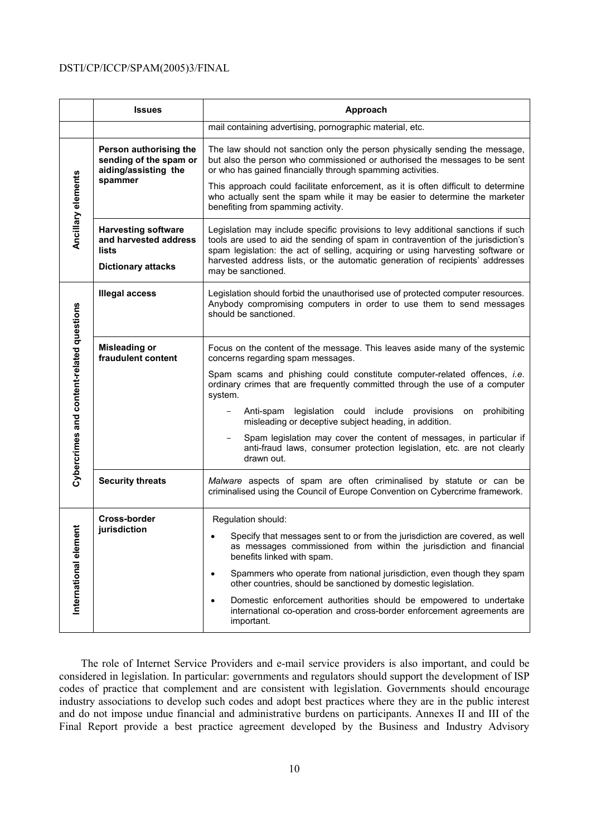|                                           | <b>Issues</b>                                                                                                                                                                                                                                                                                                                                                                                                                                                                                                                                                                    | Approach                                                                                                                                                                                                                                                                                                                                                                                                                                                                                       |  |
|-------------------------------------------|----------------------------------------------------------------------------------------------------------------------------------------------------------------------------------------------------------------------------------------------------------------------------------------------------------------------------------------------------------------------------------------------------------------------------------------------------------------------------------------------------------------------------------------------------------------------------------|------------------------------------------------------------------------------------------------------------------------------------------------------------------------------------------------------------------------------------------------------------------------------------------------------------------------------------------------------------------------------------------------------------------------------------------------------------------------------------------------|--|
|                                           |                                                                                                                                                                                                                                                                                                                                                                                                                                                                                                                                                                                  | mail containing advertising, pornographic material, etc.                                                                                                                                                                                                                                                                                                                                                                                                                                       |  |
| Ancillary elements                        | Person authorising the<br>sending of the spam or<br>aiding/assisting the<br>spammer                                                                                                                                                                                                                                                                                                                                                                                                                                                                                              | The law should not sanction only the person physically sending the message,<br>but also the person who commissioned or authorised the messages to be sent<br>or who has gained financially through spamming activities.<br>This approach could facilitate enforcement, as it is often difficult to determine<br>who actually sent the spam while it may be easier to determine the marketer<br>benefiting from spamming activity.                                                              |  |
|                                           | <b>Harvesting software</b><br>and harvested address<br>lists<br><b>Dictionary attacks</b>                                                                                                                                                                                                                                                                                                                                                                                                                                                                                        | Legislation may include specific provisions to levy additional sanctions if such<br>tools are used to aid the sending of spam in contravention of the jurisdiction's<br>spam legislation: the act of selling, acquiring or using harvesting software or<br>harvested address lists, or the automatic generation of recipients' addresses<br>may be sanctioned.                                                                                                                                 |  |
|                                           | <b>Illegal access</b>                                                                                                                                                                                                                                                                                                                                                                                                                                                                                                                                                            | Legislation should forbid the unauthorised use of protected computer resources.<br>Anybody compromising computers in order to use them to send messages<br>should be sanctioned.                                                                                                                                                                                                                                                                                                               |  |
| Cybercrimes and content-related questions | <b>Misleading or</b><br>fraudulent content                                                                                                                                                                                                                                                                                                                                                                                                                                                                                                                                       | Focus on the content of the message. This leaves aside many of the systemic<br>concerns regarding spam messages.<br>Spam scams and phishing could constitute computer-related offences, i.e.<br>ordinary crimes that are frequently committed through the use of a computer<br>system.<br>Anti-spam legislation could include provisions<br>prohibiting<br>on<br>misleading or deceptive subject heading, in addition.<br>Spam legislation may cover the content of messages, in particular if |  |
|                                           | <b>Security threats</b>                                                                                                                                                                                                                                                                                                                                                                                                                                                                                                                                                          | anti-fraud laws, consumer protection legislation, etc. are not clearly<br>drawn out.<br>Malware aspects of spam are often criminalised by statute or can be                                                                                                                                                                                                                                                                                                                                    |  |
|                                           |                                                                                                                                                                                                                                                                                                                                                                                                                                                                                                                                                                                  | criminalised using the Council of Europe Convention on Cybercrime framework.                                                                                                                                                                                                                                                                                                                                                                                                                   |  |
| International element                     | <b>Cross-border</b><br>Regulation should:<br>jurisdiction<br>Specify that messages sent to or from the jurisdiction are covered, as well<br>as messages commissioned from within the jurisdiction and financial<br>benefits linked with spam.<br>Spammers who operate from national jurisdiction, even though they spam<br>$\bullet$<br>other countries, should be sanctioned by domestic legislation.<br>Domestic enforcement authorities should be empowered to undertake<br>$\bullet$<br>international co-operation and cross-border enforcement agreements are<br>important. |                                                                                                                                                                                                                                                                                                                                                                                                                                                                                                |  |

The role of Internet Service Providers and e-mail service providers is also important, and could be considered in legislation. In particular: governments and regulators should support the development of ISP codes of practice that complement and are consistent with legislation. Governments should encourage industry associations to develop such codes and adopt best practices where they are in the public interest and do not impose undue financial and administrative burdens on participants. Annexes II and III of the Final Report provide a best practice agreement developed by the Business and Industry Advisory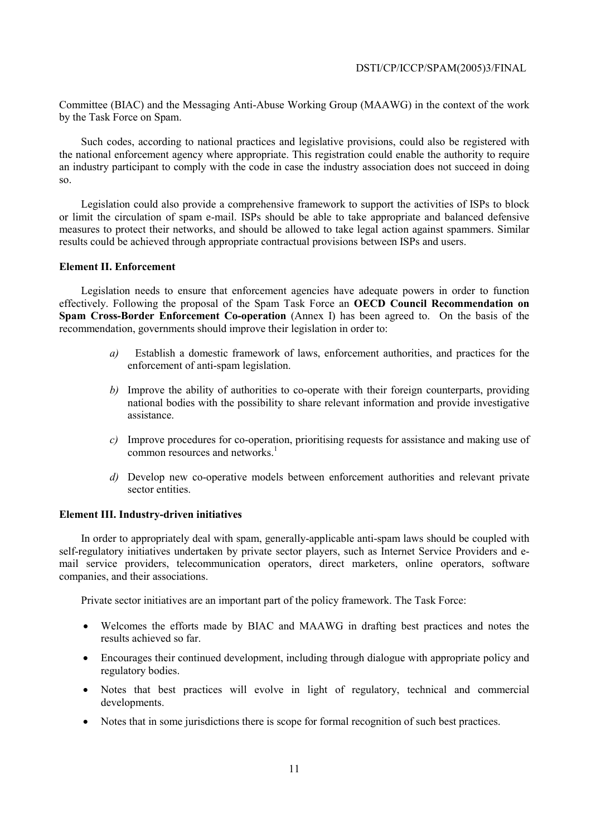Committee (BIAC) and the Messaging Anti-Abuse Working Group (MAAWG) in the context of the work by the Task Force on Spam.

Such codes, according to national practices and legislative provisions, could also be registered with the national enforcement agency where appropriate. This registration could enable the authority to require an industry participant to comply with the code in case the industry association does not succeed in doing so.

Legislation could also provide a comprehensive framework to support the activities of ISPs to block or limit the circulation of spam e-mail. ISPs should be able to take appropriate and balanced defensive measures to protect their networks, and should be allowed to take legal action against spammers. Similar results could be achieved through appropriate contractual provisions between ISPs and users.

#### **Element II. Enforcement**

Legislation needs to ensure that enforcement agencies have adequate powers in order to function effectively. Following the proposal of the Spam Task Force an **OECD Council Recommendation on Spam Cross-Border Enforcement Co-operation** (Annex I) has been agreed to. On the basis of the recommendation, governments should improve their legislation in order to:

- *a)* Establish a domestic framework of laws, enforcement authorities, and practices for the enforcement of anti-spam legislation.
- *b)* Improve the ability of authorities to co-operate with their foreign counterparts, providing national bodies with the possibility to share relevant information and provide investigative assistance.
- *c)* Improve procedures for co-operation, prioritising requests for assistance and making use of common resources and networks.<sup>1</sup>
- *d*) Develop new co-operative models between enforcement authorities and relevant private sector entities.

#### **Element III. Industry-driven initiatives**

In order to appropriately deal with spam, generally-applicable anti-spam laws should be coupled with self-regulatory initiatives undertaken by private sector players, such as Internet Service Providers and email service providers, telecommunication operators, direct marketers, online operators, software companies, and their associations.

Private sector initiatives are an important part of the policy framework. The Task Force:

- Welcomes the efforts made by BIAC and MAAWG in drafting best practices and notes the results achieved so far.
- Encourages their continued development, including through dialogue with appropriate policy and regulatory bodies.
- Notes that best practices will evolve in light of regulatory, technical and commercial developments.
- Notes that in some jurisdictions there is scope for formal recognition of such best practices.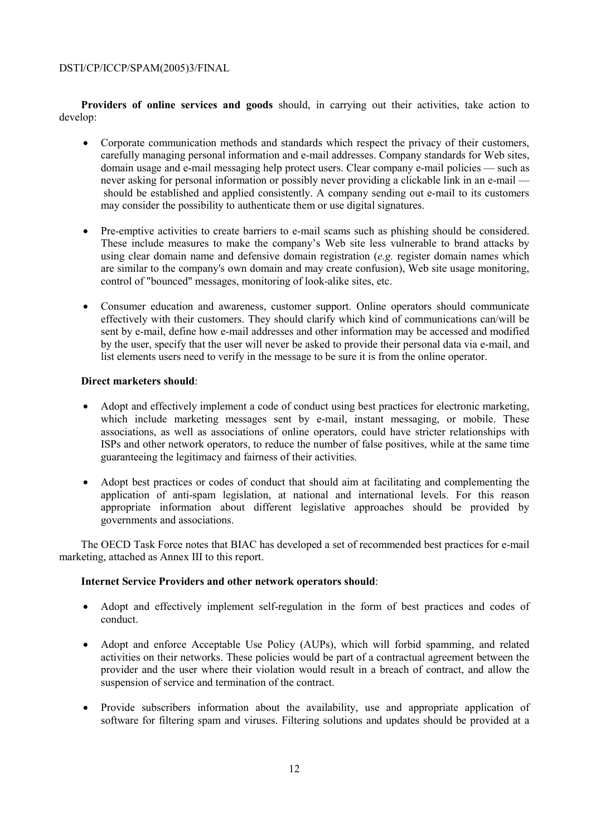**Providers of online services and goods** should, in carrying out their activities, take action to develop:

- Corporate communication methods and standards which respect the privacy of their customers, carefully managing personal information and e-mail addresses. Company standards for Web sites, domain usage and e-mail messaging help protect users. Clear company e-mail policies — such as never asking for personal information or possibly never providing a clickable link in an e-mail – should be established and applied consistently. A company sending out e-mail to its customers may consider the possibility to authenticate them or use digital signatures.
- Pre-emptive activities to create barriers to e-mail scams such as phishing should be considered. These include measures to make the company's Web site less vulnerable to brand attacks by using clear domain name and defensive domain registration (*e.g.* register domain names which are similar to the company's own domain and may create confusion), Web site usage monitoring, control of "bounced" messages, monitoring of look-alike sites, etc.
- Consumer education and awareness, customer support. Online operators should communicate effectively with their customers. They should clarify which kind of communications can/will be sent by e-mail, define how e-mail addresses and other information may be accessed and modified by the user, specify that the user will never be asked to provide their personal data via e-mail, and list elements users need to verify in the message to be sure it is from the online operator.

#### **Direct marketers should**:

- Adopt and effectively implement a code of conduct using best practices for electronic marketing, which include marketing messages sent by e-mail, instant messaging, or mobile. These associations, as well as associations of online operators, could have stricter relationships with ISPs and other network operators, to reduce the number of false positives, while at the same time guaranteeing the legitimacy and fairness of their activities.
- Adopt best practices or codes of conduct that should aim at facilitating and complementing the application of anti-spam legislation, at national and international levels. For this reason appropriate information about different legislative approaches should be provided by governments and associations.

The OECD Task Force notes that BIAC has developed a set of recommended best practices for e-mail marketing, attached as Annex III to this report.

#### **Internet Service Providers and other network operators should**:

- Adopt and effectively implement self-regulation in the form of best practices and codes of conduct.
- Adopt and enforce Acceptable Use Policy (AUPs), which will forbid spamming, and related activities on their networks. These policies would be part of a contractual agreement between the provider and the user where their violation would result in a breach of contract, and allow the suspension of service and termination of the contract.
- Provide subscribers information about the availability, use and appropriate application of software for filtering spam and viruses. Filtering solutions and updates should be provided at a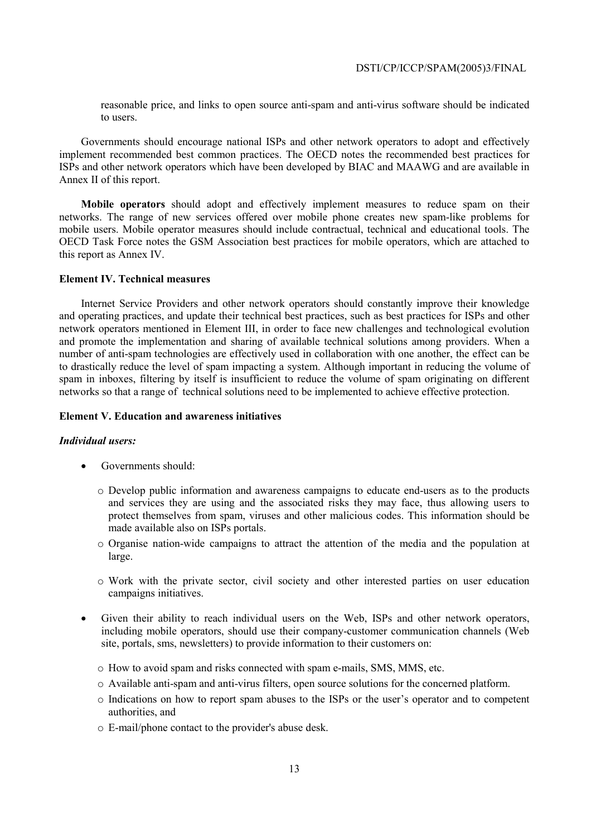reasonable price, and links to open source anti-spam and anti-virus software should be indicated to users.

Governments should encourage national ISPs and other network operators to adopt and effectively implement recommended best common practices. The OECD notes the recommended best practices for ISPs and other network operators which have been developed by BIAC and MAAWG and are available in Annex II of this report.

**Mobile operators** should adopt and effectively implement measures to reduce spam on their networks. The range of new services offered over mobile phone creates new spam-like problems for mobile users. Mobile operator measures should include contractual, technical and educational tools. The OECD Task Force notes the GSM Association best practices for mobile operators, which are attached to this report as Annex IV.

#### **Element IV. Technical measures**

Internet Service Providers and other network operators should constantly improve their knowledge and operating practices, and update their technical best practices, such as best practices for ISPs and other network operators mentioned in Element III, in order to face new challenges and technological evolution and promote the implementation and sharing of available technical solutions among providers. When a number of anti-spam technologies are effectively used in collaboration with one another, the effect can be to drastically reduce the level of spam impacting a system. Although important in reducing the volume of spam in inboxes, filtering by itself is insufficient to reduce the volume of spam originating on different networks so that a range of technical solutions need to be implemented to achieve effective protection.

#### **Element V. Education and awareness initiatives**

#### *Individual users:*

- Governments should:
	- o Develop public information and awareness campaigns to educate end-users as to the products and services they are using and the associated risks they may face, thus allowing users to protect themselves from spam, viruses and other malicious codes. This information should be made available also on ISPs portals.
	- $\circ$  Organise nation-wide campaigns to attract the attention of the media and the population at large.
	- o Work with the private sector, civil society and other interested parties on user education campaigns initiatives.
- Given their ability to reach individual users on the Web, ISPs and other network operators, including mobile operators, should use their company-customer communication channels (Web site, portals, sms, newsletters) to provide information to their customers on:
	- o How to avoid spam and risks connected with spam e-mails, SMS, MMS, etc.
	- o Available anti-spam and anti-virus filters, open source solutions for the concerned platform.
	- o Indications on how to report spam abuses to the ISPs or the userís operator and to competent authorities, and
	- o E-mail/phone contact to the provider's abuse desk.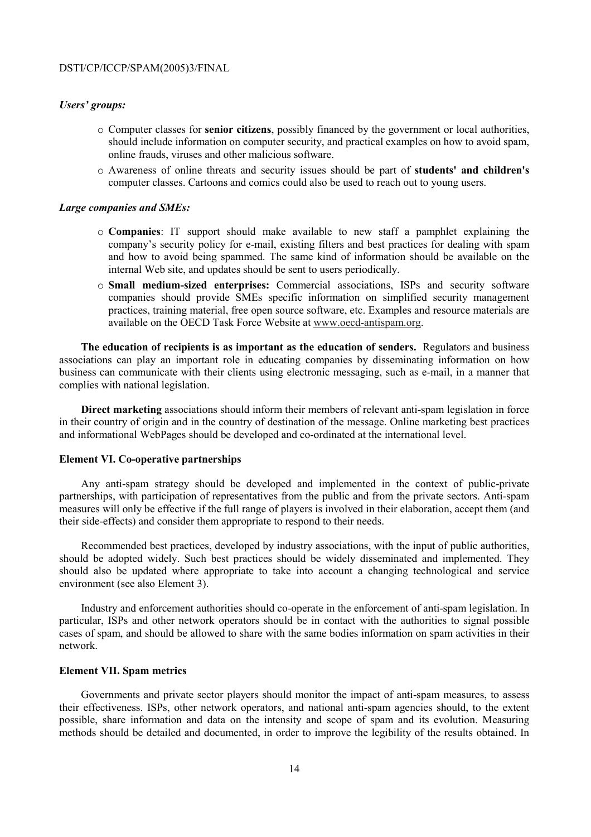#### Users' groups:

- o Computer classes for **senior citizens**, possibly financed by the government or local authorities, should include information on computer security, and practical examples on how to avoid spam, online frauds, viruses and other malicious software.
- o Awareness of online threats and security issues should be part of **students' and children's** computer classes. Cartoons and comics could also be used to reach out to young users.

#### *Large companies and SMEs:*

- o **Companies**: IT support should make available to new staff a pamphlet explaining the company's security policy for e-mail, existing filters and best practices for dealing with spam and how to avoid being spammed. The same kind of information should be available on the internal Web site, and updates should be sent to users periodically.
- o **Small medium-sized enterprises:** Commercial associations, ISPs and security software companies should provide SMEs specific information on simplified security management practices, training material, free open source software, etc. Examples and resource materials are available on the OECD Task Force Website at www.oecd-antispam.org.

**The education of recipients is as important as the education of senders.** Regulators and business associations can play an important role in educating companies by disseminating information on how business can communicate with their clients using electronic messaging, such as e-mail, in a manner that complies with national legislation.

**Direct marketing** associations should inform their members of relevant anti-spam legislation in force in their country of origin and in the country of destination of the message. Online marketing best practices and informational WebPages should be developed and co-ordinated at the international level.

#### **Element VI. Co-operative partnerships**

Any anti-spam strategy should be developed and implemented in the context of public-private partnerships, with participation of representatives from the public and from the private sectors. Anti-spam measures will only be effective if the full range of players is involved in their elaboration, accept them (and their side-effects) and consider them appropriate to respond to their needs.

Recommended best practices, developed by industry associations, with the input of public authorities, should be adopted widely. Such best practices should be widely disseminated and implemented. They should also be updated where appropriate to take into account a changing technological and service environment (see also Element 3).

Industry and enforcement authorities should co-operate in the enforcement of anti-spam legislation. In particular, ISPs and other network operators should be in contact with the authorities to signal possible cases of spam, and should be allowed to share with the same bodies information on spam activities in their network.

#### **Element VII. Spam metrics**

Governments and private sector players should monitor the impact of anti-spam measures, to assess their effectiveness. ISPs, other network operators, and national anti-spam agencies should, to the extent possible, share information and data on the intensity and scope of spam and its evolution. Measuring methods should be detailed and documented, in order to improve the legibility of the results obtained. In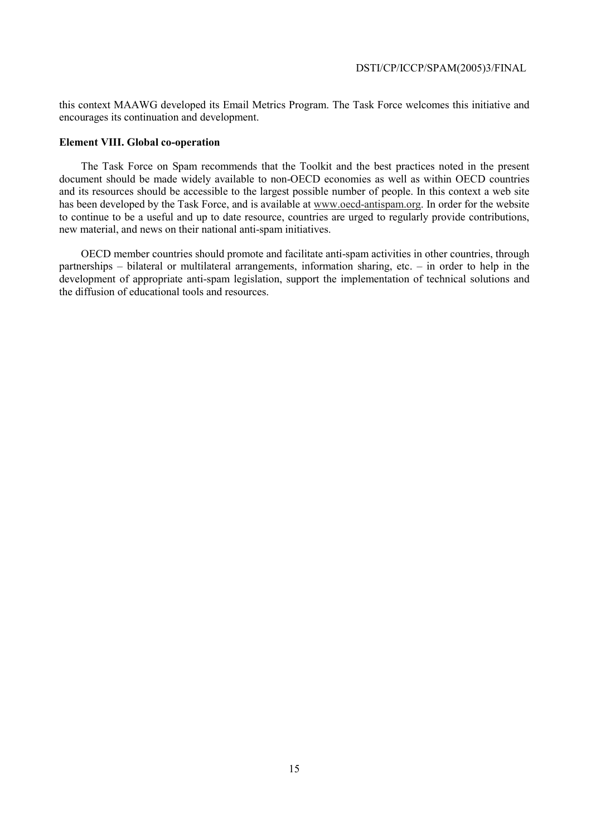this context MAAWG developed its Email Metrics Program. The Task Force welcomes this initiative and encourages its continuation and development.

#### **Element VIII. Global co-operation**

The Task Force on Spam recommends that the Toolkit and the best practices noted in the present document should be made widely available to non-OECD economies as well as within OECD countries and its resources should be accessible to the largest possible number of people. In this context a web site has been developed by the Task Force, and is available at www.oecd-antispam.org. In order for the website to continue to be a useful and up to date resource, countries are urged to regularly provide contributions, new material, and news on their national anti-spam initiatives.

OECD member countries should promote and facilitate anti-spam activities in other countries, through partnerships  $-$  bilateral or multilateral arrangements, information sharing, etc.  $-$  in order to help in the development of appropriate anti-spam legislation, support the implementation of technical solutions and the diffusion of educational tools and resources.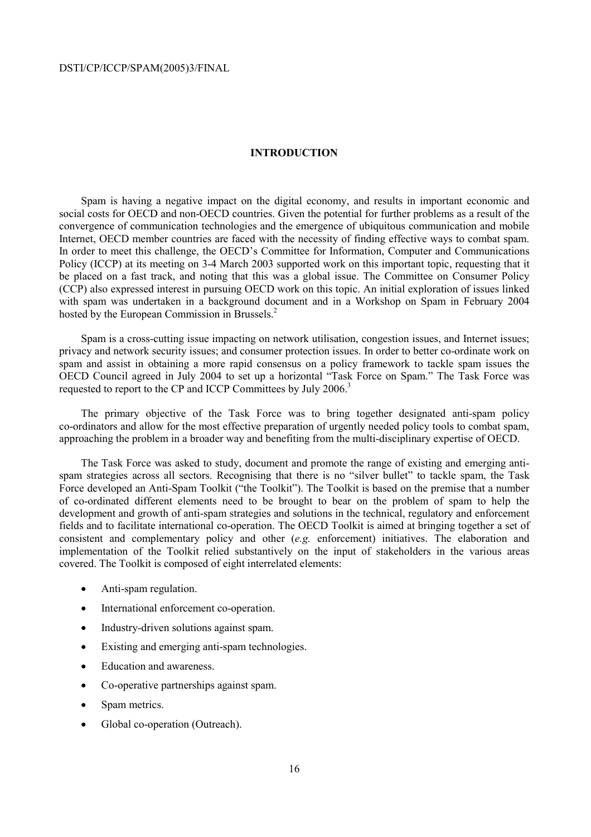#### **INTRODUCTION**

Spam is having a negative impact on the digital economy, and results in important economic and social costs for OECD and non-OECD countries. Given the potential for further problems as a result of the convergence of communication technologies and the emergence of ubiquitous communication and mobile Internet, OECD member countries are faced with the necessity of finding effective ways to combat spam. In order to meet this challenge, the OECD's Committee for Information, Computer and Communications Policy (ICCP) at its meeting on 3-4 March 2003 supported work on this important topic, requesting that it be placed on a fast track, and noting that this was a global issue. The Committee on Consumer Policy (CCP) also expressed interest in pursuing OECD work on this topic. An initial exploration of issues linked with spam was undertaken in a background document and in a Workshop on Spam in February 2004 hosted by the European Commission in Brussels.<sup>2</sup>

Spam is a cross-cutting issue impacting on network utilisation, congestion issues, and Internet issues; privacy and network security issues; and consumer protection issues. In order to better co-ordinate work on spam and assist in obtaining a more rapid consensus on a policy framework to tackle spam issues the OECD Council agreed in July 2004 to set up a horizontal  $\hat{\tau}$  Task Force on Spam." The Task Force was requested to report to the CP and ICCP Committees by July 2006.<sup>3</sup>

The primary objective of the Task Force was to bring together designated anti-spam policy co-ordinators and allow for the most effective preparation of urgently needed policy tools to combat spam, approaching the problem in a broader way and benefiting from the multi-disciplinary expertise of OECD.

The Task Force was asked to study, document and promote the range of existing and emerging antispam strategies across all sectors. Recognising that there is no "silver bullet" to tackle spam, the Task Force developed an Anti-Spam Toolkit ("the Toolkit"). The Toolkit is based on the premise that a number of co-ordinated different elements need to be brought to bear on the problem of spam to help the development and growth of anti-spam strategies and solutions in the technical, regulatory and enforcement fields and to facilitate international co-operation. The OECD Toolkit is aimed at bringing together a set of consistent and complementary policy and other (*e.g.* enforcement) initiatives. The elaboration and implementation of the Toolkit relied substantively on the input of stakeholders in the various areas covered. The Toolkit is composed of eight interrelated elements:

- Anti-spam regulation.
- International enforcement co-operation.
- Industry-driven solutions against spam.
- Existing and emerging anti-spam technologies.
- Education and awareness.
- Co-operative partnerships against spam.
- Spam metrics.
- Global co-operation (Outreach).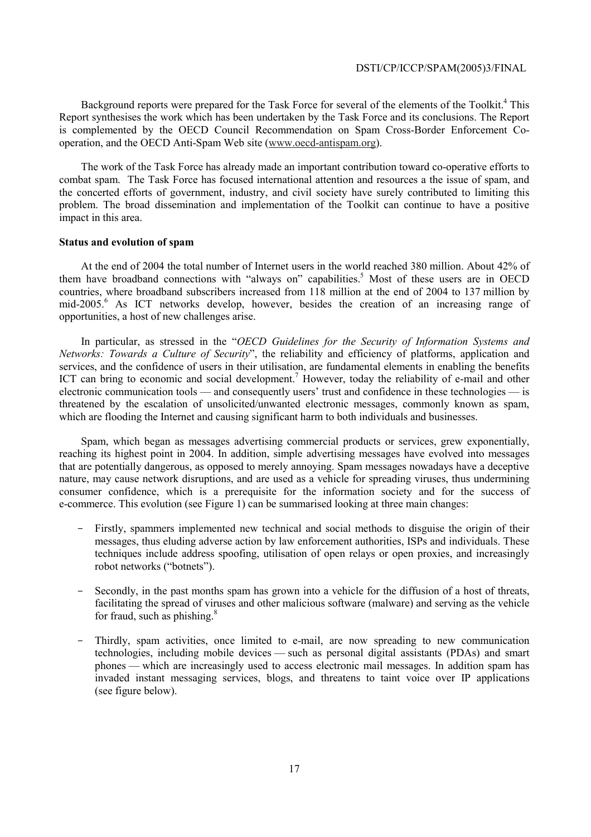Background reports were prepared for the Task Force for several of the elements of the Toolkit.<sup>4</sup> This Report synthesises the work which has been undertaken by the Task Force and its conclusions. The Report is complemented by the OECD Council Recommendation on Spam Cross-Border Enforcement Cooperation, and the OECD Anti-Spam Web site (www.oecd-antispam.org).

The work of the Task Force has already made an important contribution toward co-operative efforts to combat spam. The Task Force has focused international attention and resources a the issue of spam, and the concerted efforts of government, industry, and civil society have surely contributed to limiting this problem. The broad dissemination and implementation of the Toolkit can continue to have a positive impact in this area.

#### **Status and evolution of spam**

At the end of 2004 the total number of Internet users in the world reached 380 million. About 42% of them have broadband connections with "always on" capabilities.<sup>5</sup> Most of these users are in OECD countries, where broadband subscribers increased from 118 million at the end of 2004 to 137 million by mid-2005.<sup>6</sup> As ICT networks develop, however, besides the creation of an increasing range of opportunities, a host of new challenges arise.

In particular, as stressed in the "OECD Guidelines for the Security of Information Systems and *Networks: Towards a Culture of Security*î, the reliability and efficiency of platforms, application and services, and the confidence of users in their utilisation, are fundamental elements in enabling the benefits ICT can bring to economic and social development.<sup>7</sup> However, today the reliability of e-mail and other electronic communication tools  $-$  and consequently users' trust and confidence in these technologies  $-$  is threatened by the escalation of unsolicited/unwanted electronic messages, commonly known as spam, which are flooding the Internet and causing significant harm to both individuals and businesses.

Spam, which began as messages advertising commercial products or services, grew exponentially, reaching its highest point in 2004. In addition, simple advertising messages have evolved into messages that are potentially dangerous, as opposed to merely annoying. Spam messages nowadays have a deceptive nature, may cause network disruptions, and are used as a vehicle for spreading viruses, thus undermining consumer confidence, which is a prerequisite for the information society and for the success of e-commerce. This evolution (see Figure 1) can be summarised looking at three main changes:

- Firstly, spammers implemented new technical and social methods to disguise the origin of their messages, thus eluding adverse action by law enforcement authorities, ISPs and individuals. These techniques include address spoofing, utilisation of open relays or open proxies, and increasingly robot networks ("botnets").
- Secondly, in the past months spam has grown into a vehicle for the diffusion of a host of threats, facilitating the spread of viruses and other malicious software (malware) and serving as the vehicle for fraud, such as phishing. $8<sup>8</sup>$
- Thirdly, spam activities, once limited to e-mail, are now spreading to new communication technologies, including mobile devices – such as personal digital assistants (PDAs) and smart phones – which are increasingly used to access electronic mail messages. In addition spam has invaded instant messaging services, blogs, and threatens to taint voice over IP applications (see figure below).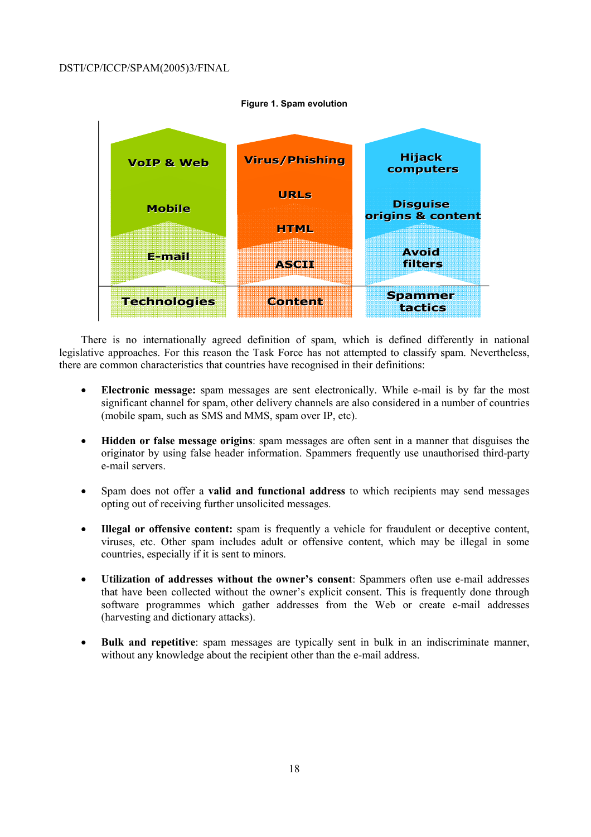



There is no internationally agreed definition of spam, which is defined differently in national legislative approaches. For this reason the Task Force has not attempted to classify spam. Nevertheless, there are common characteristics that countries have recognised in their definitions:

- **Electronic message:** spam messages are sent electronically. While e-mail is by far the most significant channel for spam, other delivery channels are also considered in a number of countries (mobile spam, such as SMS and MMS, spam over IP, etc).
- **Hidden or false message origins**: spam messages are often sent in a manner that disguises the originator by using false header information. Spammers frequently use unauthorised third-party e-mail servers.
- Spam does not offer a **valid and functional address** to which recipients may send messages opting out of receiving further unsolicited messages.
- **Illegal or offensive content:** spam is frequently a vehicle for fraudulent or deceptive content, viruses, etc. Other spam includes adult or offensive content, which may be illegal in some countries, especially if it is sent to minors.
- Utilization of addresses without the owner's consent: Spammers often use e-mail addresses that have been collected without the owner's explicit consent. This is frequently done through software programmes which gather addresses from the Web or create e-mail addresses (harvesting and dictionary attacks).
- **Bulk and repetitive**: spam messages are typically sent in bulk in an indiscriminate manner, without any knowledge about the recipient other than the e-mail address.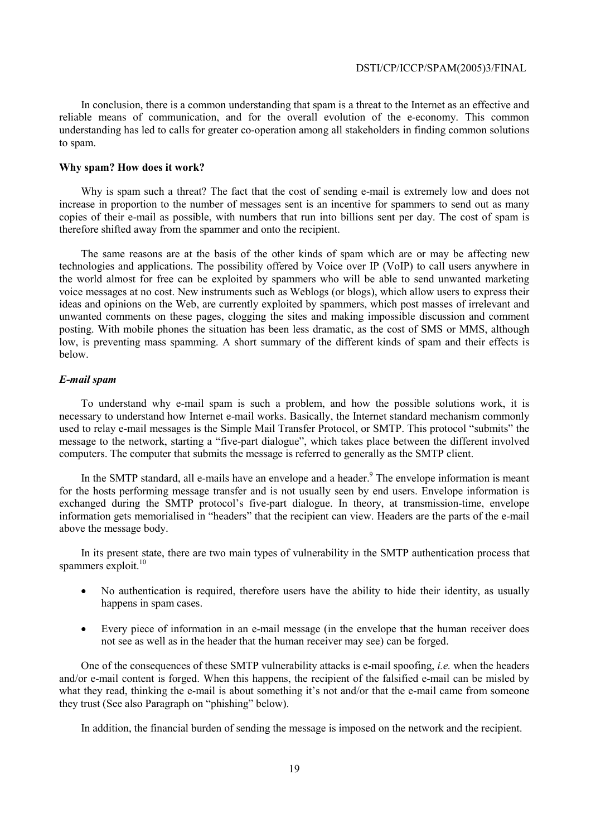In conclusion, there is a common understanding that spam is a threat to the Internet as an effective and reliable means of communication, and for the overall evolution of the e-economy. This common understanding has led to calls for greater co-operation among all stakeholders in finding common solutions to spam.

#### **Why spam? How does it work?**

Why is spam such a threat? The fact that the cost of sending e-mail is extremely low and does not increase in proportion to the number of messages sent is an incentive for spammers to send out as many copies of their e-mail as possible, with numbers that run into billions sent per day. The cost of spam is therefore shifted away from the spammer and onto the recipient.

The same reasons are at the basis of the other kinds of spam which are or may be affecting new technologies and applications. The possibility offered by Voice over IP (VoIP) to call users anywhere in the world almost for free can be exploited by spammers who will be able to send unwanted marketing voice messages at no cost. New instruments such as Weblogs (or blogs), which allow users to express their ideas and opinions on the Web, are currently exploited by spammers, which post masses of irrelevant and unwanted comments on these pages, clogging the sites and making impossible discussion and comment posting. With mobile phones the situation has been less dramatic, as the cost of SMS or MMS, although low, is preventing mass spamming. A short summary of the different kinds of spam and their effects is below.

#### *E-mail spam*

To understand why e-mail spam is such a problem, and how the possible solutions work, it is necessary to understand how Internet e-mail works. Basically, the Internet standard mechanism commonly used to relay e-mail messages is the Simple Mail Transfer Protocol, or SMTP. This protocol "submits" the message to the network, starting a "five-part dialogue", which takes place between the different involved computers. The computer that submits the message is referred to generally as the SMTP client.

In the SMTP standard, all e-mails have an envelope and a header.<sup>9</sup> The envelope information is meant for the hosts performing message transfer and is not usually seen by end users. Envelope information is exchanged during the SMTP protocol's five-part dialogue. In theory, at transmission-time, envelope information gets memorialised in "headers" that the recipient can view. Headers are the parts of the e-mail above the message body.

In its present state, there are two main types of vulnerability in the SMTP authentication process that spammers exploit.<sup>10</sup>

- No authentication is required, therefore users have the ability to hide their identity, as usually happens in spam cases.
- Every piece of information in an e-mail message (in the envelope that the human receiver does not see as well as in the header that the human receiver may see) can be forged.

One of the consequences of these SMTP vulnerability attacks is e-mail spoofing, *i.e.* when the headers and/or e-mail content is forged. When this happens, the recipient of the falsified e-mail can be misled by what they read, thinking the e-mail is about something it's not and/or that the e-mail came from someone they trust (See also Paragraph on "phishing" below).

In addition, the financial burden of sending the message is imposed on the network and the recipient.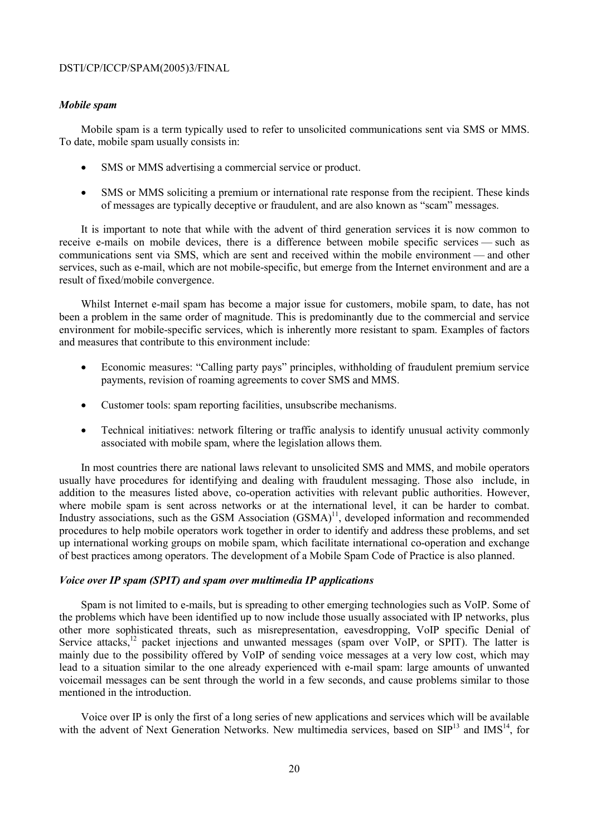#### *Mobile spam*

Mobile spam is a term typically used to refer to unsolicited communications sent via SMS or MMS. To date, mobile spam usually consists in:

- SMS or MMS advertising a commercial service or product.
- SMS or MMS soliciting a premium or international rate response from the recipient. These kinds of messages are typically deceptive or fraudulent, and are also known as "scam" messages.

It is important to note that while with the advent of third generation services it is now common to receive e-mails on mobile devices, there is a difference between mobile specific services — such as communications sent via SMS, which are sent and received within the mobile environment — and other services, such as e-mail, which are not mobile-specific, but emerge from the Internet environment and are a result of fixed/mobile convergence.

Whilst Internet e-mail spam has become a major issue for customers, mobile spam, to date, has not been a problem in the same order of magnitude. This is predominantly due to the commercial and service environment for mobile-specific services, which is inherently more resistant to spam. Examples of factors and measures that contribute to this environment include:

- Economic measures: "Calling party pays" principles, withholding of fraudulent premium service payments, revision of roaming agreements to cover SMS and MMS.
- Customer tools: spam reporting facilities, unsubscribe mechanisms.
- Technical initiatives: network filtering or traffic analysis to identify unusual activity commonly associated with mobile spam, where the legislation allows them.

In most countries there are national laws relevant to unsolicited SMS and MMS, and mobile operators usually have procedures for identifying and dealing with fraudulent messaging. Those also include, in addition to the measures listed above, co-operation activities with relevant public authorities. However, where mobile spam is sent across networks or at the international level, it can be harder to combat. Industry associations, such as the GSM Association (GSMA)<sup>11</sup>, developed information and recommended procedures to help mobile operators work together in order to identify and address these problems, and set up international working groups on mobile spam, which facilitate international co-operation and exchange of best practices among operators. The development of a Mobile Spam Code of Practice is also planned.

#### *Voice over IP spam (SPIT) and spam over multimedia IP applications*

Spam is not limited to e-mails, but is spreading to other emerging technologies such as VoIP. Some of the problems which have been identified up to now include those usually associated with IP networks, plus other more sophisticated threats, such as misrepresentation, eavesdropping, VoIP specific Denial of Service attacks,<sup>12</sup> packet injections and unwanted messages (spam over VoIP, or SPIT). The latter is mainly due to the possibility offered by VoIP of sending voice messages at a very low cost, which may lead to a situation similar to the one already experienced with e-mail spam: large amounts of unwanted voicemail messages can be sent through the world in a few seconds, and cause problems similar to those mentioned in the introduction.

Voice over IP is only the first of a long series of new applications and services which will be available with the advent of Next Generation Networks. New multimedia services, based on SIP<sup>13</sup> and IMS<sup>14</sup>, for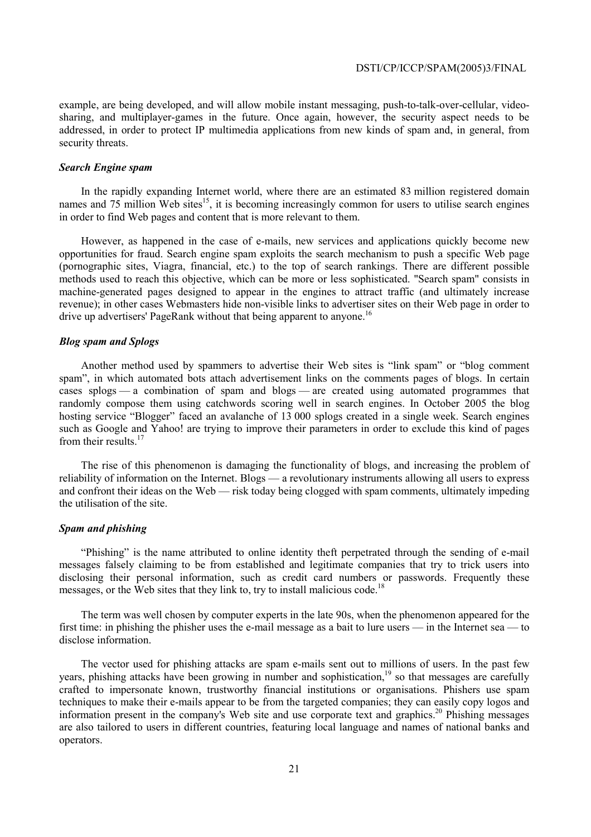example, are being developed, and will allow mobile instant messaging, push-to-talk-over-cellular, videosharing, and multiplayer-games in the future. Once again, however, the security aspect needs to be addressed, in order to protect IP multimedia applications from new kinds of spam and, in general, from security threats.

#### *Search Engine spam*

In the rapidly expanding Internet world, where there are an estimated 83 million registered domain names and  $75$  million Web sites<sup>15</sup>, it is becoming increasingly common for users to utilise search engines in order to find Web pages and content that is more relevant to them.

However, as happened in the case of e-mails, new services and applications quickly become new opportunities for fraud. Search engine spam exploits the search mechanism to push a specific Web page (pornographic sites, Viagra, financial, etc.) to the top of search rankings. There are different possible methods used to reach this objective, which can be more or less sophisticated. "Search spam" consists in machine-generated pages designed to appear in the engines to attract traffic (and ultimately increase revenue); in other cases Webmasters hide non-visible links to advertiser sites on their Web page in order to drive up advertisers' PageRank without that being apparent to anyone.<sup>16</sup>

#### *Blog spam and Splogs*

Another method used by spammers to advertise their Web sites is "link spam" or "blog comment" spam<sup>3</sup>, in which automated bots attach advertisement links on the comments pages of blogs. In certain cases splogs  $-$  a combination of spam and blogs  $-$  are created using automated programmes that randomly compose them using catchwords scoring well in search engines. In October 2005 the blog hosting service "Blogger" faced an avalanche of 13 000 splogs created in a single week. Search engines such as Google and Yahoo! are trying to improve their parameters in order to exclude this kind of pages from their results. $17$ 

The rise of this phenomenon is damaging the functionality of blogs, and increasing the problem of reliability of information on the Internet. Blogs — a revolutionary instruments allowing all users to express and confront their ideas on the Web — risk today being clogged with spam comments, ultimately impeding the utilisation of the site.

#### *Spam and phishing*

ìPhishingî is the name attributed to online identity theft perpetrated through the sending of e-mail messages falsely claiming to be from established and legitimate companies that try to trick users into disclosing their personal information, such as credit card numbers or passwords. Frequently these messages, or the Web sites that they link to, try to install malicious code.<sup>18</sup>

The term was well chosen by computer experts in the late 90s, when the phenomenon appeared for the first time: in phishing the phisher uses the e-mail message as a bait to lure users  $\frac{1}{\sqrt{1}}$  in the Internet sea  $\frac{1}{\sqrt{1}}$  to disclose information.

The vector used for phishing attacks are spam e-mails sent out to millions of users. In the past few years, phishing attacks have been growing in number and sophistication, $19$  so that messages are carefully crafted to impersonate known, trustworthy financial institutions or organisations. Phishers use spam techniques to make their e-mails appear to be from the targeted companies; they can easily copy logos and information present in the company's Web site and use corporate text and graphics.<sup>20</sup> Phishing messages are also tailored to users in different countries, featuring local language and names of national banks and operators.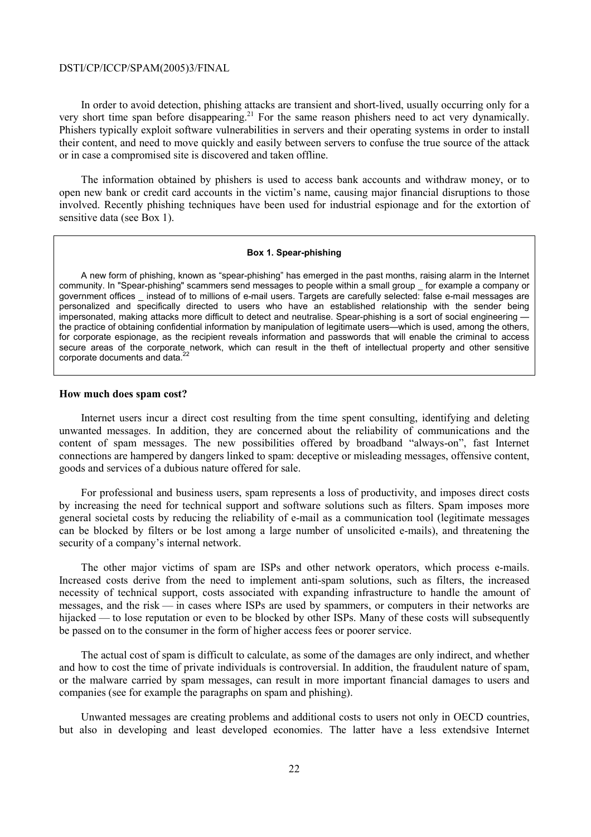In order to avoid detection, phishing attacks are transient and short-lived, usually occurring only for a very short time span before disappearing.21 For the same reason phishers need to act very dynamically. Phishers typically exploit software vulnerabilities in servers and their operating systems in order to install their content, and need to move quickly and easily between servers to confuse the true source of the attack or in case a compromised site is discovered and taken offline.

The information obtained by phishers is used to access bank accounts and withdraw money, or to open new bank or credit card accounts in the victimís name, causing major financial disruptions to those involved. Recently phishing techniques have been used for industrial espionage and for the extortion of sensitive data (see Box 1).

#### **Box 1. Spear-phishing**

A new form of phishing, known as "spear-phishing" has emerged in the past months, raising alarm in the Internet community. In "Spear-phishing" scammers send messages to people within a small group \_ for example a company or government offices \_ instead of to millions of e-mail users. Targets are carefully selected: false e-mail messages are personalized and specifically directed to users who have an established relationship with the sender being impersonated, making attacks more difficult to detect and neutralise. Spear-phishing is a sort of social engineering the practice of obtaining confidential information by manipulation of legitimate users—which is used, among the others, for corporate espionage, as the recipient reveals information and passwords that will enable the criminal to access secure areas of the corporate network, which can result in the theft of intellectual property and other sensitive corporate documents and data.<sup>22</sup>

#### **How much does spam cost?**

Internet users incur a direct cost resulting from the time spent consulting, identifying and deleting unwanted messages. In addition, they are concerned about the reliability of communications and the content of spam messages. The new possibilities offered by broadband "always-on", fast Internet connections are hampered by dangers linked to spam: deceptive or misleading messages, offensive content, goods and services of a dubious nature offered for sale.

For professional and business users, spam represents a loss of productivity, and imposes direct costs by increasing the need for technical support and software solutions such as filters. Spam imposes more general societal costs by reducing the reliability of e-mail as a communication tool (legitimate messages can be blocked by filters or be lost among a large number of unsolicited e-mails), and threatening the security of a company's internal network.

The other major victims of spam are ISPs and other network operators, which process e-mails. Increased costs derive from the need to implement anti-spam solutions, such as filters, the increased necessity of technical support, costs associated with expanding infrastructure to handle the amount of messages, and the risk – in cases where ISPs are used by spammers, or computers in their networks are hijacked — to lose reputation or even to be blocked by other ISPs. Many of these costs will subsequently be passed on to the consumer in the form of higher access fees or poorer service.

The actual cost of spam is difficult to calculate, as some of the damages are only indirect, and whether and how to cost the time of private individuals is controversial. In addition, the fraudulent nature of spam, or the malware carried by spam messages, can result in more important financial damages to users and companies (see for example the paragraphs on spam and phishing).

Unwanted messages are creating problems and additional costs to users not only in OECD countries, but also in developing and least developed economies. The latter have a less extendsive Internet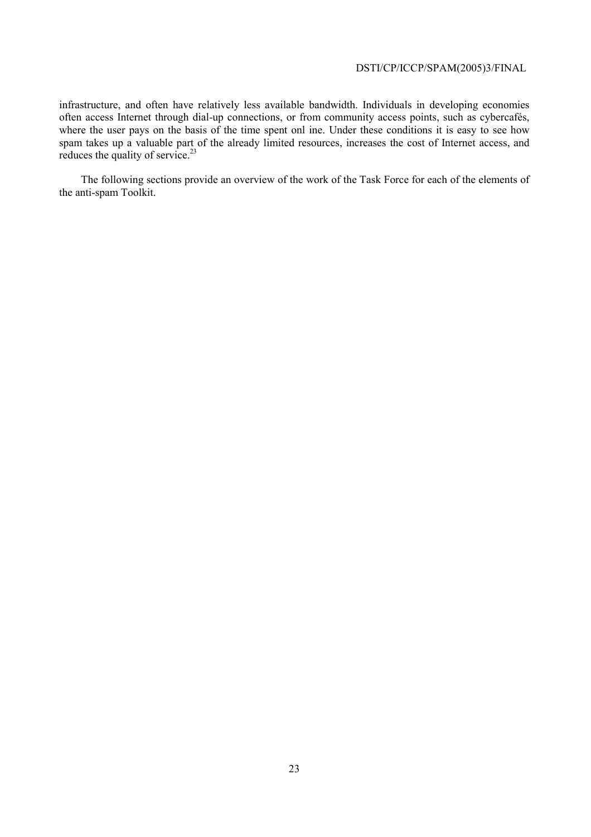infrastructure, and often have relatively less available bandwidth. Individuals in developing economies often access Internet through dial-up connections, or from community access points, such as cybercafés, where the user pays on the basis of the time spent onl ine. Under these conditions it is easy to see how spam takes up a valuable part of the already limited resources, increases the cost of Internet access, and reduces the quality of service.<sup>23</sup>

The following sections provide an overview of the work of the Task Force for each of the elements of the anti-spam Toolkit.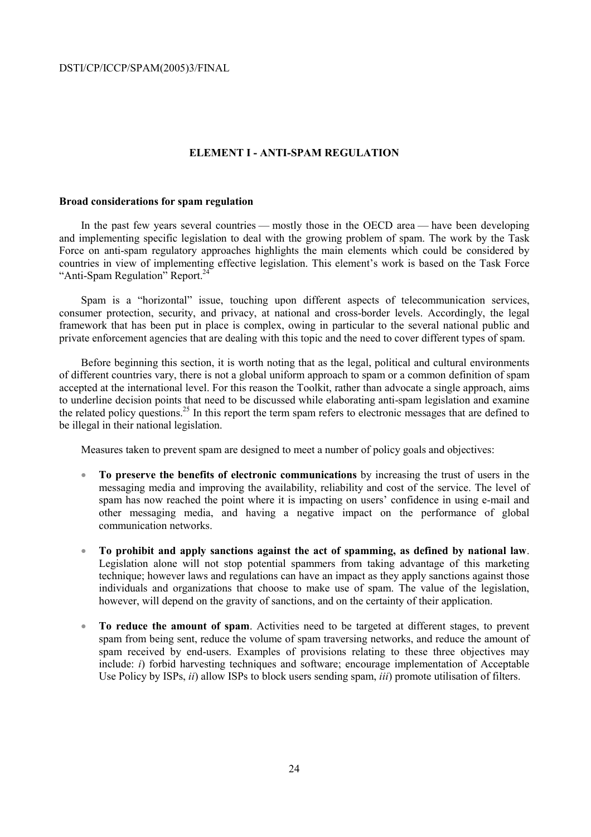#### **ELEMENT I - ANTI-SPAM REGULATION**

#### **Broad considerations for spam regulation**

In the past few years several countries — mostly those in the OECD area — have been developing and implementing specific legislation to deal with the growing problem of spam. The work by the Task Force on anti-spam regulatory approaches highlights the main elements which could be considered by countries in view of implementing effective legislation. This element's work is based on the Task Force "Anti-Spam Regulation" Report.<sup>24</sup>

Spam is a "horizontal" issue, touching upon different aspects of telecommunication services, consumer protection, security, and privacy, at national and cross-border levels. Accordingly, the legal framework that has been put in place is complex, owing in particular to the several national public and private enforcement agencies that are dealing with this topic and the need to cover different types of spam.

Before beginning this section, it is worth noting that as the legal, political and cultural environments of different countries vary, there is not a global uniform approach to spam or a common definition of spam accepted at the international level. For this reason the Toolkit, rather than advocate a single approach, aims to underline decision points that need to be discussed while elaborating anti-spam legislation and examine the related policy questions.<sup>25</sup> In this report the term spam refers to electronic messages that are defined to be illegal in their national legislation.

Measures taken to prevent spam are designed to meet a number of policy goals and objectives:

- **To preserve the benefits of electronic communications** by increasing the trust of users in the messaging media and improving the availability, reliability and cost of the service. The level of spam has now reached the point where it is impacting on users' confidence in using e-mail and other messaging media, and having a negative impact on the performance of global communication networks.
- **To prohibit and apply sanctions against the act of spamming, as defined by national law**. Legislation alone will not stop potential spammers from taking advantage of this marketing technique; however laws and regulations can have an impact as they apply sanctions against those individuals and organizations that choose to make use of spam. The value of the legislation, however, will depend on the gravity of sanctions, and on the certainty of their application.
- **To reduce the amount of spam**. Activities need to be targeted at different stages, to prevent spam from being sent, reduce the volume of spam traversing networks, and reduce the amount of spam received by end-users. Examples of provisions relating to these three objectives may include: *i*) forbid harvesting techniques and software; encourage implementation of Acceptable Use Policy by ISPs, *ii*) allow ISPs to block users sending spam, *iii*) promote utilisation of filters.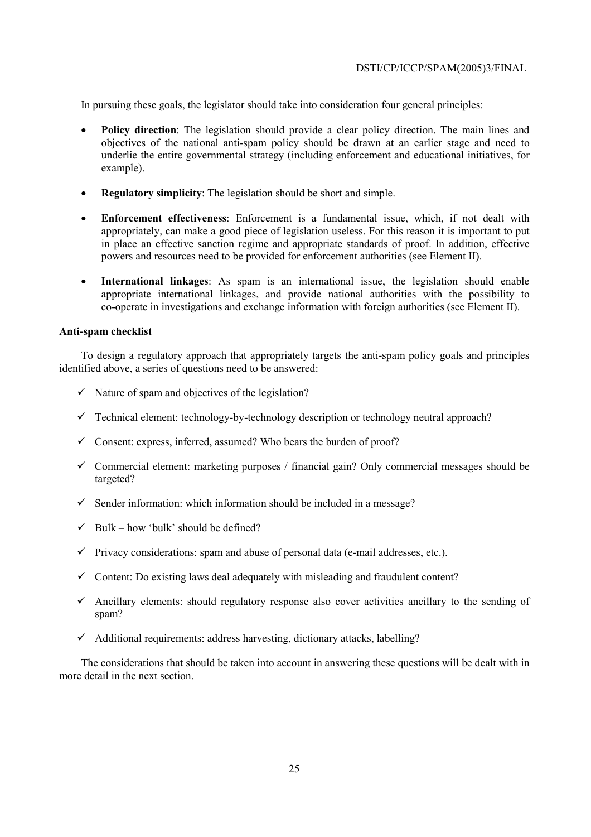In pursuing these goals, the legislator should take into consideration four general principles:

- **Policy direction**: The legislation should provide a clear policy direction. The main lines and objectives of the national anti-spam policy should be drawn at an earlier stage and need to underlie the entire governmental strategy (including enforcement and educational initiatives, for example).
- **Regulatory simplicity**: The legislation should be short and simple.
- **Enforcement effectiveness**: Enforcement is a fundamental issue, which, if not dealt with appropriately, can make a good piece of legislation useless. For this reason it is important to put in place an effective sanction regime and appropriate standards of proof. In addition, effective powers and resources need to be provided for enforcement authorities (see Element II).
- **International linkages**: As spam is an international issue, the legislation should enable appropriate international linkages, and provide national authorities with the possibility to co-operate in investigations and exchange information with foreign authorities (see Element II).

#### **Anti-spam checklist**

To design a regulatory approach that appropriately targets the anti-spam policy goals and principles identified above, a series of questions need to be answered:

- $\checkmark$  Nature of spam and objectives of the legislation?
- $\checkmark$  Technical element: technology-by-technology description or technology neutral approach?
- $\checkmark$  Consent: express, inferred, assumed? Who bears the burden of proof?
- $\checkmark$  Commercial element: marketing purposes / financial gain? Only commercial messages should be targeted?
- $\checkmark$  Sender information: which information should be included in a message?
- $\checkmark$  Bulk how 'bulk' should be defined?
- $\checkmark$  Privacy considerations: spam and abuse of personal data (e-mail addresses, etc.).
- $\checkmark$  Content: Do existing laws deal adequately with misleading and fraudulent content?
- $\checkmark$  Ancillary elements: should regulatory response also cover activities ancillary to the sending of spam?
- $\checkmark$  Additional requirements: address harvesting, dictionary attacks, labelling?

The considerations that should be taken into account in answering these questions will be dealt with in more detail in the next section.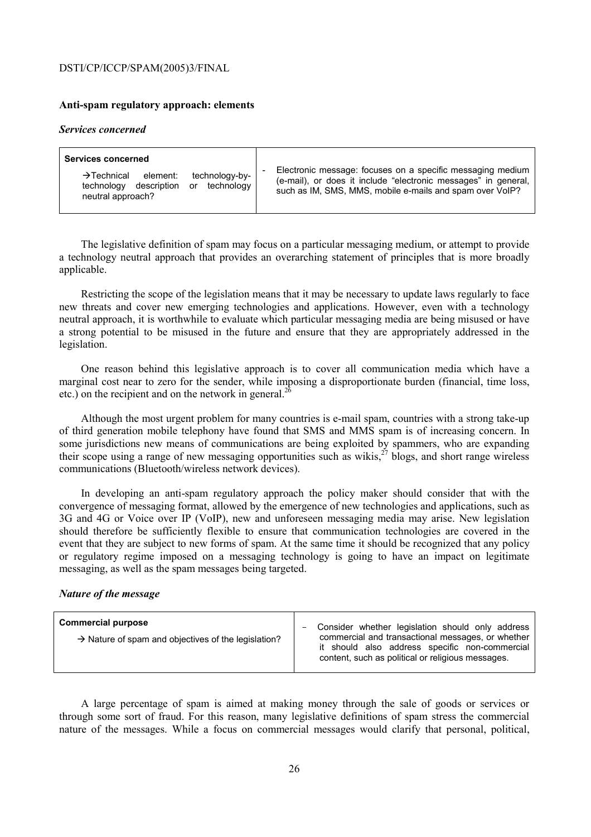#### **Anti-spam regulatory approach: elements**

#### *Services concerned*

| Services concerned                                                     |                                             |                                                                                                                                                                                          |
|------------------------------------------------------------------------|---------------------------------------------|------------------------------------------------------------------------------------------------------------------------------------------------------------------------------------------|
| $\rightarrow$ Technical<br>element:<br>technology<br>neutral approach? | technology-by-<br>description or technology | Electronic message: focuses on a specific messaging medium<br>(e-mail), or does it include "electronic messages" in general,<br>such as IM, SMS, MMS, mobile e-mails and spam over VoIP? |

The legislative definition of spam may focus on a particular messaging medium, or attempt to provide a technology neutral approach that provides an overarching statement of principles that is more broadly applicable.

Restricting the scope of the legislation means that it may be necessary to update laws regularly to face new threats and cover new emerging technologies and applications. However, even with a technology neutral approach, it is worthwhile to evaluate which particular messaging media are being misused or have a strong potential to be misused in the future and ensure that they are appropriately addressed in the legislation.

One reason behind this legislative approach is to cover all communication media which have a marginal cost near to zero for the sender, while imposing a disproportionate burden (financial, time loss, etc.) on the recipient and on the network in general.<sup>26</sup>

Although the most urgent problem for many countries is e-mail spam, countries with a strong take-up of third generation mobile telephony have found that SMS and MMS spam is of increasing concern. In some jurisdictions new means of communications are being exploited by spammers, who are expanding their scope using a range of new messaging opportunities such as wikis, $^{27}$  blogs, and short range wireless communications (Bluetooth/wireless network devices).

In developing an anti-spam regulatory approach the policy maker should consider that with the convergence of messaging format, allowed by the emergence of new technologies and applications, such as 3G and 4G or Voice over IP (VoIP), new and unforeseen messaging media may arise. New legislation should therefore be sufficiently flexible to ensure that communication technologies are covered in the event that they are subject to new forms of spam. At the same time it should be recognized that any policy or regulatory regime imposed on a messaging technology is going to have an impact on legitimate messaging, as well as the spam messages being targeted.

#### *Nature of the message*

| content, such as political or religious messages. |
|---------------------------------------------------|
|---------------------------------------------------|

A large percentage of spam is aimed at making money through the sale of goods or services or through some sort of fraud. For this reason, many legislative definitions of spam stress the commercial nature of the messages. While a focus on commercial messages would clarify that personal, political,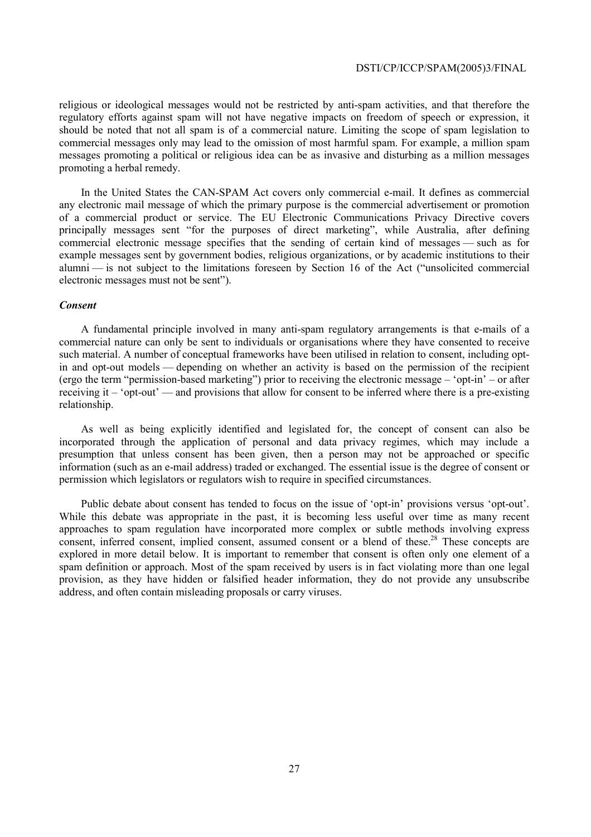religious or ideological messages would not be restricted by anti-spam activities, and that therefore the regulatory efforts against spam will not have negative impacts on freedom of speech or expression, it should be noted that not all spam is of a commercial nature. Limiting the scope of spam legislation to commercial messages only may lead to the omission of most harmful spam. For example, a million spam messages promoting a political or religious idea can be as invasive and disturbing as a million messages promoting a herbal remedy.

In the United States the CAN-SPAM Act covers only commercial e-mail. It defines as commercial any electronic mail message of which the primary purpose is the commercial advertisement or promotion of a commercial product or service. The EU Electronic Communications Privacy Directive covers principally messages sent "for the purposes of direct marketing", while Australia, after defining commercial electronic message specifies that the sending of certain kind of messages  $-$  such as for example messages sent by government bodies, religious organizations, or by academic institutions to their alumni  $-$  is not subject to the limitations foreseen by Section 16 of the Act ("unsolicited commercial electronic messages must not be sent").

#### *Consent*

A fundamental principle involved in many anti-spam regulatory arrangements is that e-mails of a commercial nature can only be sent to individuals or organisations where they have consented to receive such material. A number of conceptual frameworks have been utilised in relation to consent, including optin and opt-out models – depending on whether an activity is based on the permission of the recipient (ergo the term "permission-based marketing") prior to receiving the electronic message  $-$  'opt-in'  $-$  or after receiving it  $\sim$  'opt-out' — and provisions that allow for consent to be inferred where there is a pre-existing relationship.

As well as being explicitly identified and legislated for, the concept of consent can also be incorporated through the application of personal and data privacy regimes, which may include a presumption that unless consent has been given, then a person may not be approached or specific information (such as an e-mail address) traded or exchanged. The essential issue is the degree of consent or permission which legislators or regulators wish to require in specified circumstances.

Public debate about consent has tended to focus on the issue of 'opt-in' provisions versus 'opt-out'. While this debate was appropriate in the past, it is becoming less useful over time as many recent approaches to spam regulation have incorporated more complex or subtle methods involving express consent, inferred consent, implied consent, assumed consent or a blend of these.<sup>28</sup> These concepts are explored in more detail below. It is important to remember that consent is often only one element of a spam definition or approach. Most of the spam received by users is in fact violating more than one legal provision, as they have hidden or falsified header information, they do not provide any unsubscribe address, and often contain misleading proposals or carry viruses.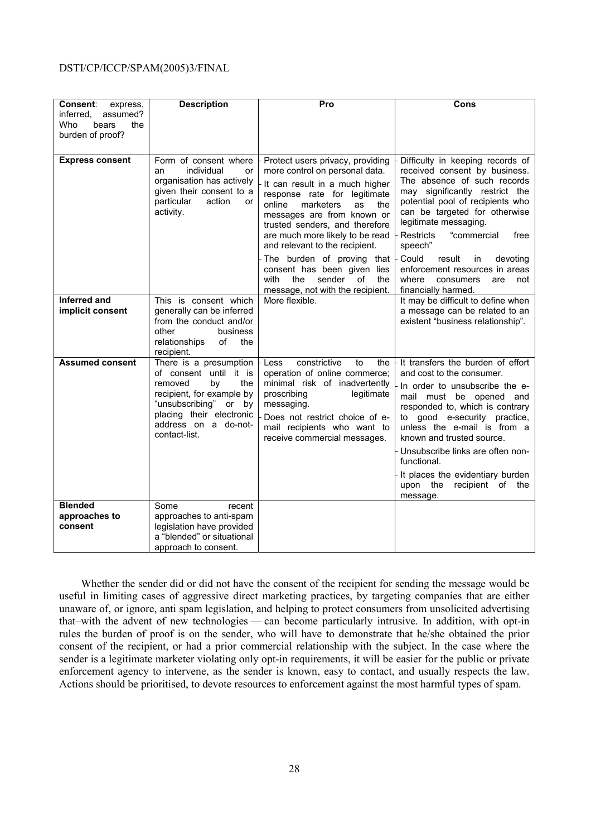| Consent:<br>express,                                             | <b>Description</b>                                                                                                                                                                                     | Pro                                                                                                                                                                                                                                                                                                                                                                                                                                                                  | Cons                                                                                                                                                                                                                                                                                                                                                                                                                      |
|------------------------------------------------------------------|--------------------------------------------------------------------------------------------------------------------------------------------------------------------------------------------------------|----------------------------------------------------------------------------------------------------------------------------------------------------------------------------------------------------------------------------------------------------------------------------------------------------------------------------------------------------------------------------------------------------------------------------------------------------------------------|---------------------------------------------------------------------------------------------------------------------------------------------------------------------------------------------------------------------------------------------------------------------------------------------------------------------------------------------------------------------------------------------------------------------------|
| inferred.<br>assumed?<br>Who<br>bears<br>the<br>burden of proof? |                                                                                                                                                                                                        |                                                                                                                                                                                                                                                                                                                                                                                                                                                                      |                                                                                                                                                                                                                                                                                                                                                                                                                           |
| <b>Express consent</b>                                           | Form of consent where<br>individual<br>an<br>or<br>organisation has actively<br>given their consent to a<br>particular<br>action<br>or<br>activity.                                                    | Protect users privacy, providing<br>more control on personal data.<br>It can result in a much higher<br>response rate for legitimate<br>online<br>marketers<br><b>as</b><br>the<br>messages are from known or<br>trusted senders, and therefore<br>are much more likely to be read<br>and relevant to the recipient.<br>The burden of proving that $\vdash$<br>consent has been given lies<br>sender<br>with<br>the<br>οf<br>the<br>message, not with the recipient. | Difficulty in keeping records of<br>received consent by business.<br>The absence of such records<br>may significantly restrict the<br>potential pool of recipients who<br>can be targeted for otherwise<br>legitimate messaging.<br><b>Restricts</b><br>"commercial<br>free<br>speech"<br>Could<br>result<br>devoting<br>in.<br>enforcement resources in areas<br>where<br>consumers<br>are<br>not<br>financially harmed. |
| Inferred and<br>implicit consent                                 | This is consent which<br>generally can be inferred<br>from the conduct and/or<br>other<br>business<br>relationships<br>of<br>the<br>recipient.                                                         | More flexible.                                                                                                                                                                                                                                                                                                                                                                                                                                                       | It may be difficult to define when<br>a message can be related to an<br>existent "business relationship".                                                                                                                                                                                                                                                                                                                 |
| <b>Assumed consent</b>                                           | There is a presumption<br>of consent until it is<br>removed<br>by<br>the<br>recipient, for example by<br>"unsubscribing"<br>or by<br>placing their electronic<br>address on a do-not-<br>contact-list. | constrictive<br>Less<br>to<br>the<br>operation of online commerce;<br>minimal risk of inadvertently<br>proscribing<br>legitimate<br>messaging.<br>Does not restrict choice of e-<br>mail recipients who want to<br>receive commercial messages.                                                                                                                                                                                                                      | It transfers the burden of effort<br>and cost to the consumer.<br>In order to unsubscribe the e-<br>mail must be opened and<br>responded to, which is contrary<br>to good e-security practice,<br>unless the e-mail is from a<br>known and trusted source.<br>Unsubscribe links are often non-<br>functional.<br>It places the evidentiary burden<br>upon the recipient of the<br>message.                                |
| <b>Blended</b><br>approaches to<br>consent                       | Some<br>recent<br>approaches to anti-spam<br>legislation have provided<br>a "blended" or situational                                                                                                   |                                                                                                                                                                                                                                                                                                                                                                                                                                                                      |                                                                                                                                                                                                                                                                                                                                                                                                                           |
|                                                                  | approach to consent.                                                                                                                                                                                   |                                                                                                                                                                                                                                                                                                                                                                                                                                                                      |                                                                                                                                                                                                                                                                                                                                                                                                                           |

Whether the sender did or did not have the consent of the recipient for sending the message would be useful in limiting cases of aggressive direct marketing practices, by targeting companies that are either unaware of, or ignore, anti spam legislation, and helping to protect consumers from unsolicited advertising that-with the advent of new technologies – can become particularly intrusive. In addition, with opt-in rules the burden of proof is on the sender, who will have to demonstrate that he/she obtained the prior consent of the recipient, or had a prior commercial relationship with the subject. In the case where the sender is a legitimate marketer violating only opt-in requirements, it will be easier for the public or private enforcement agency to intervene, as the sender is known, easy to contact, and usually respects the law. Actions should be prioritised, to devote resources to enforcement against the most harmful types of spam.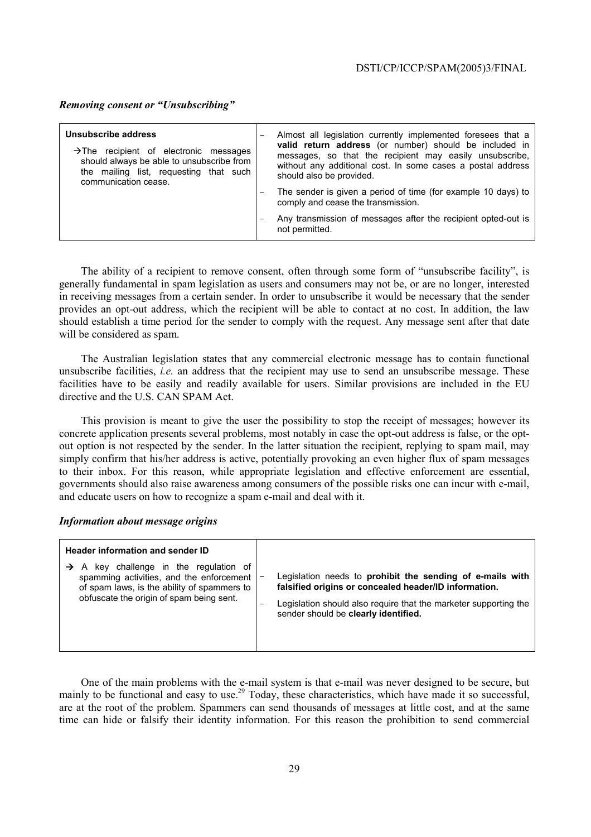#### **Removing consent or "Unsubscribing"**

| Unsubscribe address<br>$\rightarrow$ The recipient of electronic messages<br>should always be able to unsubscribe from<br>the mailing list, requesting that such<br>communication cease. |  | Almost all legislation currently implemented foresees that a<br>valid return address (or number) should be included in<br>messages, so that the recipient may easily unsubscribe,<br>without any additional cost. In some cases a postal address<br>should also be provided.<br>The sender is given a period of time (for example 10 days) to<br>comply and cease the transmission.<br>Any transmission of messages after the recipient opted-out is<br>not permitted. |
|------------------------------------------------------------------------------------------------------------------------------------------------------------------------------------------|--|------------------------------------------------------------------------------------------------------------------------------------------------------------------------------------------------------------------------------------------------------------------------------------------------------------------------------------------------------------------------------------------------------------------------------------------------------------------------|
|------------------------------------------------------------------------------------------------------------------------------------------------------------------------------------------|--|------------------------------------------------------------------------------------------------------------------------------------------------------------------------------------------------------------------------------------------------------------------------------------------------------------------------------------------------------------------------------------------------------------------------------------------------------------------------|

The ability of a recipient to remove consent, often through some form of "unsubscribe facility", is generally fundamental in spam legislation as users and consumers may not be, or are no longer, interested in receiving messages from a certain sender. In order to unsubscribe it would be necessary that the sender provides an opt-out address, which the recipient will be able to contact at no cost. In addition, the law should establish a time period for the sender to comply with the request. Any message sent after that date will be considered as spam.

The Australian legislation states that any commercial electronic message has to contain functional unsubscribe facilities, *i.e.* an address that the recipient may use to send an unsubscribe message. These facilities have to be easily and readily available for users. Similar provisions are included in the EU directive and the U.S. CAN SPAM Act.

This provision is meant to give the user the possibility to stop the receipt of messages; however its concrete application presents several problems, most notably in case the opt-out address is false, or the optout option is not respected by the sender. In the latter situation the recipient, replying to spam mail, may simply confirm that his/her address is active, potentially provoking an even higher flux of spam messages to their inbox. For this reason, while appropriate legislation and effective enforcement are essential, governments should also raise awareness among consumers of the possible risks one can incur with e-mail, and educate users on how to recognize a spam e-mail and deal with it.

#### *Information about message origins*

| <b>Header information and sender ID</b><br>$\rightarrow$ A key challenge in the regulation of<br>spamming activities, and the enforcement<br>of spam laws, is the ability of spammers to<br>obfuscate the origin of spam being sent. | Legislation needs to <b>prohibit the sending of e-mails with</b><br>falsified origins or concealed header/ID information.<br>Legislation should also require that the marketer supporting the<br>sender should be clearly identified. |
|--------------------------------------------------------------------------------------------------------------------------------------------------------------------------------------------------------------------------------------|---------------------------------------------------------------------------------------------------------------------------------------------------------------------------------------------------------------------------------------|
|--------------------------------------------------------------------------------------------------------------------------------------------------------------------------------------------------------------------------------------|---------------------------------------------------------------------------------------------------------------------------------------------------------------------------------------------------------------------------------------|

One of the main problems with the e-mail system is that e-mail was never designed to be secure, but mainly to be functional and easy to use.<sup>29</sup> Today, these characteristics, which have made it so successful, are at the root of the problem. Spammers can send thousands of messages at little cost, and at the same time can hide or falsify their identity information. For this reason the prohibition to send commercial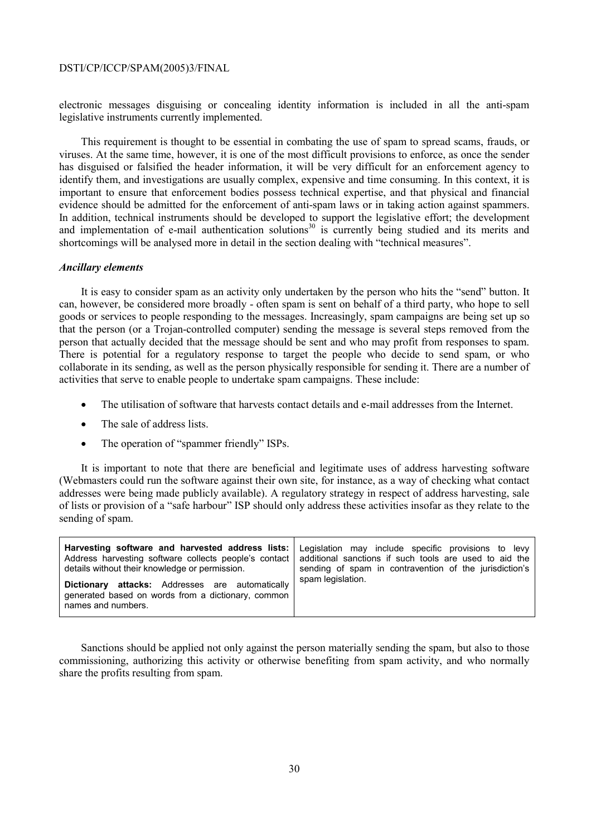electronic messages disguising or concealing identity information is included in all the anti-spam legislative instruments currently implemented.

This requirement is thought to be essential in combating the use of spam to spread scams, frauds, or viruses. At the same time, however, it is one of the most difficult provisions to enforce, as once the sender has disguised or falsified the header information, it will be very difficult for an enforcement agency to identify them, and investigations are usually complex, expensive and time consuming. In this context, it is important to ensure that enforcement bodies possess technical expertise, and that physical and financial evidence should be admitted for the enforcement of anti-spam laws or in taking action against spammers. In addition, technical instruments should be developed to support the legislative effort; the development and implementation of e-mail authentication solutions<sup>30</sup> is currently being studied and its merits and shortcomings will be analysed more in detail in the section dealing with "technical measures".

#### *Ancillary elements*

It is easy to consider spam as an activity only undertaken by the person who hits the "send" button. It can, however, be considered more broadly - often spam is sent on behalf of a third party, who hope to sell goods or services to people responding to the messages. Increasingly, spam campaigns are being set up so that the person (or a Trojan-controlled computer) sending the message is several steps removed from the person that actually decided that the message should be sent and who may profit from responses to spam. There is potential for a regulatory response to target the people who decide to send spam, or who collaborate in its sending, as well as the person physically responsible for sending it. There are a number of activities that serve to enable people to undertake spam campaigns. These include:

- The utilisation of software that harvests contact details and e-mail addresses from the Internet.
- The sale of address lists.
- The operation of "spammer friendly" ISPs.

It is important to note that there are beneficial and legitimate uses of address harvesting software (Webmasters could run the software against their own site, for instance, as a way of checking what contact addresses were being made publicly available). A regulatory strategy in respect of address harvesting, sale of lists or provision of a "safe harbour" ISP should only address these activities insofar as they relate to the sending of spam.

Sanctions should be applied not only against the person materially sending the spam, but also to those commissioning, authorizing this activity or otherwise benefiting from spam activity, and who normally share the profits resulting from spam.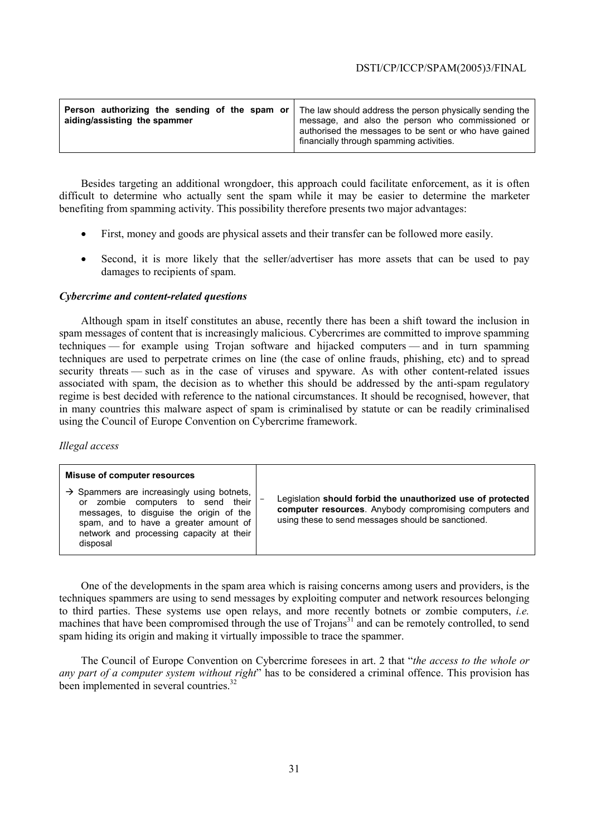| authorised the messages to be sent or who have gained<br>financially through spamming activities. |
|---------------------------------------------------------------------------------------------------|
|---------------------------------------------------------------------------------------------------|

Besides targeting an additional wrongdoer, this approach could facilitate enforcement, as it is often difficult to determine who actually sent the spam while it may be easier to determine the marketer benefiting from spamming activity. This possibility therefore presents two major advantages:

- First, money and goods are physical assets and their transfer can be followed more easily.
- Second, it is more likely that the seller/advertiser has more assets that can be used to pay damages to recipients of spam.

#### *Cybercrime and content-related questions*

Although spam in itself constitutes an abuse, recently there has been a shift toward the inclusion in spam messages of content that is increasingly malicious. Cybercrimes are committed to improve spamming techniques – for example using Trojan software and hijacked computers – and in turn spamming techniques are used to perpetrate crimes on line (the case of online frauds, phishing, etc) and to spread security threats – such as in the case of viruses and spyware. As with other content-related issues associated with spam, the decision as to whether this should be addressed by the anti-spam regulatory regime is best decided with reference to the national circumstances. It should be recognised, however, that in many countries this malware aspect of spam is criminalised by statute or can be readily criminalised using the Council of Europe Convention on Cybercrime framework.

#### *Illegal access*

| Misuse of computer resources                                                                                                                                                                                                            |                                                                                                                                                                             |
|-----------------------------------------------------------------------------------------------------------------------------------------------------------------------------------------------------------------------------------------|-----------------------------------------------------------------------------------------------------------------------------------------------------------------------------|
| $\rightarrow$ Spammers are increasingly using botnets,<br>or zombie computers to send their<br>messages, to disguise the origin of the<br>spam, and to have a greater amount of<br>network and processing capacity at their<br>disposal | Legislation should forbid the unauthorized use of protected<br>computer resources. Anybody compromising computers and<br>using these to send messages should be sanctioned. |

One of the developments in the spam area which is raising concerns among users and providers, is the techniques spammers are using to send messages by exploiting computer and network resources belonging to third parties. These systems use open relays, and more recently botnets or zombie computers, *i.e.* machines that have been compromised through the use of Trojans<sup>31</sup> and can be remotely controlled, to send spam hiding its origin and making it virtually impossible to trace the spammer.

The Council of Europe Convention on Cybercrime foresees in art. 2 that *<i><sup>the access to the whole or*</sup> *any part of a computer system without right*î has to be considered a criminal offence. This provision has been implemented in several countries.<sup>32</sup>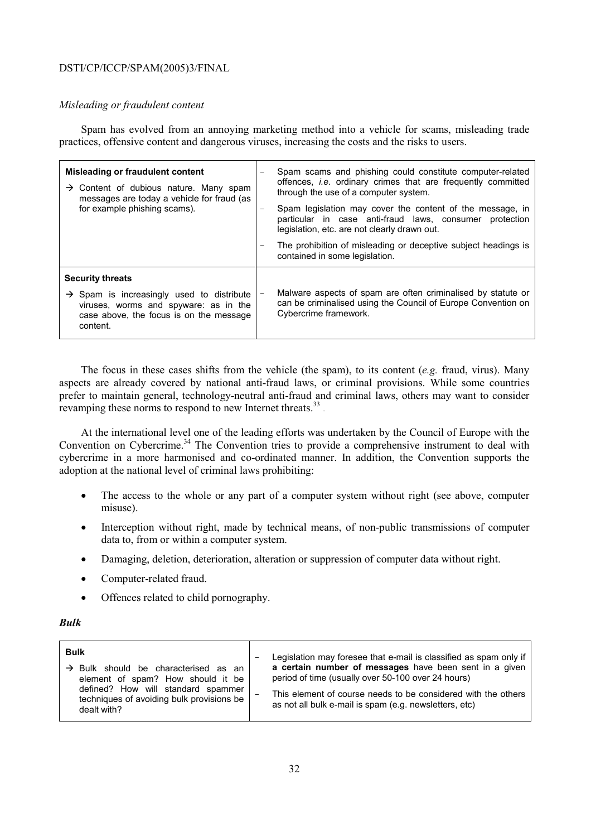#### *Misleading or fraudulent content*

Spam has evolved from an annoying marketing method into a vehicle for scams, misleading trade practices, offensive content and dangerous viruses, increasing the costs and the risks to users.

| Misleading or fraudulent content<br>$\rightarrow$ Content of dubious nature. Many spam<br>messages are today a vehicle for fraud (as<br>for example phishing scams).             | $\overline{\phantom{0}}$<br>$\overline{\phantom{0}}$ | Spam scams and phishing could constitute computer-related<br>offences, <i>i.e.</i> ordinary crimes that are frequently committed<br>through the use of a computer system.<br>Spam legislation may cover the content of the message, in<br>particular in case anti-fraud laws, consumer protection<br>legislation, etc. are not clearly drawn out.<br>The prohibition of misleading or deceptive subject headings is<br>contained in some legislation. |
|----------------------------------------------------------------------------------------------------------------------------------------------------------------------------------|------------------------------------------------------|-------------------------------------------------------------------------------------------------------------------------------------------------------------------------------------------------------------------------------------------------------------------------------------------------------------------------------------------------------------------------------------------------------------------------------------------------------|
| <b>Security threats</b><br>$\rightarrow$ Spam is increasingly used to distribute<br>viruses, worms and spyware: as in the<br>case above, the focus is on the message<br>content. |                                                      | Malware aspects of spam are often criminalised by statute or<br>can be criminalised using the Council of Europe Convention on<br>Cybercrime framework.                                                                                                                                                                                                                                                                                                |

The focus in these cases shifts from the vehicle (the spam), to its content (*e.g.* fraud, virus). Many aspects are already covered by national anti-fraud laws, or criminal provisions. While some countries prefer to maintain general, technology-neutral anti-fraud and criminal laws, others may want to consider revamping these norms to respond to new Internet threats.<sup>33</sup>

At the international level one of the leading efforts was undertaken by the Council of Europe with the Convention on Cybercrime.<sup>34</sup> The Convention tries to provide a comprehensive instrument to deal with cybercrime in a more harmonised and co-ordinated manner. In addition, the Convention supports the adoption at the national level of criminal laws prohibiting:

- The access to the whole or any part of a computer system without right (see above, computer misuse).
- Interception without right, made by technical means, of non-public transmissions of computer data to, from or within a computer system.
- Damaging, deletion, deterioration, alteration or suppression of computer data without right.
- Computer-related fraud.
- Offences related to child pornography.

#### *Bulk*

| <b>Bulk</b><br>$\rightarrow$ Bulk should be characterised as an<br>element of spam? How should it be | Legislation may foresee that e-mail is classified as spam only if<br>a certain number of messages have been sent in a given<br>period of time (usually over 50-100 over 24 hours) |
|------------------------------------------------------------------------------------------------------|-----------------------------------------------------------------------------------------------------------------------------------------------------------------------------------|
| defined? How will standard spammer<br>techniques of avoiding bulk provisions be<br>dealt with?       | This element of course needs to be considered with the others<br>as not all bulk e-mail is spam (e.g. newsletters, etc)                                                           |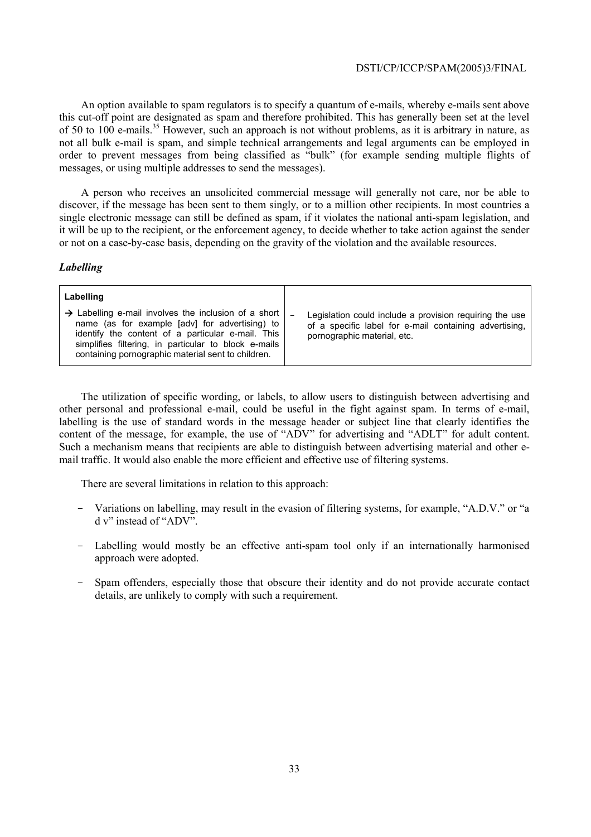An option available to spam regulators is to specify a quantum of e-mails, whereby e-mails sent above this cut-off point are designated as spam and therefore prohibited. This has generally been set at the level of 50 to 100 e-mails.<sup>35</sup> However, such an approach is not without problems, as it is arbitrary in nature, as not all bulk e-mail is spam, and simple technical arrangements and legal arguments can be employed in order to prevent messages from being classified as "bulk" (for example sending multiple flights of messages, or using multiple addresses to send the messages).

A person who receives an unsolicited commercial message will generally not care, nor be able to discover, if the message has been sent to them singly, or to a million other recipients. In most countries a single electronic message can still be defined as spam, if it violates the national anti-spam legislation, and it will be up to the recipient, or the enforcement agency, to decide whether to take action against the sender or not on a case-by-case basis, depending on the gravity of the violation and the available resources.

#### *Labelling*

| Labelling                                                                                                                                                                                                                                                                                       |                                                                                                                                                  |
|-------------------------------------------------------------------------------------------------------------------------------------------------------------------------------------------------------------------------------------------------------------------------------------------------|--------------------------------------------------------------------------------------------------------------------------------------------------|
| $\rightarrow$ Labelling e-mail involves the inclusion of a short $\vert$ _<br>name (as for example [adv] for advertising) to<br>identify the content of a particular e-mail. This<br>simplifies filtering, in particular to block e-mails<br>containing pornographic material sent to children. | Legislation could include a provision requiring the use<br>of a specific label for e-mail containing advertising,<br>pornographic material, etc. |

The utilization of specific wording, or labels, to allow users to distinguish between advertising and other personal and professional e-mail, could be useful in the fight against spam. In terms of e-mail, labelling is the use of standard words in the message header or subject line that clearly identifies the content of the message, for example, the use of "ADV" for advertising and "ADLT" for adult content. Such a mechanism means that recipients are able to distinguish between advertising material and other email traffic. It would also enable the more efficient and effective use of filtering systems.

There are several limitations in relation to this approach:

- Variations on labelling, may result in the evasion of filtering systems, for example, "A.D.V." or "a  $d$  v" instead of "ADV".
- Labelling would mostly be an effective anti-spam tool only if an internationally harmonised approach were adopted.
- Spam offenders, especially those that obscure their identity and do not provide accurate contact details, are unlikely to comply with such a requirement.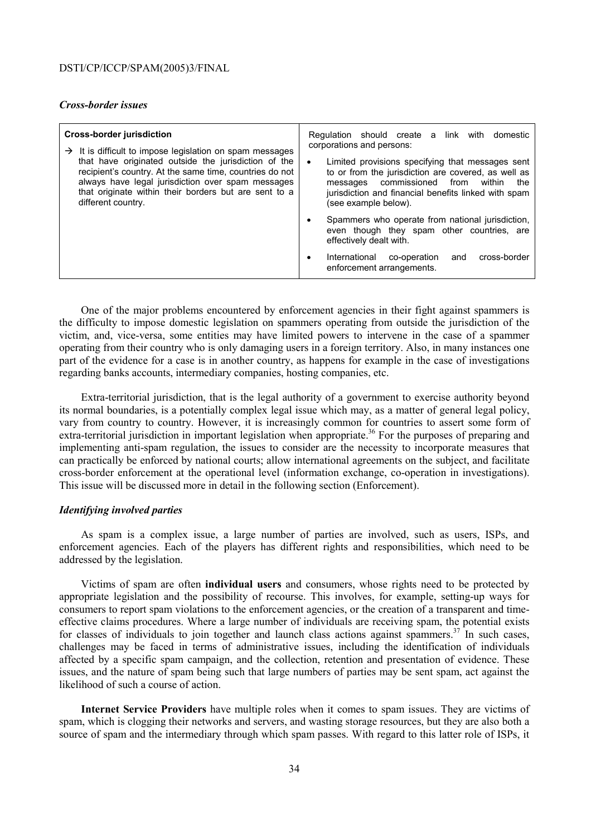#### *Cross-border issues*

| <b>Cross-border jurisdiction</b><br>$\rightarrow$ It is difficult to impose legislation on spam messages                                                                                                                                            | Regulation should create a link with domestic<br>corporations and persons:                                                                                                                                                                             |
|-----------------------------------------------------------------------------------------------------------------------------------------------------------------------------------------------------------------------------------------------------|--------------------------------------------------------------------------------------------------------------------------------------------------------------------------------------------------------------------------------------------------------|
| that have originated outside the jurisdiction of the<br>recipient's country. At the same time, countries do not<br>always have legal jurisdiction over spam messages<br>that originate within their borders but are sent to a<br>different country. | Limited provisions specifying that messages sent<br>$\bullet$<br>to or from the jurisdiction are covered, as well as<br>messages commissioned<br>from<br>within<br>the<br>jurisdiction and financial benefits linked with spam<br>(see example below). |
|                                                                                                                                                                                                                                                     | Spammers who operate from national jurisdiction,<br>even though they spam other countries, are<br>effectively dealt with.                                                                                                                              |
|                                                                                                                                                                                                                                                     | cross-border<br>International co-operation<br>and<br>٠<br>enforcement arrangements.                                                                                                                                                                    |

One of the major problems encountered by enforcement agencies in their fight against spammers is the difficulty to impose domestic legislation on spammers operating from outside the jurisdiction of the victim, and, vice-versa, some entities may have limited powers to intervene in the case of a spammer operating from their country who is only damaging users in a foreign territory. Also, in many instances one part of the evidence for a case is in another country, as happens for example in the case of investigations regarding banks accounts, intermediary companies, hosting companies, etc.

Extra-territorial jurisdiction, that is the legal authority of a government to exercise authority beyond its normal boundaries, is a potentially complex legal issue which may, as a matter of general legal policy, vary from country to country. However, it is increasingly common for countries to assert some form of extra-territorial jurisdiction in important legislation when appropriate.<sup>36</sup> For the purposes of preparing and implementing anti-spam regulation, the issues to consider are the necessity to incorporate measures that can practically be enforced by national courts; allow international agreements on the subject, and facilitate cross-border enforcement at the operational level (information exchange, co-operation in investigations). This issue will be discussed more in detail in the following section (Enforcement).

#### *Identifying involved parties*

As spam is a complex issue, a large number of parties are involved, such as users, ISPs, and enforcement agencies. Each of the players has different rights and responsibilities, which need to be addressed by the legislation.

Victims of spam are often **individual users** and consumers, whose rights need to be protected by appropriate legislation and the possibility of recourse. This involves, for example, setting-up ways for consumers to report spam violations to the enforcement agencies, or the creation of a transparent and timeeffective claims procedures. Where a large number of individuals are receiving spam, the potential exists for classes of individuals to join together and launch class actions against spammers.<sup>37</sup> In such cases, challenges may be faced in terms of administrative issues, including the identification of individuals affected by a specific spam campaign, and the collection, retention and presentation of evidence. These issues, and the nature of spam being such that large numbers of parties may be sent spam, act against the likelihood of such a course of action.

**Internet Service Providers** have multiple roles when it comes to spam issues. They are victims of spam, which is clogging their networks and servers, and wasting storage resources, but they are also both a source of spam and the intermediary through which spam passes. With regard to this latter role of ISPs, it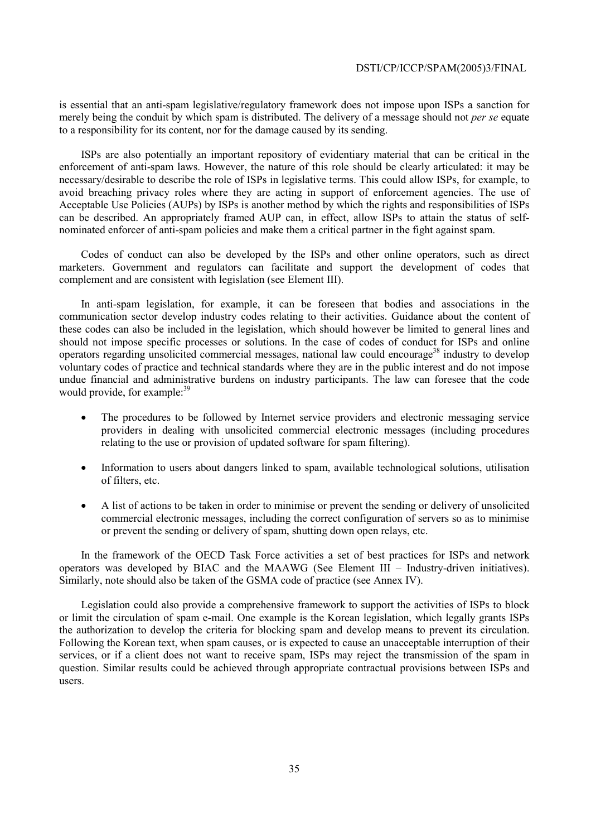is essential that an anti-spam legislative/regulatory framework does not impose upon ISPs a sanction for merely being the conduit by which spam is distributed. The delivery of a message should not *per se* equate to a responsibility for its content, nor for the damage caused by its sending.

ISPs are also potentially an important repository of evidentiary material that can be critical in the enforcement of anti-spam laws. However, the nature of this role should be clearly articulated: it may be necessary/desirable to describe the role of ISPs in legislative terms. This could allow ISPs, for example, to avoid breaching privacy roles where they are acting in support of enforcement agencies. The use of Acceptable Use Policies (AUPs) by ISPs is another method by which the rights and responsibilities of ISPs can be described. An appropriately framed AUP can, in effect, allow ISPs to attain the status of selfnominated enforcer of anti-spam policies and make them a critical partner in the fight against spam.

Codes of conduct can also be developed by the ISPs and other online operators, such as direct marketers. Government and regulators can facilitate and support the development of codes that complement and are consistent with legislation (see Element III).

In anti-spam legislation, for example, it can be foreseen that bodies and associations in the communication sector develop industry codes relating to their activities. Guidance about the content of these codes can also be included in the legislation, which should however be limited to general lines and should not impose specific processes or solutions. In the case of codes of conduct for ISPs and online operators regarding unsolicited commercial messages, national law could encourage<sup>38</sup> industry to develop voluntary codes of practice and technical standards where they are in the public interest and do not impose undue financial and administrative burdens on industry participants. The law can foresee that the code would provide, for example:<sup>39</sup>

- The procedures to be followed by Internet service providers and electronic messaging service providers in dealing with unsolicited commercial electronic messages (including procedures relating to the use or provision of updated software for spam filtering).
- Information to users about dangers linked to spam, available technological solutions, utilisation of filters, etc.
- A list of actions to be taken in order to minimise or prevent the sending or delivery of unsolicited commercial electronic messages, including the correct configuration of servers so as to minimise or prevent the sending or delivery of spam, shutting down open relays, etc.

In the framework of the OECD Task Force activities a set of best practices for ISPs and network operators was developed by BIAC and the MAAWG (See Element III  $-$  Industry-driven initiatives). Similarly, note should also be taken of the GSMA code of practice (see Annex IV).

Legislation could also provide a comprehensive framework to support the activities of ISPs to block or limit the circulation of spam e-mail. One example is the Korean legislation, which legally grants ISPs the authorization to develop the criteria for blocking spam and develop means to prevent its circulation. Following the Korean text, when spam causes, or is expected to cause an unacceptable interruption of their services, or if a client does not want to receive spam, ISPs may reject the transmission of the spam in question. Similar results could be achieved through appropriate contractual provisions between ISPs and users.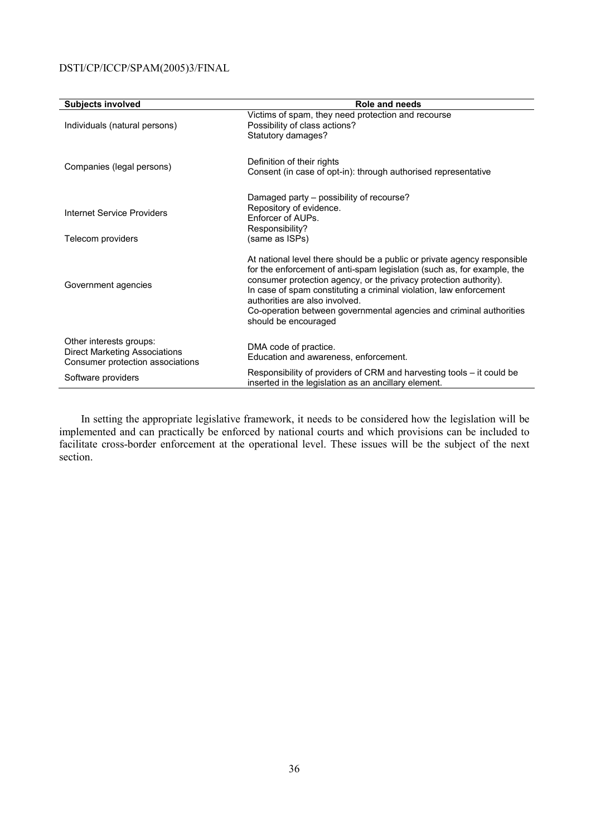| <b>Subjects involved</b>                                                                            | Role and needs                                                                                                                                                                                                                                                                                                                                                                                                                  |
|-----------------------------------------------------------------------------------------------------|---------------------------------------------------------------------------------------------------------------------------------------------------------------------------------------------------------------------------------------------------------------------------------------------------------------------------------------------------------------------------------------------------------------------------------|
| Individuals (natural persons)                                                                       | Victims of spam, they need protection and recourse<br>Possibility of class actions?<br>Statutory damages?                                                                                                                                                                                                                                                                                                                       |
| Companies (legal persons)                                                                           | Definition of their rights<br>Consent (in case of opt-in): through authorised representative                                                                                                                                                                                                                                                                                                                                    |
| Internet Service Providers                                                                          | Damaged party - possibility of recourse?<br>Repository of evidence.<br>Enforcer of AUPs.<br>Responsibility?                                                                                                                                                                                                                                                                                                                     |
| Telecom providers                                                                                   | (same as ISPs)                                                                                                                                                                                                                                                                                                                                                                                                                  |
| Government agencies                                                                                 | At national level there should be a public or private agency responsible<br>for the enforcement of anti-spam legislation (such as, for example, the<br>consumer protection agency, or the privacy protection authority).<br>In case of spam constituting a criminal violation, law enforcement<br>authorities are also involved.<br>Co-operation between governmental agencies and criminal authorities<br>should be encouraged |
| Other interests groups:<br><b>Direct Marketing Associations</b><br>Consumer protection associations | DMA code of practice.<br>Education and awareness, enforcement.                                                                                                                                                                                                                                                                                                                                                                  |
| Software providers                                                                                  | Responsibility of providers of CRM and harvesting tools – it could be<br>inserted in the legislation as an ancillary element.                                                                                                                                                                                                                                                                                                   |

In setting the appropriate legislative framework, it needs to be considered how the legislation will be implemented and can practically be enforced by national courts and which provisions can be included to facilitate cross-border enforcement at the operational level. These issues will be the subject of the next section.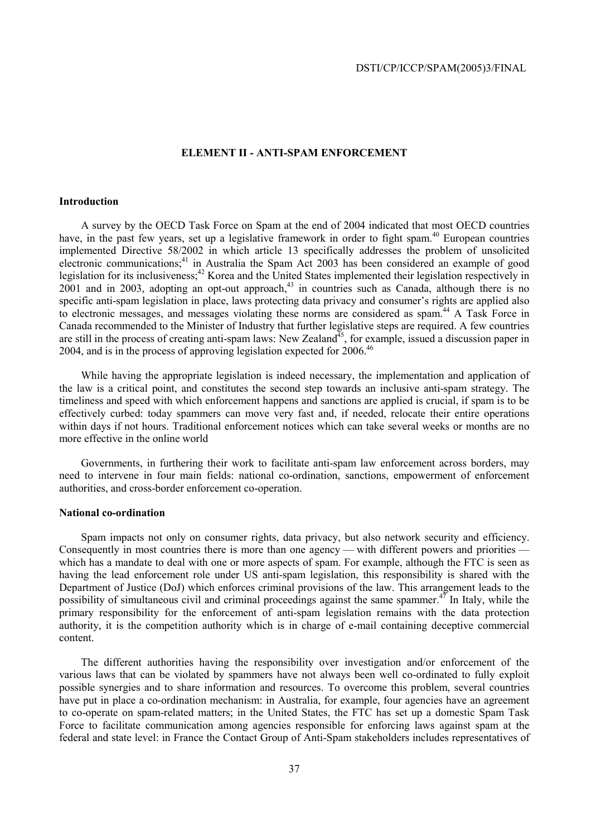## **ELEMENT II - ANTI-SPAM ENFORCEMENT**

## **Introduction**

A survey by the OECD Task Force on Spam at the end of 2004 indicated that most OECD countries have, in the past few years, set up a legislative framework in order to fight spam.<sup>40</sup> European countries implemented Directive 58/2002 in which article 13 specifically addresses the problem of unsolicited electronic communications;<sup>41</sup> in Australia the Spam Act 2003 has been considered an example of good legislation for its inclusiveness;<sup>42</sup> Korea and the United States implemented their legislation respectively in 2001 and in 2003, adopting an opt-out approach,43 in countries such as Canada, although there is no specific anti-spam legislation in place, laws protecting data privacy and consumer's rights are applied also to electronic messages, and messages violating these norms are considered as spam.44 A Task Force in Canada recommended to the Minister of Industry that further legislative steps are required. A few countries are still in the process of creating anti-spam laws: New Zealand<sup>45</sup>, for example, issued a discussion paper in 2004, and is in the process of approving legislation expected for 2006.<sup>46</sup>

While having the appropriate legislation is indeed necessary, the implementation and application of the law is a critical point, and constitutes the second step towards an inclusive anti-spam strategy. The timeliness and speed with which enforcement happens and sanctions are applied is crucial, if spam is to be effectively curbed: today spammers can move very fast and, if needed, relocate their entire operations within days if not hours. Traditional enforcement notices which can take several weeks or months are no more effective in the online world

Governments, in furthering their work to facilitate anti-spam law enforcement across borders, may need to intervene in four main fields: national co-ordination, sanctions, empowerment of enforcement authorities, and cross-border enforcement co-operation.

#### **National co-ordination**

Spam impacts not only on consumer rights, data privacy, but also network security and efficiency. Consequently in most countries there is more than one agency — with different powers and priorities which has a mandate to deal with one or more aspects of spam. For example, although the FTC is seen as having the lead enforcement role under US anti-spam legislation, this responsibility is shared with the Department of Justice (DoJ) which enforces criminal provisions of the law. This arrangement leads to the possibility of simultaneous civil and criminal proceedings against the same spammer.<sup>47</sup> In Italy, while the primary responsibility for the enforcement of anti-spam legislation remains with the data protection authority, it is the competition authority which is in charge of e-mail containing deceptive commercial content.

The different authorities having the responsibility over investigation and/or enforcement of the various laws that can be violated by spammers have not always been well co-ordinated to fully exploit possible synergies and to share information and resources. To overcome this problem, several countries have put in place a co-ordination mechanism: in Australia, for example, four agencies have an agreement to co-operate on spam-related matters; in the United States, the FTC has set up a domestic Spam Task Force to facilitate communication among agencies responsible for enforcing laws against spam at the federal and state level: in France the Contact Group of Anti-Spam stakeholders includes representatives of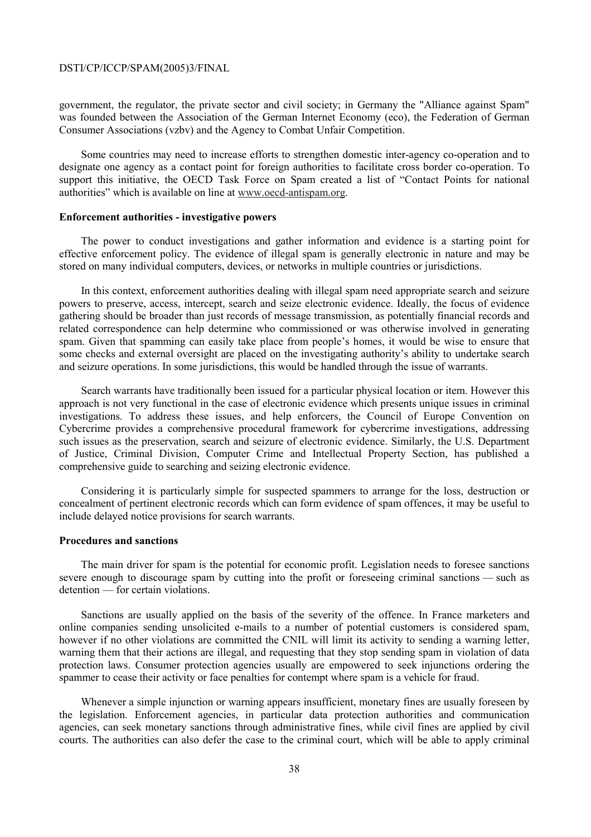government, the regulator, the private sector and civil society; in Germany the "Alliance against Spam" was founded between the Association of the German Internet Economy (eco), the Federation of German Consumer Associations (vzbv) and the Agency to Combat Unfair Competition.

Some countries may need to increase efforts to strengthen domestic inter-agency co-operation and to designate one agency as a contact point for foreign authorities to facilitate cross border co-operation. To support this initiative, the OECD Task Force on Spam created a list of "Contact Points for national authorities" which is available on line at www.oecd-antispam.org.

### **Enforcement authorities - investigative powers**

The power to conduct investigations and gather information and evidence is a starting point for effective enforcement policy. The evidence of illegal spam is generally electronic in nature and may be stored on many individual computers, devices, or networks in multiple countries or jurisdictions.

In this context, enforcement authorities dealing with illegal spam need appropriate search and seizure powers to preserve, access, intercept, search and seize electronic evidence. Ideally, the focus of evidence gathering should be broader than just records of message transmission, as potentially financial records and related correspondence can help determine who commissioned or was otherwise involved in generating spam. Given that spamming can easily take place from people's homes, it would be wise to ensure that some checks and external oversight are placed on the investigating authority's ability to undertake search and seizure operations. In some jurisdictions, this would be handled through the issue of warrants.

Search warrants have traditionally been issued for a particular physical location or item. However this approach is not very functional in the case of electronic evidence which presents unique issues in criminal investigations. To address these issues, and help enforcers, the Council of Europe Convention on Cybercrime provides a comprehensive procedural framework for cybercrime investigations, addressing such issues as the preservation, search and seizure of electronic evidence. Similarly, the U.S. Department of Justice, Criminal Division, Computer Crime and Intellectual Property Section, has published a comprehensive guide to searching and seizing electronic evidence.

Considering it is particularly simple for suspected spammers to arrange for the loss, destruction or concealment of pertinent electronic records which can form evidence of spam offences, it may be useful to include delayed notice provisions for search warrants.

# **Procedures and sanctions**

The main driver for spam is the potential for economic profit. Legislation needs to foresee sanctions severe enough to discourage spam by cutting into the profit or foreseeing criminal sanctions — such as  $d$  detention  $-$  for certain violations.

Sanctions are usually applied on the basis of the severity of the offence. In France marketers and online companies sending unsolicited e-mails to a number of potential customers is considered spam, however if no other violations are committed the CNIL will limit its activity to sending a warning letter, warning them that their actions are illegal, and requesting that they stop sending spam in violation of data protection laws. Consumer protection agencies usually are empowered to seek injunctions ordering the spammer to cease their activity or face penalties for contempt where spam is a vehicle for fraud.

Whenever a simple injunction or warning appears insufficient, monetary fines are usually foreseen by the legislation. Enforcement agencies, in particular data protection authorities and communication agencies, can seek monetary sanctions through administrative fines, while civil fines are applied by civil courts. The authorities can also defer the case to the criminal court, which will be able to apply criminal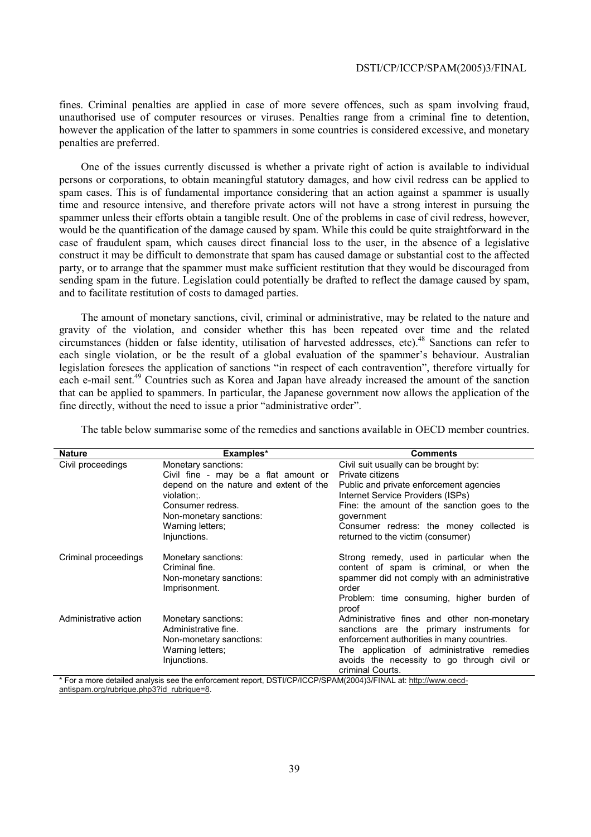fines. Criminal penalties are applied in case of more severe offences, such as spam involving fraud, unauthorised use of computer resources or viruses. Penalties range from a criminal fine to detention, however the application of the latter to spammers in some countries is considered excessive, and monetary penalties are preferred.

One of the issues currently discussed is whether a private right of action is available to individual persons or corporations, to obtain meaningful statutory damages, and how civil redress can be applied to spam cases. This is of fundamental importance considering that an action against a spammer is usually time and resource intensive, and therefore private actors will not have a strong interest in pursuing the spammer unless their efforts obtain a tangible result. One of the problems in case of civil redress, however, would be the quantification of the damage caused by spam. While this could be quite straightforward in the case of fraudulent spam, which causes direct financial loss to the user, in the absence of a legislative construct it may be difficult to demonstrate that spam has caused damage or substantial cost to the affected party, or to arrange that the spammer must make sufficient restitution that they would be discouraged from sending spam in the future. Legislation could potentially be drafted to reflect the damage caused by spam, and to facilitate restitution of costs to damaged parties.

The amount of monetary sanctions, civil, criminal or administrative, may be related to the nature and gravity of the violation, and consider whether this has been repeated over time and the related circumstances (hidden or false identity, utilisation of harvested addresses, etc).<sup>48</sup> Sanctions can refer to each single violation, or be the result of a global evaluation of the spammer's behaviour. Australian legislation foresees the application of sanctions "in respect of each contravention", therefore virtually for each e-mail sent.<sup>49</sup> Countries such as Korea and Japan have already increased the amount of the sanction that can be applied to spammers. In particular, the Japanese government now allows the application of the fine directly, without the need to issue a prior "administrative order".

| <b>Nature</b>         | Examples*                                | <b>Comments</b>                                                 |
|-----------------------|------------------------------------------|-----------------------------------------------------------------|
| Civil proceedings     | Monetary sanctions:                      | Civil suit usually can be brought by:                           |
|                       | Civil fine - may be a flat amount or     | Private citizens                                                |
|                       | depend on the nature and extent of the   | Public and private enforcement agencies                         |
|                       | violation;.                              | Internet Service Providers (ISPs)                               |
|                       | Consumer redress.                        | Fine: the amount of the sanction goes to the                    |
|                       | Non-monetary sanctions:                  | qovernment                                                      |
|                       | Warning letters;                         | Consumer redress: the money collected is                        |
|                       | Injunctions.                             | returned to the victim (consumer)                               |
| Criminal proceedings  | Monetary sanctions:                      | Strong remedy, used in particular when the                      |
|                       | Criminal fine.                           | content of spam is criminal, or when the                        |
|                       | Non-monetary sanctions:<br>Imprisonment. | spammer did not comply with an administrative<br>order          |
|                       |                                          | Problem: time consuming, higher burden of<br>proof              |
| Administrative action | Monetary sanctions:                      | Administrative fines and other non-monetary                     |
|                       | Administrative fine.                     | sanctions are the primary instruments for                       |
|                       | Non-monetary sanctions:                  | enforcement authorities in many countries.                      |
|                       | Warning letters;                         | The application of administrative remedies                      |
|                       | Injunctions.                             | avoids the necessity to go through civil or<br>criminal Courts. |

The table below summarise some of the remedies and sanctions available in OECD member countries.

\* For a more detailed analysis see the enforcement report, DSTI/CP/ICCP/SPAM(2004)3/FINAL at: http://www.oecdantispam.org/rubrique.php3?id\_rubrique=8.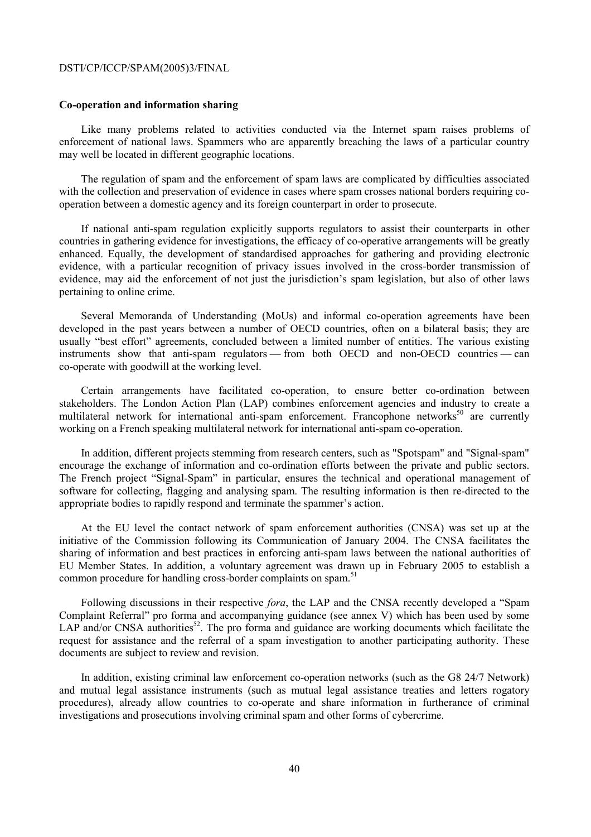### **Co-operation and information sharing**

Like many problems related to activities conducted via the Internet spam raises problems of enforcement of national laws. Spammers who are apparently breaching the laws of a particular country may well be located in different geographic locations.

The regulation of spam and the enforcement of spam laws are complicated by difficulties associated with the collection and preservation of evidence in cases where spam crosses national borders requiring cooperation between a domestic agency and its foreign counterpart in order to prosecute.

If national anti-spam regulation explicitly supports regulators to assist their counterparts in other countries in gathering evidence for investigations, the efficacy of co-operative arrangements will be greatly enhanced. Equally, the development of standardised approaches for gathering and providing electronic evidence, with a particular recognition of privacy issues involved in the cross-border transmission of evidence, may aid the enforcement of not just the jurisdiction's spam legislation, but also of other laws pertaining to online crime.

Several Memoranda of Understanding (MoUs) and informal co-operation agreements have been developed in the past years between a number of OECD countries, often on a bilateral basis; they are usually "best effort" agreements, concluded between a limited number of entities. The various existing instruments show that anti-spam regulators – from both OECD and non-OECD countries – can co-operate with goodwill at the working level.

Certain arrangements have facilitated co-operation, to ensure better co-ordination between stakeholders. The London Action Plan (LAP) combines enforcement agencies and industry to create a multilateral network for international anti-spam enforcement. Francophone networks<sup>50</sup> are currently working on a French speaking multilateral network for international anti-spam co-operation.

In addition, different projects stemming from research centers, such as "Spotspam" and "Signal-spam" encourage the exchange of information and co-ordination efforts between the private and public sectors. The French project "Signal-Spam" in particular, ensures the technical and operational management of software for collecting, flagging and analysing spam. The resulting information is then re-directed to the appropriate bodies to rapidly respond and terminate the spammer's action.

At the EU level the contact network of spam enforcement authorities (CNSA) was set up at the initiative of the Commission following its Communication of January 2004. The CNSA facilitates the sharing of information and best practices in enforcing anti-spam laws between the national authorities of EU Member States. In addition, a voluntary agreement was drawn up in February 2005 to establish a common procedure for handling cross-border complaints on spam.<sup>51</sup>

Following discussions in their respective *fora*, the LAP and the CNSA recently developed a "Spam" Complaint Referral" pro forma and accompanying guidance (see annex V) which has been used by some  $LAP$  and/or CNSA authorities<sup>52</sup>. The pro forma and guidance are working documents which facilitate the request for assistance and the referral of a spam investigation to another participating authority. These documents are subject to review and revision.

In addition, existing criminal law enforcement co-operation networks (such as the G8 24/7 Network) and mutual legal assistance instruments (such as mutual legal assistance treaties and letters rogatory procedures), already allow countries to co-operate and share information in furtherance of criminal investigations and prosecutions involving criminal spam and other forms of cybercrime.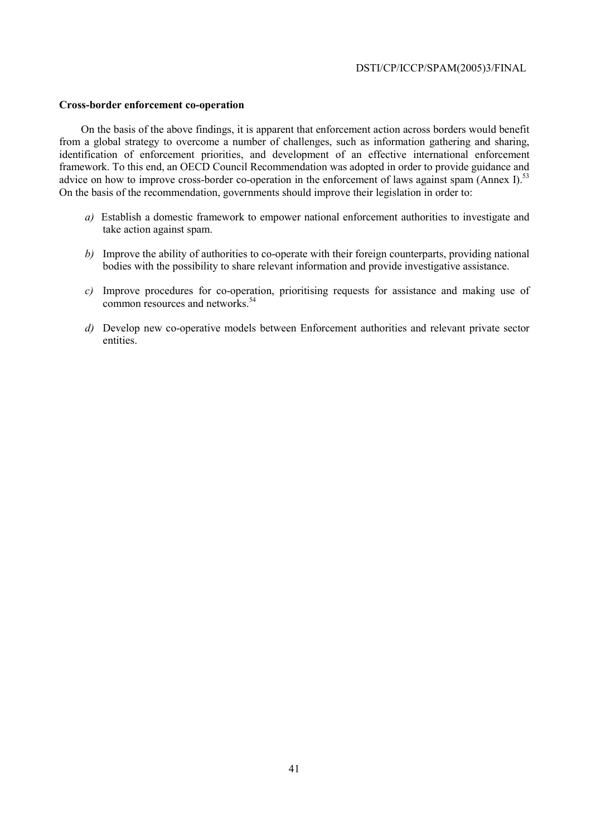### **Cross-border enforcement co-operation**

On the basis of the above findings, it is apparent that enforcement action across borders would benefit from a global strategy to overcome a number of challenges, such as information gathering and sharing, identification of enforcement priorities, and development of an effective international enforcement framework. To this end, an OECD Council Recommendation was adopted in order to provide guidance and advice on how to improve cross-border co-operation in the enforcement of laws against spam (Annex I).<sup>53</sup> On the basis of the recommendation, governments should improve their legislation in order to:

- *a)* Establish a domestic framework to empower national enforcement authorities to investigate and take action against spam.
- *b)* Improve the ability of authorities to co-operate with their foreign counterparts, providing national bodies with the possibility to share relevant information and provide investigative assistance.
- *c)* Improve procedures for co-operation, prioritising requests for assistance and making use of common resources and networks.<sup>54</sup>
- *d)* Develop new co-operative models between Enforcement authorities and relevant private sector entities.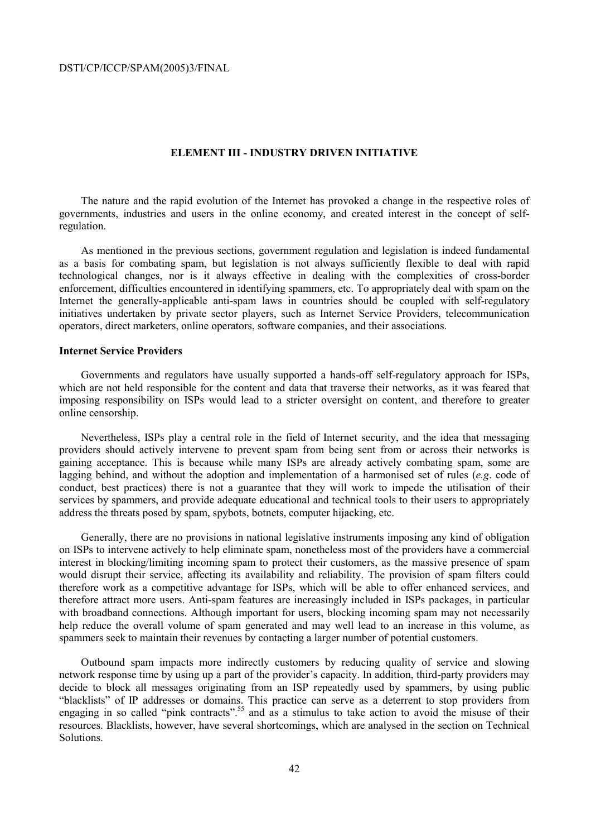## **ELEMENT III - INDUSTRY DRIVEN INITIATIVE**

The nature and the rapid evolution of the Internet has provoked a change in the respective roles of governments, industries and users in the online economy, and created interest in the concept of selfregulation.

As mentioned in the previous sections, government regulation and legislation is indeed fundamental as a basis for combating spam, but legislation is not always sufficiently flexible to deal with rapid technological changes, nor is it always effective in dealing with the complexities of cross-border enforcement, difficulties encountered in identifying spammers, etc. To appropriately deal with spam on the Internet the generally-applicable anti-spam laws in countries should be coupled with self-regulatory initiatives undertaken by private sector players, such as Internet Service Providers, telecommunication operators, direct marketers, online operators, software companies, and their associations.

### **Internet Service Providers**

Governments and regulators have usually supported a hands-off self-regulatory approach for ISPs, which are not held responsible for the content and data that traverse their networks, as it was feared that imposing responsibility on ISPs would lead to a stricter oversight on content, and therefore to greater online censorship.

Nevertheless, ISPs play a central role in the field of Internet security, and the idea that messaging providers should actively intervene to prevent spam from being sent from or across their networks is gaining acceptance. This is because while many ISPs are already actively combating spam, some are lagging behind, and without the adoption and implementation of a harmonised set of rules (*e.g*. code of conduct, best practices) there is not a guarantee that they will work to impede the utilisation of their services by spammers, and provide adequate educational and technical tools to their users to appropriately address the threats posed by spam, spybots, botnets, computer hijacking, etc.

Generally, there are no provisions in national legislative instruments imposing any kind of obligation on ISPs to intervene actively to help eliminate spam, nonetheless most of the providers have a commercial interest in blocking/limiting incoming spam to protect their customers, as the massive presence of spam would disrupt their service, affecting its availability and reliability. The provision of spam filters could therefore work as a competitive advantage for ISPs, which will be able to offer enhanced services, and therefore attract more users. Anti-spam features are increasingly included in ISPs packages, in particular with broadband connections. Although important for users, blocking incoming spam may not necessarily help reduce the overall volume of spam generated and may well lead to an increase in this volume, as spammers seek to maintain their revenues by contacting a larger number of potential customers.

Outbound spam impacts more indirectly customers by reducing quality of service and slowing network response time by using up a part of the provider's capacity. In addition, third-party providers may decide to block all messages originating from an ISP repeatedly used by spammers, by using public "blacklists" of IP addresses or domains. This practice can serve as a deterrent to stop providers from engaging in so called "pink contracts".<sup>55</sup> and as a stimulus to take action to avoid the misuse of their resources. Blacklists, however, have several shortcomings, which are analysed in the section on Technical **Solutions**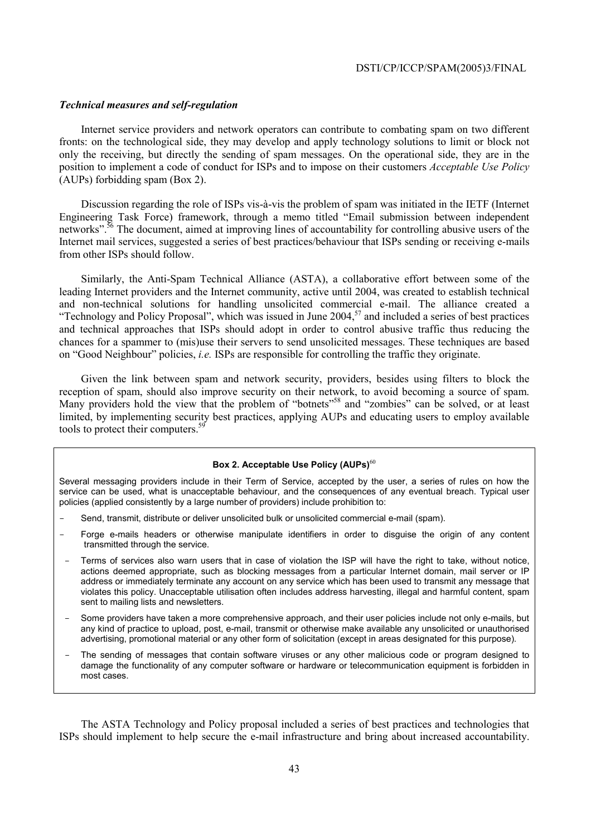## *Technical measures and self-regulation*

Internet service providers and network operators can contribute to combating spam on two different fronts: on the technological side, they may develop and apply technology solutions to limit or block not only the receiving, but directly the sending of spam messages. On the operational side, they are in the position to implement a code of conduct for ISPs and to impose on their customers *Acceptable Use Policy* (AUPs) forbidding spam (Box 2).

Discussion regarding the role of ISPs vis-à-vis the problem of spam was initiated in the IETF (Internet Engineering Task Force) framework, through a memo titled "Email submission between independent networks".<sup>56</sup> The document, aimed at improving lines of accountability for controlling abusive users of the Internet mail services, suggested a series of best practices/behaviour that ISPs sending or receiving e-mails from other ISPs should follow.

Similarly, the Anti-Spam Technical Alliance (ASTA), a collaborative effort between some of the leading Internet providers and the Internet community, active until 2004, was created to establish technical and non-technical solutions for handling unsolicited commercial e-mail. The alliance created a "Technology and Policy Proposal", which was issued in June  $2004$ ,  $57$  and included a series of best practices and technical approaches that ISPs should adopt in order to control abusive traffic thus reducing the chances for a spammer to (mis)use their servers to send unsolicited messages. These techniques are based on ìGood Neighbourî policies, *i.e.* ISPs are responsible for controlling the traffic they originate.

Given the link between spam and network security, providers, besides using filters to block the reception of spam, should also improve security on their network, to avoid becoming a source of spam. Many providers hold the view that the problem of "botnets"<sup>58</sup> and "zombies" can be solved, or at least limited, by implementing security best practices, applying AUPs and educating users to employ available tools to protect their computers.<sup>59</sup>

## Box 2. Acceptable Use Policy (AUPs)<sup>60</sup>

Several messaging providers include in their Term of Service, accepted by the user, a series of rules on how the service can be used, what is unacceptable behaviour, and the consequences of any eventual breach. Typical user policies (applied consistently by a large number of providers) include prohibition to:

- Send, transmit, distribute or deliver unsolicited bulk or unsolicited commercial e-mail (spam).
- Forge e-mails headers or otherwise manipulate identifiers in order to disguise the origin of any content transmitted through the service.
- Terms of services also warn users that in case of violation the ISP will have the right to take, without notice, actions deemed appropriate, such as blocking messages from a particular Internet domain, mail server or IP address or immediately terminate any account on any service which has been used to transmit any message that violates this policy. Unacceptable utilisation often includes address harvesting, illegal and harmful content, spam sent to mailing lists and newsletters.
- Some providers have taken a more comprehensive approach, and their user policies include not only e-mails, but any kind of practice to upload, post, e-mail, transmit or otherwise make available any unsolicited or unauthorised advertising, promotional material or any other form of solicitation (except in areas designated for this purpose).
- The sending of messages that contain software viruses or any other malicious code or program designed to damage the functionality of any computer software or hardware or telecommunication equipment is forbidden in most cases.

The ASTA Technology and Policy proposal included a series of best practices and technologies that ISPs should implement to help secure the e-mail infrastructure and bring about increased accountability.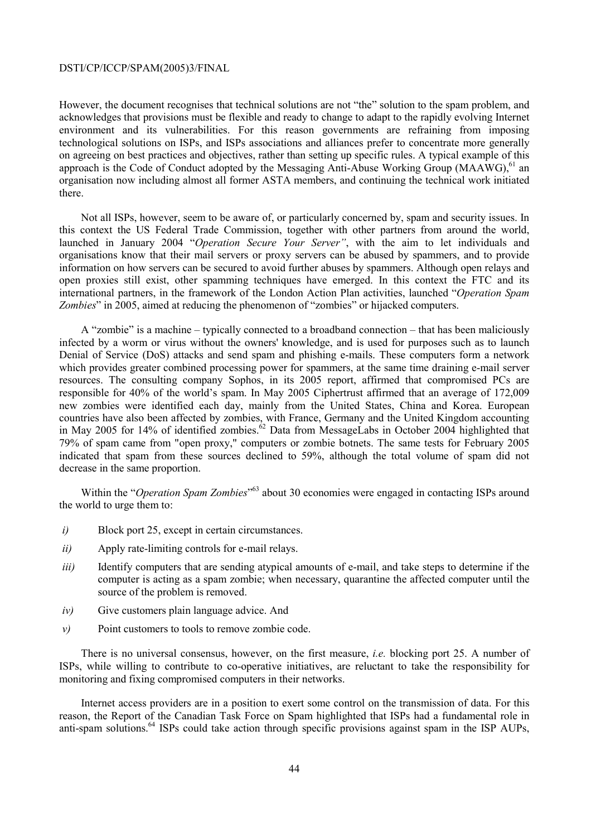However, the document recognises that technical solutions are not "the" solution to the spam problem, and acknowledges that provisions must be flexible and ready to change to adapt to the rapidly evolving Internet environment and its vulnerabilities. For this reason governments are refraining from imposing technological solutions on ISPs, and ISPs associations and alliances prefer to concentrate more generally on agreeing on best practices and objectives, rather than setting up specific rules. A typical example of this approach is the Code of Conduct adopted by the Messaging Anti-Abuse Working Group (MAAWG),  $61$  an organisation now including almost all former ASTA members, and continuing the technical work initiated there.

Not all ISPs, however, seem to be aware of, or particularly concerned by, spam and security issues. In this context the US Federal Trade Commission, together with other partners from around the world, launched in January 2004 *"Operation Secure Your Server*", with the aim to let individuals and organisations know that their mail servers or proxy servers can be abused by spammers, and to provide information on how servers can be secured to avoid further abuses by spammers. Although open relays and open proxies still exist, other spamming techniques have emerged. In this context the FTC and its international partners, in the framework of the London Action Plan activities, launched *<i><sup><i>Operation Spam*</sup> Zombies" in 2005, aimed at reducing the phenomenon of "zombies" or hijacked computers.

A "zombie" is a machine – typically connected to a broadband connection – that has been maliciously infected by a worm or virus without the owners' knowledge, and is used for purposes such as to launch Denial of Service (DoS) attacks and send spam and phishing e-mails. These computers form a network which provides greater combined processing power for spammers, at the same time draining e-mail server resources. The consulting company Sophos, in its 2005 report, affirmed that compromised PCs are responsible for 40% of the world's spam. In May 2005 Ciphertrust affirmed that an average of 172,009 new zombies were identified each day, mainly from the United States, China and Korea. European countries have also been affected by zombies, with France, Germany and the United Kingdom accounting in May 2005 for 14% of identified zombies.<sup>62</sup> Data from MessageLabs in October 2004 highlighted that 79% of spam came from "open proxy," computers or zombie botnets. The same tests for February 2005 indicated that spam from these sources declined to 59%, although the total volume of spam did not decrease in the same proportion.

Within the "*Operation Spam Zombies*"<sup>63</sup> about 30 economies were engaged in contacting ISPs around the world to urge them to:

- *i*) Block port 25, except in certain circumstances.
- *ii)* Apply rate-limiting controls for e-mail relays.
- *iii*) Identify computers that are sending atypical amounts of e-mail, and take steps to determine if the computer is acting as a spam zombie; when necessary, quarantine the affected computer until the source of the problem is removed.
- *iv)* Give customers plain language advice. And
- *v*) Point customers to tools to remove zombie code.

There is no universal consensus, however, on the first measure, *i.e.* blocking port 25. A number of ISPs, while willing to contribute to co-operative initiatives, are reluctant to take the responsibility for monitoring and fixing compromised computers in their networks.

Internet access providers are in a position to exert some control on the transmission of data. For this reason, the Report of the Canadian Task Force on Spam highlighted that ISPs had a fundamental role in anti-spam solutions.<sup>64</sup> ISPs could take action through specific provisions against spam in the ISP AUPs,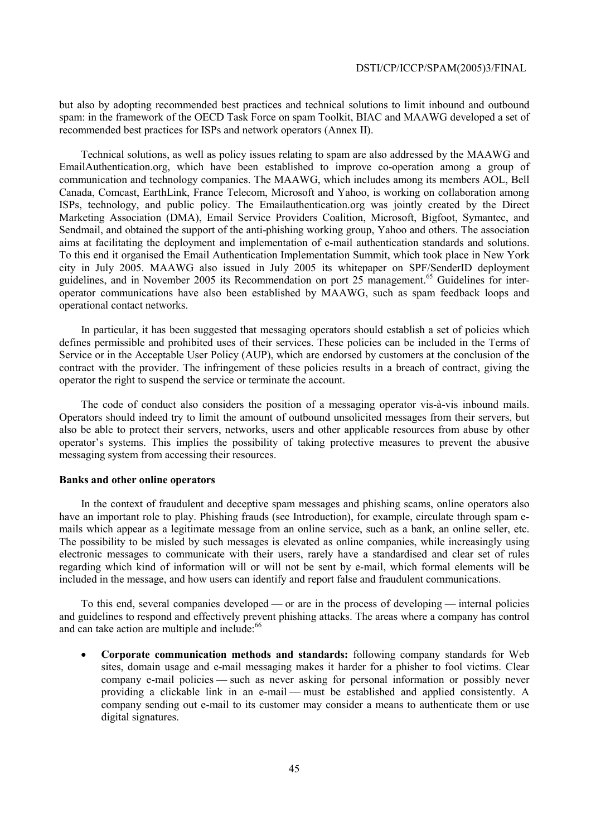but also by adopting recommended best practices and technical solutions to limit inbound and outbound spam: in the framework of the OECD Task Force on spam Toolkit, BIAC and MAAWG developed a set of recommended best practices for ISPs and network operators (Annex II).

Technical solutions, as well as policy issues relating to spam are also addressed by the MAAWG and EmailAuthentication.org, which have been established to improve co-operation among a group of communication and technology companies. The MAAWG, which includes among its members AOL, Bell Canada, Comcast, EarthLink, France Telecom, Microsoft and Yahoo, is working on collaboration among ISPs, technology, and public policy. The Emailauthentication.org was jointly created by the Direct Marketing Association (DMA), Email Service Providers Coalition, Microsoft, Bigfoot, Symantec, and Sendmail, and obtained the support of the anti-phishing working group, Yahoo and others. The association aims at facilitating the deployment and implementation of e-mail authentication standards and solutions. To this end it organised the Email Authentication Implementation Summit, which took place in New York city in July 2005. MAAWG also issued in July 2005 its whitepaper on SPF/SenderID deployment guidelines, and in November 2005 its Recommendation on port 25 management.<sup>65</sup> Guidelines for interoperator communications have also been established by MAAWG, such as spam feedback loops and operational contact networks.

In particular, it has been suggested that messaging operators should establish a set of policies which defines permissible and prohibited uses of their services. These policies can be included in the Terms of Service or in the Acceptable User Policy (AUP), which are endorsed by customers at the conclusion of the contract with the provider. The infringement of these policies results in a breach of contract, giving the operator the right to suspend the service or terminate the account.

The code of conduct also considers the position of a messaging operator vis- $\dot{a}$ -vis inbound mails. Operators should indeed try to limit the amount of outbound unsolicited messages from their servers, but also be able to protect their servers, networks, users and other applicable resources from abuse by other operator's systems. This implies the possibility of taking protective measures to prevent the abusive messaging system from accessing their resources.

## **Banks and other online operators**

In the context of fraudulent and deceptive spam messages and phishing scams, online operators also have an important role to play. Phishing frauds (see Introduction), for example, circulate through spam emails which appear as a legitimate message from an online service, such as a bank, an online seller, etc. The possibility to be misled by such messages is elevated as online companies, while increasingly using electronic messages to communicate with their users, rarely have a standardised and clear set of rules regarding which kind of information will or will not be sent by e-mail, which formal elements will be included in the message, and how users can identify and report false and fraudulent communications.

To this end, several companies developed  $\sim$  or are in the process of developing  $\sim$  internal policies and guidelines to respond and effectively prevent phishing attacks. The areas where a company has control and can take action are multiple and include:<sup>66</sup>

• **Corporate communication methods and standards:** following company standards for Web sites, domain usage and e-mail messaging makes it harder for a phisher to fool victims. Clear company e-mail policies — such as never asking for personal information or possibly never providing a clickable link in an e-mail – must be established and applied consistently. A company sending out e-mail to its customer may consider a means to authenticate them or use digital signatures.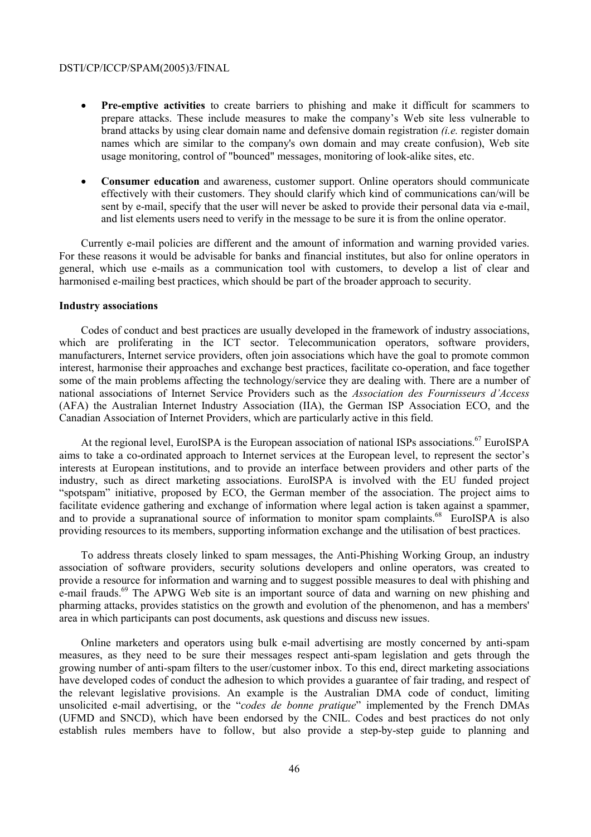- **Pre-emptive activities** to create barriers to phishing and make it difficult for scammers to prepare attacks. These include measures to make the companyís Web site less vulnerable to brand attacks by using clear domain name and defensive domain registration *(i.e.* register domain names which are similar to the company's own domain and may create confusion), Web site usage monitoring, control of "bounced" messages, monitoring of look-alike sites, etc.
- **Consumer education** and awareness, customer support. Online operators should communicate effectively with their customers. They should clarify which kind of communications can/will be sent by e-mail, specify that the user will never be asked to provide their personal data via e-mail, and list elements users need to verify in the message to be sure it is from the online operator.

Currently e-mail policies are different and the amount of information and warning provided varies. For these reasons it would be advisable for banks and financial institutes, but also for online operators in general, which use e-mails as a communication tool with customers, to develop a list of clear and harmonised e-mailing best practices, which should be part of the broader approach to security.

#### **Industry associations**

Codes of conduct and best practices are usually developed in the framework of industry associations, which are proliferating in the ICT sector. Telecommunication operators, software providers, manufacturers, Internet service providers, often join associations which have the goal to promote common interest, harmonise their approaches and exchange best practices, facilitate co-operation, and face together some of the main problems affecting the technology/service they are dealing with. There are a number of national associations of Internet Service Providers such as the *Association des Fournisseurs díAccess* (AFA) the Australian Internet Industry Association (IIA), the German ISP Association ECO, and the Canadian Association of Internet Providers, which are particularly active in this field.

At the regional level, EuroISPA is the European association of national ISPs associations.<sup>67</sup> EuroISPA aims to take a co-ordinated approach to Internet services at the European level, to represent the sector's interests at European institutions, and to provide an interface between providers and other parts of the industry, such as direct marketing associations. EuroISPA is involved with the EU funded project ìspotspamî initiative, proposed by ECO, the German member of the association. The project aims to facilitate evidence gathering and exchange of information where legal action is taken against a spammer, and to provide a supranational source of information to monitor spam complaints.<sup>68</sup> EuroISPA is also providing resources to its members, supporting information exchange and the utilisation of best practices.

To address threats closely linked to spam messages, the Anti-Phishing Working Group, an industry association of software providers, security solutions developers and online operators, was created to provide a resource for information and warning and to suggest possible measures to deal with phishing and e-mail frauds.<sup>69</sup> The APWG Web site is an important source of data and warning on new phishing and pharming attacks, provides statistics on the growth and evolution of the phenomenon, and has a members' area in which participants can post documents, ask questions and discuss new issues.

Online marketers and operators using bulk e-mail advertising are mostly concerned by anti-spam measures, as they need to be sure their messages respect anti-spam legislation and gets through the growing number of anti-spam filters to the user/customer inbox. To this end, direct marketing associations have developed codes of conduct the adhesion to which provides a guarantee of fair trading, and respect of the relevant legislative provisions. An example is the Australian DMA code of conduct, limiting unsolicited e-mail advertising, or the *"codes de bonne pratique*" implemented by the French DMAs (UFMD and SNCD), which have been endorsed by the CNIL. Codes and best practices do not only establish rules members have to follow, but also provide a step-by-step guide to planning and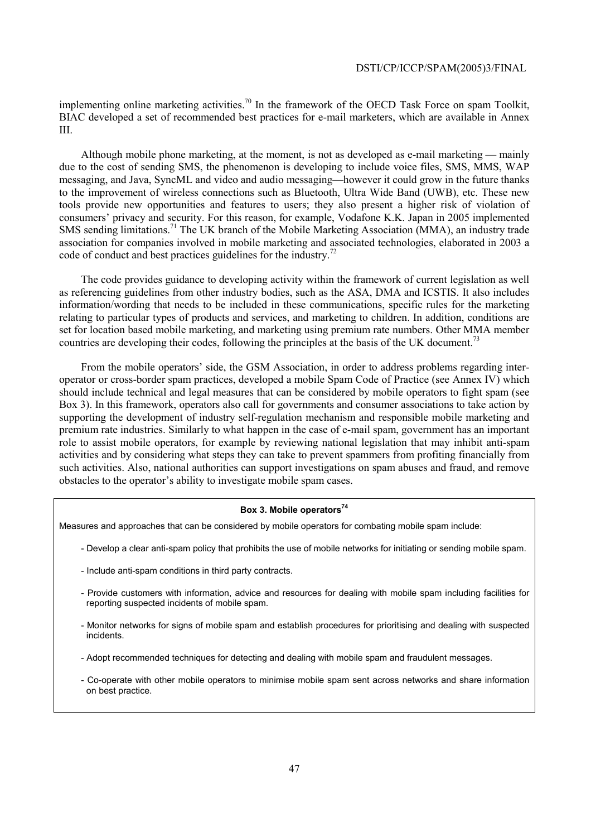implementing online marketing activities.<sup>70</sup> In the framework of the OECD Task Force on spam Toolkit, BIAC developed a set of recommended best practices for e-mail marketers, which are available in Annex III.

Although mobile phone marketing, at the moment, is not as developed as e-mail marketing  $-$  mainly due to the cost of sending SMS, the phenomenon is developing to include voice files, SMS, MMS, WAP messaging, and Java, SyncML and video and audio messaging—however it could grow in the future thanks to the improvement of wireless connections such as Bluetooth, Ultra Wide Band (UWB), etc. These new tools provide new opportunities and features to users; they also present a higher risk of violation of consumers' privacy and security. For this reason, for example, Vodafone K.K. Japan in 2005 implemented SMS sending limitations.<sup>71</sup> The UK branch of the Mobile Marketing Association (MMA), an industry trade association for companies involved in mobile marketing and associated technologies, elaborated in 2003 a code of conduct and best practices guidelines for the industry.<sup>72</sup>

The code provides guidance to developing activity within the framework of current legislation as well as referencing guidelines from other industry bodies, such as the ASA, DMA and ICSTIS. It also includes information/wording that needs to be included in these communications, specific rules for the marketing relating to particular types of products and services, and marketing to children. In addition, conditions are set for location based mobile marketing, and marketing using premium rate numbers. Other MMA member countries are developing their codes, following the principles at the basis of the UK document.<sup>73</sup>

From the mobile operators' side, the GSM Association, in order to address problems regarding interoperator or cross-border spam practices, developed a mobile Spam Code of Practice (see Annex IV) which should include technical and legal measures that can be considered by mobile operators to fight spam (see Box 3). In this framework, operators also call for governments and consumer associations to take action by supporting the development of industry self-regulation mechanism and responsible mobile marketing and premium rate industries. Similarly to what happen in the case of e-mail spam, government has an important role to assist mobile operators, for example by reviewing national legislation that may inhibit anti-spam activities and by considering what steps they can take to prevent spammers from profiting financially from such activities. Also, national authorities can support investigations on spam abuses and fraud, and remove obstacles to the operator's ability to investigate mobile spam cases.

## Box 3. Mobile operators<sup>74</sup>

Measures and approaches that can be considered by mobile operators for combating mobile spam include:

- Develop a clear anti-spam policy that prohibits the use of mobile networks for initiating or sending mobile spam.
- Include anti-spam conditions in third party contracts.
- Provide customers with information, advice and resources for dealing with mobile spam including facilities for reporting suspected incidents of mobile spam.
- Monitor networks for signs of mobile spam and establish procedures for prioritising and dealing with suspected incidents.
- Adopt recommended techniques for detecting and dealing with mobile spam and fraudulent messages.
- Co-operate with other mobile operators to minimise mobile spam sent across networks and share information on best practice.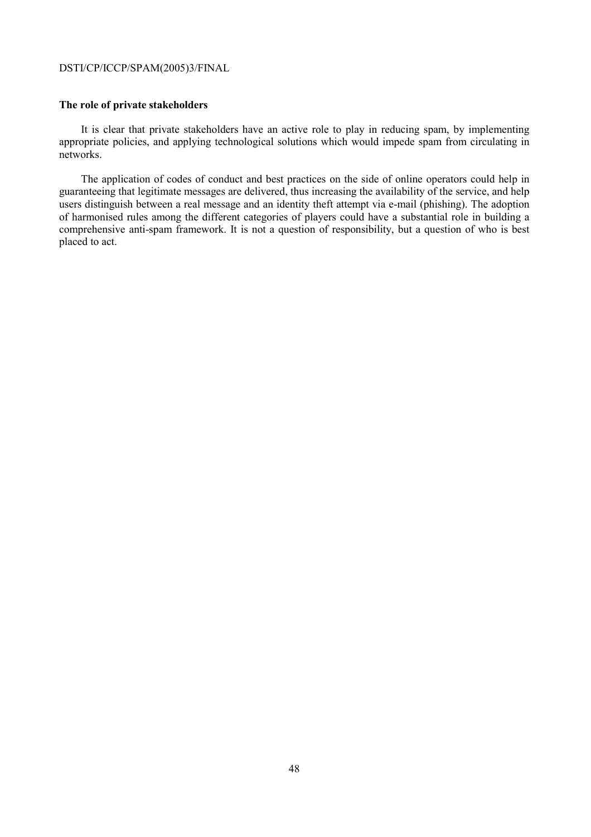## **The role of private stakeholders**

It is clear that private stakeholders have an active role to play in reducing spam, by implementing appropriate policies, and applying technological solutions which would impede spam from circulating in networks.

The application of codes of conduct and best practices on the side of online operators could help in guaranteeing that legitimate messages are delivered, thus increasing the availability of the service, and help users distinguish between a real message and an identity theft attempt via e-mail (phishing). The adoption of harmonised rules among the different categories of players could have a substantial role in building a comprehensive anti-spam framework. It is not a question of responsibility, but a question of who is best placed to act.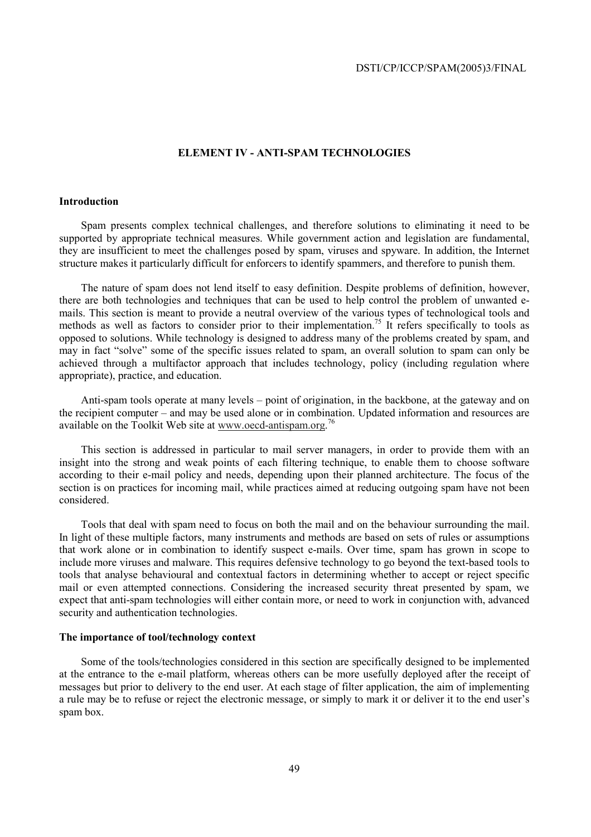## **ELEMENT IV - ANTI-SPAM TECHNOLOGIES**

### **Introduction**

Spam presents complex technical challenges, and therefore solutions to eliminating it need to be supported by appropriate technical measures. While government action and legislation are fundamental, they are insufficient to meet the challenges posed by spam, viruses and spyware. In addition, the Internet structure makes it particularly difficult for enforcers to identify spammers, and therefore to punish them.

The nature of spam does not lend itself to easy definition. Despite problems of definition, however, there are both technologies and techniques that can be used to help control the problem of unwanted emails. This section is meant to provide a neutral overview of the various types of technological tools and methods as well as factors to consider prior to their implementation.<sup>75</sup> It refers specifically to tools as opposed to solutions. While technology is designed to address many of the problems created by spam, and may in fact "solve" some of the specific issues related to spam, an overall solution to spam can only be achieved through a multifactor approach that includes technology, policy (including regulation where appropriate), practice, and education.

Anti-spam tools operate at many levels – point of origination, in the backbone, at the gateway and on the recipient computer – and may be used alone or in combination. Updated information and resources are available on the Toolkit Web site at www.oecd-antispam.org.<sup>76</sup>

This section is addressed in particular to mail server managers, in order to provide them with an insight into the strong and weak points of each filtering technique, to enable them to choose software according to their e-mail policy and needs, depending upon their planned architecture. The focus of the section is on practices for incoming mail, while practices aimed at reducing outgoing spam have not been considered.

Tools that deal with spam need to focus on both the mail and on the behaviour surrounding the mail. In light of these multiple factors, many instruments and methods are based on sets of rules or assumptions that work alone or in combination to identify suspect e-mails. Over time, spam has grown in scope to include more viruses and malware. This requires defensive technology to go beyond the text-based tools to tools that analyse behavioural and contextual factors in determining whether to accept or reject specific mail or even attempted connections. Considering the increased security threat presented by spam, we expect that anti-spam technologies will either contain more, or need to work in conjunction with, advanced security and authentication technologies.

### **The importance of tool/technology context**

Some of the tools/technologies considered in this section are specifically designed to be implemented at the entrance to the e-mail platform, whereas others can be more usefully deployed after the receipt of messages but prior to delivery to the end user. At each stage of filter application, the aim of implementing a rule may be to refuse or reject the electronic message, or simply to mark it or deliver it to the end user's spam box.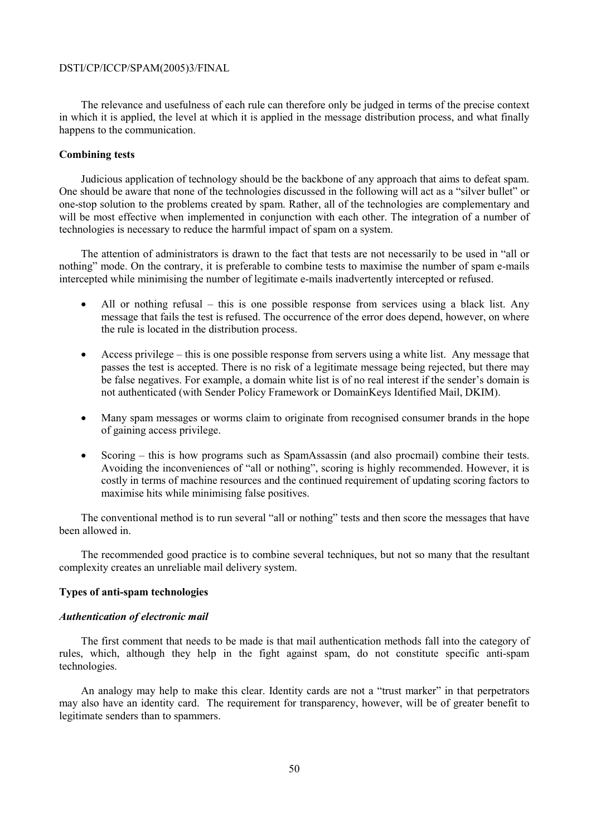The relevance and usefulness of each rule can therefore only be judged in terms of the precise context in which it is applied, the level at which it is applied in the message distribution process, and what finally happens to the communication.

## **Combining tests**

Judicious application of technology should be the backbone of any approach that aims to defeat spam. One should be aware that none of the technologies discussed in the following will act as a "silver bullet" or one-stop solution to the problems created by spam. Rather, all of the technologies are complementary and will be most effective when implemented in conjunction with each other. The integration of a number of technologies is necessary to reduce the harmful impact of spam on a system.

The attention of administrators is drawn to the fact that tests are not necessarily to be used in "all or nothing" mode. On the contrary, it is preferable to combine tests to maximise the number of spam e-mails intercepted while minimising the number of legitimate e-mails inadvertently intercepted or refused.

- All or nothing refusal  $-$  this is one possible response from services using a black list. Any message that fails the test is refused. The occurrence of the error does depend, however, on where the rule is located in the distribution process.
- Access privilege  $-\theta$  this is one possible response from servers using a white list. Any message that passes the test is accepted. There is no risk of a legitimate message being rejected, but there may be false negatives. For example, a domain white list is of no real interest if the sender's domain is not authenticated (with Sender Policy Framework or DomainKeys Identified Mail, DKIM).
- Many spam messages or worms claim to originate from recognised consumer brands in the hope of gaining access privilege.
- Scoring this is how programs such as SpamAssassin (and also procmail) combine their tests. Avoiding the inconveniences of "all or nothing", scoring is highly recommended. However, it is costly in terms of machine resources and the continued requirement of updating scoring factors to maximise hits while minimising false positives.

The conventional method is to run several "all or nothing" tests and then score the messages that have been allowed in.

The recommended good practice is to combine several techniques, but not so many that the resultant complexity creates an unreliable mail delivery system.

# **Types of anti-spam technologies**

## *Authentication of electronic mail*

The first comment that needs to be made is that mail authentication methods fall into the category of rules, which, although they help in the fight against spam, do not constitute specific anti-spam technologies.

An analogy may help to make this clear. Identity cards are not a "trust marker" in that perpetrators may also have an identity card. The requirement for transparency, however, will be of greater benefit to legitimate senders than to spammers.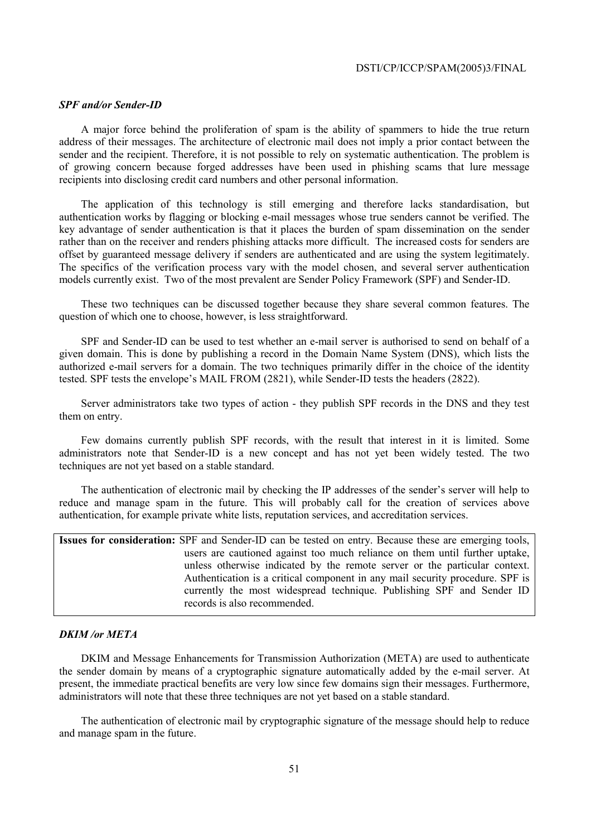# *SPF and/or Sender-ID*

A major force behind the proliferation of spam is the ability of spammers to hide the true return address of their messages. The architecture of electronic mail does not imply a prior contact between the sender and the recipient. Therefore, it is not possible to rely on systematic authentication. The problem is of growing concern because forged addresses have been used in phishing scams that lure message recipients into disclosing credit card numbers and other personal information.

The application of this technology is still emerging and therefore lacks standardisation, but authentication works by flagging or blocking e-mail messages whose true senders cannot be verified. The key advantage of sender authentication is that it places the burden of spam dissemination on the sender rather than on the receiver and renders phishing attacks more difficult. The increased costs for senders are offset by guaranteed message delivery if senders are authenticated and are using the system legitimately. The specifics of the verification process vary with the model chosen, and several server authentication models currently exist. Two of the most prevalent are Sender Policy Framework (SPF) and Sender-ID.

These two techniques can be discussed together because they share several common features. The question of which one to choose, however, is less straightforward.

SPF and Sender-ID can be used to test whether an e-mail server is authorised to send on behalf of a given domain. This is done by publishing a record in the Domain Name System (DNS), which lists the authorized e-mail servers for a domain. The two techniques primarily differ in the choice of the identity tested. SPF tests the envelope's MAIL FROM (2821), while Sender-ID tests the headers (2822).

Server administrators take two types of action - they publish SPF records in the DNS and they test them on entry.

Few domains currently publish SPF records, with the result that interest in it is limited. Some administrators note that Sender-ID is a new concept and has not yet been widely tested. The two techniques are not yet based on a stable standard.

The authentication of electronic mail by checking the IP addresses of the sender's server will help to reduce and manage spam in the future. This will probably call for the creation of services above authentication, for example private white lists, reputation services, and accreditation services.

| <b>Issues for consideration:</b> SPF and Sender-ID can be tested on entry. Because these are emerging tools, |
|--------------------------------------------------------------------------------------------------------------|
| users are cautioned against too much reliance on them until further uptake,                                  |
| unless otherwise indicated by the remote server or the particular context.                                   |
| Authentication is a critical component in any mail security procedure. SPF is                                |
| currently the most widespread technique. Publishing SPF and Sender ID                                        |
| records is also recommended.                                                                                 |

### *DKIM /or META*

DKIM and Message Enhancements for Transmission Authorization (META) are used to authenticate the sender domain by means of a cryptographic signature automatically added by the e-mail server. At present, the immediate practical benefits are very low since few domains sign their messages. Furthermore, administrators will note that these three techniques are not yet based on a stable standard.

The authentication of electronic mail by cryptographic signature of the message should help to reduce and manage spam in the future.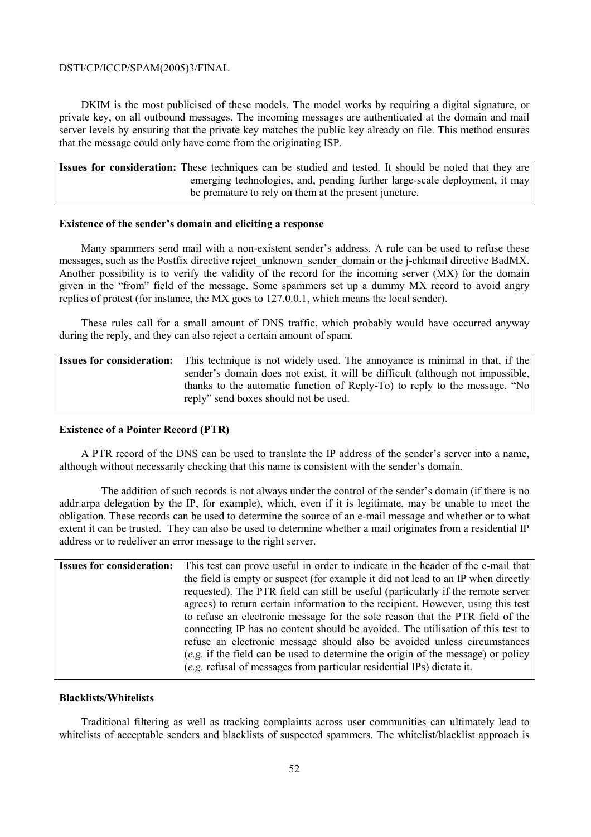DKIM is the most publicised of these models. The model works by requiring a digital signature, or private key, on all outbound messages. The incoming messages are authenticated at the domain and mail server levels by ensuring that the private key matches the public key already on file. This method ensures that the message could only have come from the originating ISP.

**Issues for consideration:** These techniques can be studied and tested. It should be noted that they are emerging technologies, and, pending further large-scale deployment, it may be premature to rely on them at the present juncture.

# **Existence of the sender's domain and eliciting a response**

Many spammers send mail with a non-existent sender's address. A rule can be used to refuse these messages, such as the Postfix directive reject unknown sender domain or the j-chkmail directive BadMX. Another possibility is to verify the validity of the record for the incoming server (MX) for the domain given in the "from" field of the message. Some spammers set up a dummy MX record to avoid angry replies of protest (for instance, the MX goes to 127.0.0.1, which means the local sender).

These rules call for a small amount of DNS traffic, which probably would have occurred anyway during the reply, and they can also reject a certain amount of spam.

| <b>Issues for consideration:</b> This technique is not widely used. The annoyance is minimal in that, if the        |
|---------------------------------------------------------------------------------------------------------------------|
| sender's domain does not exist, it will be difficult (although not impossible,                                      |
| thanks to the automatic function of Reply-To) to reply to the message. "No<br>reply" send boxes should not be used. |

## **Existence of a Pointer Record (PTR)**

A PTR record of the DNS can be used to translate the IP address of the sender's server into a name, although without necessarily checking that this name is consistent with the sender's domain.

The addition of such records is not always under the control of the sender's domain (if there is no addr.arpa delegation by the IP, for example), which, even if it is legitimate, may be unable to meet the obligation. These records can be used to determine the source of an e-mail message and whether or to what extent it can be trusted. They can also be used to determine whether a mail originates from a residential IP address or to redeliver an error message to the right server.

| <b>Issues for consideration:</b> | This test can prove useful in order to indicate in the header of the e-mail that   |
|----------------------------------|------------------------------------------------------------------------------------|
|                                  | the field is empty or suspect (for example it did not lead to an IP when directly  |
|                                  | requested). The PTR field can still be useful (particularly if the remote server   |
|                                  | agrees) to return certain information to the recipient. However, using this test   |
|                                  | to refuse an electronic message for the sole reason that the PTR field of the      |
|                                  | connecting IP has no content should be avoided. The utilisation of this test to    |
|                                  | refuse an electronic message should also be avoided unless circumstances           |
|                                  | $(e.g.$ if the field can be used to determine the origin of the message) or policy |
|                                  | (e.g. refusal of messages from particular residential IPs) dictate it.             |

## **Blacklists/Whitelists**

Traditional filtering as well as tracking complaints across user communities can ultimately lead to whitelists of acceptable senders and blacklists of suspected spammers. The whitelist/blacklist approach is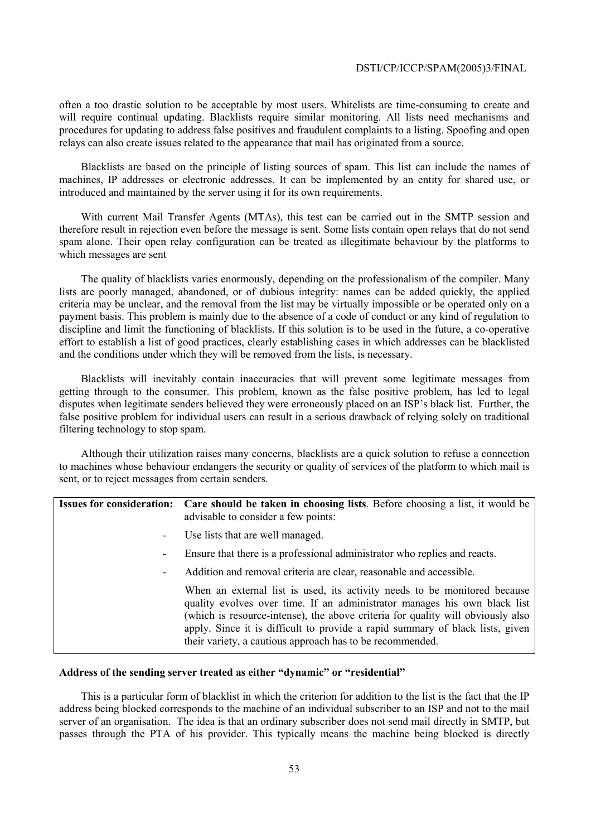often a too drastic solution to be acceptable by most users. Whitelists are time-consuming to create and will require continual updating. Blacklists require similar monitoring. All lists need mechanisms and procedures for updating to address false positives and fraudulent complaints to a listing. Spoofing and open relays can also create issues related to the appearance that mail has originated from a source.

Blacklists are based on the principle of listing sources of spam. This list can include the names of machines, IP addresses or electronic addresses. It can be implemented by an entity for shared use, or introduced and maintained by the server using it for its own requirements.

With current Mail Transfer Agents (MTAs), this test can be carried out in the SMTP session and therefore result in rejection even before the message is sent. Some lists contain open relays that do not send spam alone. Their open relay configuration can be treated as illegitimate behaviour by the platforms to which messages are sent

The quality of blacklists varies enormously, depending on the professionalism of the compiler. Many lists are poorly managed, abandoned, or of dubious integrity: names can be added quickly, the applied criteria may be unclear, and the removal from the list may be virtually impossible or be operated only on a payment basis. This problem is mainly due to the absence of a code of conduct or any kind of regulation to discipline and limit the functioning of blacklists. If this solution is to be used in the future, a co-operative effort to establish a list of good practices, clearly establishing cases in which addresses can be blacklisted and the conditions under which they will be removed from the lists, is necessary.

Blacklists will inevitably contain inaccuracies that will prevent some legitimate messages from getting through to the consumer. This problem, known as the false positive problem, has led to legal disputes when legitimate senders believed they were erroneously placed on an ISP's black list. Further, the false positive problem for individual users can result in a serious drawback of relying solely on traditional filtering technology to stop spam.

Although their utilization raises many concerns, blacklists are a quick solution to refuse a connection to machines whose behaviour endangers the security or quality of services of the platform to which mail is sent, or to reject messages from certain senders.

**Issues for consideration: Care should be taken in choosing lists**. Before choosing a list, it would be advisable to consider a few points: Use lists that are well managed. Ensure that there is a professional administrator who replies and reacts. Addition and removal criteria are clear, reasonable and accessible. When an external list is used, its activity needs to be monitored because quality evolves over time. If an administrator manages his own black list (which is resource-intense), the above criteria for quality will obviously also apply. Since it is difficult to provide a rapid summary of black lists, given their variety, a cautious approach has to be recommended.

## Address of the sending server treated as either "dynamic" or "residential"

This is a particular form of blacklist in which the criterion for addition to the list is the fact that the IP address being blocked corresponds to the machine of an individual subscriber to an ISP and not to the mail server of an organisation. The idea is that an ordinary subscriber does not send mail directly in SMTP, but passes through the PTA of his provider. This typically means the machine being blocked is directly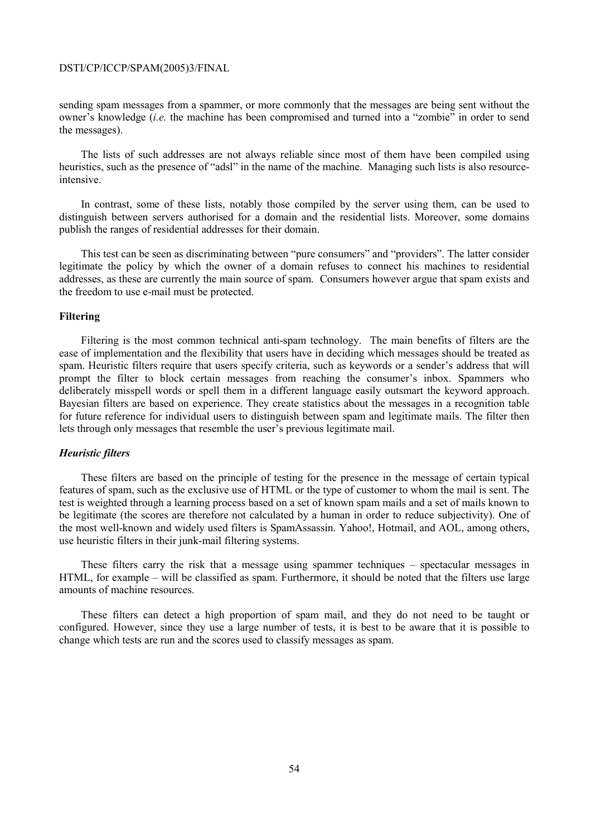sending spam messages from a spammer, or more commonly that the messages are being sent without the owner's knowledge *(i.e.* the machine has been compromised and turned into a "zombie" in order to send the messages).

The lists of such addresses are not always reliable since most of them have been compiled using heuristics, such as the presence of "adsl" in the name of the machine. Managing such lists is also resourceintensive.

In contrast, some of these lists, notably those compiled by the server using them, can be used to distinguish between servers authorised for a domain and the residential lists. Moreover, some domains publish the ranges of residential addresses for their domain.

This test can be seen as discriminating between "pure consumers" and "providers". The latter consider legitimate the policy by which the owner of a domain refuses to connect his machines to residential addresses, as these are currently the main source of spam. Consumers however argue that spam exists and the freedom to use e-mail must be protected.

## **Filtering**

Filtering is the most common technical anti-spam technology. The main benefits of filters are the ease of implementation and the flexibility that users have in deciding which messages should be treated as spam. Heuristic filters require that users specify criteria, such as keywords or a sender's address that will prompt the filter to block certain messages from reaching the consumer's inbox. Spammers who deliberately misspell words or spell them in a different language easily outsmart the keyword approach. Bayesian filters are based on experience. They create statistics about the messages in a recognition table for future reference for individual users to distinguish between spam and legitimate mails. The filter then lets through only messages that resemble the user's previous legitimate mail.

# *Heuristic filters*

These filters are based on the principle of testing for the presence in the message of certain typical features of spam, such as the exclusive use of HTML or the type of customer to whom the mail is sent. The test is weighted through a learning process based on a set of known spam mails and a set of mails known to be legitimate (the scores are therefore not calculated by a human in order to reduce subjectivity). One of the most well-known and widely used filters is SpamAssassin. Yahoo!, Hotmail, and AOL, among others, use heuristic filters in their junk-mail filtering systems.

These filters carry the risk that a message using spammer techniques  $-$  spectacular messages in HTML, for example – will be classified as spam. Furthermore, it should be noted that the filters use large amounts of machine resources.

These filters can detect a high proportion of spam mail, and they do not need to be taught or configured. However, since they use a large number of tests, it is best to be aware that it is possible to change which tests are run and the scores used to classify messages as spam.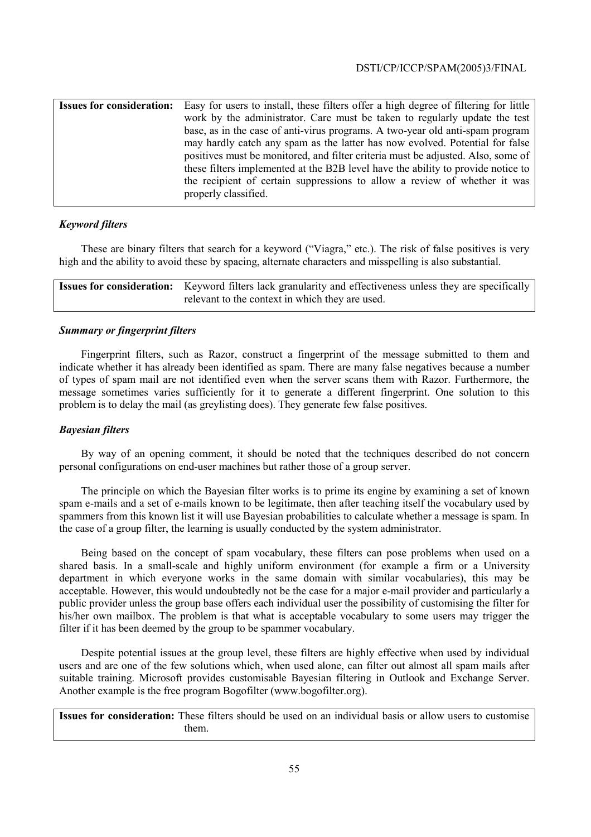| <b>Issues for consideration:</b> | Easy for users to install, these filters offer a high degree of filtering for little |
|----------------------------------|--------------------------------------------------------------------------------------|
|                                  | work by the administrator. Care must be taken to regularly update the test           |
|                                  | base, as in the case of anti-virus programs. A two-year old anti-spam program        |
|                                  | may hardly catch any spam as the latter has now evolved. Potential for false         |
|                                  | positives must be monitored, and filter criteria must be adjusted. Also, some of     |
|                                  | these filters implemented at the B2B level have the ability to provide notice to     |
|                                  | the recipient of certain suppressions to allow a review of whether it was            |
|                                  | properly classified.                                                                 |

# *Keyword filters*

These are binary filters that search for a keyword ("Viagra," etc.). The risk of false positives is very high and the ability to avoid these by spacing, alternate characters and misspelling is also substantial.

**Issues for consideration:** Keyword filters lack granularity and effectiveness unless they are specifically relevant to the context in which they are used.

# *Summary or fingerprint filters*

Fingerprint filters, such as Razor, construct a fingerprint of the message submitted to them and indicate whether it has already been identified as spam. There are many false negatives because a number of types of spam mail are not identified even when the server scans them with Razor. Furthermore, the message sometimes varies sufficiently for it to generate a different fingerprint. One solution to this problem is to delay the mail (as greylisting does). They generate few false positives.

# *Bayesian filters*

By way of an opening comment, it should be noted that the techniques described do not concern personal configurations on end-user machines but rather those of a group server.

The principle on which the Bayesian filter works is to prime its engine by examining a set of known spam e-mails and a set of e-mails known to be legitimate, then after teaching itself the vocabulary used by spammers from this known list it will use Bayesian probabilities to calculate whether a message is spam. In the case of a group filter, the learning is usually conducted by the system administrator.

Being based on the concept of spam vocabulary, these filters can pose problems when used on a shared basis. In a small-scale and highly uniform environment (for example a firm or a University department in which everyone works in the same domain with similar vocabularies), this may be acceptable. However, this would undoubtedly not be the case for a major e-mail provider and particularly a public provider unless the group base offers each individual user the possibility of customising the filter for his/her own mailbox. The problem is that what is acceptable vocabulary to some users may trigger the filter if it has been deemed by the group to be spammer vocabulary.

Despite potential issues at the group level, these filters are highly effective when used by individual users and are one of the few solutions which, when used alone, can filter out almost all spam mails after suitable training. Microsoft provides customisable Bayesian filtering in Outlook and Exchange Server. Another example is the free program Bogofilter (www.bogofilter.org).

**Issues for consideration:** These filters should be used on an individual basis or allow users to customise them.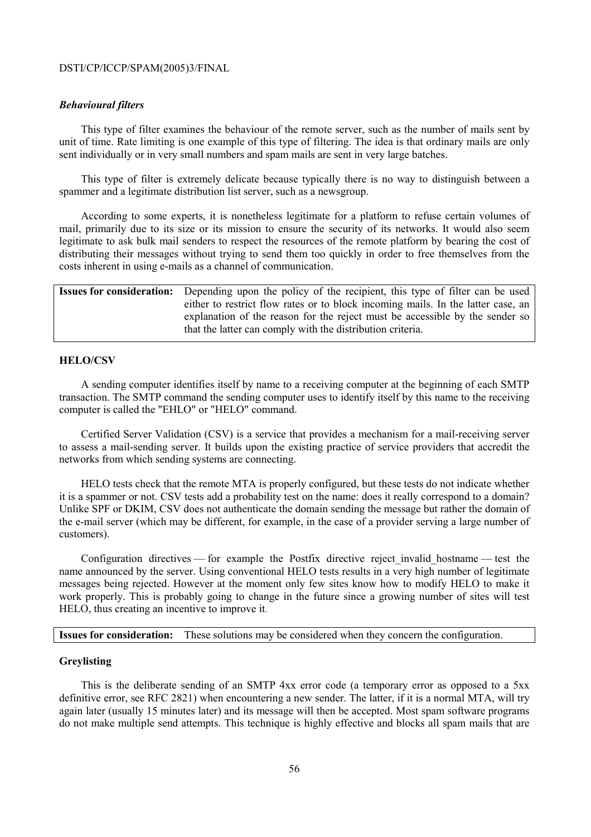### *Behavioural filters*

This type of filter examines the behaviour of the remote server, such as the number of mails sent by unit of time. Rate limiting is one example of this type of filtering. The idea is that ordinary mails are only sent individually or in very small numbers and spam mails are sent in very large batches.

This type of filter is extremely delicate because typically there is no way to distinguish between a spammer and a legitimate distribution list server, such as a newsgroup.

According to some experts, it is nonetheless legitimate for a platform to refuse certain volumes of mail, primarily due to its size or its mission to ensure the security of its networks. It would also seem legitimate to ask bulk mail senders to respect the resources of the remote platform by bearing the cost of distributing their messages without trying to send them too quickly in order to free themselves from the costs inherent in using e-mails as a channel of communication.

| Issues for consideration: Depending upon the policy of the recipient, this type of filter can be used |
|-------------------------------------------------------------------------------------------------------|
| either to restrict flow rates or to block incoming mails. In the latter case, an                      |
| explanation of the reason for the reject must be accessible by the sender so                          |
| that the latter can comply with the distribution criteria.                                            |

## **HELO/CSV**

A sending computer identifies itself by name to a receiving computer at the beginning of each SMTP transaction. The SMTP command the sending computer uses to identify itself by this name to the receiving computer is called the "EHLO" or "HELO" command.

Certified Server Validation (CSV) is a service that provides a mechanism for a mail-receiving server to assess a mail-sending server. It builds upon the existing practice of service providers that accredit the networks from which sending systems are connecting.

HELO tests check that the remote MTA is properly configured, but these tests do not indicate whether it is a spammer or not. CSV tests add a probability test on the name: does it really correspond to a domain? Unlike SPF or DKIM, CSV does not authenticate the domain sending the message but rather the domain of the e-mail server (which may be different, for example, in the case of a provider serving a large number of customers).

Configuration directives  $\sim$  for example the Postfix directive reject invalid hostname  $\sim$  test the name announced by the server. Using conventional HELO tests results in a very high number of legitimate messages being rejected. However at the moment only few sites know how to modify HELO to make it work properly. This is probably going to change in the future since a growing number of sites will test HELO, thus creating an incentive to improve it.

**Issues for consideration:** These solutions may be considered when they concern the configuration.

## **Greylisting**

This is the deliberate sending of an SMTP 4xx error code (a temporary error as opposed to a 5xx definitive error, see RFC 2821) when encountering a new sender. The latter, if it is a normal MTA, will try again later (usually 15 minutes later) and its message will then be accepted. Most spam software programs do not make multiple send attempts. This technique is highly effective and blocks all spam mails that are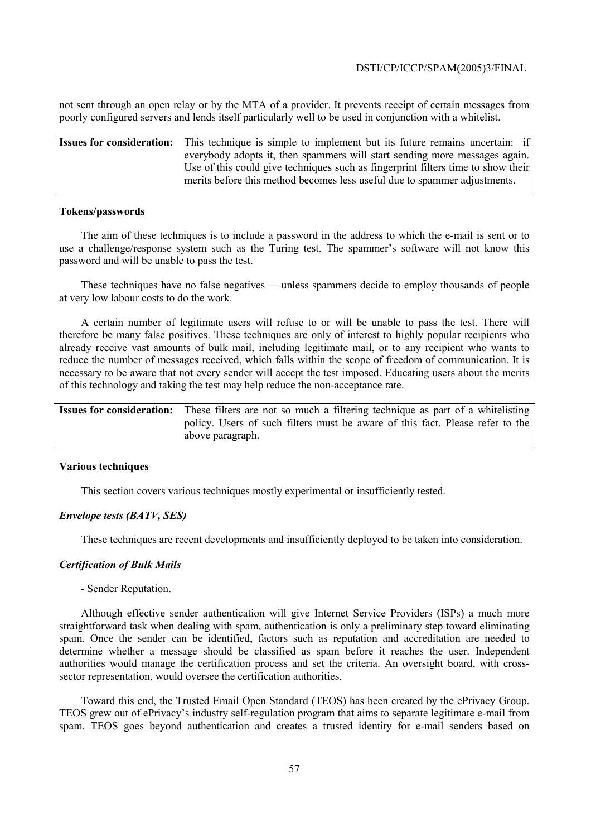not sent through an open relay or by the MTA of a provider. It prevents receipt of certain messages from poorly configured servers and lends itself particularly well to be used in conjunction with a whitelist.

| <b>Issues for consideration:</b> This technique is simple to implement but its future remains uncertain: if |
|-------------------------------------------------------------------------------------------------------------|
| everybody adopts it, then spammers will start sending more messages again.                                  |
| Use of this could give techniques such as fingerprint filters time to show their                            |
| merits before this method becomes less useful due to spammer adjustments.                                   |

## **Tokens/passwords**

The aim of these techniques is to include a password in the address to which the e-mail is sent or to use a challenge/response system such as the Turing test. The spammer's software will not know this password and will be unable to pass the test.

These techniques have no false negatives — unless spammers decide to employ thousands of people at very low labour costs to do the work.

A certain number of legitimate users will refuse to or will be unable to pass the test. There will therefore be many false positives. These techniques are only of interest to highly popular recipients who already receive vast amounts of bulk mail, including legitimate mail, or to any recipient who wants to reduce the number of messages received, which falls within the scope of freedom of communication. It is necessary to be aware that not every sender will accept the test imposed. Educating users about the merits of this technology and taking the test may help reduce the non-acceptance rate.

| <b>Issues for consideration:</b> These filters are not so much a filtering technique as part of a whitelisting |
|----------------------------------------------------------------------------------------------------------------|
| policy. Users of such filters must be aware of this fact. Please refer to the<br>above paragraph.              |

### **Various techniques**

This section covers various techniques mostly experimental or insufficiently tested.

## *Envelope tests (BATV, SES)*

These techniques are recent developments and insufficiently deployed to be taken into consideration.

# *Certification of Bulk Mails*

- Sender Reputation.

Although effective sender authentication will give Internet Service Providers (ISPs) a much more straightforward task when dealing with spam, authentication is only a preliminary step toward eliminating spam. Once the sender can be identified, factors such as reputation and accreditation are needed to determine whether a message should be classified as spam before it reaches the user. Independent authorities would manage the certification process and set the criteria. An oversight board, with crosssector representation, would oversee the certification authorities.

Toward this end, the Trusted Email Open Standard (TEOS) has been created by the ePrivacy Group. TEOS grew out of ePrivacy's industry self-regulation program that aims to separate legitimate e-mail from spam. TEOS goes beyond authentication and creates a trusted identity for e-mail senders based on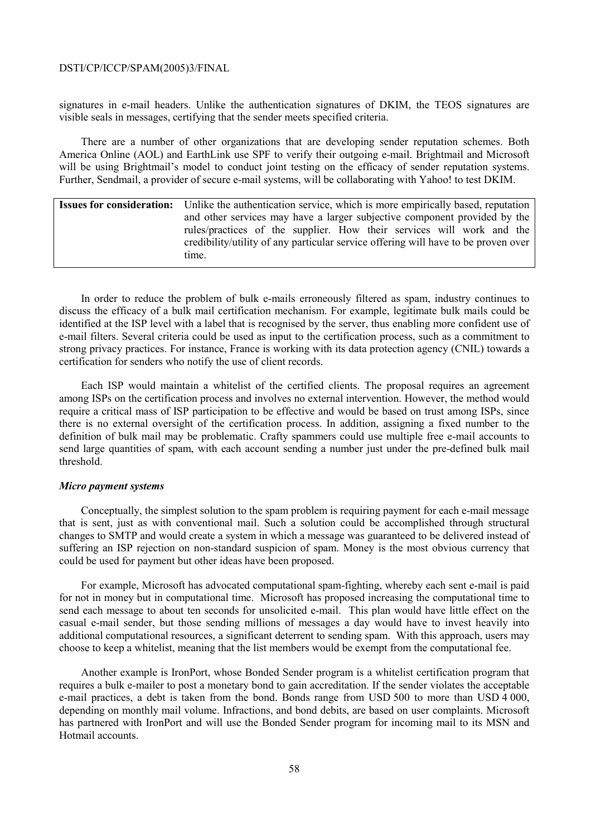signatures in e-mail headers. Unlike the authentication signatures of DKIM, the TEOS signatures are visible seals in messages, certifying that the sender meets specified criteria.

There are a number of other organizations that are developing sender reputation schemes. Both America Online (AOL) and EarthLink use SPF to verify their outgoing e-mail. Brightmail and Microsoft will be using Brightmail's model to conduct joint testing on the efficacy of sender reputation systems. Further, Sendmail, a provider of secure e-mail systems, will be collaborating with Yahoo! to test DKIM.

| <b>Issues for consideration:</b> Unlike the authentication service, which is more empirically based, reputation |
|-----------------------------------------------------------------------------------------------------------------|
| and other services may have a larger subjective component provided by the                                       |
| rules/practices of the supplier. How their services will work and the                                           |
| credibility/utility of any particular service offering will have to be proven over                              |
| time.                                                                                                           |

In order to reduce the problem of bulk e-mails erroneously filtered as spam, industry continues to discuss the efficacy of a bulk mail certification mechanism. For example, legitimate bulk mails could be identified at the ISP level with a label that is recognised by the server, thus enabling more confident use of e-mail filters. Several criteria could be used as input to the certification process, such as a commitment to strong privacy practices. For instance, France is working with its data protection agency (CNIL) towards a certification for senders who notify the use of client records.

Each ISP would maintain a whitelist of the certified clients. The proposal requires an agreement among ISPs on the certification process and involves no external intervention. However, the method would require a critical mass of ISP participation to be effective and would be based on trust among ISPs, since there is no external oversight of the certification process. In addition, assigning a fixed number to the definition of bulk mail may be problematic. Crafty spammers could use multiple free e-mail accounts to send large quantities of spam, with each account sending a number just under the pre-defined bulk mail threshold.

## *Micro payment systems*

Conceptually, the simplest solution to the spam problem is requiring payment for each e-mail message that is sent, just as with conventional mail. Such a solution could be accomplished through structural changes to SMTP and would create a system in which a message was guaranteed to be delivered instead of suffering an ISP rejection on non-standard suspicion of spam. Money is the most obvious currency that could be used for payment but other ideas have been proposed.

For example, Microsoft has advocated computational spam-fighting, whereby each sent e-mail is paid for not in money but in computational time. Microsoft has proposed increasing the computational time to send each message to about ten seconds for unsolicited e-mail. This plan would have little effect on the casual e-mail sender, but those sending millions of messages a day would have to invest heavily into additional computational resources, a significant deterrent to sending spam. With this approach, users may choose to keep a whitelist, meaning that the list members would be exempt from the computational fee.

Another example is IronPort, whose Bonded Sender program is a whitelist certification program that requires a bulk e-mailer to post a monetary bond to gain accreditation. If the sender violates the acceptable e-mail practices, a debt is taken from the bond. Bonds range from USD 500 to more than USD 4 000, depending on monthly mail volume. Infractions, and bond debits, are based on user complaints. Microsoft has partnered with IronPort and will use the Bonded Sender program for incoming mail to its MSN and Hotmail accounts.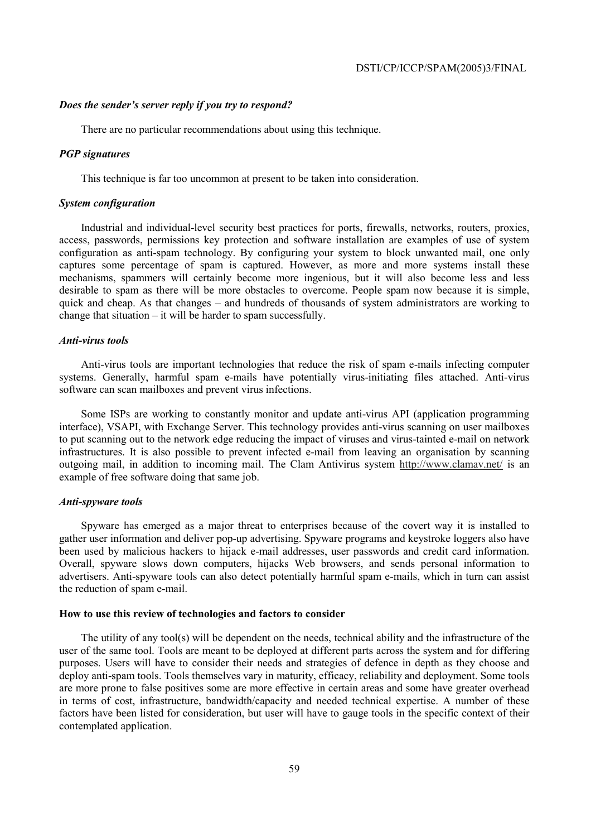### *Does the sender's server reply if you try to respond?*

There are no particular recommendations about using this technique.

## *PGP signatures*

This technique is far too uncommon at present to be taken into consideration.

## *System configuration*

Industrial and individual-level security best practices for ports, firewalls, networks, routers, proxies, access, passwords, permissions key protection and software installation are examples of use of system configuration as anti-spam technology. By configuring your system to block unwanted mail, one only captures some percentage of spam is captured. However, as more and more systems install these mechanisms, spammers will certainly become more ingenious, but it will also become less and less desirable to spam as there will be more obstacles to overcome. People spam now because it is simple, quick and cheap. As that changes – and hundreds of thousands of system administrators are working to change that situation  $-$  it will be harder to spam successfully.

#### *Anti-virus tools*

Anti-virus tools are important technologies that reduce the risk of spam e-mails infecting computer systems. Generally, harmful spam e-mails have potentially virus-initiating files attached. Anti-virus software can scan mailboxes and prevent virus infections.

Some ISPs are working to constantly monitor and update anti-virus API (application programming interface), VSAPI, with Exchange Server. This technology provides anti-virus scanning on user mailboxes to put scanning out to the network edge reducing the impact of viruses and virus-tainted e-mail on network infrastructures. It is also possible to prevent infected e-mail from leaving an organisation by scanning outgoing mail, in addition to incoming mail. The Clam Antivirus system http://www.clamav.net/ is an example of free software doing that same job.

#### *Anti-spyware tools*

Spyware has emerged as a major threat to enterprises because of the covert way it is installed to gather user information and deliver pop-up advertising. Spyware programs and keystroke loggers also have been used by malicious hackers to hijack e-mail addresses, user passwords and credit card information. Overall, spyware slows down computers, hijacks Web browsers, and sends personal information to advertisers. Anti-spyware tools can also detect potentially harmful spam e-mails, which in turn can assist the reduction of spam e-mail.

## **How to use this review of technologies and factors to consider**

The utility of any tool(s) will be dependent on the needs, technical ability and the infrastructure of the user of the same tool. Tools are meant to be deployed at different parts across the system and for differing purposes. Users will have to consider their needs and strategies of defence in depth as they choose and deploy anti-spam tools. Tools themselves vary in maturity, efficacy, reliability and deployment. Some tools are more prone to false positives some are more effective in certain areas and some have greater overhead in terms of cost, infrastructure, bandwidth/capacity and needed technical expertise. A number of these factors have been listed for consideration, but user will have to gauge tools in the specific context of their contemplated application.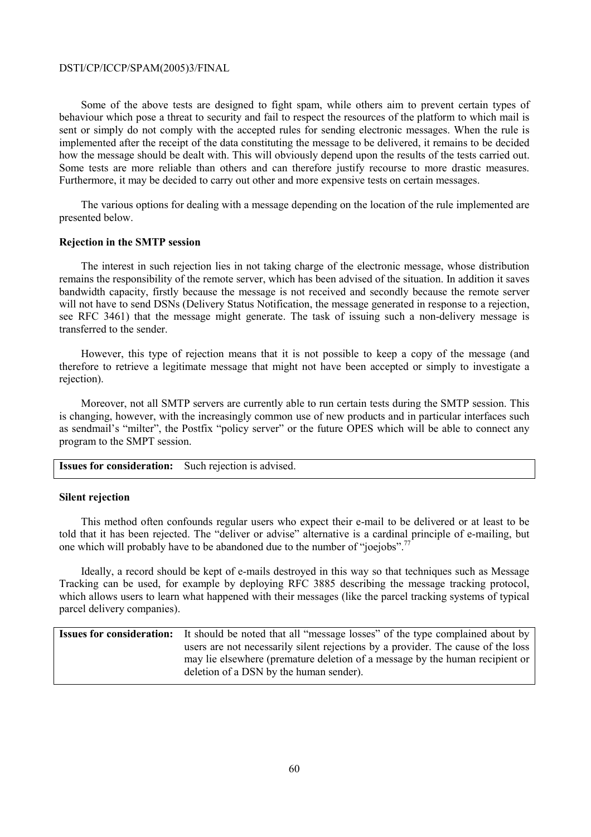Some of the above tests are designed to fight spam, while others aim to prevent certain types of behaviour which pose a threat to security and fail to respect the resources of the platform to which mail is sent or simply do not comply with the accepted rules for sending electronic messages. When the rule is implemented after the receipt of the data constituting the message to be delivered, it remains to be decided how the message should be dealt with. This will obviously depend upon the results of the tests carried out. Some tests are more reliable than others and can therefore justify recourse to more drastic measures. Furthermore, it may be decided to carry out other and more expensive tests on certain messages.

The various options for dealing with a message depending on the location of the rule implemented are presented below.

### **Rejection in the SMTP session**

The interest in such rejection lies in not taking charge of the electronic message, whose distribution remains the responsibility of the remote server, which has been advised of the situation. In addition it saves bandwidth capacity, firstly because the message is not received and secondly because the remote server will not have to send DSNs (Delivery Status Notification, the message generated in response to a rejection, see RFC 3461) that the message might generate. The task of issuing such a non-delivery message is transferred to the sender.

However, this type of rejection means that it is not possible to keep a copy of the message (and therefore to retrieve a legitimate message that might not have been accepted or simply to investigate a rejection).

Moreover, not all SMTP servers are currently able to run certain tests during the SMTP session. This is changing, however, with the increasingly common use of new products and in particular interfaces such as sendmail's "milter", the Postfix "policy server" or the future OPES which will be able to connect any program to the SMPT session.

| <b>Issues for consideration:</b> Such rejection is advised. |  |
|-------------------------------------------------------------|--|
|                                                             |  |

# **Silent rejection**

This method often confounds regular users who expect their e-mail to be delivered or at least to be told that it has been rejected. The "deliver or advise" alternative is a cardinal principle of e-mailing, but one which will probably have to be abandoned due to the number of "joejobs".<sup>7</sup>

Ideally, a record should be kept of e-mails destroyed in this way so that techniques such as Message Tracking can be used, for example by deploying RFC 3885 describing the message tracking protocol, which allows users to learn what happened with their messages (like the parcel tracking systems of typical parcel delivery companies).

| <b>Issues for consideration:</b> It should be noted that all "message losses" of the type complained about by |
|---------------------------------------------------------------------------------------------------------------|
| users are not necessarily silent rejections by a provider. The cause of the loss                              |
| may lie elsewhere (premature deletion of a message by the human recipient or                                  |
| deletion of a DSN by the human sender).                                                                       |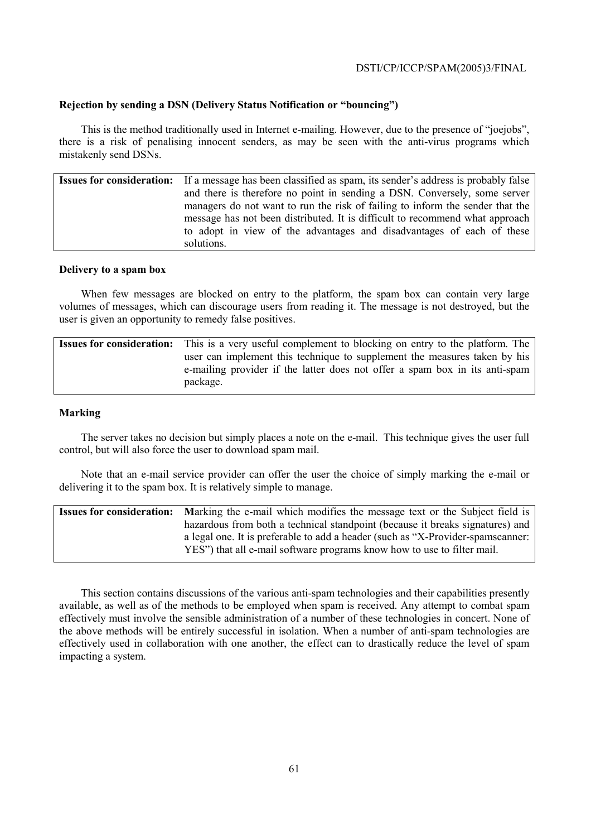# **Rejection by sending a DSN (Delivery Status Notification or "bouncing")**

This is the method traditionally used in Internet e-mailing. However, due to the presence of "joejobs", there is a risk of penalising innocent senders, as may be seen with the anti-virus programs which mistakenly send DSNs.

| <b>Issues for consideration:</b> If a message has been classified as spam, its sender's address is probably false |
|-------------------------------------------------------------------------------------------------------------------|
| and there is therefore no point in sending a DSN. Conversely, some server                                         |
| managers do not want to run the risk of failing to inform the sender that the                                     |
| message has not been distributed. It is difficult to recommend what approach                                      |
| to adopt in view of the advantages and disadvantages of each of these                                             |
| solutions.                                                                                                        |

## **Delivery to a spam box**

When few messages are blocked on entry to the platform, the spam box can contain very large volumes of messages, which can discourage users from reading it. The message is not destroyed, but the user is given an opportunity to remedy false positives.

| <b>Issues for consideration:</b> This is a very useful complement to blocking on entry to the platform. The |
|-------------------------------------------------------------------------------------------------------------|
| user can implement this technique to supplement the measures taken by his                                   |
| e-mailing provider if the latter does not offer a spam box in its anti-spam                                 |
| package.                                                                                                    |

## **Marking**

The server takes no decision but simply places a note on the e-mail. This technique gives the user full control, but will also force the user to download spam mail.

Note that an e-mail service provider can offer the user the choice of simply marking the e-mail or delivering it to the spam box. It is relatively simple to manage.

| Issues for consideration: Marking the e-mail which modifies the message text or the Subject field is |
|------------------------------------------------------------------------------------------------------|
| hazardous from both a technical standpoint (because it breaks signatures) and                        |
| a legal one. It is preferable to add a header (such as "X-Provider-spamscanner:                      |
| YES") that all e-mail software programs know how to use to filter mail.                              |

This section contains discussions of the various anti-spam technologies and their capabilities presently available, as well as of the methods to be employed when spam is received. Any attempt to combat spam effectively must involve the sensible administration of a number of these technologies in concert. None of the above methods will be entirely successful in isolation. When a number of anti-spam technologies are effectively used in collaboration with one another, the effect can to drastically reduce the level of spam impacting a system.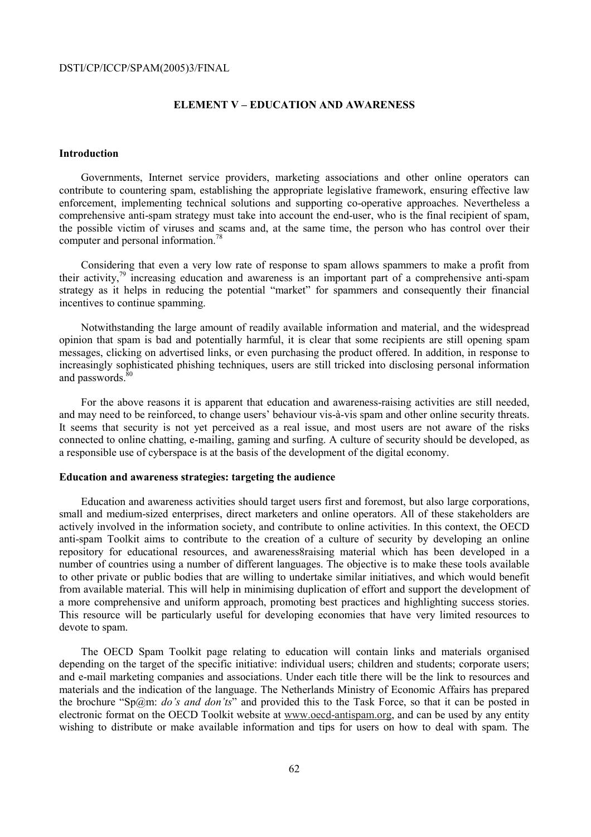## **ELEMENT V – EDUCATION AND AWARENESS**

### **Introduction**

Governments, Internet service providers, marketing associations and other online operators can contribute to countering spam, establishing the appropriate legislative framework, ensuring effective law enforcement, implementing technical solutions and supporting co-operative approaches. Nevertheless a comprehensive anti-spam strategy must take into account the end-user, who is the final recipient of spam, the possible victim of viruses and scams and, at the same time, the person who has control over their computer and personal information.78

Considering that even a very low rate of response to spam allows spammers to make a profit from their activity, $\frac{79}{2}$  increasing education and awareness is an important part of a comprehensive anti-spam strategy as it helps in reducing the potential "market" for spammers and consequently their financial incentives to continue spamming.

Notwithstanding the large amount of readily available information and material, and the widespread opinion that spam is bad and potentially harmful, it is clear that some recipients are still opening spam messages, clicking on advertised links, or even purchasing the product offered. In addition, in response to increasingly sophisticated phishing techniques, users are still tricked into disclosing personal information and passwords.<sup>8</sup>

For the above reasons it is apparent that education and awareness-raising activities are still needed, and may need to be reinforced, to change users' behaviour vis-à-vis spam and other online security threats. It seems that security is not yet perceived as a real issue, and most users are not aware of the risks connected to online chatting, e-mailing, gaming and surfing. A culture of security should be developed, as a responsible use of cyberspace is at the basis of the development of the digital economy.

### **Education and awareness strategies: targeting the audience**

Education and awareness activities should target users first and foremost, but also large corporations, small and medium-sized enterprises, direct marketers and online operators. All of these stakeholders are actively involved in the information society, and contribute to online activities. In this context, the OECD anti-spam Toolkit aims to contribute to the creation of a culture of security by developing an online repository for educational resources, and awareness8raising material which has been developed in a number of countries using a number of different languages. The objective is to make these tools available to other private or public bodies that are willing to undertake similar initiatives, and which would benefit from available material. This will help in minimising duplication of effort and support the development of a more comprehensive and uniform approach, promoting best practices and highlighting success stories. This resource will be particularly useful for developing economies that have very limited resources to devote to spam.

The OECD Spam Toolkit page relating to education will contain links and materials organised depending on the target of the specific initiative: individual users; children and students; corporate users; and e-mail marketing companies and associations. Under each title there will be the link to resources and materials and the indication of the language. The Netherlands Ministry of Economic Affairs has prepared the brochure "Sp@m: *do's and don'ts*" and provided this to the Task Force, so that it can be posted in electronic format on the OECD Toolkit website at www.oecd-antispam.org, and can be used by any entity wishing to distribute or make available information and tips for users on how to deal with spam. The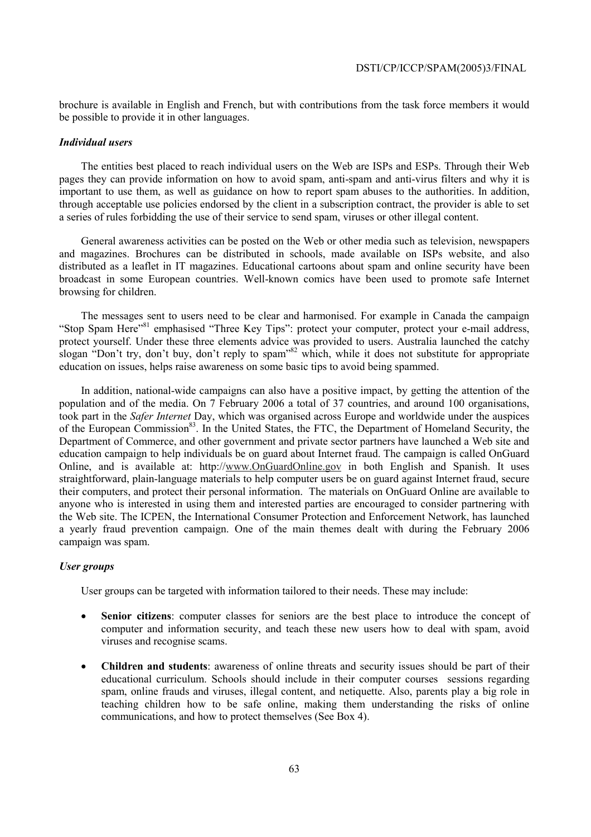brochure is available in English and French, but with contributions from the task force members it would be possible to provide it in other languages.

### *Individual users*

The entities best placed to reach individual users on the Web are ISPs and ESPs. Through their Web pages they can provide information on how to avoid spam, anti-spam and anti-virus filters and why it is important to use them, as well as guidance on how to report spam abuses to the authorities. In addition, through acceptable use policies endorsed by the client in a subscription contract, the provider is able to set a series of rules forbidding the use of their service to send spam, viruses or other illegal content.

General awareness activities can be posted on the Web or other media such as television, newspapers and magazines. Brochures can be distributed in schools, made available on ISPs website, and also distributed as a leaflet in IT magazines. Educational cartoons about spam and online security have been broadcast in some European countries. Well-known comics have been used to promote safe Internet browsing for children.

The messages sent to users need to be clear and harmonised. For example in Canada the campaign "Stop Spam Here"<sup>81</sup> emphasised "Three Key Tips": protect your computer, protect your e-mail address, protect yourself. Under these three elements advice was provided to users. Australia launched the catchy slogan "Don't try, don't buy, don't reply to spam<sup>82</sup> which, while it does not substitute for appropriate education on issues, helps raise awareness on some basic tips to avoid being spammed.

In addition, national-wide campaigns can also have a positive impact, by getting the attention of the population and of the media. On 7 February 2006 a total of 37 countries, and around 100 organisations, took part in the *Safer Internet* Day, which was organised across Europe and worldwide under the auspices of the European Commission<sup>83</sup>. In the United States, the FTC, the Department of Homeland Security, the Department of Commerce, and other government and private sector partners have launched a Web site and education campaign to help individuals be on guard about Internet fraud. The campaign is called OnGuard Online, and is available at: http://www.OnGuardOnline.gov in both English and Spanish. It uses straightforward, plain-language materials to help computer users be on guard against Internet fraud, secure their computers, and protect their personal information. The materials on OnGuard Online are available to anyone who is interested in using them and interested parties are encouraged to consider partnering with the Web site. The ICPEN, the International Consumer Protection and Enforcement Network, has launched a yearly fraud prevention campaign. One of the main themes dealt with during the February 2006 campaign was spam.

### *User groups*

User groups can be targeted with information tailored to their needs. These may include:

- **Senior citizens**: computer classes for seniors are the best place to introduce the concept of computer and information security, and teach these new users how to deal with spam, avoid viruses and recognise scams.
- **Children and students**: awareness of online threats and security issues should be part of their educational curriculum. Schools should include in their computer courses sessions regarding spam, online frauds and viruses, illegal content, and netiquette. Also, parents play a big role in teaching children how to be safe online, making them understanding the risks of online communications, and how to protect themselves (See Box 4).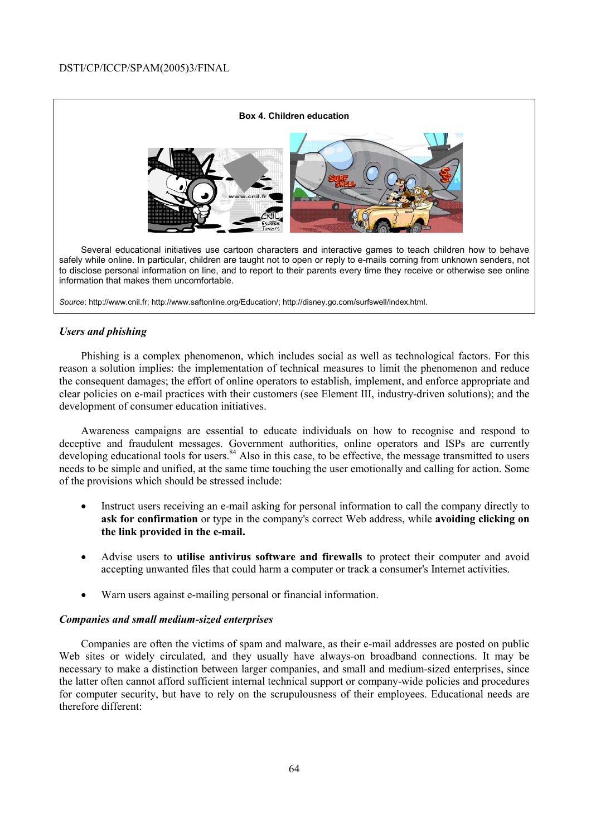

# *Users and phishing*

Phishing is a complex phenomenon, which includes social as well as technological factors. For this reason a solution implies: the implementation of technical measures to limit the phenomenon and reduce the consequent damages; the effort of online operators to establish, implement, and enforce appropriate and clear policies on e-mail practices with their customers (see Element III, industry-driven solutions); and the development of consumer education initiatives.

Awareness campaigns are essential to educate individuals on how to recognise and respond to deceptive and fraudulent messages. Government authorities, online operators and ISPs are currently developing educational tools for users.<sup>84</sup> Also in this case, to be effective, the message transmitted to users needs to be simple and unified, at the same time touching the user emotionally and calling for action. Some of the provisions which should be stressed include:

- Instruct users receiving an e-mail asking for personal information to call the company directly to **ask for confirmation** or type in the company's correct Web address, while **avoiding clicking on the link provided in the e-mail.**
- Advise users to **utilise antivirus software and firewalls** to protect their computer and avoid accepting unwanted files that could harm a computer or track a consumer's Internet activities.
- Warn users against e-mailing personal or financial information.

## *Companies and small medium-sized enterprises*

Companies are often the victims of spam and malware, as their e-mail addresses are posted on public Web sites or widely circulated, and they usually have always-on broadband connections. It may be necessary to make a distinction between larger companies, and small and medium-sized enterprises, since the latter often cannot afford sufficient internal technical support or company-wide policies and procedures for computer security, but have to rely on the scrupulousness of their employees. Educational needs are therefore different: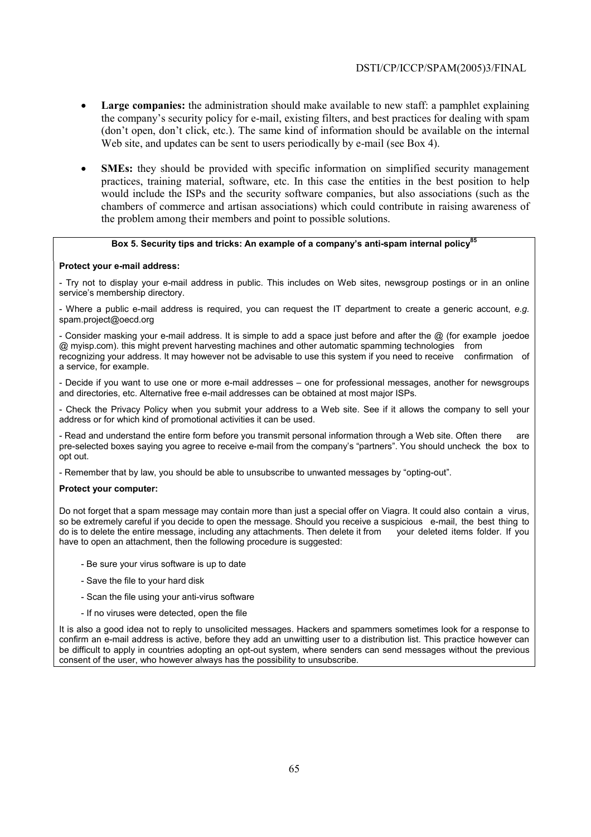- **Large companies:** the administration should make available to new staff: a pamphlet explaining the company's security policy for e-mail, existing filters, and best practices for dealing with spam (donít open, donít click, etc.). The same kind of information should be available on the internal Web site, and updates can be sent to users periodically by e-mail (see Box 4).
- **SMEs:** they should be provided with specific information on simplified security management practices, training material, software, etc. In this case the entities in the best position to help would include the ISPs and the security software companies, but also associations (such as the chambers of commerce and artisan associations) which could contribute in raising awareness of the problem among their members and point to possible solutions.

## Box 5. Security tips and tricks: An example of a company's anti-spam internal policy<sup>85</sup>

### **Protect your e-mail address:**

- Try not to display your e-mail address in public. This includes on Web sites, newsgroup postings or in an online service's membership directory.

- Where a public e-mail address is required, you can request the IT department to create a generic account, *e.g.* spam.project@oecd.org

- Consider masking your e-mail address. It is simple to add a space just before and after the @ (for example joedoe @ myisp.com). this might prevent harvesting machines and other automatic spamming technologies from recognizing your address. It may however not be advisable to use this system if you need to receive confirmation of a service, for example.

- Decide if you want to use one or more e-mail addresses – one for professional messages, another for newsgroups and directories, etc. Alternative free e-mail addresses can be obtained at most major ISPs.

- Check the Privacy Policy when you submit your address to a Web site. See if it allows the company to sell your address or for which kind of promotional activities it can be used.

- Read and understand the entire form before you transmit personal information through a Web site. Often there are pre-selected boxes saying you agree to receive e-mail from the company's "partners". You should uncheck the box to opt out.

- Remember that by law, you should be able to unsubscribe to unwanted messages by "opting-out".

#### **Protect your computer:**

Do not forget that a spam message may contain more than just a special offer on Viagra. It could also contain a virus, so be extremely careful if you decide to open the message. Should you receive a suspicious e-mail, the best thing to do is to delete the entire message, including any attachments. Then delete it from your deleted items folder. If you have to open an attachment, then the following procedure is suggested:

- Be sure your virus software is up to date
- Save the file to your hard disk
- Scan the file using your anti-virus software
- If no viruses were detected, open the file

It is also a good idea not to reply to unsolicited messages. Hackers and spammers sometimes look for a response to confirm an e-mail address is active, before they add an unwitting user to a distribution list. This practice however can be difficult to apply in countries adopting an opt-out system, where senders can send messages without the previous consent of the user, who however always has the possibility to unsubscribe.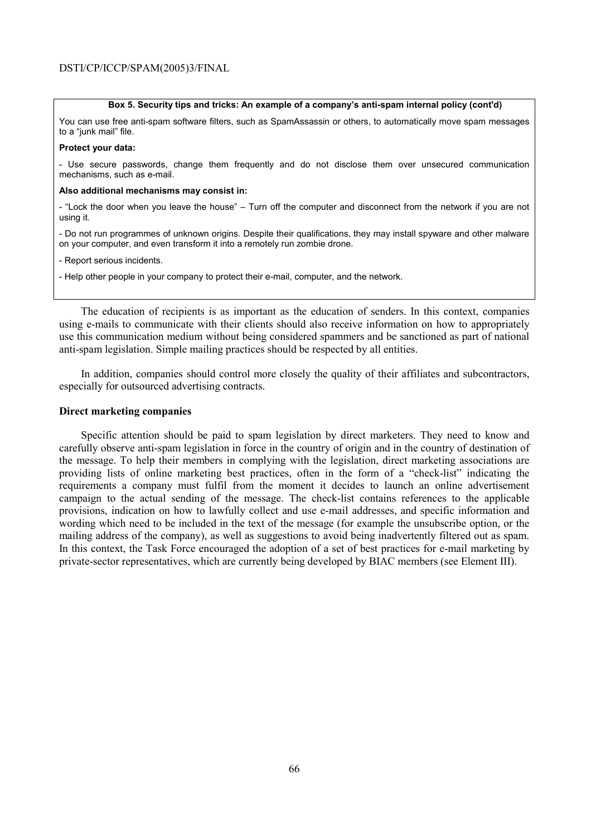#### **Box 5. Security tips and tricks: An example of a companyís anti-spam internal policy (cont'd)**

You can use free anti-spam software filters, such as SpamAssassin or others, to automatically move spam messages to a "junk mail" file.

### **Protect your data:**

- Use secure passwords, change them frequently and do not disclose them over unsecured communication mechanisms, such as e-mail.

## **Also additional mechanisms may consist in:**

- "Lock the door when you leave the house" - Turn off the computer and disconnect from the network if you are not using it.

- Do not run programmes of unknown origins. Despite their qualifications, they may install spyware and other malware on your computer, and even transform it into a remotely run zombie drone.

- Report serious incidents.

- Help other people in your company to protect their e-mail, computer, and the network.

The education of recipients is as important as the education of senders. In this context, companies using e-mails to communicate with their clients should also receive information on how to appropriately use this communication medium without being considered spammers and be sanctioned as part of national anti-spam legislation. Simple mailing practices should be respected by all entities.

In addition, companies should control more closely the quality of their affiliates and subcontractors, especially for outsourced advertising contracts.

## **Direct marketing companies**

Specific attention should be paid to spam legislation by direct marketers. They need to know and carefully observe anti-spam legislation in force in the country of origin and in the country of destination of the message. To help their members in complying with the legislation, direct marketing associations are providing lists of online marketing best practices, often in the form of a "check-list" indicating the requirements a company must fulfil from the moment it decides to launch an online advertisement campaign to the actual sending of the message. The check-list contains references to the applicable provisions, indication on how to lawfully collect and use e-mail addresses, and specific information and wording which need to be included in the text of the message (for example the unsubscribe option, or the mailing address of the company), as well as suggestions to avoid being inadvertently filtered out as spam. In this context, the Task Force encouraged the adoption of a set of best practices for e-mail marketing by private-sector representatives, which are currently being developed by BIAC members (see Element III).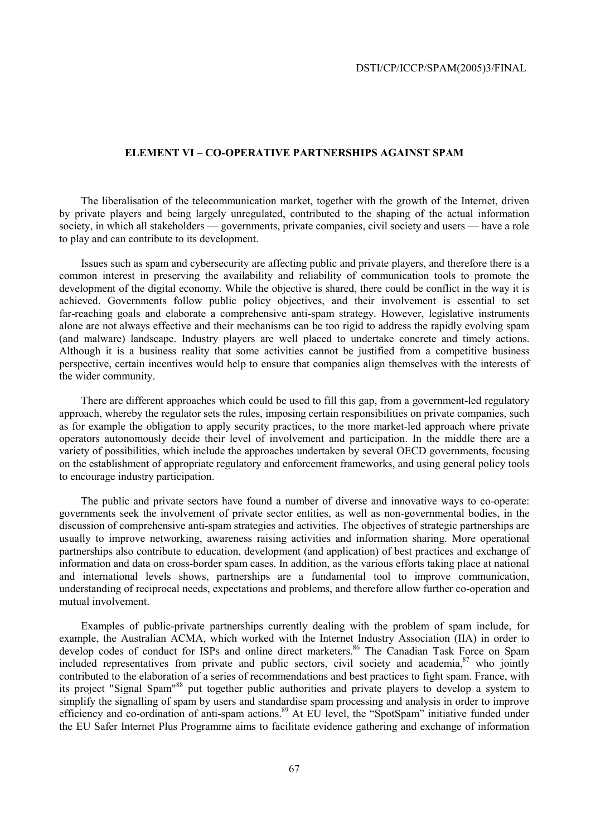## **ELEMENT VI – CO-OPERATIVE PARTNERSHIPS AGAINST SPAM**

The liberalisation of the telecommunication market, together with the growth of the Internet, driven by private players and being largely unregulated, contributed to the shaping of the actual information society, in which all stakeholders — governments, private companies, civil society and users — have a role to play and can contribute to its development.

Issues such as spam and cybersecurity are affecting public and private players, and therefore there is a common interest in preserving the availability and reliability of communication tools to promote the development of the digital economy. While the objective is shared, there could be conflict in the way it is achieved. Governments follow public policy objectives, and their involvement is essential to set far-reaching goals and elaborate a comprehensive anti-spam strategy. However, legislative instruments alone are not always effective and their mechanisms can be too rigid to address the rapidly evolving spam (and malware) landscape. Industry players are well placed to undertake concrete and timely actions. Although it is a business reality that some activities cannot be justified from a competitive business perspective, certain incentives would help to ensure that companies align themselves with the interests of the wider community.

There are different approaches which could be used to fill this gap, from a government-led regulatory approach, whereby the regulator sets the rules, imposing certain responsibilities on private companies, such as for example the obligation to apply security practices, to the more market-led approach where private operators autonomously decide their level of involvement and participation. In the middle there are a variety of possibilities, which include the approaches undertaken by several OECD governments, focusing on the establishment of appropriate regulatory and enforcement frameworks, and using general policy tools to encourage industry participation.

The public and private sectors have found a number of diverse and innovative ways to co-operate: governments seek the involvement of private sector entities, as well as non-governmental bodies, in the discussion of comprehensive anti-spam strategies and activities. The objectives of strategic partnerships are usually to improve networking, awareness raising activities and information sharing. More operational partnerships also contribute to education, development (and application) of best practices and exchange of information and data on cross-border spam cases. In addition, as the various efforts taking place at national and international levels shows, partnerships are a fundamental tool to improve communication, understanding of reciprocal needs, expectations and problems, and therefore allow further co-operation and mutual involvement.

Examples of public-private partnerships currently dealing with the problem of spam include, for example, the Australian ACMA, which worked with the Internet Industry Association (IIA) in order to develop codes of conduct for ISPs and online direct marketers.<sup>86</sup> The Canadian Task Force on Spam included representatives from private and public sectors, civil society and academia,<sup>87</sup> who jointly contributed to the elaboration of a series of recommendations and best practices to fight spam. France, with its project "Signal Spam"88 put together public authorities and private players to develop a system to simplify the signalling of spam by users and standardise spam processing and analysis in order to improve efficiency and co-ordination of anti-spam actions.<sup>89</sup> At EU level, the "SpotSpam" initiative funded under the EU Safer Internet Plus Programme aims to facilitate evidence gathering and exchange of information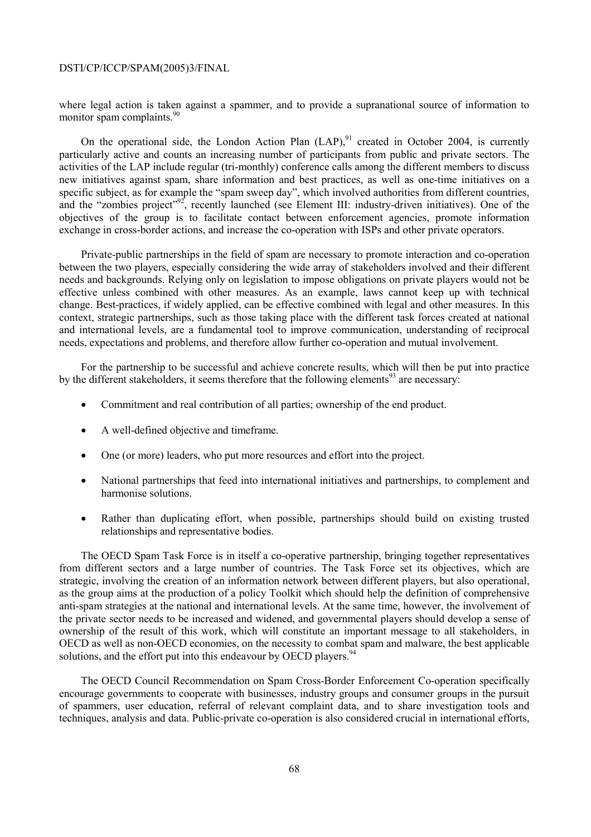where legal action is taken against a spammer, and to provide a supranational source of information to monitor spam complaints.<sup>90</sup>

On the operational side, the London Action Plan  $(LAP)$ , <sup>91</sup> created in October 2004, is currently particularly active and counts an increasing number of participants from public and private sectors. The activities of the LAP include regular (tri-monthly) conference calls among the different members to discuss new initiatives against spam, share information and best practices, as well as one-time initiatives on a specific subject, as for example the "spam sweep day", which involved authorities from different countries, and the "zombies project"<sup>92</sup>, recently launched (see Element III: industry-driven initiatives). One of the objectives of the group is to facilitate contact between enforcement agencies, promote information exchange in cross-border actions, and increase the co-operation with ISPs and other private operators.

Private-public partnerships in the field of spam are necessary to promote interaction and co-operation between the two players, especially considering the wide array of stakeholders involved and their different needs and backgrounds. Relying only on legislation to impose obligations on private players would not be effective unless combined with other measures. As an example, laws cannot keep up with technical change. Best-practices, if widely applied, can be effective combined with legal and other measures. In this context, strategic partnerships, such as those taking place with the different task forces created at national and international levels, are a fundamental tool to improve communication, understanding of reciprocal needs, expectations and problems, and therefore allow further co-operation and mutual involvement.

For the partnership to be successful and achieve concrete results, which will then be put into practice by the different stakeholders, it seems therefore that the following elements<sup>93</sup> are necessary:

- Commitment and real contribution of all parties; ownership of the end product.
- A well-defined objective and timeframe.
- One (or more) leaders, who put more resources and effort into the project.
- National partnerships that feed into international initiatives and partnerships, to complement and harmonise solutions.
- Rather than duplicating effort, when possible, partnerships should build on existing trusted relationships and representative bodies.

The OECD Spam Task Force is in itself a co-operative partnership, bringing together representatives from different sectors and a large number of countries. The Task Force set its objectives, which are strategic, involving the creation of an information network between different players, but also operational, as the group aims at the production of a policy Toolkit which should help the definition of comprehensive anti-spam strategies at the national and international levels. At the same time, however, the involvement of the private sector needs to be increased and widened, and governmental players should develop a sense of ownership of the result of this work, which will constitute an important message to all stakeholders, in OECD as well as non-OECD economies, on the necessity to combat spam and malware, the best applicable solutions, and the effort put into this endeavour by OECD players.<sup>94</sup>

The OECD Council Recommendation on Spam Cross-Border Enforcement Co-operation specifically encourage governments to cooperate with businesses, industry groups and consumer groups in the pursuit of spammers, user education, referral of relevant complaint data, and to share investigation tools and techniques, analysis and data. Public-private co-operation is also considered crucial in international efforts,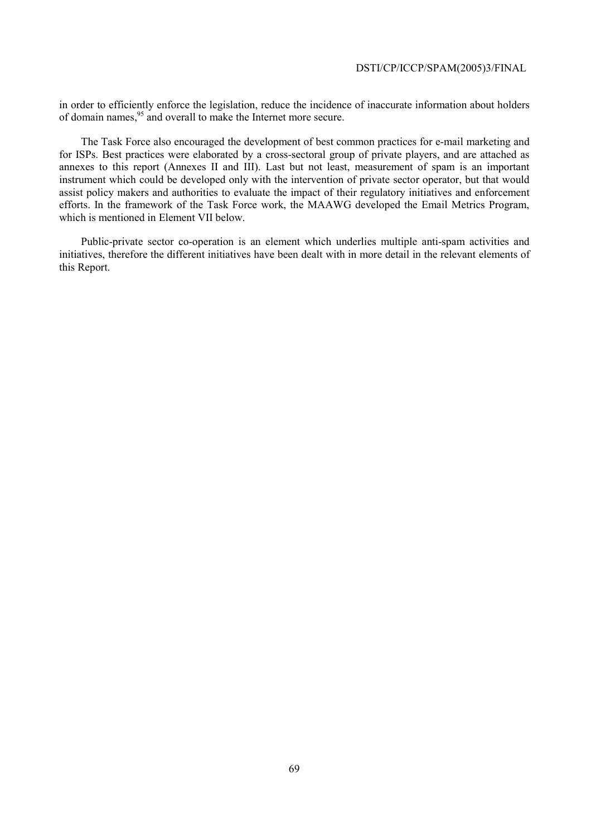in order to efficiently enforce the legislation, reduce the incidence of inaccurate information about holders of domain names,95 and overall to make the Internet more secure.

The Task Force also encouraged the development of best common practices for e-mail marketing and for ISPs. Best practices were elaborated by a cross-sectoral group of private players, and are attached as annexes to this report (Annexes II and III). Last but not least, measurement of spam is an important instrument which could be developed only with the intervention of private sector operator, but that would assist policy makers and authorities to evaluate the impact of their regulatory initiatives and enforcement efforts. In the framework of the Task Force work, the MAAWG developed the Email Metrics Program, which is mentioned in Element VII below.

Public-private sector co-operation is an element which underlies multiple anti-spam activities and initiatives, therefore the different initiatives have been dealt with in more detail in the relevant elements of this Report.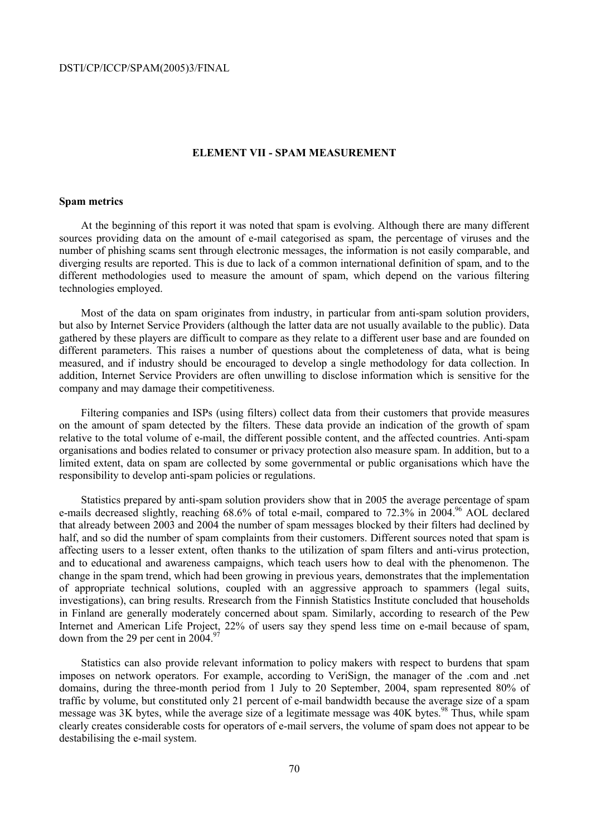## **ELEMENT VII - SPAM MEASUREMENT**

## **Spam metrics**

At the beginning of this report it was noted that spam is evolving. Although there are many different sources providing data on the amount of e-mail categorised as spam, the percentage of viruses and the number of phishing scams sent through electronic messages, the information is not easily comparable, and diverging results are reported. This is due to lack of a common international definition of spam, and to the different methodologies used to measure the amount of spam, which depend on the various filtering technologies employed.

Most of the data on spam originates from industry, in particular from anti-spam solution providers, but also by Internet Service Providers (although the latter data are not usually available to the public). Data gathered by these players are difficult to compare as they relate to a different user base and are founded on different parameters. This raises a number of questions about the completeness of data, what is being measured, and if industry should be encouraged to develop a single methodology for data collection. In addition, Internet Service Providers are often unwilling to disclose information which is sensitive for the company and may damage their competitiveness.

Filtering companies and ISPs (using filters) collect data from their customers that provide measures on the amount of spam detected by the filters. These data provide an indication of the growth of spam relative to the total volume of e-mail, the different possible content, and the affected countries. Anti-spam organisations and bodies related to consumer or privacy protection also measure spam. In addition, but to a limited extent, data on spam are collected by some governmental or public organisations which have the responsibility to develop anti-spam policies or regulations.

Statistics prepared by anti-spam solution providers show that in 2005 the average percentage of spam e-mails decreased slightly, reaching  $68.6\%$  of total e-mail, compared to  $72.3\%$  in  $2004.^{96}$  AOL declared that already between 2003 and 2004 the number of spam messages blocked by their filters had declined by half, and so did the number of spam complaints from their customers. Different sources noted that spam is affecting users to a lesser extent, often thanks to the utilization of spam filters and anti-virus protection, and to educational and awareness campaigns, which teach users how to deal with the phenomenon. The change in the spam trend, which had been growing in previous years, demonstrates that the implementation of appropriate technical solutions, coupled with an aggressive approach to spammers (legal suits, investigations), can bring results. Rresearch from the Finnish Statistics Institute concluded that households in Finland are generally moderately concerned about spam. Similarly, according to research of the Pew Internet and American Life Project, 22% of users say they spend less time on e-mail because of spam, down from the 29 per cent in  $2004.<sup>97</sup>$ 

Statistics can also provide relevant information to policy makers with respect to burdens that spam imposes on network operators. For example, according to VeriSign, the manager of the .com and .net domains, during the three-month period from 1 July to 20 September, 2004, spam represented 80% of traffic by volume, but constituted only 21 percent of e-mail bandwidth because the average size of a spam message was 3K bytes, while the average size of a legitimate message was 40K bytes.<sup>98</sup> Thus, while spam clearly creates considerable costs for operators of e-mail servers, the volume of spam does not appear to be destabilising the e-mail system.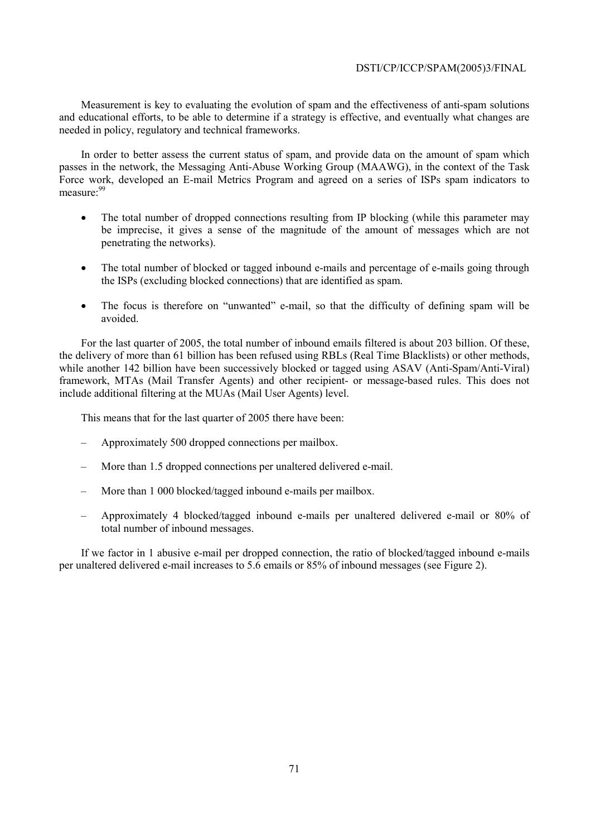Measurement is key to evaluating the evolution of spam and the effectiveness of anti-spam solutions and educational efforts, to be able to determine if a strategy is effective, and eventually what changes are needed in policy, regulatory and technical frameworks.

In order to better assess the current status of spam, and provide data on the amount of spam which passes in the network, the Messaging Anti-Abuse Working Group (MAAWG), in the context of the Task Force work, developed an E-mail Metrics Program and agreed on a series of ISPs spam indicators to measure:99

- The total number of dropped connections resulting from IP blocking (while this parameter may be imprecise, it gives a sense of the magnitude of the amount of messages which are not penetrating the networks).
- The total number of blocked or tagged inbound e-mails and percentage of e-mails going through the ISPs (excluding blocked connections) that are identified as spam.
- The focus is therefore on "unwanted" e-mail, so that the difficulty of defining spam will be avoided.

For the last quarter of 2005, the total number of inbound emails filtered is about 203 billion. Of these, the delivery of more than 61 billion has been refused using RBLs (Real Time Blacklists) or other methods, while another 142 billion have been successively blocked or tagged using ASAV (Anti-Spam/Anti-Viral) framework, MTAs (Mail Transfer Agents) and other recipient- or message-based rules. This does not include additional filtering at the MUAs (Mail User Agents) level.

This means that for the last quarter of 2005 there have been:

- Approximately 500 dropped connections per mailbox.
- More than 1.5 dropped connections per unaltered delivered e-mail.
- More than 1 000 blocked/tagged inbound e-mails per mailbox.
- ñ Approximately 4 blocked/tagged inbound e-mails per unaltered delivered e-mail or 80% of total number of inbound messages.

If we factor in 1 abusive e-mail per dropped connection, the ratio of blocked/tagged inbound e-mails per unaltered delivered e-mail increases to 5.6 emails or 85% of inbound messages (see Figure 2).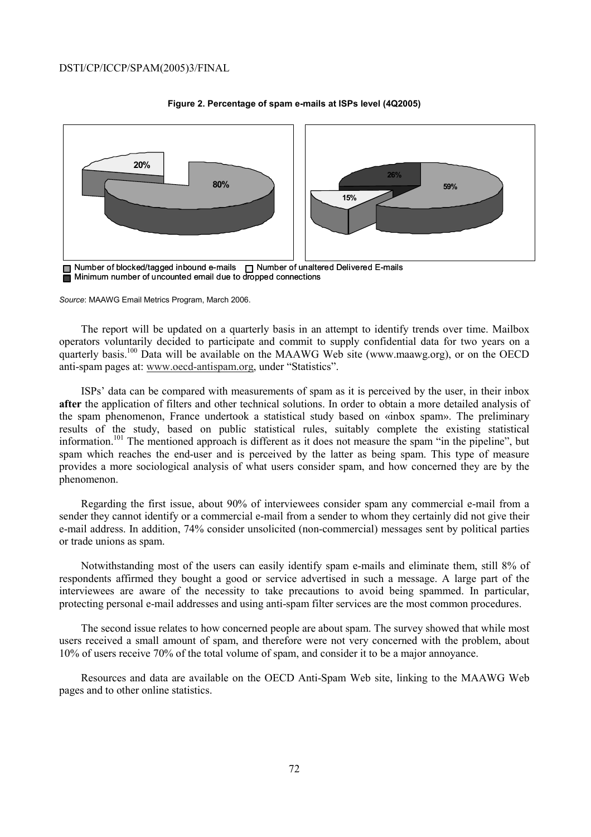

#### **Figure 2. Percentage of spam e-mails at ISPs level (4Q2005)**

*Source*: MAAWG Email Metrics Program, March 2006.

The report will be updated on a quarterly basis in an attempt to identify trends over time. Mailbox operators voluntarily decided to participate and commit to supply confidential data for two years on a quarterly basis.100 Data will be available on the MAAWG Web site (www.maawg.org), or on the OECD anti-spam pages at: www.oecd-antispam.org, under "Statistics".

ISPs' data can be compared with measurements of spam as it is perceived by the user, in their inbox **after** the application of filters and other technical solutions. In order to obtain a more detailed analysis of the spam phenomenon, France undertook a statistical study based on «inbox spam». The preliminary results of the study, based on public statistical rules, suitably complete the existing statistical information.<sup>101</sup> The mentioned approach is different as it does not measure the spam "in the pipeline", but spam which reaches the end-user and is perceived by the latter as being spam. This type of measure provides a more sociological analysis of what users consider spam, and how concerned they are by the phenomenon.

Regarding the first issue, about 90% of interviewees consider spam any commercial e-mail from a sender they cannot identify or a commercial e-mail from a sender to whom they certainly did not give their e-mail address. In addition, 74% consider unsolicited (non-commercial) messages sent by political parties or trade unions as spam.

Notwithstanding most of the users can easily identify spam e-mails and eliminate them, still 8% of respondents affirmed they bought a good or service advertised in such a message. A large part of the interviewees are aware of the necessity to take precautions to avoid being spammed. In particular, protecting personal e-mail addresses and using anti-spam filter services are the most common procedures.

The second issue relates to how concerned people are about spam. The survey showed that while most users received a small amount of spam, and therefore were not very concerned with the problem, about 10% of users receive 70% of the total volume of spam, and consider it to be a major annoyance.

Resources and data are available on the OECD Anti-Spam Web site, linking to the MAAWG Web pages and to other online statistics.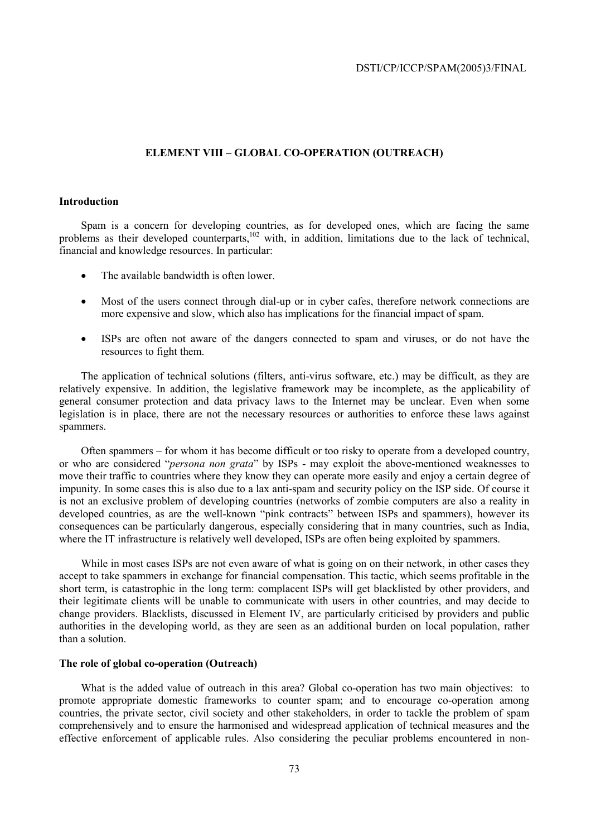#### **ELEMENT VIII - GLOBAL CO-OPERATION (OUTREACH)**

#### **Introduction**

Spam is a concern for developing countries, as for developed ones, which are facing the same problems as their developed counterparts,<sup>102</sup> with, in addition, limitations due to the lack of technical, financial and knowledge resources. In particular:

- The available bandwidth is often lower.
- Most of the users connect through dial-up or in cyber cafes, therefore network connections are more expensive and slow, which also has implications for the financial impact of spam.
- ISPs are often not aware of the dangers connected to spam and viruses, or do not have the resources to fight them.

The application of technical solutions (filters, anti-virus software, etc.) may be difficult, as they are relatively expensive. In addition, the legislative framework may be incomplete, as the applicability of general consumer protection and data privacy laws to the Internet may be unclear. Even when some legislation is in place, there are not the necessary resources or authorities to enforce these laws against spammers.

Often spammers – for whom it has become difficult or too risky to operate from a developed country, or who are considered "*persona non grata*" by ISPs - may exploit the above-mentioned weaknesses to move their traffic to countries where they know they can operate more easily and enjoy a certain degree of impunity. In some cases this is also due to a lax anti-spam and security policy on the ISP side. Of course it is not an exclusive problem of developing countries (networks of zombie computers are also a reality in developed countries, as are the well-known "pink contracts" between ISPs and spammers), however its consequences can be particularly dangerous, especially considering that in many countries, such as India, where the IT infrastructure is relatively well developed, ISPs are often being exploited by spammers.

While in most cases ISPs are not even aware of what is going on on their network, in other cases they accept to take spammers in exchange for financial compensation. This tactic, which seems profitable in the short term, is catastrophic in the long term: complacent ISPs will get blacklisted by other providers, and their legitimate clients will be unable to communicate with users in other countries, and may decide to change providers. Blacklists, discussed in Element IV, are particularly criticised by providers and public authorities in the developing world, as they are seen as an additional burden on local population, rather than a solution.

#### **The role of global co-operation (Outreach)**

What is the added value of outreach in this area? Global co-operation has two main objectives: to promote appropriate domestic frameworks to counter spam; and to encourage co-operation among countries, the private sector, civil society and other stakeholders, in order to tackle the problem of spam comprehensively and to ensure the harmonised and widespread application of technical measures and the effective enforcement of applicable rules. Also considering the peculiar problems encountered in non-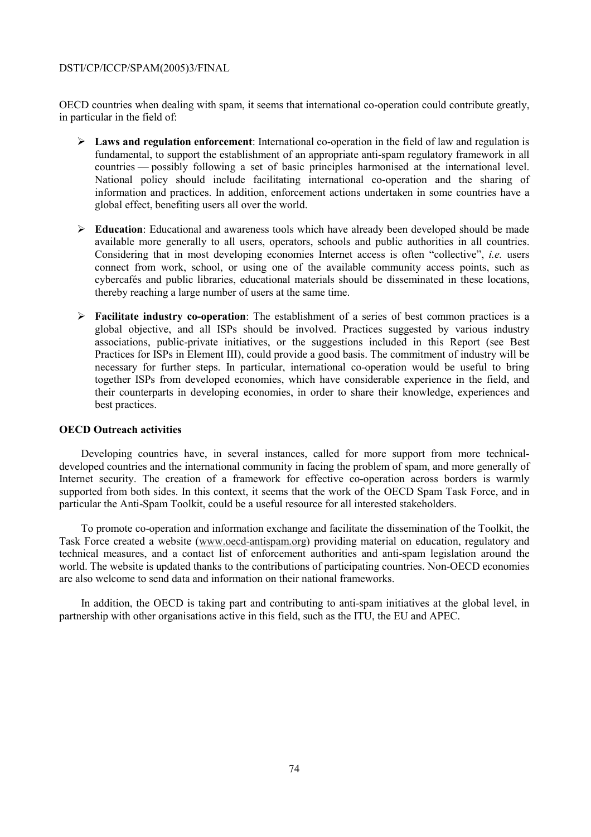OECD countries when dealing with spam, it seems that international co-operation could contribute greatly, in particular in the field of:

- $\triangleright$  **Laws and regulation enforcement**: International co-operation in the field of law and regulation is fundamental, to support the establishment of an appropriate anti-spam regulatory framework in all countries — possibly following a set of basic principles harmonised at the international level. National policy should include facilitating international co-operation and the sharing of information and practices. In addition, enforcement actions undertaken in some countries have a global effect, benefiting users all over the world.
- **Education**: Educational and awareness tools which have already been developed should be made available more generally to all users, operators, schools and public authorities in all countries. Considering that in most developing economies Internet access is often "collective", *i.e.* users connect from work, school, or using one of the available community access points, such as cybercafÈs and public libraries, educational materials should be disseminated in these locations, thereby reaching a large number of users at the same time.
- # **Facilitate industry co-operation**: The establishment of a series of best common practices is a global objective, and all ISPs should be involved. Practices suggested by various industry associations, public-private initiatives, or the suggestions included in this Report (see Best Practices for ISPs in Element III), could provide a good basis. The commitment of industry will be necessary for further steps. In particular, international co-operation would be useful to bring together ISPs from developed economies, which have considerable experience in the field, and their counterparts in developing economies, in order to share their knowledge, experiences and best practices.

#### **OECD Outreach activities**

Developing countries have, in several instances, called for more support from more technicaldeveloped countries and the international community in facing the problem of spam, and more generally of Internet security. The creation of a framework for effective co-operation across borders is warmly supported from both sides. In this context, it seems that the work of the OECD Spam Task Force, and in particular the Anti-Spam Toolkit, could be a useful resource for all interested stakeholders.

To promote co-operation and information exchange and facilitate the dissemination of the Toolkit, the Task Force created a website (www.oecd-antispam.org) providing material on education, regulatory and technical measures, and a contact list of enforcement authorities and anti-spam legislation around the world. The website is updated thanks to the contributions of participating countries. Non-OECD economies are also welcome to send data and information on their national frameworks.

In addition, the OECD is taking part and contributing to anti-spam initiatives at the global level, in partnership with other organisations active in this field, such as the ITU, the EU and APEC.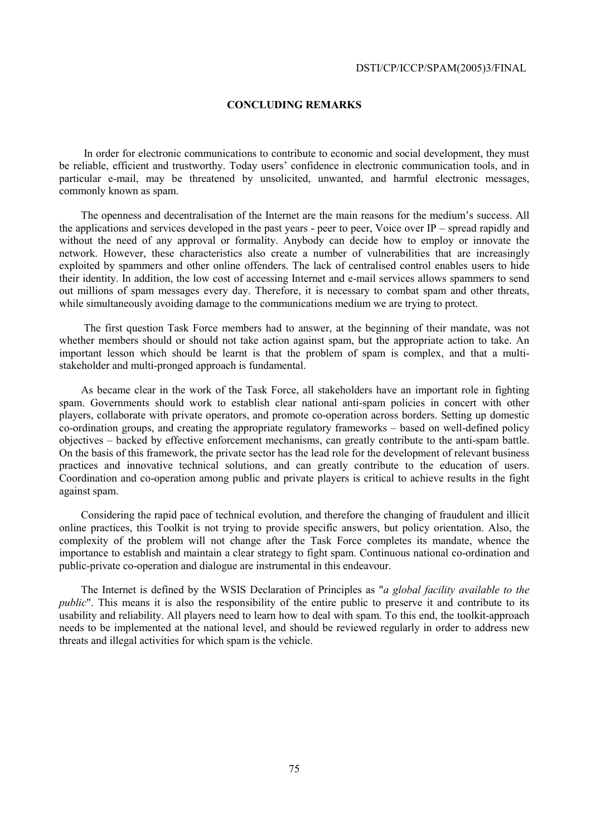#### **CONCLUDING REMARKS**

 In order for electronic communications to contribute to economic and social development, they must be reliable, efficient and trustworthy. Today users' confidence in electronic communication tools, and in particular e-mail, may be threatened by unsolicited, unwanted, and harmful electronic messages, commonly known as spam.

The openness and decentralisation of the Internet are the main reasons for the medium's success. All the applications and services developed in the past years - peer to peer, Voice over  $IP$  – spread rapidly and without the need of any approval or formality. Anybody can decide how to employ or innovate the network. However, these characteristics also create a number of vulnerabilities that are increasingly exploited by spammers and other online offenders. The lack of centralised control enables users to hide their identity. In addition, the low cost of accessing Internet and e-mail services allows spammers to send out millions of spam messages every day. Therefore, it is necessary to combat spam and other threats, while simultaneously avoiding damage to the communications medium we are trying to protect.

 The first question Task Force members had to answer, at the beginning of their mandate, was not whether members should or should not take action against spam, but the appropriate action to take. An important lesson which should be learnt is that the problem of spam is complex, and that a multistakeholder and multi-pronged approach is fundamental.

As became clear in the work of the Task Force, all stakeholders have an important role in fighting spam. Governments should work to establish clear national anti-spam policies in concert with other players, collaborate with private operators, and promote co-operation across borders. Setting up domestic co-ordination groups, and creating the appropriate regulatory frameworks – based on well-defined policy objectives – backed by effective enforcement mechanisms, can greatly contribute to the anti-spam battle. On the basis of this framework, the private sector has the lead role for the development of relevant business practices and innovative technical solutions, and can greatly contribute to the education of users. Coordination and co-operation among public and private players is critical to achieve results in the fight against spam.

Considering the rapid pace of technical evolution, and therefore the changing of fraudulent and illicit online practices, this Toolkit is not trying to provide specific answers, but policy orientation. Also, the complexity of the problem will not change after the Task Force completes its mandate, whence the importance to establish and maintain a clear strategy to fight spam. Continuous national co-ordination and public-private co-operation and dialogue are instrumental in this endeavour.

The Internet is defined by the WSIS Declaration of Principles as "*a global facility available to the public*". This means it is also the responsibility of the entire public to preserve it and contribute to its usability and reliability. All players need to learn how to deal with spam. To this end, the toolkit-approach needs to be implemented at the national level, and should be reviewed regularly in order to address new threats and illegal activities for which spam is the vehicle.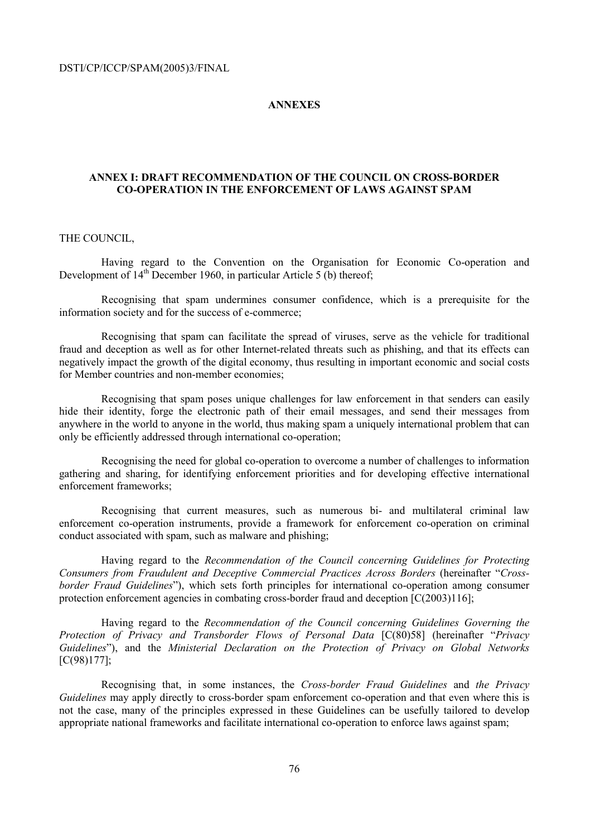### **ANNEXES**

### **ANNEX I: DRAFT RECOMMENDATION OF THE COUNCIL ON CROSS-BORDER CO-OPERATION IN THE ENFORCEMENT OF LAWS AGAINST SPAM**

THE COUNCIL,

 Having regard to the Convention on the Organisation for Economic Co-operation and Development of  $14<sup>th</sup>$  December 1960, in particular Article 5 (b) thereof;

 Recognising that spam undermines consumer confidence, which is a prerequisite for the information society and for the success of e-commerce;

 Recognising that spam can facilitate the spread of viruses, serve as the vehicle for traditional fraud and deception as well as for other Internet-related threats such as phishing, and that its effects can negatively impact the growth of the digital economy, thus resulting in important economic and social costs for Member countries and non-member economies;

 Recognising that spam poses unique challenges for law enforcement in that senders can easily hide their identity, forge the electronic path of their email messages, and send their messages from anywhere in the world to anyone in the world, thus making spam a uniquely international problem that can only be efficiently addressed through international co-operation;

 Recognising the need for global co-operation to overcome a number of challenges to information gathering and sharing, for identifying enforcement priorities and for developing effective international enforcement frameworks;

 Recognising that current measures, such as numerous bi- and multilateral criminal law enforcement co-operation instruments, provide a framework for enforcement co-operation on criminal conduct associated with spam, such as malware and phishing;

 Having regard to the *Recommendation of the Council concerning Guidelines for Protecting*  Consumers from Fraudulent and Deceptive Commercial Practices Across Borders (hereinafter *<sup><i>Cross*-</sup> *border Fraud Guidelines*<sup>"</sup>), which sets forth principles for international co-operation among consumer protection enforcement agencies in combating cross-border fraud and deception [C(2003)116];

 Having regard to the *Recommendation of the Council concerning Guidelines Governing the Protection of Privacy and Transborder Flows of Personal Data* [C(80)58] (hereinafter *<sup><i>Privacy*</sup> *Guidelines*î), and the *Ministerial Declaration on the Protection of Privacy on Global Networks* [C(98)177];

 Recognising that, in some instances, the *Cross-border Fraud Guidelines* and *the Privacy Guidelines* may apply directly to cross-border spam enforcement co-operation and that even where this is not the case, many of the principles expressed in these Guidelines can be usefully tailored to develop appropriate national frameworks and facilitate international co-operation to enforce laws against spam;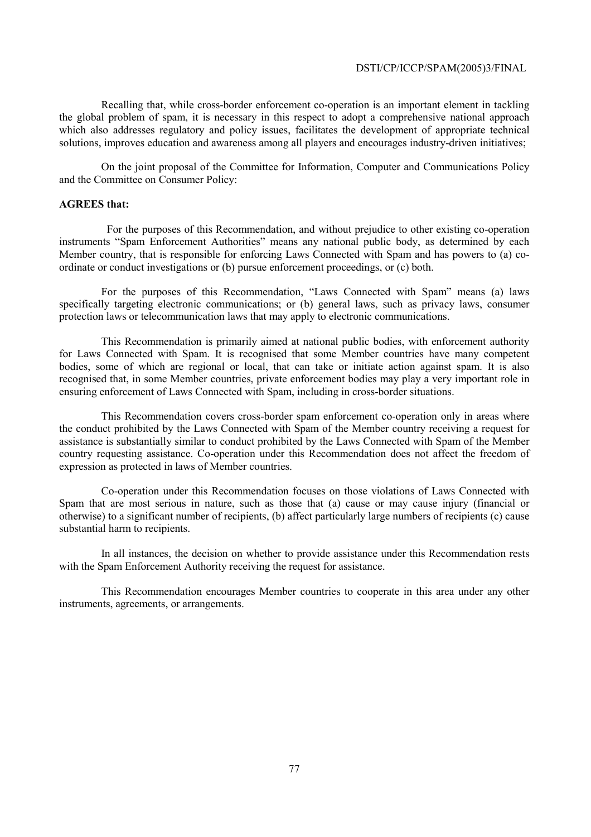Recalling that, while cross-border enforcement co-operation is an important element in tackling the global problem of spam, it is necessary in this respect to adopt a comprehensive national approach which also addresses regulatory and policy issues, facilitates the development of appropriate technical solutions, improves education and awareness among all players and encourages industry-driven initiatives;

 On the joint proposal of the Committee for Information, Computer and Communications Policy and the Committee on Consumer Policy:

#### **AGREES that:**

 For the purposes of this Recommendation, and without prejudice to other existing co-operation instruments "Spam Enforcement Authorities" means any national public body, as determined by each Member country, that is responsible for enforcing Laws Connected with Spam and has powers to (a) coordinate or conduct investigations or (b) pursue enforcement proceedings, or (c) both.

For the purposes of this Recommendation, "Laws Connected with Spam" means (a) laws specifically targeting electronic communications; or (b) general laws, such as privacy laws, consumer protection laws or telecommunication laws that may apply to electronic communications.

 This Recommendation is primarily aimed at national public bodies, with enforcement authority for Laws Connected with Spam. It is recognised that some Member countries have many competent bodies, some of which are regional or local, that can take or initiate action against spam. It is also recognised that, in some Member countries, private enforcement bodies may play a very important role in ensuring enforcement of Laws Connected with Spam, including in cross-border situations.

 This Recommendation covers cross-border spam enforcement co-operation only in areas where the conduct prohibited by the Laws Connected with Spam of the Member country receiving a request for assistance is substantially similar to conduct prohibited by the Laws Connected with Spam of the Member country requesting assistance. Co-operation under this Recommendation does not affect the freedom of expression as protected in laws of Member countries.

 Co-operation under this Recommendation focuses on those violations of Laws Connected with Spam that are most serious in nature, such as those that (a) cause or may cause injury (financial or otherwise) to a significant number of recipients, (b) affect particularly large numbers of recipients (c) cause substantial harm to recipients.

 In all instances, the decision on whether to provide assistance under this Recommendation rests with the Spam Enforcement Authority receiving the request for assistance.

 This Recommendation encourages Member countries to cooperate in this area under any other instruments, agreements, or arrangements.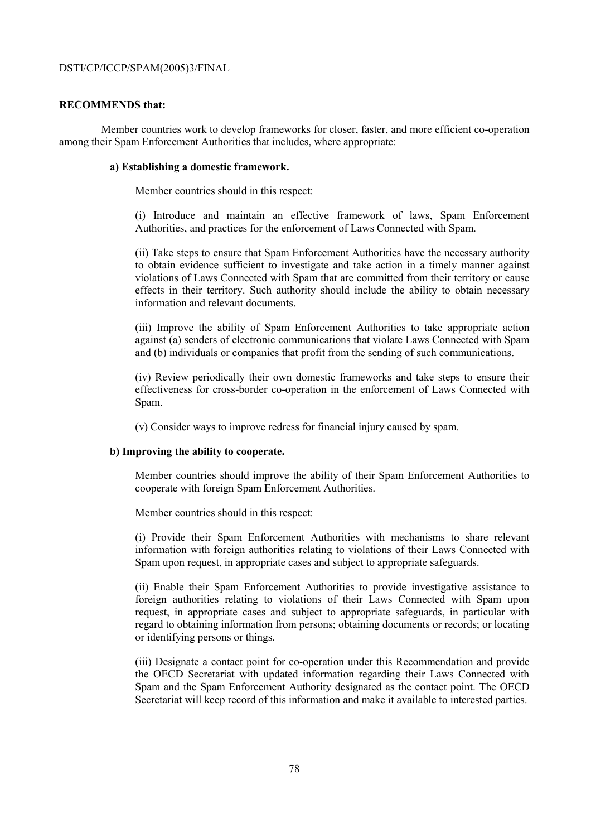#### **RECOMMENDS that:**

Member countries work to develop frameworks for closer, faster, and more efficient co-operation among their Spam Enforcement Authorities that includes, where appropriate:

#### **a) Establishing a domestic framework.**

Member countries should in this respect:

(i) Introduce and maintain an effective framework of laws, Spam Enforcement Authorities, and practices for the enforcement of Laws Connected with Spam.

(ii) Take steps to ensure that Spam Enforcement Authorities have the necessary authority to obtain evidence sufficient to investigate and take action in a timely manner against violations of Laws Connected with Spam that are committed from their territory or cause effects in their territory. Such authority should include the ability to obtain necessary information and relevant documents.

(iii) Improve the ability of Spam Enforcement Authorities to take appropriate action against (a) senders of electronic communications that violate Laws Connected with Spam and (b) individuals or companies that profit from the sending of such communications.

(iv) Review periodically their own domestic frameworks and take steps to ensure their effectiveness for cross-border co-operation in the enforcement of Laws Connected with Spam.

(v) Consider ways to improve redress for financial injury caused by spam.

#### **b) Improving the ability to cooperate.**

Member countries should improve the ability of their Spam Enforcement Authorities to cooperate with foreign Spam Enforcement Authorities.

Member countries should in this respect:

(i) Provide their Spam Enforcement Authorities with mechanisms to share relevant information with foreign authorities relating to violations of their Laws Connected with Spam upon request, in appropriate cases and subject to appropriate safeguards.

(ii) Enable their Spam Enforcement Authorities to provide investigative assistance to foreign authorities relating to violations of their Laws Connected with Spam upon request, in appropriate cases and subject to appropriate safeguards, in particular with regard to obtaining information from persons; obtaining documents or records; or locating or identifying persons or things.

(iii) Designate a contact point for co-operation under this Recommendation and provide the OECD Secretariat with updated information regarding their Laws Connected with Spam and the Spam Enforcement Authority designated as the contact point. The OECD Secretariat will keep record of this information and make it available to interested parties.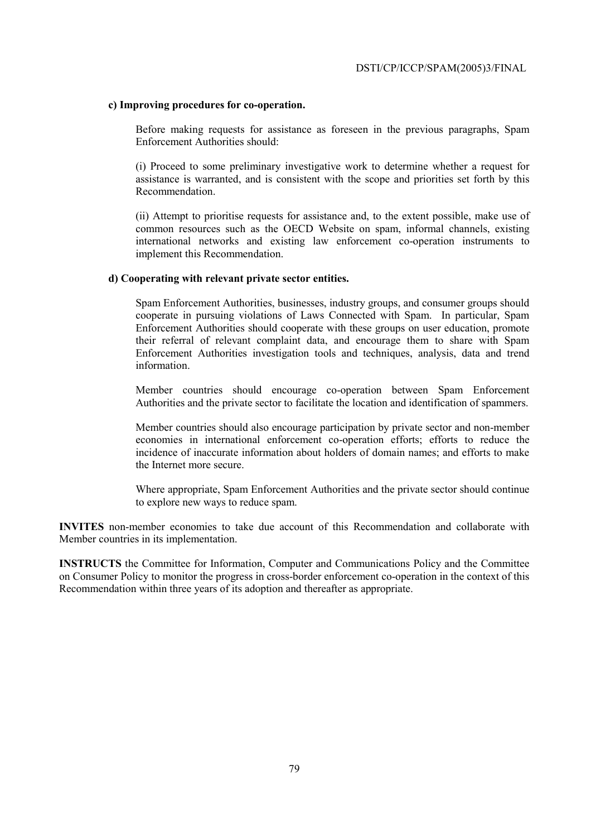#### **c) Improving procedures for co-operation.**

Before making requests for assistance as foreseen in the previous paragraphs, Spam Enforcement Authorities should:

(i) Proceed to some preliminary investigative work to determine whether a request for assistance is warranted, and is consistent with the scope and priorities set forth by this Recommendation.

(ii) Attempt to prioritise requests for assistance and, to the extent possible, make use of common resources such as the OECD Website on spam, informal channels, existing international networks and existing law enforcement co-operation instruments to implement this Recommendation.

#### **d) Cooperating with relevant private sector entities.**

Spam Enforcement Authorities, businesses, industry groups, and consumer groups should cooperate in pursuing violations of Laws Connected with Spam. In particular, Spam Enforcement Authorities should cooperate with these groups on user education, promote their referral of relevant complaint data, and encourage them to share with Spam Enforcement Authorities investigation tools and techniques, analysis, data and trend information.

Member countries should encourage co-operation between Spam Enforcement Authorities and the private sector to facilitate the location and identification of spammers.

Member countries should also encourage participation by private sector and non-member economies in international enforcement co-operation efforts; efforts to reduce the incidence of inaccurate information about holders of domain names; and efforts to make the Internet more secure.

Where appropriate, Spam Enforcement Authorities and the private sector should continue to explore new ways to reduce spam.

**INVITES** non-member economies to take due account of this Recommendation and collaborate with Member countries in its implementation.

**INSTRUCTS** the Committee for Information, Computer and Communications Policy and the Committee on Consumer Policy to monitor the progress in cross-border enforcement co-operation in the context of this Recommendation within three years of its adoption and thereafter as appropriate.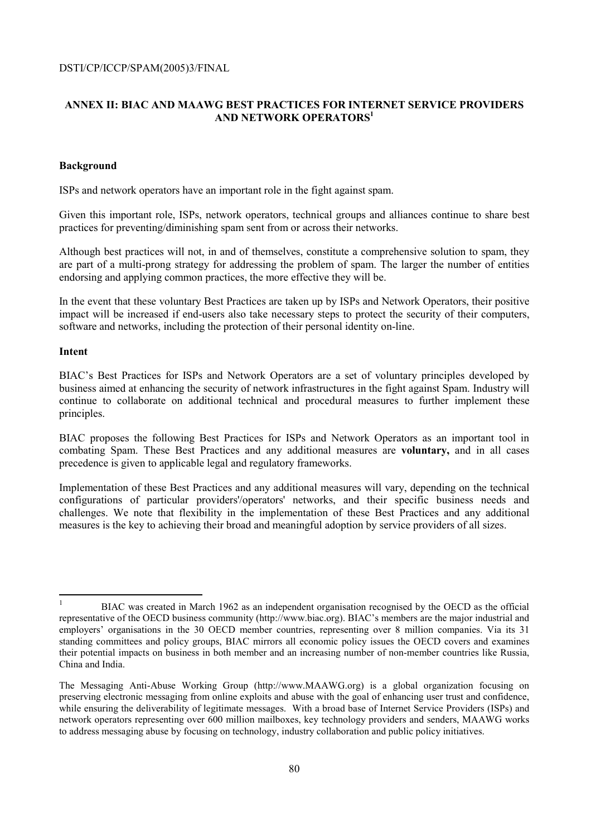## **ANNEX II: BIAC AND MAAWG BEST PRACTICES FOR INTERNET SERVICE PROVIDERS AND NETWORK OPERATORS<sup>1</sup>**

### **Background**

ISPs and network operators have an important role in the fight against spam.

Given this important role, ISPs, network operators, technical groups and alliances continue to share best practices for preventing/diminishing spam sent from or across their networks.

Although best practices will not, in and of themselves, constitute a comprehensive solution to spam, they are part of a multi-prong strategy for addressing the problem of spam. The larger the number of entities endorsing and applying common practices, the more effective they will be.

In the event that these voluntary Best Practices are taken up by ISPs and Network Operators, their positive impact will be increased if end-users also take necessary steps to protect the security of their computers, software and networks, including the protection of their personal identity on-line.

#### **Intent**

BIAC's Best Practices for ISPs and Network Operators are a set of voluntary principles developed by business aimed at enhancing the security of network infrastructures in the fight against Spam. Industry will continue to collaborate on additional technical and procedural measures to further implement these principles.

BIAC proposes the following Best Practices for ISPs and Network Operators as an important tool in combating Spam. These Best Practices and any additional measures are **voluntary,** and in all cases precedence is given to applicable legal and regulatory frameworks.

Implementation of these Best Practices and any additional measures will vary, depending on the technical configurations of particular providers'/operators' networks, and their specific business needs and challenges. We note that flexibility in the implementation of these Best Practices and any additional measures is the key to achieving their broad and meaningful adoption by service providers of all sizes.

<sup>1</sup> BIAC was created in March 1962 as an independent organisation recognised by the OECD as the official representative of the OECD business community (http://www.biac.org). BIAC's members are the major industrial and employers' organisations in the 30 OECD member countries, representing over 8 million companies. Via its 31 standing committees and policy groups, BIAC mirrors all economic policy issues the OECD covers and examines their potential impacts on business in both member and an increasing number of non-member countries like Russia, China and India.

The Messaging Anti-Abuse Working Group (http://www.MAAWG.org) is a global organization focusing on preserving electronic messaging from online exploits and abuse with the goal of enhancing user trust and confidence, while ensuring the deliverability of legitimate messages. With a broad base of Internet Service Providers (ISPs) and network operators representing over 600 million mailboxes, key technology providers and senders, MAAWG works to address messaging abuse by focusing on technology, industry collaboration and public policy initiatives.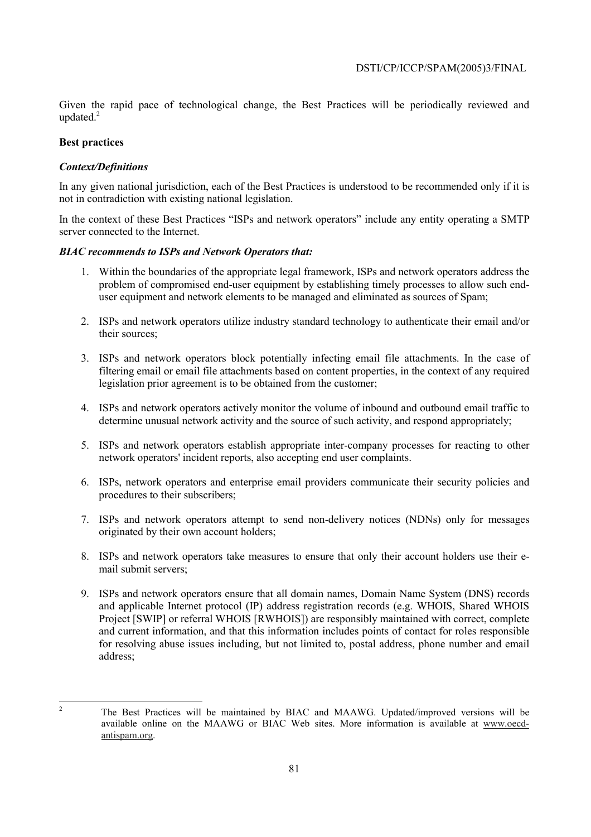Given the rapid pace of technological change, the Best Practices will be periodically reviewed and updated. $^{2}$ 

#### **Best practices**

#### *Context/Definitions*

In any given national jurisdiction, each of the Best Practices is understood to be recommended only if it is not in contradiction with existing national legislation.

In the context of these Best Practices "ISPs and network operators" include any entity operating a SMTP server connected to the Internet.

#### *BIAC recommends to ISPs and Network Operators that:*

- 1. Within the boundaries of the appropriate legal framework, ISPs and network operators address the problem of compromised end-user equipment by establishing timely processes to allow such enduser equipment and network elements to be managed and eliminated as sources of Spam;
- 2. ISPs and network operators utilize industry standard technology to authenticate their email and/or their sources;
- 3. ISPs and network operators block potentially infecting email file attachments. In the case of filtering email or email file attachments based on content properties, in the context of any required legislation prior agreement is to be obtained from the customer;
- 4. ISPs and network operators actively monitor the volume of inbound and outbound email traffic to determine unusual network activity and the source of such activity, and respond appropriately;
- 5. ISPs and network operators establish appropriate inter-company processes for reacting to other network operators' incident reports, also accepting end user complaints.
- 6. ISPs, network operators and enterprise email providers communicate their security policies and procedures to their subscribers;
- 7. ISPs and network operators attempt to send non-delivery notices (NDNs) only for messages originated by their own account holders;
- 8. ISPs and network operators take measures to ensure that only their account holders use their email submit servers;
- 9. ISPs and network operators ensure that all domain names, Domain Name System (DNS) records and applicable Internet protocol (IP) address registration records (e.g. WHOIS, Shared WHOIS Project [SWIP] or referral WHOIS [RWHOIS]) are responsibly maintained with correct, complete and current information, and that this information includes points of contact for roles responsible for resolving abuse issues including, but not limited to, postal address, phone number and email address;

 $\frac{1}{2}$ 

The Best Practices will be maintained by BIAC and MAAWG. Updated/improved versions will be available online on the MAAWG or BIAC Web sites. More information is available at www.oecdantispam.org.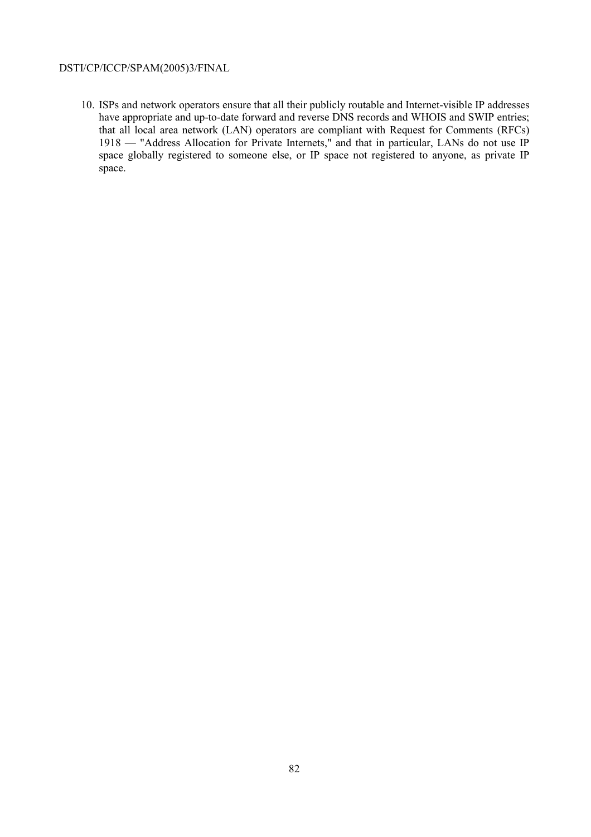10. ISPs and network operators ensure that all their publicly routable and Internet-visible IP addresses have appropriate and up-to-date forward and reverse DNS records and WHOIS and SWIP entries; that all local area network (LAN) operators are compliant with Request for Comments (RFCs) 1918 – "Address Allocation for Private Internets," and that in particular, LANs do not use IP space globally registered to someone else, or IP space not registered to anyone, as private IP space.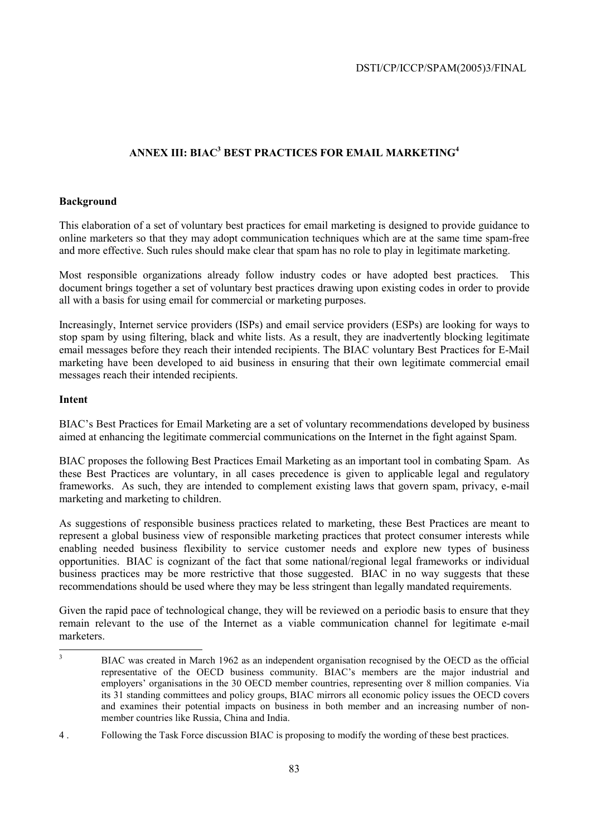## **ANNEX III: BIAC3 BEST PRACTICES FOR EMAIL MARKETING4**

### **Background**

This elaboration of a set of voluntary best practices for email marketing is designed to provide guidance to online marketers so that they may adopt communication techniques which are at the same time spam-free and more effective. Such rules should make clear that spam has no role to play in legitimate marketing.

Most responsible organizations already follow industry codes or have adopted best practices. This document brings together a set of voluntary best practices drawing upon existing codes in order to provide all with a basis for using email for commercial or marketing purposes.

Increasingly, Internet service providers (ISPs) and email service providers (ESPs) are looking for ways to stop spam by using filtering, black and white lists. As a result, they are inadvertently blocking legitimate email messages before they reach their intended recipients. The BIAC voluntary Best Practices for E-Mail marketing have been developed to aid business in ensuring that their own legitimate commercial email messages reach their intended recipients.

## **Intent**

BIAC's Best Practices for Email Marketing are a set of voluntary recommendations developed by business aimed at enhancing the legitimate commercial communications on the Internet in the fight against Spam.

BIAC proposes the following Best Practices Email Marketing as an important tool in combating Spam. As these Best Practices are voluntary, in all cases precedence is given to applicable legal and regulatory frameworks. As such, they are intended to complement existing laws that govern spam, privacy, e-mail marketing and marketing to children.

As suggestions of responsible business practices related to marketing, these Best Practices are meant to represent a global business view of responsible marketing practices that protect consumer interests while enabling needed business flexibility to service customer needs and explore new types of business opportunities. BIAC is cognizant of the fact that some national/regional legal frameworks or individual business practices may be more restrictive that those suggested. BIAC in no way suggests that these recommendations should be used where they may be less stringent than legally mandated requirements.

Given the rapid pace of technological change, they will be reviewed on a periodic basis to ensure that they remain relevant to the use of the Internet as a viable communication channel for legitimate e-mail marketers.

 3 BIAC was created in March 1962 as an independent organisation recognised by the OECD as the official representative of the OECD business community. BIAC's members are the major industrial and employers' organisations in the 30 OECD member countries, representing over 8 million companies. Via its 31 standing committees and policy groups, BIAC mirrors all economic policy issues the OECD covers and examines their potential impacts on business in both member and an increasing number of nonmember countries like Russia, China and India.

<sup>4 .</sup> Following the Task Force discussion BIAC is proposing to modify the wording of these best practices.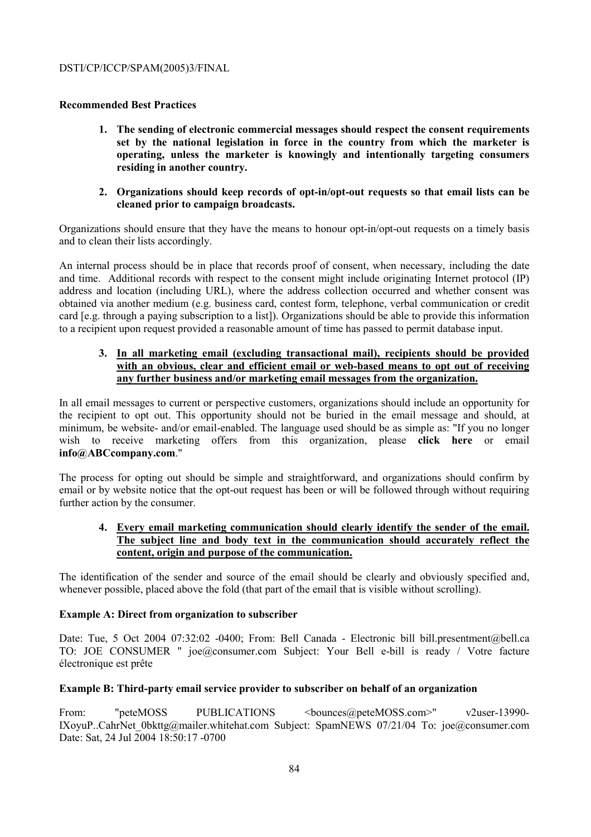## **Recommended Best Practices**

- **1. The sending of electronic commercial messages should respect the consent requirements set by the national legislation in force in the country from which the marketer is operating, unless the marketer is knowingly and intentionally targeting consumers residing in another country.**
- **2. Organizations should keep records of opt-in/opt-out requests so that email lists can be cleaned prior to campaign broadcasts.**

Organizations should ensure that they have the means to honour opt-in/opt-out requests on a timely basis and to clean their lists accordingly.

An internal process should be in place that records proof of consent, when necessary, including the date and time. Additional records with respect to the consent might include originating Internet protocol (IP) address and location (including URL), where the address collection occurred and whether consent was obtained via another medium (e.g. business card, contest form, telephone, verbal communication or credit card [e.g. through a paying subscription to a list]). Organizations should be able to provide this information to a recipient upon request provided a reasonable amount of time has passed to permit database input.

### **3. In all marketing email (excluding transactional mail), recipients should be provided**  with an obvious, clear and efficient email or web-based means to opt out of receiving **any further business and/or marketing email messages from the organization.**

In all email messages to current or perspective customers, organizations should include an opportunity for the recipient to opt out. This opportunity should not be buried in the email message and should, at minimum, be website- and/or email-enabled. The language used should be as simple as: "If you no longer wish to receive marketing offers from this organization, please **click here** or email **info@ABCcompany.com**."

The process for opting out should be simple and straightforward, and organizations should confirm by email or by website notice that the opt-out request has been or will be followed through without requiring further action by the consumer.

## **4. Every email marketing communication should clearly identify the sender of the email. The subject line and body text in the communication should accurately reflect the content, origin and purpose of the communication.**

The identification of the sender and source of the email should be clearly and obviously specified and, whenever possible, placed above the fold (that part of the email that is visible without scrolling).

#### **Example A: Direct from organization to subscriber**

Date: Tue, 5 Oct 2004 07:32:02 -0400; From: Bell Canada - Electronic bill bill.presentment@bell.ca TO: JOE CONSUMER " joe@consumer.com Subject: Your Bell e-bill is ready / Votre facture électronique est prête

#### **Example B: Third-party email service provider to subscriber on behalf of an organization**

From: "peteMOSS PUBLICATIONS <br/>bounces@peteMOSS.com>" v2user-13990-IXoyuP..CahrNet\_0bkttg@mailer.whitehat.com Subject: SpamNEWS 07/21/04 To: joe@consumer.com Date: Sat, 24 Jul 2004 18:50:17 -0700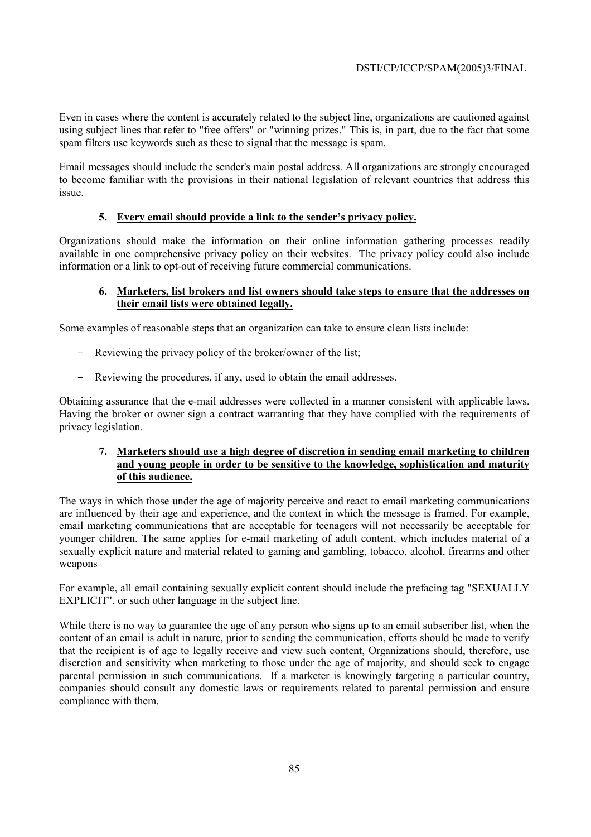Even in cases where the content is accurately related to the subject line, organizations are cautioned against using subject lines that refer to "free offers" or "winning prizes." This is, in part, due to the fact that some spam filters use keywords such as these to signal that the message is spam.

Email messages should include the sender's main postal address. All organizations are strongly encouraged to become familiar with the provisions in their national legislation of relevant countries that address this issue.

## **5. Every email should provide a link to the senderís privacy policy.**

Organizations should make the information on their online information gathering processes readily available in one comprehensive privacy policy on their websites. The privacy policy could also include information or a link to opt-out of receiving future commercial communications.

## **6. Marketers, list brokers and list owners should take steps to ensure that the addresses on their email lists were obtained legally.**

Some examples of reasonable steps that an organization can take to ensure clean lists include:

- Reviewing the privacy policy of the broker/owner of the list;
- Reviewing the procedures, if any, used to obtain the email addresses.

Obtaining assurance that the e-mail addresses were collected in a manner consistent with applicable laws. Having the broker or owner sign a contract warranting that they have complied with the requirements of privacy legislation.

## **7. Marketers should use a high degree of discretion in sending email marketing to children and young people in order to be sensitive to the knowledge, sophistication and maturity of this audience.**

The ways in which those under the age of majority perceive and react to email marketing communications are influenced by their age and experience, and the context in which the message is framed. For example, email marketing communications that are acceptable for teenagers will not necessarily be acceptable for younger children. The same applies for e-mail marketing of adult content, which includes material of a sexually explicit nature and material related to gaming and gambling, tobacco, alcohol, firearms and other weapons

For example, all email containing sexually explicit content should include the prefacing tag "SEXUALLY EXPLICIT", or such other language in the subject line.

While there is no way to guarantee the age of any person who signs up to an email subscriber list, when the content of an email is adult in nature, prior to sending the communication, efforts should be made to verify that the recipient is of age to legally receive and view such content, Organizations should, therefore, use discretion and sensitivity when marketing to those under the age of majority, and should seek to engage parental permission in such communications. If a marketer is knowingly targeting a particular country, companies should consult any domestic laws or requirements related to parental permission and ensure compliance with them.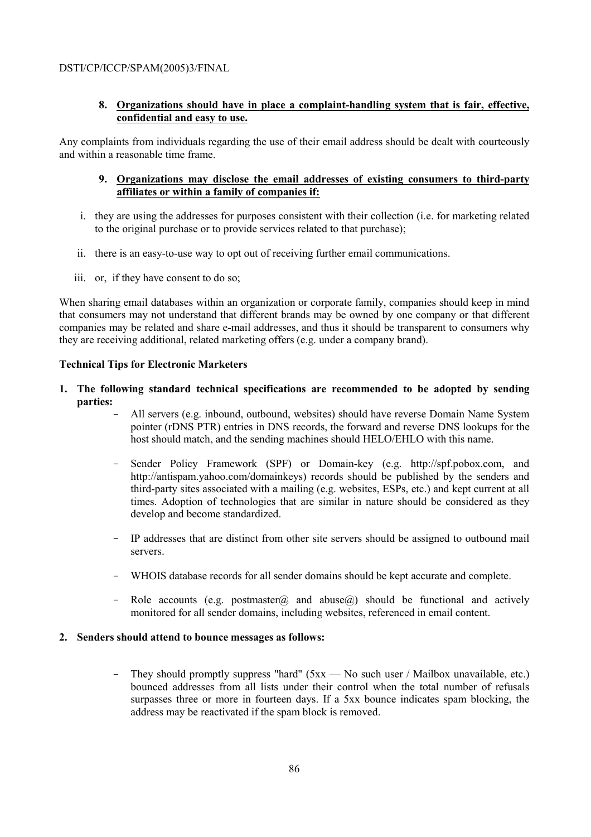## **8. Organizations should have in place a complaint-handling system that is fair, effective, confidential and easy to use.**

Any complaints from individuals regarding the use of their email address should be dealt with courteously and within a reasonable time frame.

### **9. Organizations may disclose the email addresses of existing consumers to third-party affiliates or within a family of companies if:**

- i. they are using the addresses for purposes consistent with their collection (i.e. for marketing related to the original purchase or to provide services related to that purchase);
- ii. there is an easy-to-use way to opt out of receiving further email communications.
- iii. or, if they have consent to do so;

When sharing email databases within an organization or corporate family, companies should keep in mind that consumers may not understand that different brands may be owned by one company or that different companies may be related and share e-mail addresses, and thus it should be transparent to consumers why they are receiving additional, related marketing offers (e.g. under a company brand).

## **Technical Tips for Electronic Marketers**

- **1. The following standard technical specifications are recommended to be adopted by sending parties:** 
	- All servers (e.g. inbound, outbound, websites) should have reverse Domain Name System pointer (rDNS PTR) entries in DNS records, the forward and reverse DNS lookups for the host should match, and the sending machines should HELO/EHLO with this name.
	- Sender Policy Framework (SPF) or Domain-key (e.g. http://spf.pobox.com, and http://antispam.yahoo.com/domainkeys) records should be published by the senders and third-party sites associated with a mailing (e.g. websites, ESPs, etc.) and kept current at all times. Adoption of technologies that are similar in nature should be considered as they develop and become standardized.
	- IP addresses that are distinct from other site servers should be assigned to outbound mail servers.
	- WHOIS database records for all sender domains should be kept accurate and complete.
	- Role accounts (e.g. postmaster  $(a)$  and abuse  $(a)$ ) should be functional and actively monitored for all sender domains, including websites, referenced in email content.

### **2. Senders should attend to bounce messages as follows:**

They should promptly suppress "hard" ( $5xx - No$  such user / Mailbox unavailable, etc.) bounced addresses from all lists under their control when the total number of refusals surpasses three or more in fourteen days. If a 5xx bounce indicates spam blocking, the address may be reactivated if the spam block is removed.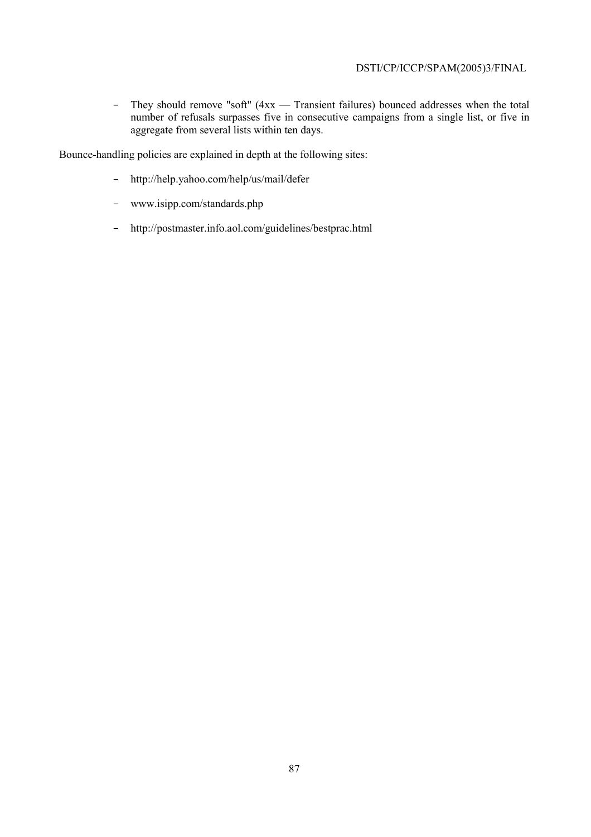- They should remove "soft"  $(4xx -$  Transient failures) bounced addresses when the total number of refusals surpasses five in consecutive campaigns from a single list, or five in aggregate from several lists within ten days.

Bounce-handling policies are explained in depth at the following sites:

- http://help.yahoo.com/help/us/mail/defer
- www.isipp.com/standards.php
- http://postmaster.info.aol.com/guidelines/bestprac.html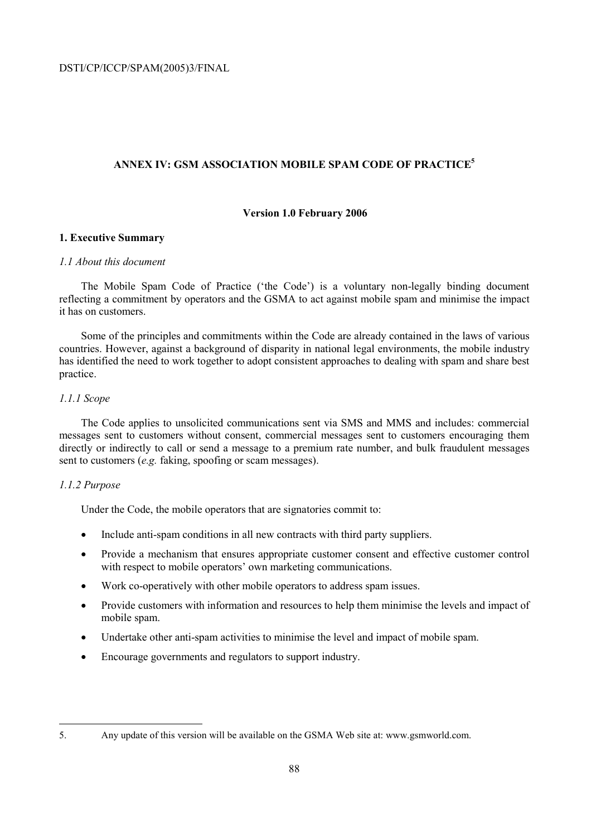### **ANNEX IV: GSM ASSOCIATION MOBILE SPAM CODE OF PRACTICE5**

#### **Version 1.0 February 2006**

#### **1. Executive Summary**

#### *1.1 About this document*

The Mobile Spam Code of Practice ('the Code') is a voluntary non-legally binding document reflecting a commitment by operators and the GSMA to act against mobile spam and minimise the impact it has on customers.

Some of the principles and commitments within the Code are already contained in the laws of various countries. However, against a background of disparity in national legal environments, the mobile industry has identified the need to work together to adopt consistent approaches to dealing with spam and share best practice.

#### *1.1.1 Scope*

The Code applies to unsolicited communications sent via SMS and MMS and includes: commercial messages sent to customers without consent, commercial messages sent to customers encouraging them directly or indirectly to call or send a message to a premium rate number, and bulk fraudulent messages sent to customers (*e.g.* faking, spoofing or scam messages).

#### *1.1.2 Purpose*

 $\overline{a}$ 

Under the Code, the mobile operators that are signatories commit to:

- Include anti-spam conditions in all new contracts with third party suppliers.
- Provide a mechanism that ensures appropriate customer consent and effective customer control with respect to mobile operators' own marketing communications.
- Work co-operatively with other mobile operators to address spam issues.
- Provide customers with information and resources to help them minimise the levels and impact of mobile spam.
- Undertake other anti-spam activities to minimise the level and impact of mobile spam.
- Encourage governments and regulators to support industry.

<sup>5.</sup> Any update of this version will be available on the GSMA Web site at: www.gsmworld.com.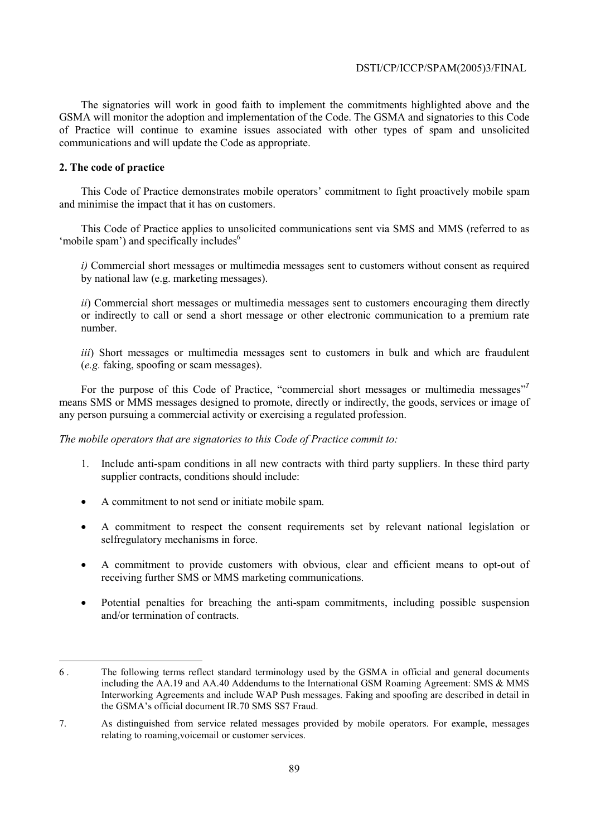The signatories will work in good faith to implement the commitments highlighted above and the GSMA will monitor the adoption and implementation of the Code. The GSMA and signatories to this Code of Practice will continue to examine issues associated with other types of spam and unsolicited communications and will update the Code as appropriate.

#### **2. The code of practice**

 $\overline{a}$ 

This Code of Practice demonstrates mobile operators' commitment to fight proactively mobile spam and minimise the impact that it has on customers.

This Code of Practice applies to unsolicited communications sent via SMS and MMS (referred to as 'mobile spam') and specifically includes $<sup>6</sup>$ </sup>

*i)* Commercial short messages or multimedia messages sent to customers without consent as required by national law (e.g. marketing messages).

*ii*) Commercial short messages or multimedia messages sent to customers encouraging them directly or indirectly to call or send a short message or other electronic communication to a premium rate number.

*iii*) Short messages or multimedia messages sent to customers in bulk and which are fraudulent (*e.g.* faking, spoofing or scam messages).

For the purpose of this Code of Practice, "commercial short messages or multimedia messages"<sup>7</sup> means SMS or MMS messages designed to promote, directly or indirectly, the goods, services or image of any person pursuing a commercial activity or exercising a regulated profession.

*The mobile operators that are signatories to this Code of Practice commit to:* 

- 1. Include anti-spam conditions in all new contracts with third party suppliers. In these third party supplier contracts, conditions should include:
- A commitment to not send or initiate mobile spam.
- A commitment to respect the consent requirements set by relevant national legislation or selfregulatory mechanisms in force.
- A commitment to provide customers with obvious, clear and efficient means to opt-out of receiving further SMS or MMS marketing communications.
- Potential penalties for breaching the anti-spam commitments, including possible suspension and/or termination of contracts.

<sup>6 .</sup> The following terms reflect standard terminology used by the GSMA in official and general documents including the AA.19 and AA.40 Addendums to the International GSM Roaming Agreement: SMS & MMS Interworking Agreements and include WAP Push messages. Faking and spoofing are described in detail in the GSMA's official document IR.70 SMS SS7 Fraud.

<sup>7.</sup> As distinguished from service related messages provided by mobile operators. For example, messages relating to roaming,voicemail or customer services.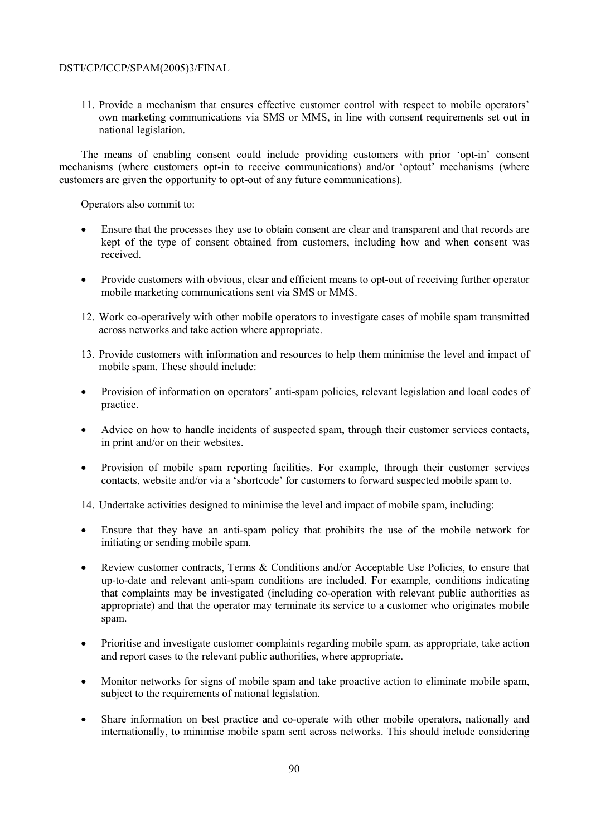11. Provide a mechanism that ensures effective customer control with respect to mobile operatorsí own marketing communications via SMS or MMS, in line with consent requirements set out in national legislation.

The means of enabling consent could include providing customers with prior 'opt-in' consent mechanisms (where customers opt-in to receive communications) and/or 'optout' mechanisms (where customers are given the opportunity to opt-out of any future communications).

Operators also commit to:

- Ensure that the processes they use to obtain consent are clear and transparent and that records are kept of the type of consent obtained from customers, including how and when consent was received.
- Provide customers with obvious, clear and efficient means to opt-out of receiving further operator mobile marketing communications sent via SMS or MMS.
- 12. Work co-operatively with other mobile operators to investigate cases of mobile spam transmitted across networks and take action where appropriate.
- 13. Provide customers with information and resources to help them minimise the level and impact of mobile spam. These should include:
- Provision of information on operators' anti-spam policies, relevant legislation and local codes of practice.
- Advice on how to handle incidents of suspected spam, through their customer services contacts, in print and/or on their websites.
- Provision of mobile spam reporting facilities. For example, through their customer services contacts, website and/or via a 'shortcode' for customers to forward suspected mobile spam to.
- 14. Undertake activities designed to minimise the level and impact of mobile spam, including:
- Ensure that they have an anti-spam policy that prohibits the use of the mobile network for initiating or sending mobile spam.
- Review customer contracts, Terms & Conditions and/or Acceptable Use Policies, to ensure that up-to-date and relevant anti-spam conditions are included. For example, conditions indicating that complaints may be investigated (including co-operation with relevant public authorities as appropriate) and that the operator may terminate its service to a customer who originates mobile spam.
- Prioritise and investigate customer complaints regarding mobile spam, as appropriate, take action and report cases to the relevant public authorities, where appropriate.
- Monitor networks for signs of mobile spam and take proactive action to eliminate mobile spam, subject to the requirements of national legislation.
- Share information on best practice and co-operate with other mobile operators, nationally and internationally, to minimise mobile spam sent across networks. This should include considering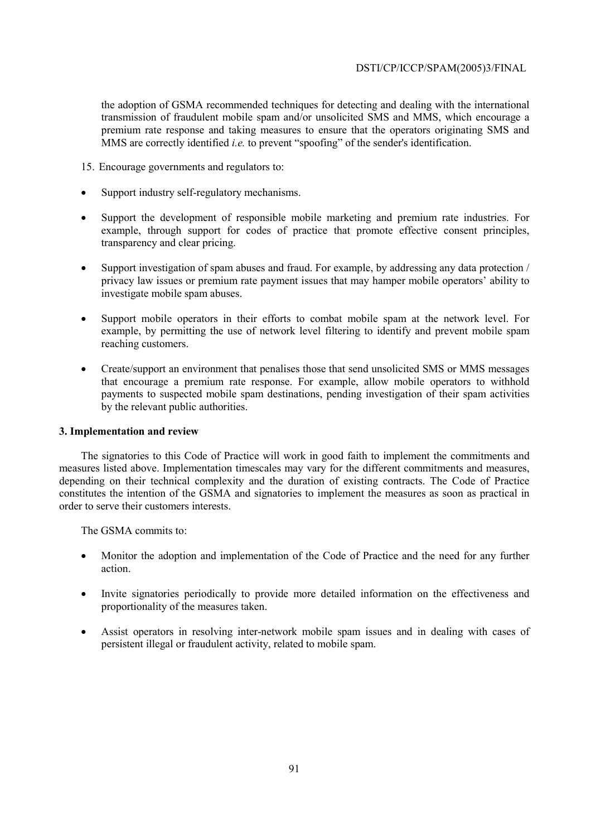the adoption of GSMA recommended techniques for detecting and dealing with the international transmission of fraudulent mobile spam and/or unsolicited SMS and MMS, which encourage a premium rate response and taking measures to ensure that the operators originating SMS and MMS are correctly identified *i.e.* to prevent "spoofing" of the sender's identification.

- 15. Encourage governments and regulators to:
- Support industry self-regulatory mechanisms.
- Support the development of responsible mobile marketing and premium rate industries. For example, through support for codes of practice that promote effective consent principles, transparency and clear pricing.
- Support investigation of spam abuses and fraud. For example, by addressing any data protection / privacy law issues or premium rate payment issues that may hamper mobile operators' ability to investigate mobile spam abuses.
- Support mobile operators in their efforts to combat mobile spam at the network level. For example, by permitting the use of network level filtering to identify and prevent mobile spam reaching customers.
- Create/support an environment that penalises those that send unsolicited SMS or MMS messages that encourage a premium rate response. For example, allow mobile operators to withhold payments to suspected mobile spam destinations, pending investigation of their spam activities by the relevant public authorities.

#### **3. Implementation and review**

The signatories to this Code of Practice will work in good faith to implement the commitments and measures listed above. Implementation timescales may vary for the different commitments and measures, depending on their technical complexity and the duration of existing contracts. The Code of Practice constitutes the intention of the GSMA and signatories to implement the measures as soon as practical in order to serve their customers interests.

The GSMA commits to:

- Monitor the adoption and implementation of the Code of Practice and the need for any further action.
- Invite signatories periodically to provide more detailed information on the effectiveness and proportionality of the measures taken.
- Assist operators in resolving inter-network mobile spam issues and in dealing with cases of persistent illegal or fraudulent activity, related to mobile spam.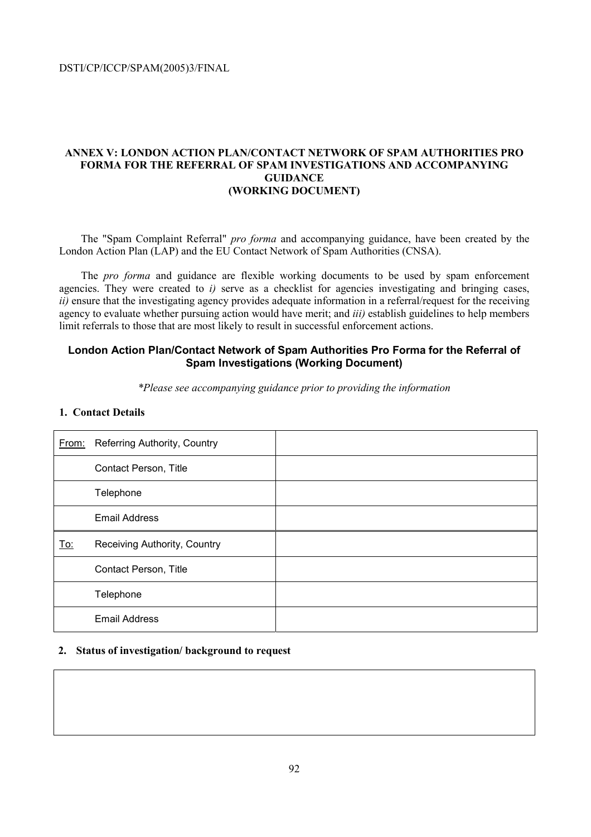## **ANNEX V: LONDON ACTION PLAN/CONTACT NETWORK OF SPAM AUTHORITIES PRO FORMA FOR THE REFERRAL OF SPAM INVESTIGATIONS AND ACCOMPANYING GUIDANCE (WORKING DOCUMENT)**

The "Spam Complaint Referral" *pro forma* and accompanying guidance, have been created by the London Action Plan (LAP) and the EU Contact Network of Spam Authorities (CNSA).

The *pro forma* and guidance are flexible working documents to be used by spam enforcement agencies. They were created to *i)* serve as a checklist for agencies investigating and bringing cases, *ii*) ensure that the investigating agency provides adequate information in a referral/request for the receiving agency to evaluate whether pursuing action would have merit; and *iii)* establish guidelines to help members limit referrals to those that are most likely to result in successful enforcement actions.

### **London Action Plan/Contact Network of Spam Authorities Pro Forma for the Referral of Spam Investigations (Working Document)**

*\*Please see accompanying guidance prior to providing the information* 

#### **1. Contact Details**

| From:      | Referring Authority, Country |  |
|------------|------------------------------|--|
|            | Contact Person, Title        |  |
|            | Telephone                    |  |
|            | <b>Email Address</b>         |  |
| <u>To:</u> | Receiving Authority, Country |  |
|            | Contact Person, Title        |  |
|            | Telephone                    |  |
|            | <b>Email Address</b>         |  |

#### **2. Status of investigation/ background to request**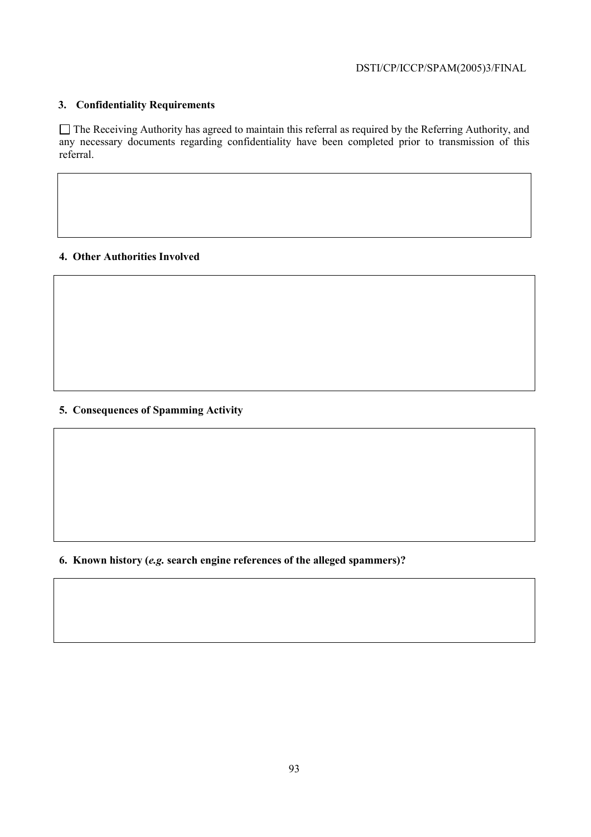## **3. Confidentiality Requirements**

 $\Box$  The Receiving Authority has agreed to maintain this referral as required by the Referring Authority, and any necessary documents regarding confidentiality have been completed prior to transmission of this referral.

## **4. Other Authorities Involved**

## **5. Consequences of Spamming Activity**

## **6. Known history (***e.g.* **search engine references of the alleged spammers)?**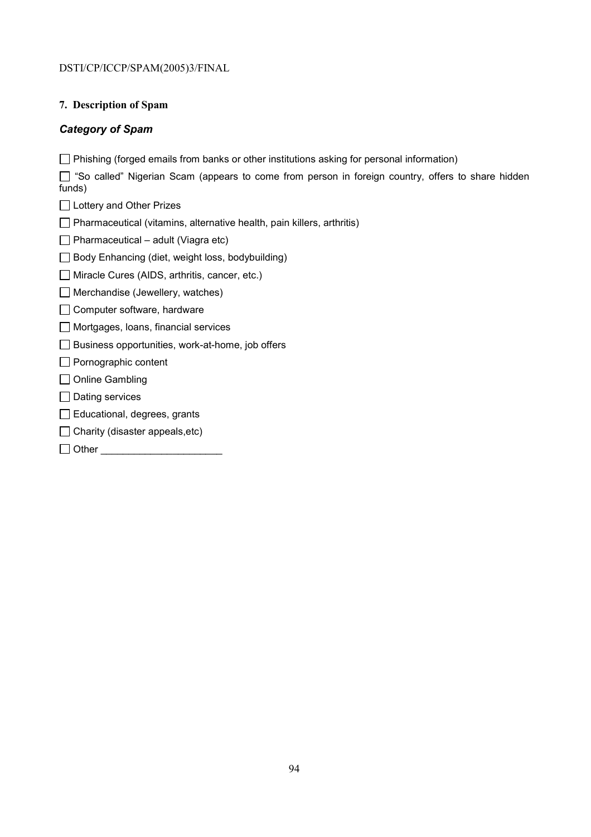## **7. Description of Spam**

## *Category of Spam*

 $\Box$  Phishing (forged emails from banks or other institutions asking for personal information)

□ "So called" Nigerian Scam (appears to come from person in foreign country, offers to share hidden funds)

□ Lottery and Other Prizes

 $\Box$  Pharmaceutical (vitamins, alternative health, pain killers, arthritis)

 $\Box$  Pharmaceutical – adult (Viagra etc)

 $\Box$  Body Enhancing (diet, weight loss, bodybuilding)

□ Miracle Cures (AIDS, arthritis, cancer, etc.)

 $\Box$  Merchandise (Jewellery, watches)

Computer software, hardware

Mortgages, Ioans, financial services

Business opportunities, work-at-home, job offers

Pornographic content

Online Gambling

 $\Box$  Dating services

Educational, degrees, grants

 $\Box$  Charity (disaster appeals, etc)

Other \_\_\_\_\_\_\_\_\_\_\_\_\_\_\_\_\_\_\_\_\_\_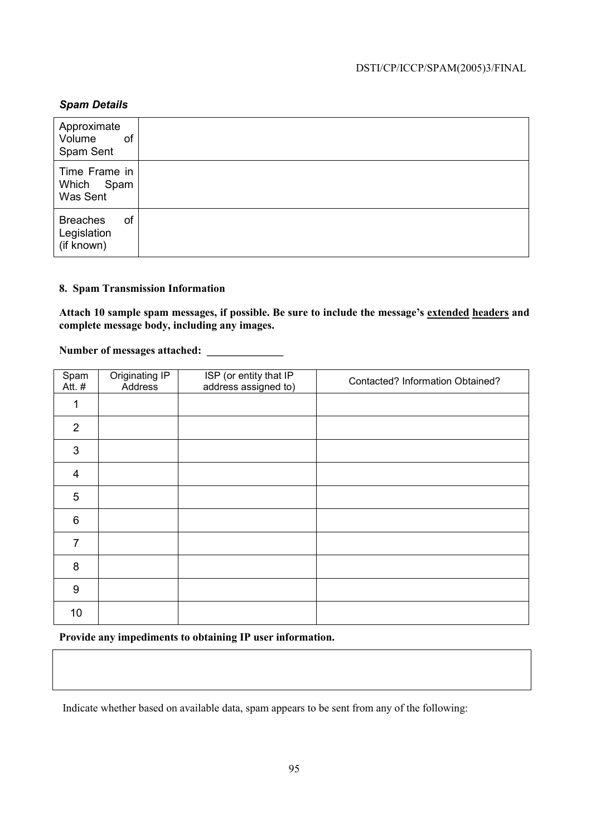## *Spam Details*

| Approximate<br>Volume<br>οf<br>Spam Sent           |  |
|----------------------------------------------------|--|
| Time Frame in<br>Which Spam<br>Was Sent            |  |
| <b>Breaches</b><br>of<br>Legislation<br>(if known) |  |

## **8. Spam Transmission Information**

Attach 10 sample spam messages, if possible. Be sure to include the message's extended headers and **complete message body, including any images.** 

## **Number of messages attached: \_\_\_\_\_\_\_\_\_\_\_\_\_\_**

| Spam<br>Att. #          | Originating IP<br>Address | ISP (or entity that IP<br>address assigned to) | Contacted? Information Obtained? |
|-------------------------|---------------------------|------------------------------------------------|----------------------------------|
| 1                       |                           |                                                |                                  |
| $\overline{2}$          |                           |                                                |                                  |
| 3                       |                           |                                                |                                  |
| $\overline{\mathbf{4}}$ |                           |                                                |                                  |
| 5                       |                           |                                                |                                  |
| 6                       |                           |                                                |                                  |
| $\overline{7}$          |                           |                                                |                                  |
| 8                       |                           |                                                |                                  |
| $\boldsymbol{9}$        |                           |                                                |                                  |
| 10                      |                           |                                                |                                  |

## **Provide any impediments to obtaining IP user information.**

Indicate whether based on available data, spam appears to be sent from any of the following: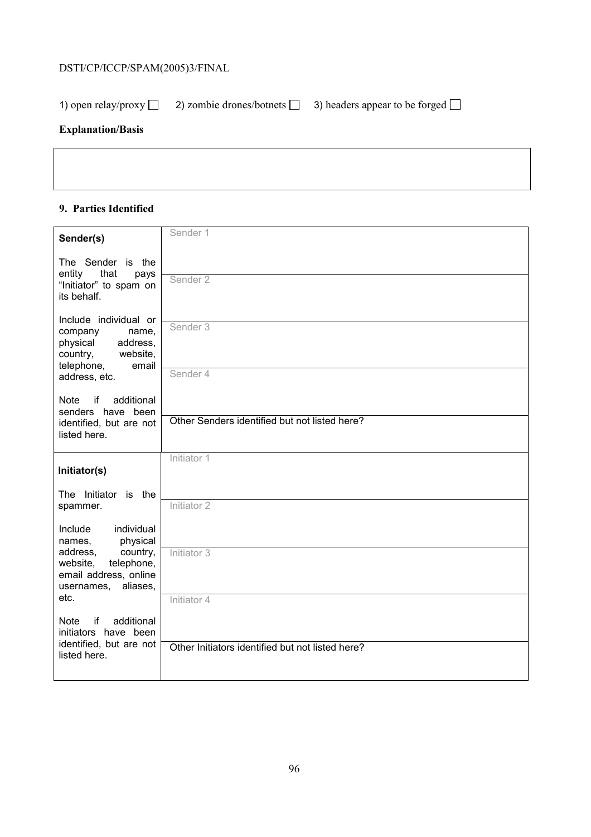1) open relay/proxy  $\Box$  2) zombie drones/botnets  $\Box$  3) headers appear to be forged  $\Box$ 

## **Explanation/Basis**

## **9. Parties Identified**

| Sender(s)                                                                                                        | Sender 1                                         |
|------------------------------------------------------------------------------------------------------------------|--------------------------------------------------|
| The Sender is the                                                                                                |                                                  |
| that<br>entity<br>pays<br>"Initiator" to spam on<br>its behalf.                                                  | Sender <sub>2</sub>                              |
| Include individual or<br>company<br>name,<br>physical<br>address,<br>country,<br>website,<br>telephone,<br>email | Sender 3                                         |
| address, etc.                                                                                                    | Sender 4                                         |
| additional<br><b>Note</b><br>if<br>senders have been                                                             |                                                  |
| identified, but are not<br>listed here.                                                                          | Other Senders identified but not listed here?    |
| Initiator(s)                                                                                                     | Initiator 1                                      |
|                                                                                                                  |                                                  |
| The Initiator is the<br>spammer.                                                                                 | Initiator 2                                      |
| Include<br>individual<br>physical<br>names,                                                                      |                                                  |
| address,<br>country,<br>website,<br>telephone,<br>email address, online<br>usernames,<br>aliases,                | Initiator 3                                      |
| etc.                                                                                                             | Initiator 4                                      |
| additional<br><b>Note</b><br>if<br>initiators have been                                                          |                                                  |
| identified, but are not<br>listed here.                                                                          | Other Initiators identified but not listed here? |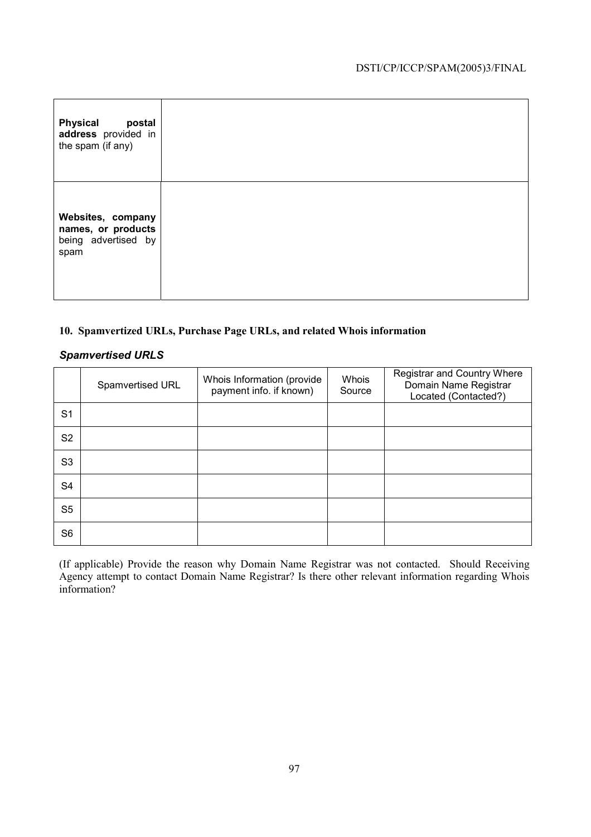| <b>Physical</b><br>postal<br>address provided in<br>the spam (if any)  |  |
|------------------------------------------------------------------------|--|
| Websites, company<br>names, or products<br>being advertised by<br>spam |  |

## **10. Spamvertized URLs, Purchase Page URLs, and related Whois information**

## *Spamvertised URLS*

|                | Spamvertised URL | Whois Information (provide<br>payment info. if known) | Whois<br>Source | Registrar and Country Where<br>Domain Name Registrar<br>Located (Contacted?) |
|----------------|------------------|-------------------------------------------------------|-----------------|------------------------------------------------------------------------------|
| S <sub>1</sub> |                  |                                                       |                 |                                                                              |
| S <sub>2</sub> |                  |                                                       |                 |                                                                              |
| S <sub>3</sub> |                  |                                                       |                 |                                                                              |
| S <sub>4</sub> |                  |                                                       |                 |                                                                              |
| S <sub>5</sub> |                  |                                                       |                 |                                                                              |
| S <sub>6</sub> |                  |                                                       |                 |                                                                              |

(If applicable) Provide the reason why Domain Name Registrar was not contacted. Should Receiving Agency attempt to contact Domain Name Registrar? Is there other relevant information regarding Whois information?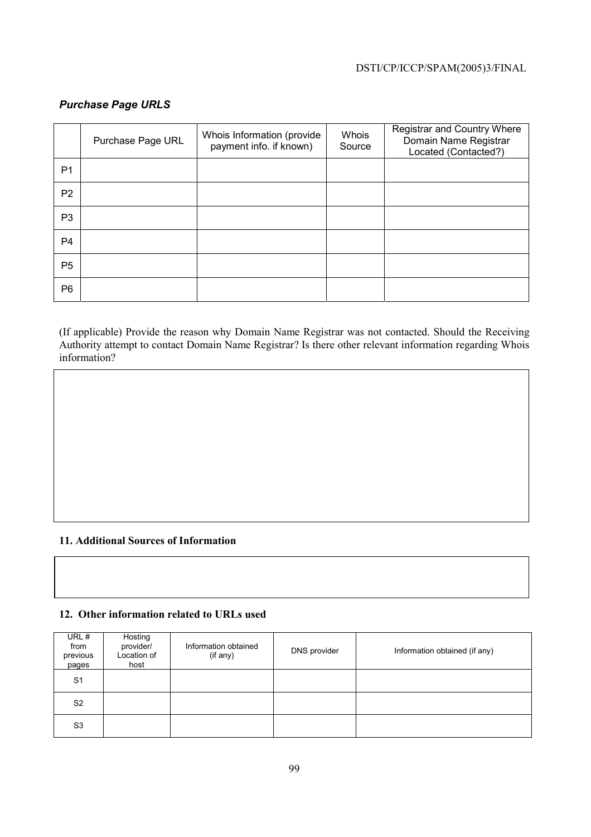## *Purchase Page URLS*

|                | Purchase Page URL | Whois Information (provide<br>payment info. if known) | <b>Whois</b><br>Source | Registrar and Country Where<br>Domain Name Registrar<br>Located (Contacted?) |
|----------------|-------------------|-------------------------------------------------------|------------------------|------------------------------------------------------------------------------|
| P <sub>1</sub> |                   |                                                       |                        |                                                                              |
| P <sub>2</sub> |                   |                                                       |                        |                                                                              |
| P3             |                   |                                                       |                        |                                                                              |
| P4             |                   |                                                       |                        |                                                                              |
| P <sub>5</sub> |                   |                                                       |                        |                                                                              |
| P6             |                   |                                                       |                        |                                                                              |

(If applicable) Provide the reason why Domain Name Registrar was not contacted. Should the Receiving Authority attempt to contact Domain Name Registrar? Is there other relevant information regarding Whois information?

## **11. Additional Sources of Information**

#### **12. Other information related to URLs used**

| URL#<br>from<br>previous<br>pages | Hosting<br>provider/<br>Location of<br>host | Information obtained<br>(if any) | DNS provider | Information obtained (if any) |
|-----------------------------------|---------------------------------------------|----------------------------------|--------------|-------------------------------|
| S <sub>1</sub>                    |                                             |                                  |              |                               |
| S <sub>2</sub>                    |                                             |                                  |              |                               |
| S <sub>3</sub>                    |                                             |                                  |              |                               |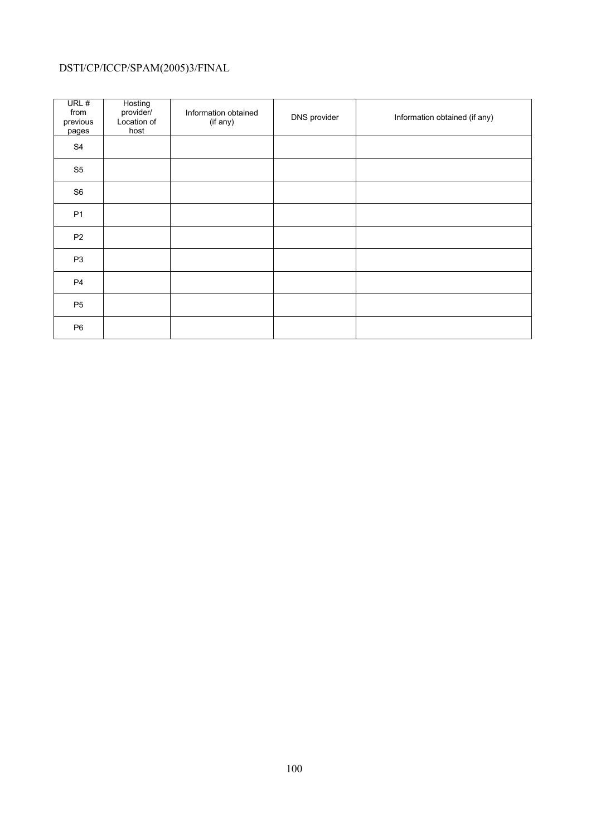| URL $#$<br>from<br>previous<br>pages | Hosting<br>provider/<br>Location of<br>host | Information obtained<br>(if any) | DNS provider | Information obtained (if any) |
|--------------------------------------|---------------------------------------------|----------------------------------|--------------|-------------------------------|
| S <sub>4</sub>                       |                                             |                                  |              |                               |
| S <sub>5</sub>                       |                                             |                                  |              |                               |
| S <sub>6</sub>                       |                                             |                                  |              |                               |
| P <sub>1</sub>                       |                                             |                                  |              |                               |
| P <sub>2</sub>                       |                                             |                                  |              |                               |
| P <sub>3</sub>                       |                                             |                                  |              |                               |
| P <sub>4</sub>                       |                                             |                                  |              |                               |
| P <sub>5</sub>                       |                                             |                                  |              |                               |
| P <sub>6</sub>                       |                                             |                                  |              |                               |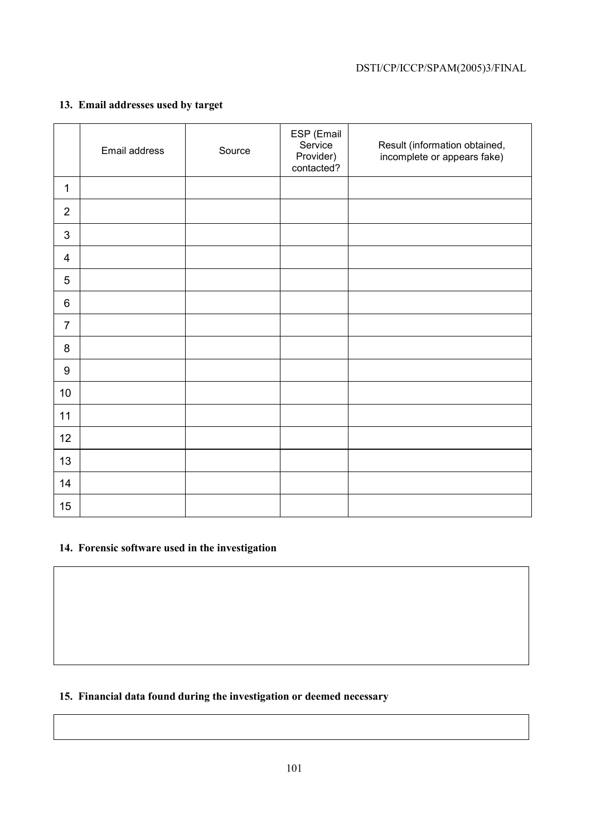## **13. Email addresses used by target**

|                  | Email address | Source | ESP (Email<br>Service<br>Provider)<br>contacted? | Result (information obtained,<br>incomplete or appears fake) |
|------------------|---------------|--------|--------------------------------------------------|--------------------------------------------------------------|
| $\mathbf 1$      |               |        |                                                  |                                                              |
| $\mathbf 2$      |               |        |                                                  |                                                              |
| 3                |               |        |                                                  |                                                              |
| 4                |               |        |                                                  |                                                              |
| $\overline{5}$   |               |        |                                                  |                                                              |
| $\,6$            |               |        |                                                  |                                                              |
| $\overline{7}$   |               |        |                                                  |                                                              |
| 8                |               |        |                                                  |                                                              |
| $\boldsymbol{9}$ |               |        |                                                  |                                                              |
| 10               |               |        |                                                  |                                                              |
| 11               |               |        |                                                  |                                                              |
| 12               |               |        |                                                  |                                                              |
| 13               |               |        |                                                  |                                                              |
| 14               |               |        |                                                  |                                                              |
| 15               |               |        |                                                  |                                                              |

## **14. Forensic software used in the investigation**

# **15. Financial data found during the investigation or deemed necessary**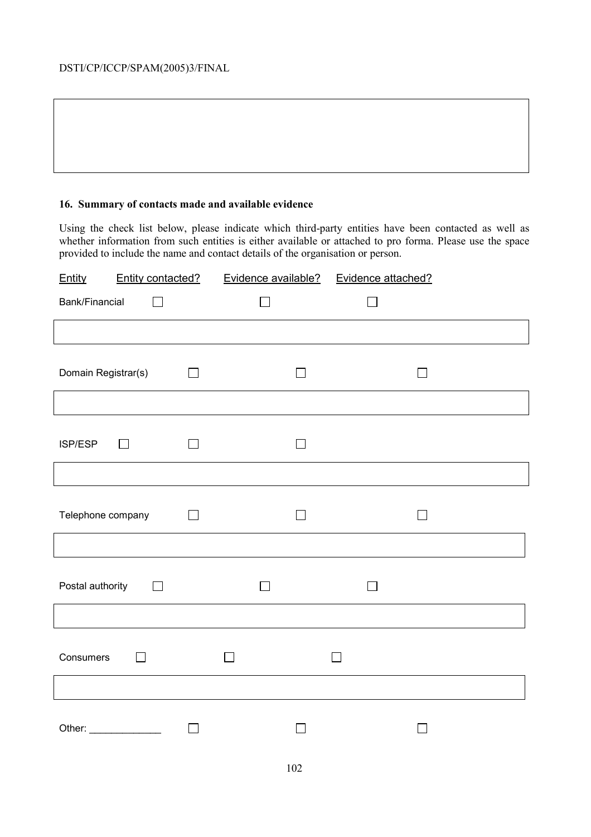## **16. Summary of contacts made and available evidence**

Using the check list below, please indicate which third-party entities have been contacted as well as whether information from such entities is either available or attached to pro forma. Please use the space provided to include the name and contact details of the organisation or person.

| Entity                | Entity contacted? Evidence available? Evidence attached? |              |        |              |                |        |  |
|-----------------------|----------------------------------------------------------|--------------|--------|--------------|----------------|--------|--|
| Bank/Financial        | $\Box$                                                   |              | $\Box$ |              |                | $\Box$ |  |
|                       |                                                          |              |        |              |                |        |  |
| Domain Registrar(s)   |                                                          | $\Box$       |        |              |                |        |  |
|                       |                                                          |              |        |              |                |        |  |
| ISP/ESP               | П                                                        | $\mathsf{L}$ |        | $\mathsf{L}$ |                |        |  |
|                       |                                                          |              |        |              |                |        |  |
| Telephone company     |                                                          | $\Box$       |        |              |                |        |  |
|                       |                                                          |              |        |              |                |        |  |
| Postal authority      | $\Box$                                                   |              | П      |              |                | $\Box$ |  |
|                       |                                                          |              |        |              |                |        |  |
| Consumers             | $\mathsf{L}$                                             |              |        |              | $\blacksquare$ |        |  |
|                       |                                                          |              |        |              |                |        |  |
| Other: ______________ |                                                          |              |        |              |                |        |  |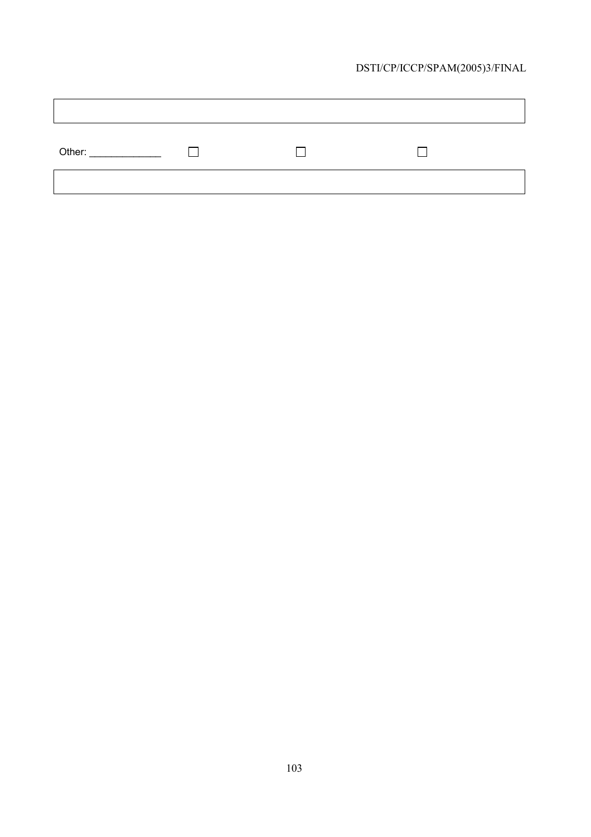| Other:<br><u>and the second property</u> | L |  |
|------------------------------------------|---|--|
|                                          |   |  |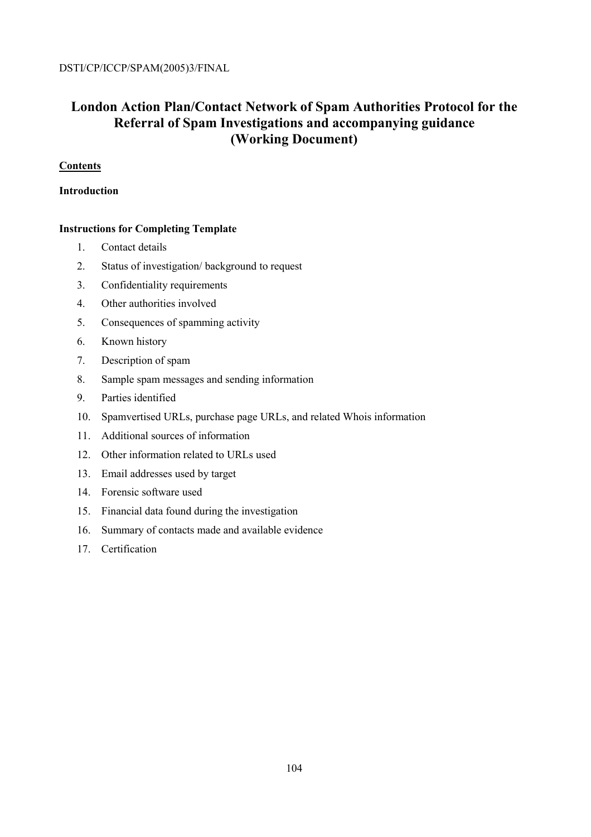## **London Action Plan/Contact Network of Spam Authorities Protocol for the Referral of Spam Investigations and accompanying guidance (Working Document)**

## **Contents**

## **Introduction**

## **Instructions for Completing Template**

- 1. Contact details
- 2. Status of investigation/ background to request
- 3. Confidentiality requirements
- 4. Other authorities involved
- 5. Consequences of spamming activity
- 6. Known history
- 7. Description of spam
- 8. Sample spam messages and sending information
- 9. Parties identified
- 10. Spamvertised URLs, purchase page URLs, and related Whois information
- 11. Additional sources of information
- 12. Other information related to URLs used
- 13. Email addresses used by target
- 14. Forensic software used
- 15. Financial data found during the investigation
- 16. Summary of contacts made and available evidence
- 17. Certification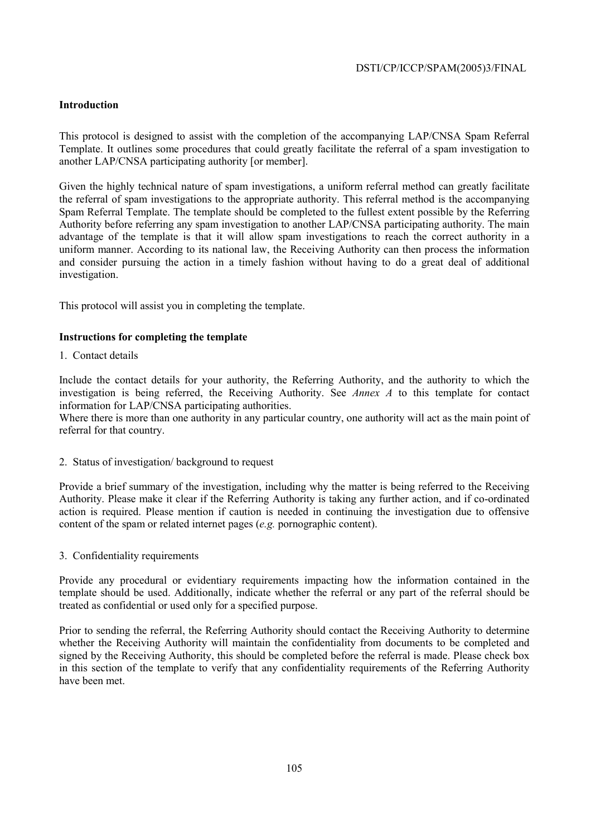#### **Introduction**

This protocol is designed to assist with the completion of the accompanying LAP/CNSA Spam Referral Template. It outlines some procedures that could greatly facilitate the referral of a spam investigation to another LAP/CNSA participating authority [or member].

Given the highly technical nature of spam investigations, a uniform referral method can greatly facilitate the referral of spam investigations to the appropriate authority. This referral method is the accompanying Spam Referral Template. The template should be completed to the fullest extent possible by the Referring Authority before referring any spam investigation to another LAP/CNSA participating authority. The main advantage of the template is that it will allow spam investigations to reach the correct authority in a uniform manner. According to its national law, the Receiving Authority can then process the information and consider pursuing the action in a timely fashion without having to do a great deal of additional investigation.

This protocol will assist you in completing the template.

#### **Instructions for completing the template**

1. Contact details

Include the contact details for your authority, the Referring Authority, and the authority to which the investigation is being referred, the Receiving Authority. See *Annex A* to this template for contact information for LAP/CNSA participating authorities.

Where there is more than one authority in any particular country, one authority will act as the main point of referral for that country.

2. Status of investigation/ background to request

Provide a brief summary of the investigation, including why the matter is being referred to the Receiving Authority. Please make it clear if the Referring Authority is taking any further action, and if co-ordinated action is required. Please mention if caution is needed in continuing the investigation due to offensive content of the spam or related internet pages (*e.g.* pornographic content).

3. Confidentiality requirements

Provide any procedural or evidentiary requirements impacting how the information contained in the template should be used. Additionally, indicate whether the referral or any part of the referral should be treated as confidential or used only for a specified purpose.

Prior to sending the referral, the Referring Authority should contact the Receiving Authority to determine whether the Receiving Authority will maintain the confidentiality from documents to be completed and signed by the Receiving Authority, this should be completed before the referral is made. Please check box in this section of the template to verify that any confidentiality requirements of the Referring Authority have been met.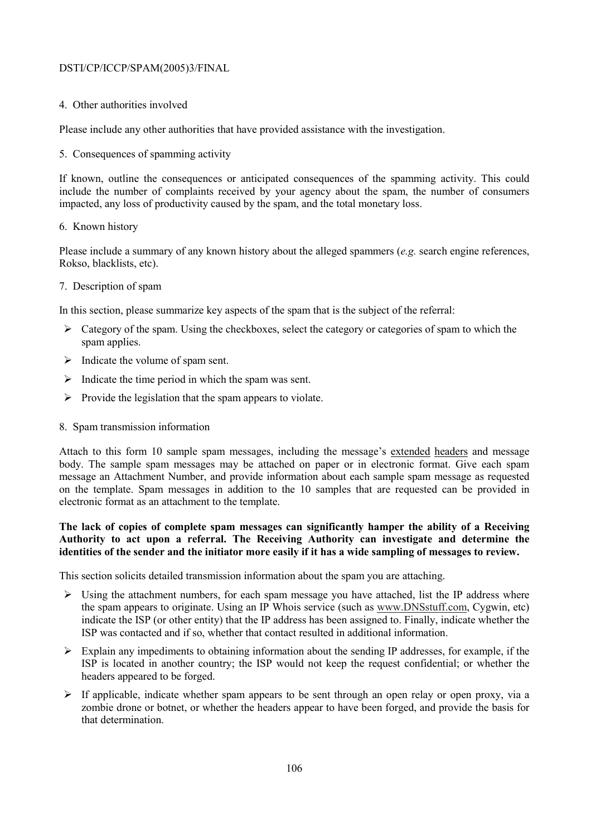4. Other authorities involved

Please include any other authorities that have provided assistance with the investigation.

## 5. Consequences of spamming activity

If known, outline the consequences or anticipated consequences of the spamming activity. This could include the number of complaints received by your agency about the spam, the number of consumers impacted, any loss of productivity caused by the spam, and the total monetary loss.

## 6. Known history

Please include a summary of any known history about the alleged spammers (*e.g.* search engine references, Rokso, blacklists, etc).

## 7. Description of spam

In this section, please summarize key aspects of the spam that is the subject of the referral:

- $\triangleright$  Category of the spam. Using the checkboxes, select the category or categories of spam to which the spam applies.
- $\triangleright$  Indicate the volume of spam sent.
- $\triangleright$  Indicate the time period in which the spam was sent.
- $\triangleright$  Provide the legislation that the spam appears to violate.
- 8. Spam transmission information

Attach to this form 10 sample spam messages, including the message's extended headers and message body. The sample spam messages may be attached on paper or in electronic format. Give each spam message an Attachment Number, and provide information about each sample spam message as requested on the template. Spam messages in addition to the 10 samples that are requested can be provided in electronic format as an attachment to the template.

### **The lack of copies of complete spam messages can significantly hamper the ability of a Receiving Authority to act upon a referral. The Receiving Authority can investigate and determine the identities of the sender and the initiator more easily if it has a wide sampling of messages to review.**

This section solicits detailed transmission information about the spam you are attaching.

- $\triangleright$  Using the attachment numbers, for each spam message you have attached, list the IP address where the spam appears to originate. Using an IP Whois service (such as www.DNSstuff.com, Cygwin, etc) indicate the ISP (or other entity) that the IP address has been assigned to. Finally, indicate whether the ISP was contacted and if so, whether that contact resulted in additional information.
- $\triangleright$  Explain any impediments to obtaining information about the sending IP addresses, for example, if the ISP is located in another country; the ISP would not keep the request confidential; or whether the headers appeared to be forged.
- $\triangleright$  If applicable, indicate whether spam appears to be sent through an open relay or open proxy, via a zombie drone or botnet, or whether the headers appear to have been forged, and provide the basis for that determination.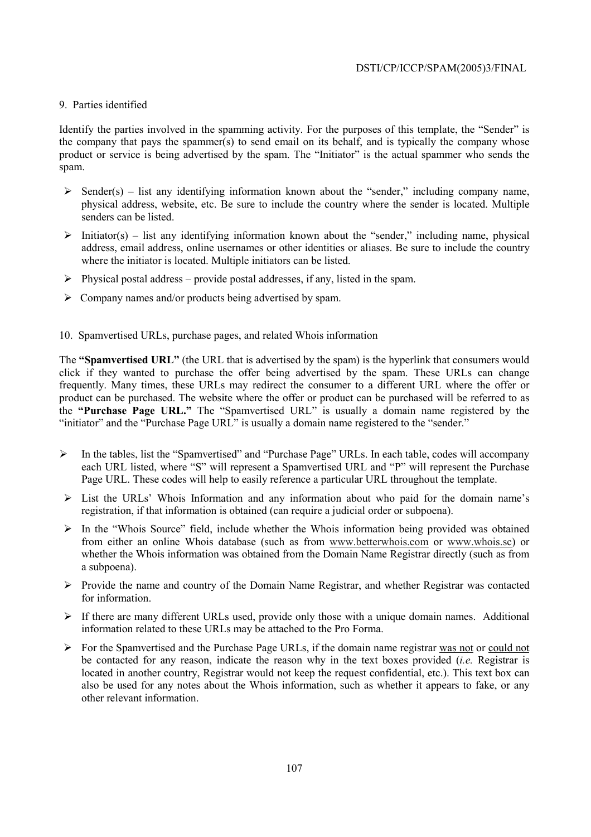#### 9. Parties identified

Identify the parties involved in the spamming activity. For the purposes of this template, the "Sender" is the company that pays the spammer(s) to send email on its behalf, and is typically the company whose product or service is being advertised by the spam. The "Initiator" is the actual spammer who sends the spam.

- $\triangleright$  Sender(s) list any identifying information known about the "sender," including company name, physical address, website, etc. Be sure to include the country where the sender is located. Multiple senders can be listed.
- $\triangleright$  Initiator(s) list any identifying information known about the "sender," including name, physical address, email address, online usernames or other identities or aliases. Be sure to include the country where the initiator is located. Multiple initiators can be listed.
- $\triangleright$  Physical postal address provide postal addresses, if any, listed in the spam.
- $\triangleright$  Company names and/or products being advertised by spam.
- 10. Spamvertised URLs, purchase pages, and related Whois information

The **"Spamvertised URL"** (the URL that is advertised by the spam) is the hyperlink that consumers would click if they wanted to purchase the offer being advertised by the spam. These URLs can change frequently. Many times, these URLs may redirect the consumer to a different URL where the offer or product can be purchased. The website where the offer or product can be purchased will be referred to as the "Purchase Page URL." The "Spamvertised URL" is usually a domain name registered by the "initiator" and the "Purchase Page URL" is usually a domain name registered to the "sender."

- $\triangleright$  In the tables, list the "Spamvertised" and "Purchase Page" URLs. In each table, codes will accompany each URL listed, where "S" will represent a Spamvertised URL and "P" will represent the Purchase Page URL. These codes will help to easily reference a particular URL throughout the template.
- $\triangleright$  List the URLs' Whois Information and any information about who paid for the domain name's registration, if that information is obtained (can require a judicial order or subpoena).
- $\triangleright$  In the "Whois Source" field, include whether the Whois information being provided was obtained from either an online Whois database (such as from www.betterwhois.com or www.whois.sc) or whether the Whois information was obtained from the Domain Name Registrar directly (such as from a subpoena).
- $\triangleright$  Provide the name and country of the Domain Name Registrar, and whether Registrar was contacted for information.
- $\triangleright$  If there are many different URLs used, provide only those with a unique domain names. Additional information related to these URLs may be attached to the Pro Forma.
- $\triangleright$  For the Spamvertised and the Purchase Page URLs, if the domain name registrar was not or could not be contacted for any reason, indicate the reason why in the text boxes provided (*i.e.* Registrar is located in another country, Registrar would not keep the request confidential, etc.). This text box can also be used for any notes about the Whois information, such as whether it appears to fake, or any other relevant information.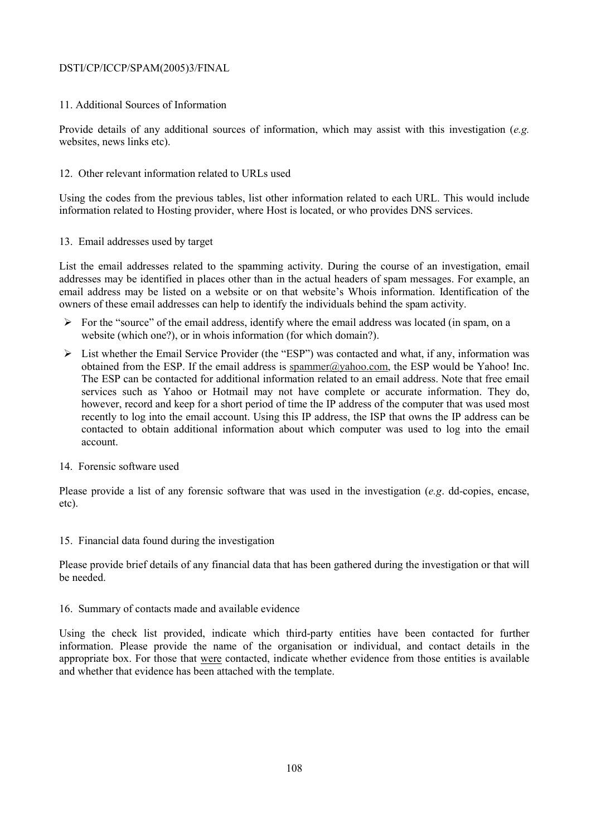11. Additional Sources of Information

Provide details of any additional sources of information, which may assist with this investigation (*e.g.* websites, news links etc).

## 12. Other relevant information related to URLs used

Using the codes from the previous tables, list other information related to each URL. This would include information related to Hosting provider, where Host is located, or who provides DNS services.

## 13. Email addresses used by target

List the email addresses related to the spamming activity. During the course of an investigation, email addresses may be identified in places other than in the actual headers of spam messages. For example, an email address may be listed on a website or on that website's Whois information. Identification of the owners of these email addresses can help to identify the individuals behind the spam activity.

- $\triangleright$  For the "source" of the email address, identify where the email address was located (in spam, on a website (which one?), or in whois information (for which domain?).
- $\triangleright$  List whether the Email Service Provider (the "ESP") was contacted and what, if any, information was obtained from the ESP. If the email address is spammer@yahoo.com, the ESP would be Yahoo! Inc. The ESP can be contacted for additional information related to an email address. Note that free email services such as Yahoo or Hotmail may not have complete or accurate information. They do, however, record and keep for a short period of time the IP address of the computer that was used most recently to log into the email account. Using this IP address, the ISP that owns the IP address can be contacted to obtain additional information about which computer was used to log into the email account.

#### 14. Forensic software used

Please provide a list of any forensic software that was used in the investigation (*e.g*. dd-copies, encase, etc).

15. Financial data found during the investigation

Please provide brief details of any financial data that has been gathered during the investigation or that will be needed.

16. Summary of contacts made and available evidence

Using the check list provided, indicate which third-party entities have been contacted for further information. Please provide the name of the organisation or individual, and contact details in the appropriate box. For those that were contacted, indicate whether evidence from those entities is available and whether that evidence has been attached with the template.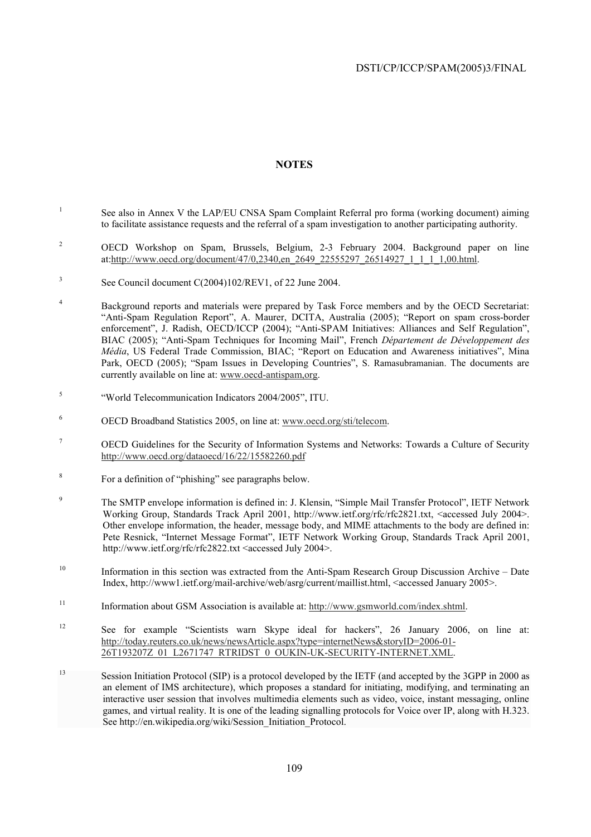# **NOTES**

- 1 See also in Annex V the LAP/EU CNSA Spam Complaint Referral pro forma (working document) aiming to facilitate assistance requests and the referral of a spam investigation to another participating authority.
- 2 OECD Workshop on Spam, Brussels, Belgium, 2-3 February 2004. Background paper on line at:http://www.oecd.org/document/47/0,2340,en\_2649\_22555297\_26514927\_1\_1\_1\_1,00.html.
- 3 See Council document C(2004)102/REV1, of 22 June 2004.

4 Background reports and materials were prepared by Task Force members and by the OECD Secretariat: "Anti-Spam Regulation Report", A. Maurer, DCITA, Australia (2005); "Report on spam cross-border enforcement", J. Radish, OECD/ICCP (2004); "Anti-SPAM Initiatives: Alliances and Self Regulation", BIAC (2005); "Anti-Spam Techniques for Incoming Mail", French *Département de Développement des Média*, US Federal Trade Commission, BIAC; "Report on Education and Awareness initiatives", Mina Park, OECD (2005); "Spam Issues in Developing Countries", S. Ramasubramanian. The documents are currently available on line at: www.oecd-antispam,org.

- 5 ìWorld Telecommunication Indicators 2004/2005î, ITU.
- 6 OECD Broadband Statistics 2005, on line at: www.oecd.org/sti/telecom.
- 7 OECD Guidelines for the Security of Information Systems and Networks: Towards a Culture of Security http://www.oecd.org/dataoecd/16/22/15582260.pdf
- 8 For a definition of "phishing" see paragraphs below.
- <sup>9</sup> The SMTP envelope information is defined in: J. Klensin, "Simple Mail Transfer Protocol", IETF Network Working Group, Standards Track April 2001, http://www.ietf.org/rfc/rfc2821.txt, <accessed July 2004>. Other envelope information, the header, message body, and MIME attachments to the body are defined in: Pete Resnick, "Internet Message Format", IETF Network Working Group, Standards Track April 2001, http://www.ietf.org/rfc/rfc2822.txt <accessed July 2004>.
- <sup>10</sup> Information in this section was extracted from the Anti-Spam Research Group Discussion Archive Date Index, http://www1.ietf.org/mail-archive/web/asrg/current/maillist.html, <accessed January 2005>.
- <sup>11</sup> Information about GSM Association is available at: http://www.gsmworld.com/index.shtml.
- <sup>12</sup> See for example "Scientists warn Skype ideal for hackers", 26 January 2006, on line at: http://today.reuters.co.uk/news/newsArticle.aspx?type=internetNews&storyID=2006-01- 26T193207Z\_01\_L2671747\_RTRIDST\_0\_OUKIN-UK-SECURITY-INTERNET.XML.
- <sup>13</sup> Session Initiation Protocol (SIP) is a protocol developed by the IETF (and accepted by the 3GPP in 2000 as an element of IMS architecture), which proposes a standard for initiating, modifying, and terminating an interactive user session that involves multimedia elements such as video, voice, instant messaging, online games, and virtual reality. It is one of the leading signalling protocols for Voice over IP, along with H.323. See http://en.wikipedia.org/wiki/Session\_Initiation\_Protocol.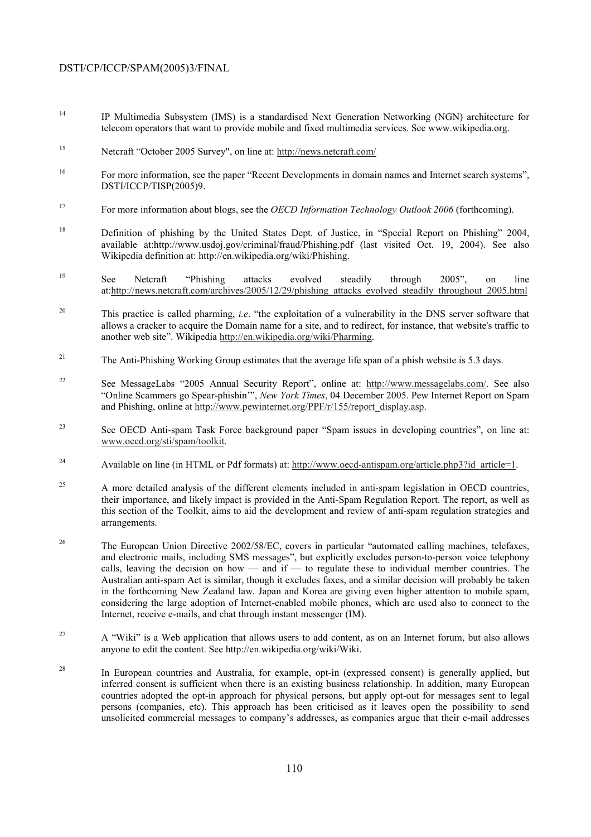- <sup>14</sup> IP Multimedia Subsystem (IMS) is a standardised Next Generation Networking (NGN) architecture for telecom operators that want to provide mobile and fixed multimedia services. See www.wikipedia.org.
- <sup>15</sup> Netcraft "October 2005 Survey", on line at: http://news.netcraft.com/
- <sup>16</sup> For more information, see the paper "Recent Developments in domain names and Internet search systems", DSTI/ICCP/TISP(2005)9.
- 17 For more information about blogs, see the *OECD Information Technology Outlook 2006* (forthcoming).
- <sup>18</sup> Definition of phishing by the United States Dept. of Justice, in "Special Report on Phishing" 2004, available at:http://www.usdoj.gov/criminal/fraud/Phishing.pdf (last visited Oct. 19, 2004). See also Wikipedia definition at: http://en.wikipedia.org/wiki/Phishing.
- <sup>19</sup> See Netcraft "Phishing attacks evolved steadily through 2005", on line at:http://news.netcraft.com/archives/2005/12/29/phishing\_attacks\_evolved\_steadily\_throughout\_2005.html
- <sup>20</sup> This practice is called pharming, *i.e.* "the exploitation of a vulnerability in the DNS server software that allows a cracker to acquire the Domain name for a site, and to redirect, for instance, that website's traffic to another web site". Wikipedia http://en.wikipedia.org/wiki/Pharming.
- <sup>21</sup> The Anti-Phishing Working Group estimates that the average life span of a phish website is 5.3 days.
- <sup>22</sup> See MessageLabs "2005 Annual Security Report", online at: http://www.messagelabs.com/. See also ìOnline Scammers go Spear-phishiníî, *New York Times*, 04 December 2005. Pew Internet Report on Spam and Phishing, online at http://www.pewinternet.org/PPF/r/155/report\_display.asp.
- <sup>23</sup> See OECD Anti-spam Task Force background paper "Spam issues in developing countries", on line at: www.oecd.org/sti/spam/toolkit.
- 24 Available on line (in HTML or Pdf formats) at: http://www.oecd-antispam.org/article.php3?id\_article=1.
- $25$  A more detailed analysis of the different elements included in anti-spam legislation in OECD countries, their importance, and likely impact is provided in the Anti-Spam Regulation Report. The report, as well as this section of the Toolkit, aims to aid the development and review of anti-spam regulation strategies and arrangements.
- <sup>26</sup> The European Union Directive  $2002/58/EC$ , covers in particular "automated calling machines, telefaxes, and electronic mails, including SMS messages", but explicitly excludes person-to-person voice telephony calls, leaving the decision on how  $-$  and if  $-$  to regulate these to individual member countries. The Australian anti-spam Act is similar, though it excludes faxes, and a similar decision will probably be taken in the forthcoming New Zealand law. Japan and Korea are giving even higher attention to mobile spam, considering the large adoption of Internet-enabled mobile phones, which are used also to connect to the Internet, receive e-mails, and chat through instant messenger (IM).
- <sup>27</sup> A "Wiki" is a Web application that allows users to add content, as on an Internet forum, but also allows anyone to edit the content. See http://en.wikipedia.org/wiki/Wiki.
- <sup>28</sup> In European countries and Australia, for example, opt-in (expressed consent) is generally applied, but inferred consent is sufficient when there is an existing business relationship. In addition, many European countries adopted the opt-in approach for physical persons, but apply opt-out for messages sent to legal persons (companies, etc). This approach has been criticised as it leaves open the possibility to send unsolicited commercial messages to companyís addresses, as companies argue that their e-mail addresses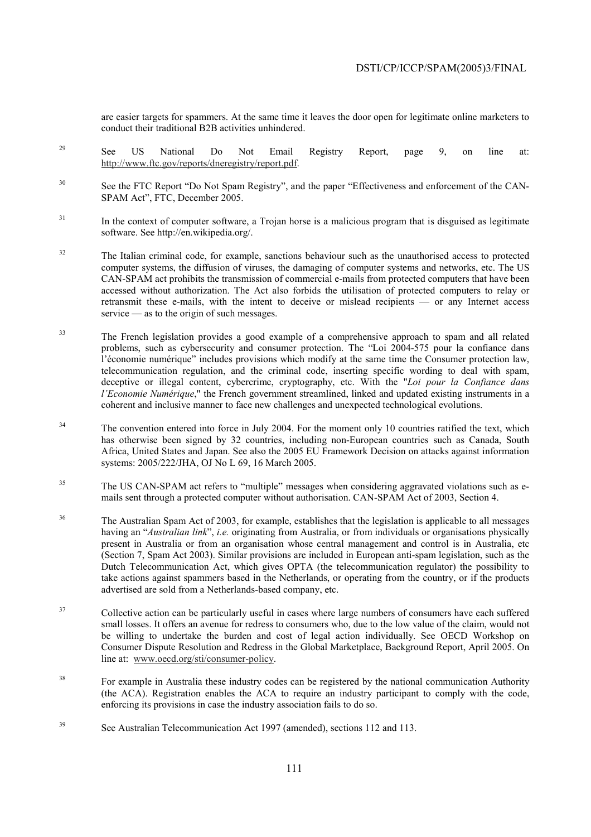are easier targets for spammers. At the same time it leaves the door open for legitimate online marketers to conduct their traditional B2B activities unhindered.

- $29$  See US National Do Not Email Registry Report, page 9, on line at: http://www.ftc.gov/reports/dneregistry/report.pdf.
- <sup>30</sup> See the FTC Report "Do Not Spam Registry", and the paper "Effectiveness and enforcement of the CAN-SPAM Act", FTC, December 2005.
- <sup>31</sup> In the context of computer software, a Trojan horse is a malicious program that is disguised as legitimate software. See http://en.wikipedia.org/.
- <sup>32</sup> The Italian criminal code, for example, sanctions behaviour such as the unauthorised access to protected computer systems, the diffusion of viruses, the damaging of computer systems and networks, etc. The US CAN-SPAM act prohibits the transmission of commercial e-mails from protected computers that have been accessed without authorization. The Act also forbids the utilisation of protected computers to relay or retransmit these e-mails, with the intent to deceive or mislead recipients – or any Internet access  $s$ ervice  $\sim$  as to the origin of such messages.
- <sup>33</sup> The French legislation provides a good example of a comprehensive approach to spam and all related problems, such as cybersecurity and consumer protection. The "Loi 2004-575 pour la confiance dans l'économie numérique" includes provisions which modify at the same time the Consumer protection law, telecommunication regulation, and the criminal code, inserting specific wording to deal with spam, deceptive or illegal content, cybercrime, cryptography, etc. With the "*Loi pour la Confiance dans l'Economie Numérique*," the French government streamlined, linked and updated existing instruments in a coherent and inclusive manner to face new challenges and unexpected technological evolutions.
- <sup>34</sup> The convention entered into force in July 2004. For the moment only 10 countries ratified the text, which has otherwise been signed by 32 countries, including non-European countries such as Canada, South Africa, United States and Japan. See also the 2005 EU Framework Decision on attacks against information systems: 2005/222/JHA, OJ No L 69, 16 March 2005.
- <sup>35</sup> The US CAN-SPAM act refers to "multiple" messages when considering aggravated violations such as emails sent through a protected computer without authorisation. CAN-SPAM Act of 2003, Section 4.
- <sup>36</sup> The Australian Spam Act of 2003, for example, establishes that the legislation is applicable to all messages having an "*Australian link*", *i.e.* originating from Australia, or from individuals or organisations physically present in Australia or from an organisation whose central management and control is in Australia, etc (Section 7, Spam Act 2003). Similar provisions are included in European anti-spam legislation, such as the Dutch Telecommunication Act, which gives OPTA (the telecommunication regulator) the possibility to take actions against spammers based in the Netherlands, or operating from the country, or if the products advertised are sold from a Netherlands-based company, etc.
- <sup>37</sup> Collective action can be particularly useful in cases where large numbers of consumers have each suffered small losses. It offers an avenue for redress to consumers who, due to the low value of the claim, would not be willing to undertake the burden and cost of legal action individually. See OECD Workshop on Consumer Dispute Resolution and Redress in the Global Marketplace, Background Report, April 2005. On line at: www.oecd.org/sti/consumer-policy.
- <sup>38</sup> For example in Australia these industry codes can be registered by the national communication Authority (the ACA). Registration enables the ACA to require an industry participant to comply with the code, enforcing its provisions in case the industry association fails to do so.
- 39 See Australian Telecommunication Act 1997 (amended), sections 112 and 113.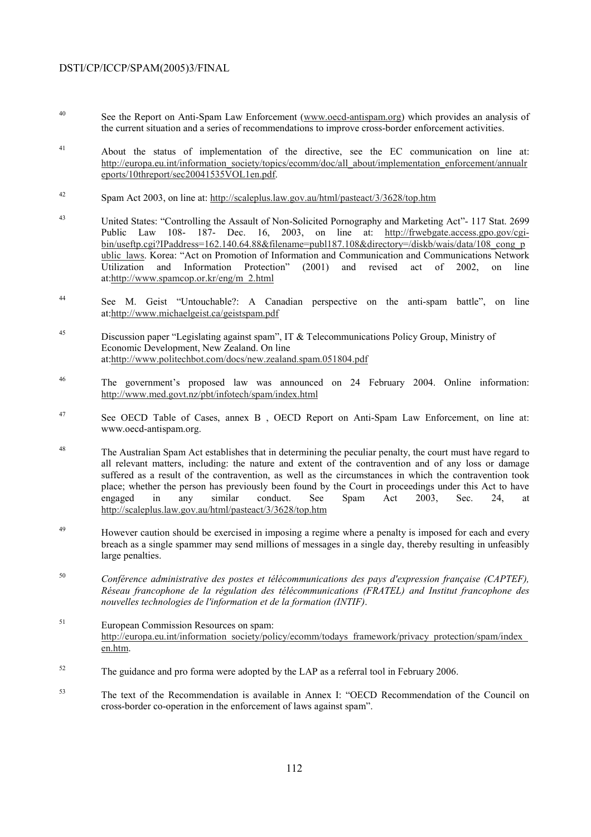- 40 See the Report on Anti-Spam Law Enforcement (www.oecd-antispam.org) which provides an analysis of the current situation and a series of recommendations to improve cross-border enforcement activities.
- 41 About the status of implementation of the directive, see the EC communication on line at: http://europa.eu.int/information\_society/topics/ecomm/doc/all\_about/implementation\_enforcement/annualr eports/10threport/sec20041535VOL1en.pdf.
- 42 Spam Act 2003, on line at: http://scaleplus.law.gov.au/html/pasteact/3/3628/top.htm
- <sup>43</sup> United States: "Controlling the Assault of Non-Solicited Pornography and Marketing Act"- 117 Stat. 2699 Public Law 108- 187- Dec. 16, 2003, on line at: http://frwebgate.access.gpo.gov/cgibin/useftp.cgi?IPaddress=162.140.64.88&filename=publ187.108&directory=/diskb/wais/data/108\_cong\_p\_ ublic\_laws. Korea: "Act on Promotion of Information and Communication and Communications Network Utilization and Information Protectionî (2001) and revised act of 2002, on line at:http://www.spamcop.or.kr/eng/m\_2.html
- <sup>44</sup> See M. Geist "Untouchable?: A Canadian perspective on the anti-spam battle", on line at:http://www.michaelgeist.ca/geistspam.pdf
- <sup>45</sup> Discussion paper "Legislating against spam", IT & Telecommunications Policy Group, Ministry of Economic Development, New Zealand. On line at:http://www.politechbot.com/docs/new.zealand.spam.051804.pdf
- <sup>46</sup> The government's proposed law was announced on 24 February 2004. Online information: http://www.med.govt.nz/pbt/infotech/spam/index.html
- <sup>47</sup> See OECD Table of Cases, annex B, OECD Report on Anti-Spam Law Enforcement, on line at: www.oecd-antispam.org.
- <sup>48</sup> The Australian Spam Act establishes that in determining the peculiar penalty, the court must have regard to all relevant matters, including: the nature and extent of the contravention and of any loss or damage suffered as a result of the contravention, as well as the circumstances in which the contravention took place; whether the person has previously been found by the Court in proceedings under this Act to have engaged in any similar conduct. See Spam Act 2003, Sec. 24, at http://scaleplus.law.gov.au/html/pasteact/3/3628/top.htm
- <sup>49</sup> However caution should be exercised in imposing a regime where a penalty is imposed for each and every breach as a single spammer may send millions of messages in a single day, thereby resulting in unfeasibly large penalties.
- <sup>50</sup> *Conférence administrative des postes et télécommunications des pays d'expression française (CAPTEF), RÈseau francophone de la rÈgulation des tÈlÈcommunications (FRATEL) and Institut francophone des nouvelles technologies de l'information et de la formation (INTIF)*.
- 51 European Commission Resources on spam: http://europa.eu.int/information\_society/policy/ecomm/todays\_framework/privacy\_protection/spam/index\_ en.htm.
- $52$  The guidance and pro forma were adopted by the LAP as a referral tool in February 2006.
- <sup>53</sup> The text of the Recommendation is available in Annex I: "OECD Recommendation of the Council on cross-border co-operation in the enforcement of laws against spamî.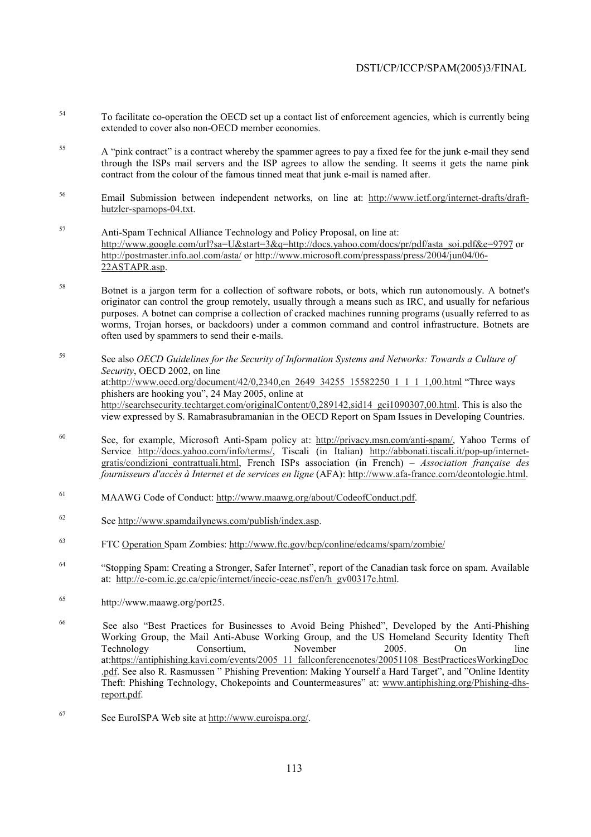- 54 To facilitate co-operation the OECD set up a contact list of enforcement agencies, which is currently being extended to cover also non-OECD member economies.
- <sup>55</sup> A "pink contract" is a contract whereby the spammer agrees to pay a fixed fee for the junk e-mail they send through the ISPs mail servers and the ISP agrees to allow the sending. It seems it gets the name pink contract from the colour of the famous tinned meat that junk e-mail is named after.
- 56 Email Submission between independent networks, on line at: http://www.ietf.org/internet-drafts/drafthutzler-spamops-04.txt.
- 57 Anti-Spam Technical Alliance Technology and Policy Proposal, on line at: http://www.google.com/url?sa=U&start=3&q=http://docs.yahoo.com/docs/pr/pdf/asta\_soi.pdf&e=9797 or http://postmaster.info.aol.com/asta/ or http://www.microsoft.com/presspass/press/2004/jun04/06- 22ASTAPR.asp.
- 58 Botnet is a jargon term for a collection of software robots, or bots, which run autonomously. A botnet's originator can control the group remotely, usually through a means such as IRC, and usually for nefarious purposes. A botnet can comprise a collection of cracked machines running programs (usually referred to as worms, Trojan horses, or backdoors) under a common command and control infrastructure. Botnets are often used by spammers to send their e-mails.
- 59 See also *OECD Guidelines for the Security of Information Systems and Networks: Towards a Culture of Security*, OECD 2002, on line at:http://www.oecd.org/document/42/0,2340,en\_2649\_34255\_15582250\_1\_1\_1\_1,00.html "Three ways phishers are hooking you", 24 May 2005, online at http://searchsecurity.techtarget.com/originalContent/0,289142,sid14\_gci1090307,00.html. This is also the view expressed by S. Ramabrasubramanian in the OECD Report on Spam Issues in Developing Countries.
- 60 See, for example, Microsoft Anti-Spam policy at: http://privacy.msn.com/anti-spam/, Yahoo Terms of Service http://docs.yahoo.com/info/terms/, Tiscali (in Italian) http://abbonati.tiscali.it/pop-up/internetgratis/condizioni contrattuali.html, French ISPs association (in French) – *Association française des fournisseurs d'accès à Internet et de services en ligne* (AFA): http://www.afa-france.com/deontologie.html.
- 61 MAAWG Code of Conduct: http://www.maawg.org/about/CodeofConduct.pdf.
- 62 See http://www.spamdailynews.com/publish/index.asp.
- 63 FTC Operation Spam Zombies: http://www.ftc.gov/bcp/conline/edcams/spam/zombie/
- <sup>64</sup> <sup>64</sup> ``Stopping Spam: Creating a Stronger, Safer Internet<sup>\*</sup>, report of the Canadian task force on spam. Available at: http://e-com.ic.gc.ca/epic/internet/inecic-ceac.nsf/en/h\_gv00317e.html.
- 65 http://www.maawg.org/port25.
- <sup>66</sup> See also "Best Practices for Businesses to Avoid Being Phished", Developed by the Anti-Phishing Working Group, the Mail Anti-Abuse Working Group, and the US Homeland Security Identity Theft Technology Consortium, November 2005. On line at:https://antiphishing.kavi.com/events/2005\_11\_fallconferencenotes/20051108\_BestPracticesWorkingDoc .pdf. See also R. Rasmussen " Phishing Prevention: Making Yourself a Hard Target", and "Online Identity Theft: Phishing Technology, Chokepoints and Countermeasures" at: www.antiphishing.org/Phishing-dhsreport.pdf.
- 67 See EuroISPA Web site at http://www.euroispa.org/.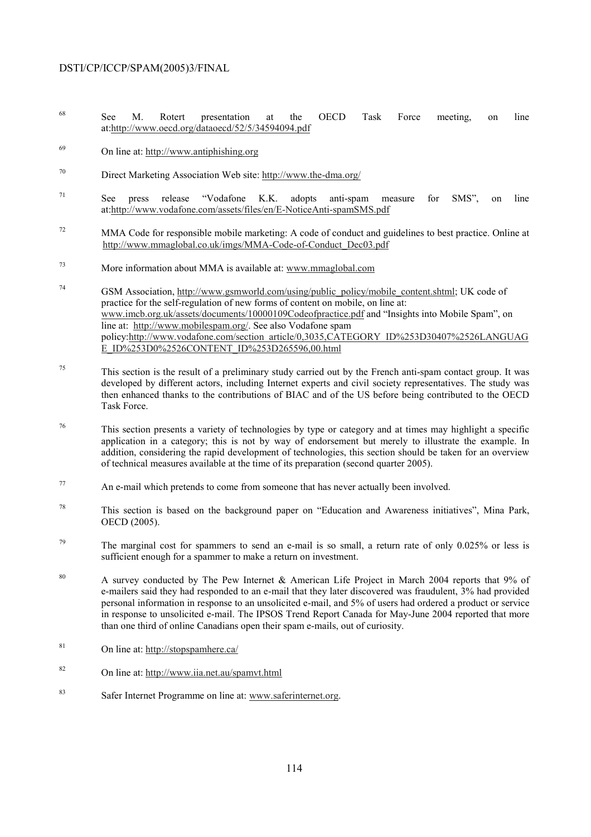- 68 See M. Rotert presentation at the OECD Task Force meeting, on line at:http://www.oecd.org/dataoecd/52/5/34594094.pdf
- 69 On line at: http://www.antiphishing.org
- 70 Direct Marketing Association Web site: http://www.the-dma.org/
- $71$  See press release "Vodafone K.K. adopts anti-spam measure for SMS", on line at:http://www.vodafone.com/assets/files/en/E-NoticeAnti-spamSMS.pdf
- <sup>72</sup> MMA Code for responsible mobile marketing: A code of conduct and guidelines to best practice. Online at http://www.mmaglobal.co.uk/imgs/MMA-Code-of-Conduct\_Dec03.pdf
- 73 More information about MMA is available at: www.mmaglobal.com
- 74 GSM Association, http://www.gsmworld.com/using/public\_policy/mobile\_content.shtml; UK code of practice for the self-regulation of new forms of content on mobile, on line at: www.imcb.org.uk/assets/documents/10000109Codeofpractice.pdf and "Insights into Mobile Spam", on line at: http://www.mobilespam.org/. See also Vodafone spam policy:http://www.vodafone.com/section\_article/0,3035,CATEGORY\_ID%253D30407%2526LANGUAG E\_ID%253D0%2526CONTENT\_ID%253D265596,00.html
- 75 This section is the result of a preliminary study carried out by the French anti-spam contact group. It was developed by different actors, including Internet experts and civil society representatives. The study was then enhanced thanks to the contributions of BIAC and of the US before being contributed to the OECD Task Force.
- <sup>76</sup> This section presents a variety of technologies by type or category and at times may highlight a specific application in a category; this is not by way of endorsement but merely to illustrate the example. In addition, considering the rapid development of technologies, this section should be taken for an overview of technical measures available at the time of its preparation (second quarter 2005).
- 77 An e-mail which pretends to come from someone that has never actually been involved.
- <sup>78</sup> This section is based on the background paper on "Education and Awareness initiatives". Mina Park, OECD (2005).
- <sup>79</sup> The marginal cost for spammers to send an e-mail is so small, a return rate of only  $0.025\%$  or less is sufficient enough for a spammer to make a return on investment.
- <sup>80</sup> A survey conducted by The Pew Internet & American Life Project in March 2004 reports that 9% of e-mailers said they had responded to an e-mail that they later discovered was fraudulent, 3% had provided personal information in response to an unsolicited e-mail, and 5% of users had ordered a product or service in response to unsolicited e-mail. The IPSOS Trend Report Canada for May-June 2004 reported that more than one third of online Canadians open their spam e-mails, out of curiosity.
- 81 On line at: http://stopspamhere.ca/
- 82 On line at: http://www.iia.net.au/spamvt.html
- 83 Safer Internet Programme on line at: www.saferinternet.org.